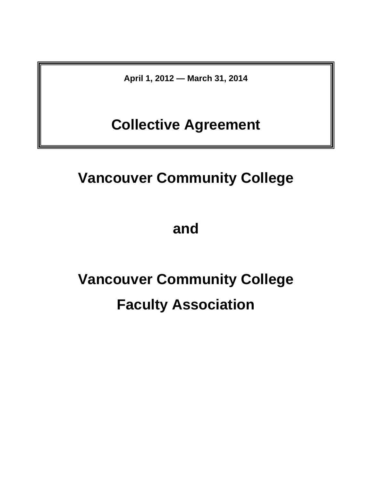**April 1, 2012 — March 31, 2014** 

# **Collective Agreement**

# **Vancouver Community College**

# **and**

# **Vancouver Community College Faculty Association**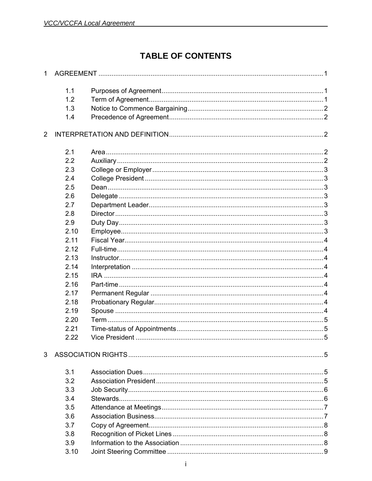# **TABLE OF CONTENTS**

| $\mathbf{1}$   |      |  |
|----------------|------|--|
|                | 1.1  |  |
|                | 1.2  |  |
|                | 1.3  |  |
|                | 1.4  |  |
| $\overline{2}$ |      |  |
|                |      |  |
|                | 2.1  |  |
|                | 2.2  |  |
|                | 2.3  |  |
|                | 2.4  |  |
|                | 2.5  |  |
|                | 2.6  |  |
|                | 2.7  |  |
|                | 2.8  |  |
|                | 2.9  |  |
|                | 2.10 |  |
|                | 2.11 |  |
|                | 2.12 |  |
|                | 2.13 |  |
|                | 2.14 |  |
|                | 2.15 |  |
|                | 2.16 |  |
|                | 2.17 |  |
|                | 2.18 |  |
|                | 2.19 |  |
|                | 2.20 |  |
|                | 2.21 |  |
|                | 2.22 |  |
| 3              |      |  |
|                | 3.1  |  |
|                | 3.2  |  |
|                | 3.3  |  |
|                | 3.4  |  |
|                | 3.5  |  |
|                | 3.6  |  |
|                | 3.7  |  |
|                | 3.8  |  |
|                | 3.9  |  |
|                | 3.10 |  |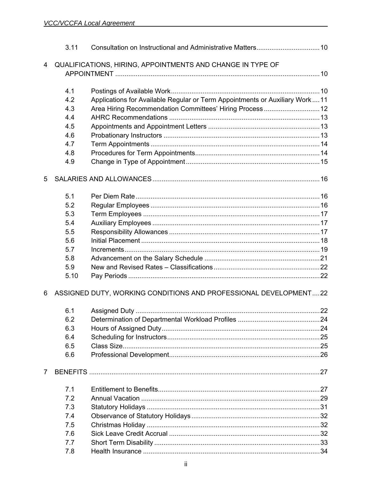|   | 3.11 |                                                                             |  |
|---|------|-----------------------------------------------------------------------------|--|
| 4 |      | QUALIFICATIONS, HIRING, APPOINTMENTS AND CHANGE IN TYPE OF                  |  |
|   |      |                                                                             |  |
|   | 4.1  |                                                                             |  |
|   | 4.2  | Applications for Available Regular or Term Appointments or Auxiliary Work11 |  |
|   | 4.3  | Area Hiring Recommendation Committees' Hiring Process 12                    |  |
|   | 4.4  |                                                                             |  |
|   | 4.5  |                                                                             |  |
|   | 4.6  |                                                                             |  |
|   | 4.7  |                                                                             |  |
|   | 4.8  |                                                                             |  |
|   | 4.9  |                                                                             |  |
| 5 |      |                                                                             |  |
|   |      |                                                                             |  |
|   | 5.1  |                                                                             |  |
|   | 5.2  |                                                                             |  |
|   | 5.3  |                                                                             |  |
|   | 5.4  |                                                                             |  |
|   | 5.5  |                                                                             |  |
|   | 5.6  |                                                                             |  |
|   | 5.7  |                                                                             |  |
|   | 5.8  |                                                                             |  |
|   | 5.9  |                                                                             |  |
|   | 5.10 |                                                                             |  |
| 6 |      | ASSIGNED DUTY, WORKING CONDITIONS AND PROFESSIONAL DEVELOPMENT22            |  |
|   | 6.1  |                                                                             |  |
|   | 6.2  |                                                                             |  |
|   | 6.3  |                                                                             |  |
|   | 6.4  |                                                                             |  |
|   | 6.5  |                                                                             |  |
|   | 6.6  |                                                                             |  |
| 7 |      |                                                                             |  |
|   | 7.1  |                                                                             |  |
|   | 7.2  |                                                                             |  |
|   | 7.3  |                                                                             |  |
|   | 7.4  |                                                                             |  |
|   | 7.5  |                                                                             |  |
|   | 7.6  |                                                                             |  |
|   | 7.7  |                                                                             |  |
|   | 7.8  |                                                                             |  |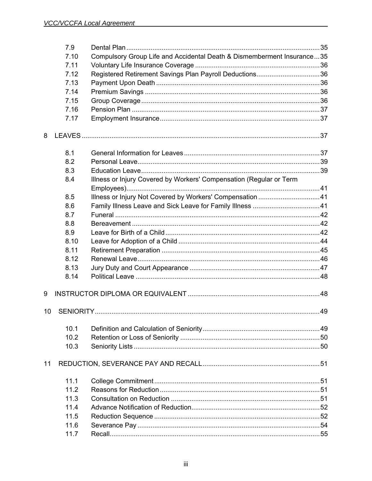|    | 7.9  |                                                                        |    |
|----|------|------------------------------------------------------------------------|----|
|    | 7.10 | Compulsory Group Life and Accidental Death & Dismemberment Insurance35 |    |
|    | 7.11 |                                                                        |    |
|    | 7.12 | Registered Retirement Savings Plan Payroll Deductions36                |    |
|    | 7.13 |                                                                        |    |
|    | 7.14 |                                                                        |    |
|    | 7.15 |                                                                        |    |
|    | 7.16 |                                                                        |    |
|    | 7.17 |                                                                        |    |
| 8  |      |                                                                        |    |
|    | 8.1  |                                                                        |    |
|    | 8.2  |                                                                        |    |
|    | 8.3  |                                                                        |    |
|    | 8.4  | Illness or Injury Covered by Workers' Compensation (Regular or Term    |    |
|    | 8.5  | Illness or Injury Not Covered by Workers' Compensation  41             |    |
|    | 8.6  |                                                                        |    |
|    | 8.7  |                                                                        |    |
|    | 8.8  |                                                                        |    |
|    | 8.9  |                                                                        |    |
|    | 8.10 |                                                                        |    |
|    | 8.11 |                                                                        |    |
|    | 8.12 |                                                                        |    |
|    | 8.13 |                                                                        |    |
|    | 8.14 |                                                                        |    |
| 9  |      |                                                                        |    |
| 10 |      |                                                                        |    |
|    | 10.1 |                                                                        |    |
|    | 10.2 |                                                                        |    |
|    | 10.3 |                                                                        |    |
| 11 |      |                                                                        |    |
|    | 11.1 |                                                                        |    |
|    | 11.2 |                                                                        |    |
|    | 11.3 |                                                                        |    |
|    | 11.4 |                                                                        |    |
|    | 11.5 |                                                                        |    |
|    | 11.6 |                                                                        |    |
|    | 11.7 |                                                                        | 55 |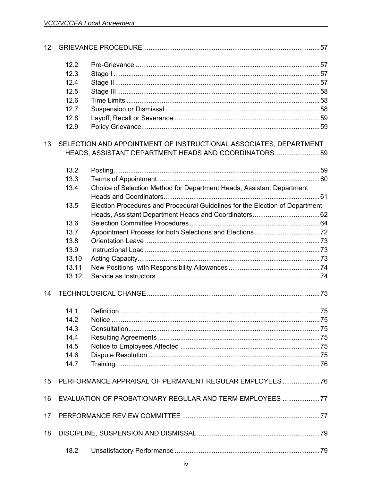| 12 <sup>2</sup> |       |                                                                              |  |
|-----------------|-------|------------------------------------------------------------------------------|--|
|                 | 12.2  |                                                                              |  |
|                 | 12.3  |                                                                              |  |
|                 | 12.4  |                                                                              |  |
|                 | 12.5  |                                                                              |  |
|                 | 12.6  |                                                                              |  |
|                 | 12.7  |                                                                              |  |
|                 | 12.8  |                                                                              |  |
|                 | 12.9  |                                                                              |  |
| 13              |       | SELECTION AND APPOINTMENT OF INSTRUCTIONAL ASSOCIATES, DEPARTMENT            |  |
|                 |       | HEADS, ASSISTANT DEPARTMENT HEADS AND COORDINATORS59                         |  |
|                 | 13.2  |                                                                              |  |
|                 | 13.3  |                                                                              |  |
|                 | 13.4  | Choice of Selection Method for Department Heads, Assistant Department        |  |
|                 |       |                                                                              |  |
|                 | 13.5  | Election Procedures and Procedural Guidelines for the Election of Department |  |
|                 |       |                                                                              |  |
|                 | 13.6  |                                                                              |  |
|                 | 13.7  |                                                                              |  |
|                 | 13.8  |                                                                              |  |
|                 | 13.9  |                                                                              |  |
|                 | 13.10 |                                                                              |  |
|                 | 13.11 |                                                                              |  |
|                 | 13.12 |                                                                              |  |
| 14              |       |                                                                              |  |
|                 | 14.1  |                                                                              |  |
|                 | 14.2  |                                                                              |  |
|                 | 14.3  |                                                                              |  |
|                 | 14.4  |                                                                              |  |
|                 | 14.5  |                                                                              |  |
|                 | 14.6  |                                                                              |  |
|                 | 14.7  |                                                                              |  |
| 15              |       | PERFORMANCE APPRAISAL OF PERMANENT REGULAR EMPLOYEES                         |  |
| 16              |       | EVALUATION OF PROBATIONARY REGULAR AND TERM EMPLOYEES 77                     |  |
| 17              |       |                                                                              |  |
| 18              |       |                                                                              |  |
|                 | 18.2  |                                                                              |  |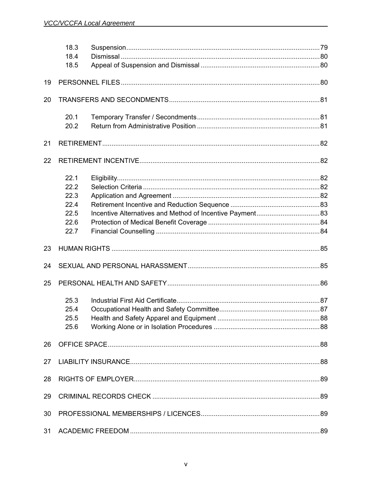|    | 18.3 |  |
|----|------|--|
|    | 18.4 |  |
|    | 18.5 |  |
| 19 |      |  |
| 20 |      |  |
|    | 20.1 |  |
|    | 20.2 |  |
| 21 |      |  |
| 22 |      |  |
|    | 22.1 |  |
|    | 22.2 |  |
|    | 22.3 |  |
|    | 22.4 |  |
|    | 22.5 |  |
|    | 22.6 |  |
|    | 22.7 |  |
| 23 |      |  |
| 24 |      |  |
| 25 |      |  |
|    | 25.3 |  |
|    | 25.4 |  |
|    | 25.5 |  |
|    | 25.6 |  |
| 26 |      |  |
| 27 |      |  |
| 28 |      |  |
| 29 |      |  |
| 30 |      |  |
| 31 |      |  |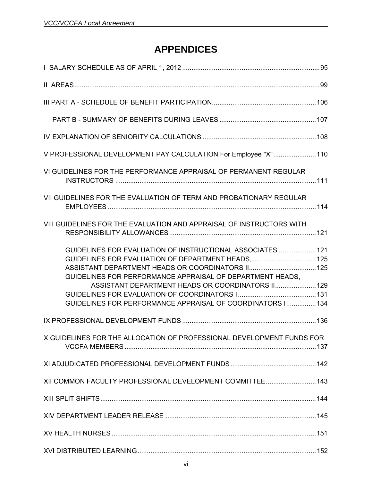# **APPENDICES**

| V PROFESSIONAL DEVELOPMENT PAY CALCULATION For Employee "X" 110                                                                                                                                                                     |  |
|-------------------------------------------------------------------------------------------------------------------------------------------------------------------------------------------------------------------------------------|--|
| VI GUIDELINES FOR THE PERFORMANCE APPRAISAL OF PERMANENT REGULAR                                                                                                                                                                    |  |
| VII GUIDELINES FOR THE EVALUATION OF TERM AND PROBATIONARY REGULAR                                                                                                                                                                  |  |
| VIII GUIDELINES FOR THE EVALUATION AND APPRAISAL OF INSTRUCTORS WITH                                                                                                                                                                |  |
| GUIDELINES FOR EVALUATION OF INSTRUCTIONAL ASSOCIATES  121<br>GUIDELINES FOR EVALUATION OF DEPARTMENT HEADS,  125<br>GUIDELINES FOR PERFORMANCE APPRAISAL OF DEPARTMENT HEADS,<br>ASSISTANT DEPARTMENT HEADS OR COORDINATORS II 129 |  |
| GUIDELINES FOR PERFORMANCE APPRAISAL OF COORDINATORS 1134                                                                                                                                                                           |  |
|                                                                                                                                                                                                                                     |  |
| X GUIDELINES FOR THE ALLOCATION OF PROFESSIONAL DEVELOPMENT FUNDS FOR                                                                                                                                                               |  |
|                                                                                                                                                                                                                                     |  |
| XII COMMON FACULTY PROFESSIONAL DEVELOPMENT COMMITTEE 143                                                                                                                                                                           |  |
|                                                                                                                                                                                                                                     |  |
|                                                                                                                                                                                                                                     |  |
|                                                                                                                                                                                                                                     |  |
|                                                                                                                                                                                                                                     |  |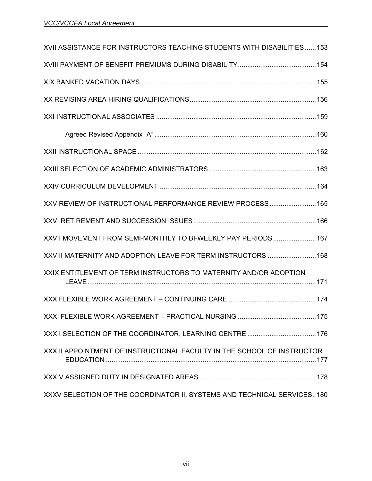| XVII ASSISTANCE FOR INSTRUCTORS TEACHING STUDENTS WITH DISABILITIES153  |
|-------------------------------------------------------------------------|
|                                                                         |
|                                                                         |
|                                                                         |
|                                                                         |
|                                                                         |
|                                                                         |
|                                                                         |
|                                                                         |
| XXV REVIEW OF INSTRUCTIONAL PERFORMANCE REVIEW PROCESS165               |
|                                                                         |
| XXVII MOVEMENT FROM SEMI-MONTHLY TO BI-WEEKLY PAY PERIODS167            |
| XXVIII MATERNITY AND ADOPTION LEAVE FOR TERM INSTRUCTORS  168           |
| XXIX ENTITLEMENT OF TERM INSTRUCTORS TO MATERNITY AND/OR ADOPTION       |
|                                                                         |
|                                                                         |
| XXXII SELECTION OF THE COORDINATOR, LEARNING CENTRE  176                |
| XXXIII APPOINTMENT OF INSTRUCTIONAL FACULTY IN THE SCHOOL OF INSTRUCTOR |
|                                                                         |
| XXXV SELECTION OF THE COORDINATOR II, SYSTEMS AND TECHNICAL SERVICES180 |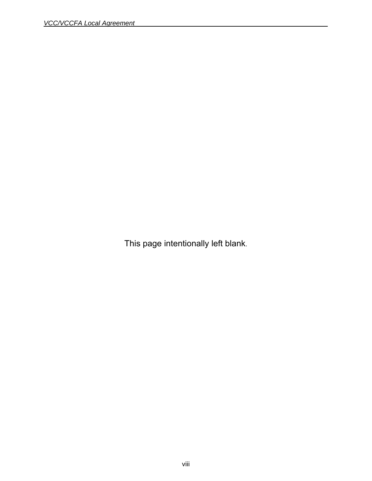This page intentionally left blank.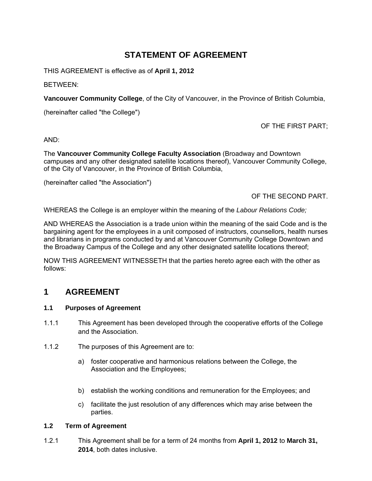# **STATEMENT OF AGREEMENT**

THIS AGREEMENT is effective as of **April 1, 2012**

BETWEEN:

**Vancouver Community College**, of the City of Vancouver, in the Province of British Columbia,

(hereinafter called "the College")

OF THE FIRST PART;

AND:

The **Vancouver Community College Faculty Association** (Broadway and Downtown campuses and any other designated satellite locations thereof), Vancouver Community College, of the City of Vancouver, in the Province of British Columbia,

(hereinafter called "the Association")

OF THE SECOND PART.

WHEREAS the College is an employer within the meaning of the *Labour Relations Code;*

AND WHEREAS the Association is a trade union within the meaning of the said Code and is the bargaining agent for the employees in a unit composed of instructors, counsellors, health nurses and librarians in programs conducted by and at Vancouver Community College Downtown and the Broadway Campus of the College and any other designated satellite locations thereof;

NOW THIS AGREEMENT WITNESSETH that the parties hereto agree each with the other as follows:

### **1 AGREEMENT**

#### **1.1 Purposes of Agreement**

- 1.1.1 This Agreement has been developed through the cooperative efforts of the College and the Association.
- 1.1.2 The purposes of this Agreement are to:
	- a) foster cooperative and harmonious relations between the College, the Association and the Employees;
	- b) establish the working conditions and remuneration for the Employees; and
	- c) facilitate the just resolution of any differences which may arise between the parties.

#### **1.2 Term of Agreement**

1.2.1 This Agreement shall be for a term of 24 months from **April 1, 2012** to **March 31, 2014**, both dates inclusive.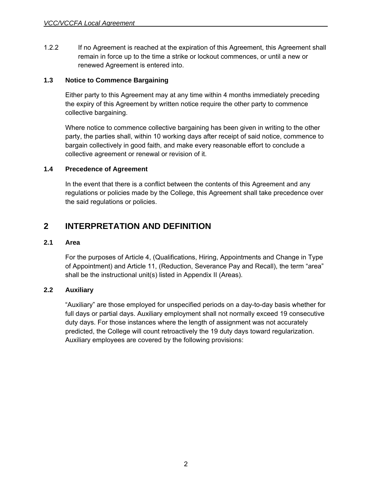1.2.2 If no Agreement is reached at the expiration of this Agreement, this Agreement shall remain in force up to the time a strike or lockout commences, or until a new or renewed Agreement is entered into.

#### **1.3 Notice to Commence Bargaining**

Either party to this Agreement may at any time within 4 months immediately preceding the expiry of this Agreement by written notice require the other party to commence collective bargaining.

Where notice to commence collective bargaining has been given in writing to the other party, the parties shall, within 10 working days after receipt of said notice, commence to bargain collectively in good faith, and make every reasonable effort to conclude a collective agreement or renewal or revision of it.

#### **1.4 Precedence of Agreement**

In the event that there is a conflict between the contents of this Agreement and any regulations or policies made by the College, this Agreement shall take precedence over the said regulations or policies.

## **2 INTERPRETATION AND DEFINITION**

#### **2.1 Area**

For the purposes of Article 4, (Qualifications, Hiring, Appointments and Change in Type of Appointment) and Article 11, (Reduction, Severance Pay and Recall), the term "area" shall be the instructional unit(s) listed in Appendix II (Areas).

#### **2.2 Auxiliary**

"Auxiliary" are those employed for unspecified periods on a day-to-day basis whether for full days or partial days. Auxiliary employment shall not normally exceed 19 consecutive duty days. For those instances where the length of assignment was not accurately predicted, the College will count retroactively the 19 duty days toward regularization. Auxiliary employees are covered by the following provisions: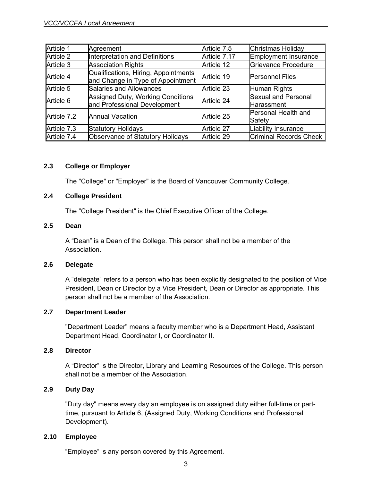| Article 1   | Agreement                                                                 | Article 7.5  | Christmas Holiday                 |
|-------------|---------------------------------------------------------------------------|--------------|-----------------------------------|
| Article 2   | Interpretation and Definitions                                            | Article 7.17 | <b>Employment Insurance</b>       |
| Article 3   | <b>Association Rights</b>                                                 | Article 12   | Grievance Procedure               |
| Article 4   | Qualifications, Hiring, Appointments<br>and Change in Type of Appointment | Article 19   | <b>Personnel Files</b>            |
| Article 5   | Salaries and Allowances                                                   | Article 23   | Human Rights                      |
| Article 6   | Assigned Duty, Working Conditions<br>and Professional Development         | Article 24   | Sexual and Personal<br>Harassment |
| Article 7.2 | <b>Annual Vacation</b>                                                    | Article 25   | Personal Health and<br>Safety     |
| Article 7.3 | <b>Statutory Holidays</b>                                                 | Article 27   | Liability Insurance               |
| Article 7.4 | Observance of Statutory Holidays                                          | Article 29   | <b>Criminal Records Check</b>     |

#### **2.3 College or Employer**

The "College" or "Employer" is the Board of Vancouver Community College.

#### **2.4 College President**

The "College President" is the Chief Executive Officer of the College.

#### **2.5 Dean**

A "Dean" is a Dean of the College. This person shall not be a member of the Association.

#### **2.6 Delegate**

A "delegate" refers to a person who has been explicitly designated to the position of Vice President, Dean or Director by a Vice President, Dean or Director as appropriate. This person shall not be a member of the Association.

#### **2.7 Department Leader**

"Department Leader" means a faculty member who is a Department Head, Assistant Department Head, Coordinator I, or Coordinator II.

#### **2.8 Director**

A "Director" is the Director, Library and Learning Resources of the College. This person shall not be a member of the Association.

#### **2.9 Duty Day**

"Duty day" means every day an employee is on assigned duty either full-time or parttime, pursuant to Article 6, (Assigned Duty, Working Conditions and Professional Development).

#### **2.10 Employee**

"Employee" is any person covered by this Agreement.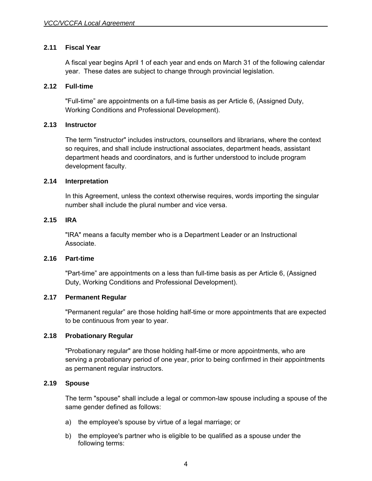#### **2.11 Fiscal Year**

A fiscal year begins April 1 of each year and ends on March 31 of the following calendar year. These dates are subject to change through provincial legislation.

#### **2.12 Full-time**

"Full-time" are appointments on a full-time basis as per Article 6, (Assigned Duty, Working Conditions and Professional Development).

#### **2.13 Instructor**

The term "instructor" includes instructors, counsellors and librarians, where the context so requires, and shall include instructional associates, department heads, assistant department heads and coordinators, and is further understood to include program development faculty.

#### **2.14 Interpretation**

In this Agreement, unless the context otherwise requires, words importing the singular number shall include the plural number and vice versa.

#### **2.15 IRA**

"IRA" means a faculty member who is a Department Leader or an Instructional Associate.

#### **2.16 Part-time**

"Part-time" are appointments on a less than full-time basis as per Article 6, (Assigned Duty, Working Conditions and Professional Development).

#### **2.17 Permanent Regular**

"Permanent regular" are those holding half-time or more appointments that are expected to be continuous from year to year.

#### **2.18 Probationary Regular**

"Probationary regular" are those holding half-time or more appointments, who are serving a probationary period of one year, prior to being confirmed in their appointments as permanent regular instructors.

#### **2.19 Spouse**

The term "spouse" shall include a legal or common-law spouse including a spouse of the same gender defined as follows:

- a) the employee's spouse by virtue of a legal marriage; or
- b) the employee's partner who is eligible to be qualified as a spouse under the following terms: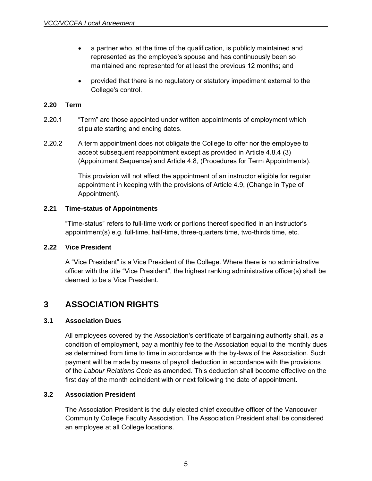- a partner who, at the time of the qualification, is publicly maintained and represented as the employee's spouse and has continuously been so maintained and represented for at least the previous 12 months; and
- provided that there is no regulatory or statutory impediment external to the College's control.

#### **2.20 Term**

- 2.20.1 "Term" are those appointed under written appointments of employment which stipulate starting and ending dates.
- 2.20.2 A term appointment does not obligate the College to offer nor the employee to accept subsequent reappointment except as provided in Article 4.8.4 (3) (Appointment Sequence) and Article 4.8, (Procedures for Term Appointments).

This provision will not affect the appointment of an instructor eligible for regular appointment in keeping with the provisions of Article 4.9, (Change in Type of Appointment).

#### **2.21 Time-status of Appointments**

"Time-status" refers to full-time work or portions thereof specified in an instructor's appointment(s) e.g. full-time, half-time, three-quarters time, two-thirds time, etc.

#### **2.22 Vice President**

A "Vice President" is a Vice President of the College. Where there is no administrative officer with the title "Vice President", the highest ranking administrative officer(s) shall be deemed to be a Vice President.

## **3 ASSOCIATION RIGHTS**

#### **3.1 Association Dues**

All employees covered by the Association's certificate of bargaining authority shall, as a condition of employment, pay a monthly fee to the Association equal to the monthly dues as determined from time to time in accordance with the by-laws of the Association. Such payment will be made by means of payroll deduction in accordance with the provisions of the *Labour Relations Code* as amended. This deduction shall become effective on the first day of the month coincident with or next following the date of appointment.

#### **3.2 Association President**

The Association President is the duly elected chief executive officer of the Vancouver Community College Faculty Association. The Association President shall be considered an employee at all College locations.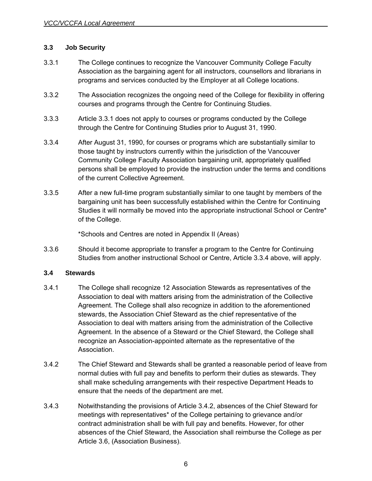#### **3.3 Job Security**

- 3.3.1 The College continues to recognize the Vancouver Community College Faculty Association as the bargaining agent for all instructors, counsellors and librarians in programs and services conducted by the Employer at all College locations.
- 3.3.2 The Association recognizes the ongoing need of the College for flexibility in offering courses and programs through the Centre for Continuing Studies.
- 3.3.3 Article 3.3.1 does not apply to courses or programs conducted by the College through the Centre for Continuing Studies prior to August 31, 1990.
- 3.3.4 After August 31, 1990, for courses or programs which are substantially similar to those taught by instructors currently within the jurisdiction of the Vancouver Community College Faculty Association bargaining unit, appropriately qualified persons shall be employed to provide the instruction under the terms and conditions of the current Collective Agreement.
- 3.3.5 After a new full-time program substantially similar to one taught by members of the bargaining unit has been successfully established within the Centre for Continuing Studies it will normally be moved into the appropriate instructional School or Centre\* of the College.

\*Schools and Centres are noted in Appendix II (Areas)

3.3.6 Should it become appropriate to transfer a program to the Centre for Continuing Studies from another instructional School or Centre, Article 3.3.4 above, will apply.

#### **3.4 Stewards**

- 3.4.1 The College shall recognize 12 Association Stewards as representatives of the Association to deal with matters arising from the administration of the Collective Agreement. The College shall also recognize in addition to the aforementioned stewards, the Association Chief Steward as the chief representative of the Association to deal with matters arising from the administration of the Collective Agreement. In the absence of a Steward or the Chief Steward, the College shall recognize an Association-appointed alternate as the representative of the Association.
- 3.4.2 The Chief Steward and Stewards shall be granted a reasonable period of leave from normal duties with full pay and benefits to perform their duties as stewards. They shall make scheduling arrangements with their respective Department Heads to ensure that the needs of the department are met.
- 3.4.3 Notwithstanding the provisions of Article 3.4.2, absences of the Chief Steward for meetings with representatives\* of the College pertaining to grievance and/or contract administration shall be with full pay and benefits. However, for other absences of the Chief Steward, the Association shall reimburse the College as per Article 3.6, (Association Business).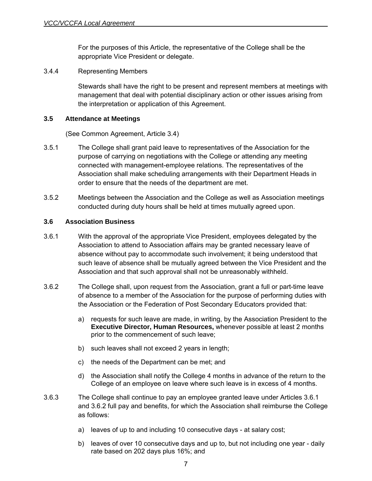For the purposes of this Article, the representative of the College shall be the appropriate Vice President or delegate.

3.4.4 Representing Members

Stewards shall have the right to be present and represent members at meetings with management that deal with potential disciplinary action or other issues arising from the interpretation or application of this Agreement.

#### **3.5 Attendance at Meetings**

(See Common Agreement, Article 3.4)

- 3.5.1 The College shall grant paid leave to representatives of the Association for the purpose of carrying on negotiations with the College or attending any meeting connected with management-employee relations. The representatives of the Association shall make scheduling arrangements with their Department Heads in order to ensure that the needs of the department are met.
- 3.5.2 Meetings between the Association and the College as well as Association meetings conducted during duty hours shall be held at times mutually agreed upon.

#### **3.6 Association Business**

- 3.6.1 With the approval of the appropriate Vice President, employees delegated by the Association to attend to Association affairs may be granted necessary leave of absence without pay to accommodate such involvement; it being understood that such leave of absence shall be mutually agreed between the Vice President and the Association and that such approval shall not be unreasonably withheld.
- 3.6.2 The College shall, upon request from the Association, grant a full or part-time leave of absence to a member of the Association for the purpose of performing duties with the Association or the Federation of Post Secondary Educators provided that:
	- a) requests for such leave are made, in writing, by the Association President to the **Executive Director, Human Resources,** whenever possible at least 2 months prior to the commencement of such leave;
	- b) such leaves shall not exceed 2 years in length;
	- c) the needs of the Department can be met; and
	- d) the Association shall notify the College 4 months in advance of the return to the College of an employee on leave where such leave is in excess of 4 months.
- 3.6.3 The College shall continue to pay an employee granted leave under Articles 3.6.1 and 3.6.2 full pay and benefits, for which the Association shall reimburse the College as follows:
	- a) leaves of up to and including 10 consecutive days at salary cost;
	- b) leaves of over 10 consecutive days and up to, but not including one year daily rate based on 202 days plus 16%; and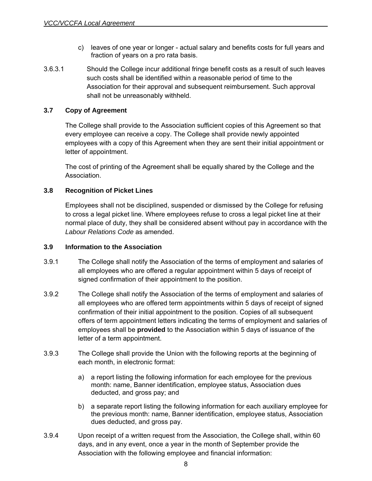- c) leaves of one year or longer actual salary and benefits costs for full years and fraction of years on a pro rata basis.
- 3.6.3.1 Should the College incur additional fringe benefit costs as a result of such leaves such costs shall be identified within a reasonable period of time to the Association for their approval and subsequent reimbursement. Such approval shall not be unreasonably withheld.

#### **3.7 Copy of Agreement**

The College shall provide to the Association sufficient copies of this Agreement so that every employee can receive a copy. The College shall provide newly appointed employees with a copy of this Agreement when they are sent their initial appointment or letter of appointment.

The cost of printing of the Agreement shall be equally shared by the College and the Association.

#### **3.8 Recognition of Picket Lines**

Employees shall not be disciplined, suspended or dismissed by the College for refusing to cross a legal picket line. Where employees refuse to cross a legal picket line at their normal place of duty, they shall be considered absent without pay in accordance with the *Labour Relations Code* as amended.

#### **3.9 Information to the Association**

- 3.9.1 The College shall notify the Association of the terms of employment and salaries of all employees who are offered a regular appointment within 5 days of receipt of signed confirmation of their appointment to the position.
- 3.9.2 The College shall notify the Association of the terms of employment and salaries of all employees who are offered term appointments within 5 days of receipt of signed confirmation of their initial appointment to the position. Copies of all subsequent offers of term appointment letters indicating the terms of employment and salaries of employees shall be **provided** to the Association within 5 days of issuance of the letter of a term appointment.
- 3.9.3 The College shall provide the Union with the following reports at the beginning of each month, in electronic format:
	- a) a report listing the following information for each employee for the previous month: name, Banner identification, employee status, Association dues deducted, and gross pay; and
	- b) a separate report listing the following information for each auxiliary employee for the previous month: name, Banner identification, employee status, Association dues deducted, and gross pay.
- 3.9.4 Upon receipt of a written request from the Association, the College shall, within 60 days, and in any event, once a year in the month of September provide the Association with the following employee and financial information: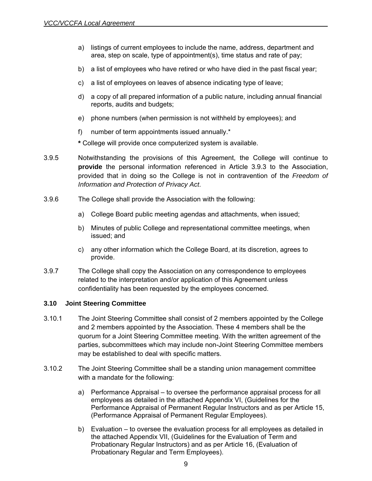- a) listings of current employees to include the name, address, department and area, step on scale, type of appointment(s), time status and rate of pay;
- b) a list of employees who have retired or who have died in the past fiscal year;
- c) a list of employees on leaves of absence indicating type of leave;
- d) a copy of all prepared information of a public nature, including annual financial reports, audits and budgets;
- e) phone numbers (when permission is not withheld by employees); and
- f) number of term appointments issued annually.\*

**\*** College will provide once computerized system is available.

- 3.9.5 Notwithstanding the provisions of this Agreement, the College will continue to **provide** the personal information referenced in Article 3.9.3 to the Association, provided that in doing so the College is not in contravention of the *Freedom of Information and Protection of Privacy Act*.
- 3.9.6 The College shall provide the Association with the following:
	- a) College Board public meeting agendas and attachments, when issued;
	- b) Minutes of public College and representational committee meetings, when issued; and
	- c) any other information which the College Board, at its discretion, agrees to provide.
- 3.9.7 The College shall copy the Association on any correspondence to employees related to the interpretation and/or application of this Agreement unless confidentiality has been requested by the employees concerned.

#### **3.10 Joint Steering Committee**

- 3.10.1 The Joint Steering Committee shall consist of 2 members appointed by the College and 2 members appointed by the Association. These 4 members shall be the quorum for a Joint Steering Committee meeting. With the written agreement of the parties, subcommittees which may include non-Joint Steering Committee members may be established to deal with specific matters.
- 3.10.2 The Joint Steering Committee shall be a standing union management committee with a mandate for the following:
	- a) Performance Appraisal to oversee the performance appraisal process for all employees as detailed in the attached Appendix VI, (Guidelines for the Performance Appraisal of Permanent Regular Instructors and as per Article 15, (Performance Appraisal of Permanent Regular Employees).
	- b) Evaluation to oversee the evaluation process for all employees as detailed in the attached Appendix VII, (Guidelines for the Evaluation of Term and Probationary Regular Instructors) and as per Article 16, (Evaluation of Probationary Regular and Term Employees).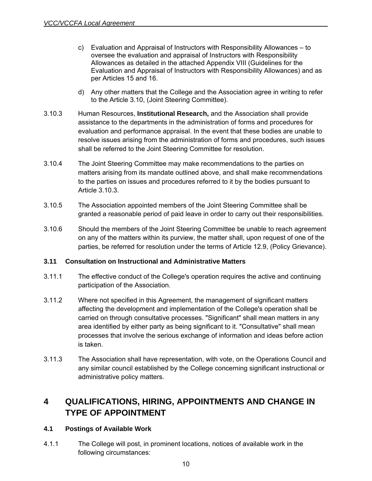- c) Evaluation and Appraisal of Instructors with Responsibility Allowances to oversee the evaluation and appraisal of Instructors with Responsibility Allowances as detailed in the attached Appendix VIII (Guidelines for the Evaluation and Appraisal of Instructors with Responsibility Allowances) and as per Articles 15 and 16.
- d) Any other matters that the College and the Association agree in writing to refer to the Article 3.10, (Joint Steering Committee).
- 3.10.3 Human Resources, **Institutional Research,** and the Association shall provide assistance to the departments in the administration of forms and procedures for evaluation and performance appraisal. In the event that these bodies are unable to resolve issues arising from the administration of forms and procedures, such issues shall be referred to the Joint Steering Committee for resolution.
- 3.10.4 The Joint Steering Committee may make recommendations to the parties on matters arising from its mandate outlined above, and shall make recommendations to the parties on issues and procedures referred to it by the bodies pursuant to Article 3.10.3.
- 3.10.5 The Association appointed members of the Joint Steering Committee shall be granted a reasonable period of paid leave in order to carry out their responsibilities.
- 3.10.6 Should the members of the Joint Steering Committee be unable to reach agreement on any of the matters within its purview, the matter shall, upon request of one of the parties, be referred for resolution under the terms of Article 12.9, (Policy Grievance).

#### **3.11 Consultation on Instructional and Administrative Matters**

- 3.11.1 The effective conduct of the College's operation requires the active and continuing participation of the Association.
- 3.11.2 Where not specified in this Agreement, the management of significant matters affecting the development and implementation of the College's operation shall be carried on through consultative processes. "Significant" shall mean matters in any area identified by either party as being significant to it. "Consultative" shall mean processes that involve the serious exchange of information and ideas before action is taken.
- 3.11.3 The Association shall have representation, with vote, on the Operations Council and any similar council established by the College concerning significant instructional or administrative policy matters.

# **4 QUALIFICATIONS, HIRING, APPOINTMENTS AND CHANGE IN TYPE OF APPOINTMENT**

#### **4.1 Postings of Available Work**

4.1.1 The College will post, in prominent locations, notices of available work in the following circumstances: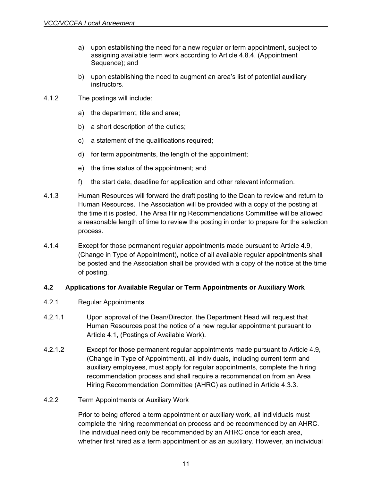- a) upon establishing the need for a new regular or term appointment, subject to assigning available term work according to Article 4.8.4, (Appointment Sequence); and
- b) upon establishing the need to augment an area's list of potential auxiliary instructors.
- 4.1.2 The postings will include:
	- a) the department, title and area;
	- b) a short description of the duties;
	- c) a statement of the qualifications required;
	- d) for term appointments, the length of the appointment;
	- e) the time status of the appointment; and
	- f) the start date, deadline for application and other relevant information.
- 4.1.3 Human Resources will forward the draft posting to the Dean to review and return to Human Resources. The Association will be provided with a copy of the posting at the time it is posted. The Area Hiring Recommendations Committee will be allowed a reasonable length of time to review the posting in order to prepare for the selection process.
- 4.1.4 Except for those permanent regular appointments made pursuant to Article 4.9, (Change in Type of Appointment), notice of all available regular appointments shall be posted and the Association shall be provided with a copy of the notice at the time of posting.

#### **4.2 Applications for Available Regular or Term Appointments or Auxiliary Work**

- 4.2.1 Regular Appointments
- 4.2.1.1 Upon approval of the Dean/Director, the Department Head will request that Human Resources post the notice of a new regular appointment pursuant to Article 4.1, (Postings of Available Work).
- 4.2.1.2 Except for those permanent regular appointments made pursuant to Article 4.9, (Change in Type of Appointment), all individuals, including current term and auxiliary employees, must apply for regular appointments, complete the hiring recommendation process and shall require a recommendation from an Area Hiring Recommendation Committee (AHRC) as outlined in Article 4.3.3.
- 4.2.2 Term Appointments or Auxiliary Work

Prior to being offered a term appointment or auxiliary work, all individuals must complete the hiring recommendation process and be recommended by an AHRC. The individual need only be recommended by an AHRC once for each area, whether first hired as a term appointment or as an auxiliary. However, an individual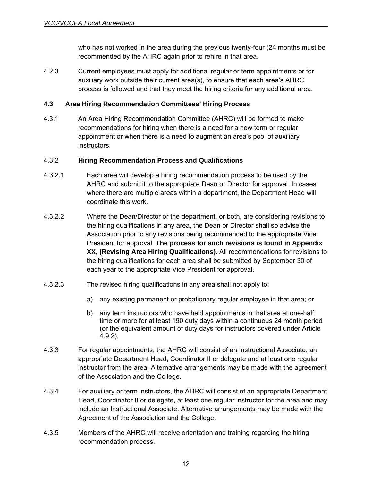who has not worked in the area during the previous twenty-four (24 months must be recommended by the AHRC again prior to rehire in that area.

4.2.3 Current employees must apply for additional regular or term appointments or for auxiliary work outside their current area(s), to ensure that each area's AHRC process is followed and that they meet the hiring criteria for any additional area.

#### **4.3 Area Hiring Recommendation Committees' Hiring Process**

4.3.1 An Area Hiring Recommendation Committee (AHRC) will be formed to make recommendations for hiring when there is a need for a new term or regular appointment or when there is a need to augment an area's pool of auxiliary instructors.

#### 4.3.2 **Hiring Recommendation Process and Qualifications**

- 4.3.2.1 Each area will develop a hiring recommendation process to be used by the AHRC and submit it to the appropriate Dean or Director for approval. In cases where there are multiple areas within a department, the Department Head will coordinate this work.
- 4.3.2.2 Where the Dean/Director or the department, or both, are considering revisions to the hiring qualifications in any area, the Dean or Director shall so advise the Association prior to any revisions being recommended to the appropriate Vice President for approval. **The process for such revisions is found in Appendix XX, (Revising Area Hiring Qualifications).** All recommendations for revisions to the hiring qualifications for each area shall be submitted by September 30 of each year to the appropriate Vice President for approval.
- 4.3.2.3 The revised hiring qualifications in any area shall not apply to:
	- a) any existing permanent or probationary regular employee in that area; or
	- b) any term instructors who have held appointments in that area at one-half time or more for at least 190 duty days within a continuous 24 month period (or the equivalent amount of duty days for instructors covered under Article 4.9.2).
- 4.3.3 For regular appointments, the AHRC will consist of an Instructional Associate, an appropriate Department Head, Coordinator II or delegate and at least one regular instructor from the area. Alternative arrangements may be made with the agreement of the Association and the College.
- 4.3.4 For auxiliary or term instructors, the AHRC will consist of an appropriate Department Head, Coordinator II or delegate, at least one regular instructor for the area and may include an Instructional Associate. Alternative arrangements may be made with the Agreement of the Association and the College.
- 4.3.5 Members of the AHRC will receive orientation and training regarding the hiring recommendation process.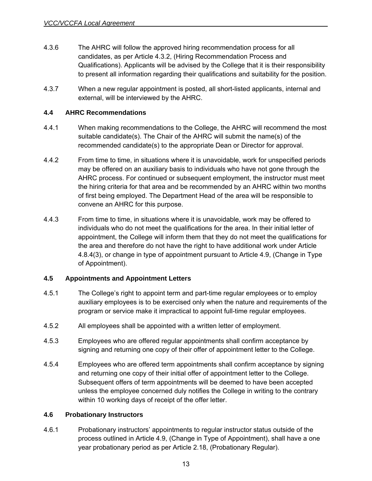- 4.3.6 The AHRC will follow the approved hiring recommendation process for all candidates, as per Article 4.3.2, (Hiring Recommendation Process and Qualifications). Applicants will be advised by the College that it is their responsibility to present all information regarding their qualifications and suitability for the position.
- 4.3.7 When a new regular appointment is posted, all short-listed applicants, internal and external, will be interviewed by the AHRC.

#### **4.4 AHRC Recommendations**

- 4.4.1 When making recommendations to the College, the AHRC will recommend the most suitable candidate(s). The Chair of the AHRC will submit the name(s) of the recommended candidate(s) to the appropriate Dean or Director for approval.
- 4.4.2 From time to time, in situations where it is unavoidable, work for unspecified periods may be offered on an auxiliary basis to individuals who have not gone through the AHRC process. For continued or subsequent employment, the instructor must meet the hiring criteria for that area and be recommended by an AHRC within two months of first being employed. The Department Head of the area will be responsible to convene an AHRC for this purpose.
- 4.4.3 From time to time, in situations where it is unavoidable, work may be offered to individuals who do not meet the qualifications for the area. In their initial letter of appointment, the College will inform them that they do not meet the qualifications for the area and therefore do not have the right to have additional work under Article 4.8.4(3), or change in type of appointment pursuant to Article 4.9, (Change in Type of Appointment).

#### **4.5 Appointments and Appointment Letters**

- 4.5.1 The College's right to appoint term and part-time regular employees or to employ auxiliary employees is to be exercised only when the nature and requirements of the program or service make it impractical to appoint full-time regular employees.
- 4.5.2 All employees shall be appointed with a written letter of employment.
- 4.5.3 Employees who are offered regular appointments shall confirm acceptance by signing and returning one copy of their offer of appointment letter to the College.
- 4.5.4 Employees who are offered term appointments shall confirm acceptance by signing and returning one copy of their initial offer of appointment letter to the College. Subsequent offers of term appointments will be deemed to have been accepted unless the employee concerned duly notifies the College in writing to the contrary within 10 working days of receipt of the offer letter.

#### **4.6 Probationary Instructors**

4.6.1 Probationary instructors' appointments to regular instructor status outside of the process outlined in Article 4.9, (Change in Type of Appointment), shall have a one year probationary period as per Article 2.18, (Probationary Regular).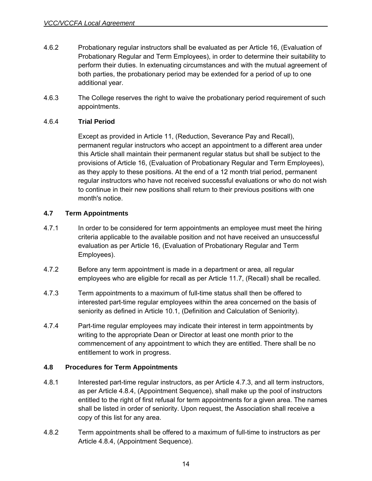- 4.6.2 Probationary regular instructors shall be evaluated as per Article 16, (Evaluation of Probationary Regular and Term Employees), in order to determine their suitability to perform their duties. In extenuating circumstances and with the mutual agreement of both parties, the probationary period may be extended for a period of up to one additional year.
- 4.6.3 The College reserves the right to waive the probationary period requirement of such appointments.

#### 4.6.4 **Trial Period**

Except as provided in Article 11, (Reduction, Severance Pay and Recall), permanent regular instructors who accept an appointment to a different area under this Article shall maintain their permanent regular status but shall be subject to the provisions of Article 16, (Evaluation of Probationary Regular and Term Employees), as they apply to these positions. At the end of a 12 month trial period, permanent regular instructors who have not received successful evaluations or who do not wish to continue in their new positions shall return to their previous positions with one month's notice.

#### **4.7 Term Appointments**

- 4.7.1 In order to be considered for term appointments an employee must meet the hiring criteria applicable to the available position and not have received an unsuccessful evaluation as per Article 16, (Evaluation of Probationary Regular and Term Employees).
- 4.7.2 Before any term appointment is made in a department or area, all regular employees who are eligible for recall as per Article 11.7, (Recall) shall be recalled.
- 4.7.3 Term appointments to a maximum of full-time status shall then be offered to interested part-time regular employees within the area concerned on the basis of seniority as defined in Article 10.1, (Definition and Calculation of Seniority).
- 4.7.4 Part-time regular employees may indicate their interest in term appointments by writing to the appropriate Dean or Director at least one month prior to the commencement of any appointment to which they are entitled. There shall be no entitlement to work in progress.

#### **4.8 Procedures for Term Appointments**

- 4.8.1 Interested part-time regular instructors, as per Article 4.7.3, and all term instructors, as per Article 4.8.4, (Appointment Sequence), shall make up the pool of instructors entitled to the right of first refusal for term appointments for a given area. The names shall be listed in order of seniority. Upon request, the Association shall receive a copy of this list for any area.
- 4.8.2 Term appointments shall be offered to a maximum of full-time to instructors as per Article 4.8.4, (Appointment Sequence).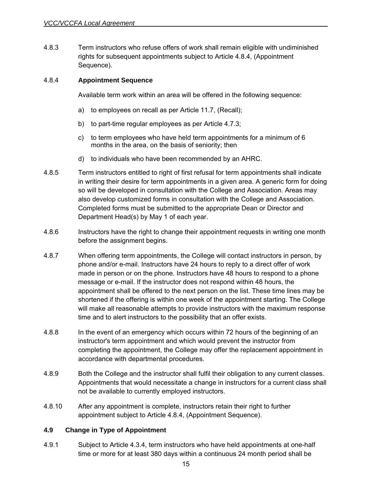4.8.3 Term instructors who refuse offers of work shall remain eligible with undiminished rights for subsequent appointments subject to Article 4.8.4, (Appointment Sequence).

#### 4.8.4 **Appointment Sequence**

Available term work within an area will be offered in the following sequence:

- a) to employees on recall as per Article 11.7, (Recall);
- b) to part-time regular employees as per Article 4.7.3;
- c) to term employees who have held term appointments for a minimum of 6 months in the area, on the basis of seniority; then
- d) to individuals who have been recommended by an AHRC.
- 4.8.5 Term instructors entitled to right of first refusal for term appointments shall indicate in writing their desire for term appointments in a given area. A generic form for doing so will be developed in consultation with the College and Association. Areas may also develop customized forms in consultation with the College and Association. Completed forms must be submitted to the appropriate Dean or Director and Department Head(s) by May 1 of each year.
- 4.8.6 Instructors have the right to change their appointment requests in writing one month before the assignment begins.
- 4.8.7 When offering term appointments, the College will contact instructors in person, by phone and/or e-mail. Instructors have 24 hours to reply to a direct offer of work made in person or on the phone. Instructors have 48 hours to respond to a phone message or e-mail. If the instructor does not respond within 48 hours, the appointment shall be offered to the next person on the list. These time lines may be shortened if the offering is within one week of the appointment starting. The College will make all reasonable attempts to provide instructors with the maximum response time and to alert instructors to the possibility that an offer exists.
- 4.8.8 In the event of an emergency which occurs within 72 hours of the beginning of an instructor's term appointment and which would prevent the instructor from completing the appointment, the College may offer the replacement appointment in accordance with departmental procedures.
- 4.8.9 Both the College and the instructor shall fulfil their obligation to any current classes. Appointments that would necessitate a change in instructors for a current class shall not be available to currently employed instructors.
- 4.8.10 After any appointment is complete, instructors retain their right to further appointment subject to Article 4.8.4, (Appointment Sequence).

#### **4.9 Change in Type of Appointment**

4.9.1 Subject to Article 4.3.4, term instructors who have held appointments at one-half time or more for at least 380 days within a continuous 24 month period shall be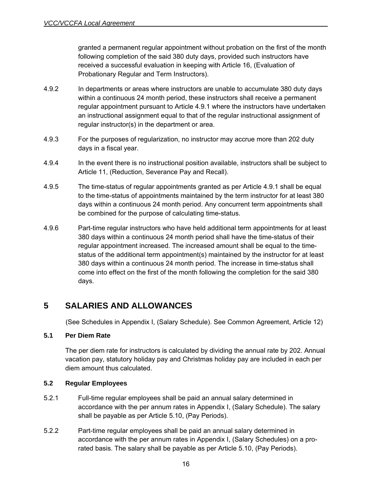granted a permanent regular appointment without probation on the first of the month following completion of the said 380 duty days, provided such instructors have received a successful evaluation in keeping with Article 16, (Evaluation of Probationary Regular and Term Instructors).

- 4.9.2 In departments or areas where instructors are unable to accumulate 380 duty days within a continuous 24 month period, these instructors shall receive a permanent regular appointment pursuant to Article 4.9.1 where the instructors have undertaken an instructional assignment equal to that of the regular instructional assignment of regular instructor(s) in the department or area.
- 4.9.3 For the purposes of regularization, no instructor may accrue more than 202 duty days in a fiscal year.
- 4.9.4 In the event there is no instructional position available, instructors shall be subject to Article 11, (Reduction, Severance Pay and Recall).
- 4.9.5 The time-status of regular appointments granted as per Article 4.9.1 shall be equal to the time-status of appointments maintained by the term instructor for at least 380 days within a continuous 24 month period. Any concurrent term appointments shall be combined for the purpose of calculating time-status.
- 4.9.6 Part-time regular instructors who have held additional term appointments for at least 380 days within a continuous 24 month period shall have the time-status of their regular appointment increased. The increased amount shall be equal to the timestatus of the additional term appointment(s) maintained by the instructor for at least 380 days within a continuous 24 month period. The increase in time-status shall come into effect on the first of the month following the completion for the said 380 days.

# **5 SALARIES AND ALLOWANCES**

(See Schedules in Appendix I, (Salary Schedule). See Common Agreement, Article 12)

#### **5.1 Per Diem Rate**

The per diem rate for instructors is calculated by dividing the annual rate by 202. Annual vacation pay, statutory holiday pay and Christmas holiday pay are included in each per diem amount thus calculated.

#### **5.2 Regular Employees**

- 5.2.1 Full-time regular employees shall be paid an annual salary determined in accordance with the per annum rates in Appendix I, (Salary Schedule). The salary shall be payable as per Article 5.10, (Pay Periods).
- 5.2.2 Part-time regular employees shall be paid an annual salary determined in accordance with the per annum rates in Appendix I, (Salary Schedules) on a prorated basis. The salary shall be payable as per Article 5.10, (Pay Periods).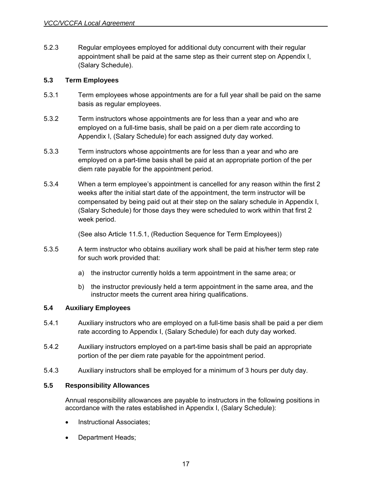5.2.3 Regular employees employed for additional duty concurrent with their regular appointment shall be paid at the same step as their current step on Appendix I, (Salary Schedule).

#### **5.3 Term Employees**

- 5.3.1 Term employees whose appointments are for a full year shall be paid on the same basis as regular employees.
- 5.3.2 Term instructors whose appointments are for less than a year and who are employed on a full-time basis, shall be paid on a per diem rate according to Appendix I, (Salary Schedule) for each assigned duty day worked.
- 5.3.3 Term instructors whose appointments are for less than a year and who are employed on a part-time basis shall be paid at an appropriate portion of the per diem rate payable for the appointment period.
- 5.3.4 When a term employee's appointment is cancelled for any reason within the first 2 weeks after the initial start date of the appointment, the term instructor will be compensated by being paid out at their step on the salary schedule in Appendix I, (Salary Schedule) for those days they were scheduled to work within that first 2 week period.

(See also Article 11.5.1, (Reduction Sequence for Term Employees))

- 5.3.5 A term instructor who obtains auxiliary work shall be paid at his/her term step rate for such work provided that:
	- a) the instructor currently holds a term appointment in the same area; or
	- b) the instructor previously held a term appointment in the same area, and the instructor meets the current area hiring qualifications.

#### **5.4 Auxiliary Employees**

- 5.4.1 Auxiliary instructors who are employed on a full-time basis shall be paid a per diem rate according to Appendix I, (Salary Schedule) for each duty day worked.
- 5.4.2 Auxiliary instructors employed on a part-time basis shall be paid an appropriate portion of the per diem rate payable for the appointment period.
- 5.4.3 Auxiliary instructors shall be employed for a minimum of 3 hours per duty day.

#### **5.5 Responsibility Allowances**

Annual responsibility allowances are payable to instructors in the following positions in accordance with the rates established in Appendix I, (Salary Schedule):

- Instructional Associates:
- Department Heads;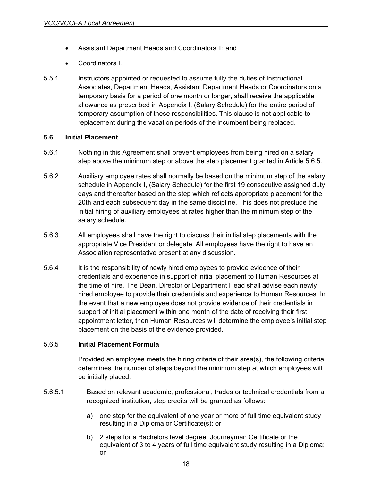- Assistant Department Heads and Coordinators II; and
- Coordinators I.
- 5.5.1 Instructors appointed or requested to assume fully the duties of Instructional Associates, Department Heads, Assistant Department Heads or Coordinators on a temporary basis for a period of one month or longer, shall receive the applicable allowance as prescribed in Appendix I, (Salary Schedule) for the entire period of temporary assumption of these responsibilities. This clause is not applicable to replacement during the vacation periods of the incumbent being replaced.

#### **5.6 Initial Placement**

- 5.6.1 Nothing in this Agreement shall prevent employees from being hired on a salary step above the minimum step or above the step placement granted in Article 5.6.5.
- 5.6.2 Auxiliary employee rates shall normally be based on the minimum step of the salary schedule in Appendix I, (Salary Schedule) for the first 19 consecutive assigned duty days and thereafter based on the step which reflects appropriate placement for the 20th and each subsequent day in the same discipline. This does not preclude the initial hiring of auxiliary employees at rates higher than the minimum step of the salary schedule.
- 5.6.3 All employees shall have the right to discuss their initial step placements with the appropriate Vice President or delegate. All employees have the right to have an Association representative present at any discussion.
- 5.6.4 It is the responsibility of newly hired employees to provide evidence of their credentials and experience in support of initial placement to Human Resources at the time of hire. The Dean, Director or Department Head shall advise each newly hired employee to provide their credentials and experience to Human Resources. In the event that a new employee does not provide evidence of their credentials in support of initial placement within one month of the date of receiving their first appointment letter, then Human Resources will determine the employee's initial step placement on the basis of the evidence provided.

#### 5.6.5 **Initial Placement Formula**

Provided an employee meets the hiring criteria of their area(s), the following criteria determines the number of steps beyond the minimum step at which employees will be initially placed.

- 5.6.5.1 Based on relevant academic, professional, trades or technical credentials from a recognized institution, step credits will be granted as follows:
	- a) one step for the equivalent of one year or more of full time equivalent study resulting in a Diploma or Certificate(s); or
	- b) 2 steps for a Bachelors level degree, Journeyman Certificate or the equivalent of 3 to 4 years of full time equivalent study resulting in a Diploma; or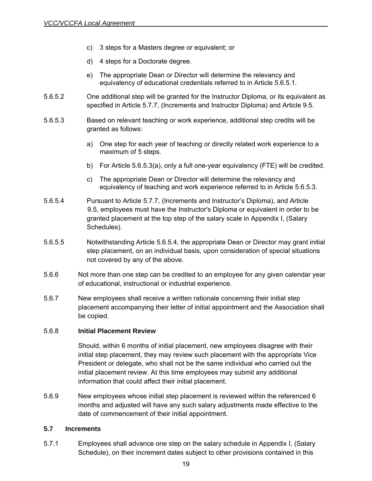- c) 3 steps for a Masters degree or equivalent; or
- d) 4 steps for a Doctorate degree.
- e) The appropriate Dean or Director will determine the relevancy and equivalency of educational credentials referred to in Article 5.6.5.1.
- 5.6.5.2 One additional step will be granted for the Instructor Diploma, or its equivalent as specified in Article 5.7.7, (Increments and Instructor Diploma) and Article 9.5.
- 5.6.5.3 Based on relevant teaching or work experience, additional step credits will be granted as follows:
	- a) One step for each year of teaching or directly related work experience to a maximum of 5 steps.
	- b) For Article 5.6.5.3(a), only a full one-year equivalency (FTE) will be credited.
	- c) The appropriate Dean or Director will determine the relevancy and equivalency of teaching and work experience referred to in Article 5.6.5.3.
- 5.6.5.4 Pursuant to Article 5.7.7, (Increments and Instructor's Diploma), and Article 9.5, employees must have the Instructor's Diploma or equivalent in order to be granted placement at the top step of the salary scale in Appendix I, (Salary Schedules).
- 5.6.5.5 Notwithstanding Article 5.6.5.4, the appropriate Dean or Director may grant initial step placement, on an individual basis, upon consideration of special situations not covered by any of the above.
- 5.6.6 Not more than one step can be credited to an employee for any given calendar year of educational, instructional or industrial experience.
- 5.6.7 New employees shall receive a written rationale concerning their initial step placement accompanying their letter of initial appointment and the Association shall be copied.

#### 5.6.8 **Initial Placement Review**

Should, within 6 months of initial placement, new employees disagree with their initial step placement, they may review such placement with the appropriate Vice President or delegate, who shall not be the same individual who carried out the initial placement review. At this time employees may submit any additional information that could affect their initial placement.

5.6.9 New employees whose initial step placement is reviewed within the referenced 6 months and adjusted will have any such salary adjustments made effective to the date of commencement of their initial appointment.

#### **5.7 Increments**

5.7.1 Employees shall advance one step on the salary schedule in Appendix I, (Salary Schedule), on their increment dates subject to other provisions contained in this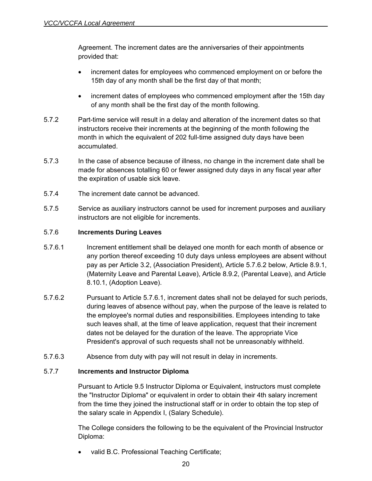Agreement. The increment dates are the anniversaries of their appointments provided that:

- increment dates for employees who commenced employment on or before the 15th day of any month shall be the first day of that month;
- increment dates of employees who commenced employment after the 15th day of any month shall be the first day of the month following.
- 5.7.2 Part-time service will result in a delay and alteration of the increment dates so that instructors receive their increments at the beginning of the month following the month in which the equivalent of 202 full-time assigned duty days have been accumulated.
- 5.7.3 In the case of absence because of illness, no change in the increment date shall be made for absences totalling 60 or fewer assigned duty days in any fiscal year after the expiration of usable sick leave.
- 5.7.4 The increment date cannot be advanced.
- 5.7.5 Service as auxiliary instructors cannot be used for increment purposes and auxiliary instructors are not eligible for increments.

#### 5.7.6 **Increments During Leaves**

- 5.7.6.1 Increment entitlement shall be delayed one month for each month of absence or any portion thereof exceeding 10 duty days unless employees are absent without pay as per Article 3.2, (Association President), Article 5.7.6.2 below, Article 8.9.1, (Maternity Leave and Parental Leave), Article 8.9.2, (Parental Leave), and Article 8.10.1, (Adoption Leave).
- 5.7.6.2 Pursuant to Article 5.7.6.1, increment dates shall not be delayed for such periods, during leaves of absence without pay, when the purpose of the leave is related to the employee's normal duties and responsibilities. Employees intending to take such leaves shall, at the time of leave application, request that their increment dates not be delayed for the duration of the leave. The appropriate Vice President's approval of such requests shall not be unreasonably withheld.
- 5.7.6.3 Absence from duty with pay will not result in delay in increments.

#### 5.7.7 **Increments and Instructor Diploma**

Pursuant to Article 9.5 Instructor Diploma or Equivalent, instructors must complete the "Instructor Diploma" or equivalent in order to obtain their 4th salary increment from the time they joined the instructional staff or in order to obtain the top step of the salary scale in Appendix I, (Salary Schedule).

The College considers the following to be the equivalent of the Provincial Instructor Diploma:

valid B.C. Professional Teaching Certificate;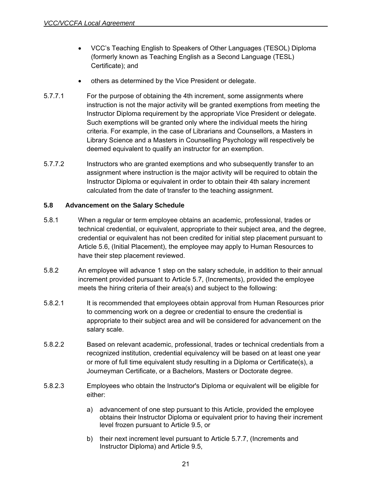- VCC's Teaching English to Speakers of Other Languages (TESOL) Diploma (formerly known as Teaching English as a Second Language (TESL) Certificate); and
- others as determined by the Vice President or delegate.
- 5.7.7.1 For the purpose of obtaining the 4th increment, some assignments where instruction is not the major activity will be granted exemptions from meeting the Instructor Diploma requirement by the appropriate Vice President or delegate. Such exemptions will be granted only where the individual meets the hiring criteria. For example, in the case of Librarians and Counsellors, a Masters in Library Science and a Masters in Counselling Psychology will respectively be deemed equivalent to qualify an instructor for an exemption.
- 5.7.7.2 Instructors who are granted exemptions and who subsequently transfer to an assignment where instruction is the major activity will be required to obtain the Instructor Diploma or equivalent in order to obtain their 4th salary increment calculated from the date of transfer to the teaching assignment.

#### **5.8 Advancement on the Salary Schedule**

- 5.8.1 When a regular or term employee obtains an academic, professional, trades or technical credential, or equivalent, appropriate to their subject area, and the degree, credential or equivalent has not been credited for initial step placement pursuant to Article 5.6, (Initial Placement), the employee may apply to Human Resources to have their step placement reviewed.
- 5.8.2 An employee will advance 1 step on the salary schedule, in addition to their annual increment provided pursuant to Article 5.7, (Increments), provided the employee meets the hiring criteria of their area(s) and subject to the following:
- 5.8.2.1 It is recommended that employees obtain approval from Human Resources prior to commencing work on a degree or credential to ensure the credential is appropriate to their subject area and will be considered for advancement on the salary scale.
- 5.8.2.2 Based on relevant academic, professional, trades or technical credentials from a recognized institution, credential equivalency will be based on at least one year or more of full time equivalent study resulting in a Diploma or Certificate(s), a Journeyman Certificate, or a Bachelors, Masters or Doctorate degree.
- 5.8.2.3 Employees who obtain the Instructor's Diploma or equivalent will be eligible for either:
	- a) advancement of one step pursuant to this Article, provided the employee obtains their Instructor Diploma or equivalent prior to having their increment level frozen pursuant to Article 9.5, or
	- b) their next increment level pursuant to Article 5.7.7, (Increments and Instructor Diploma) and Article 9.5,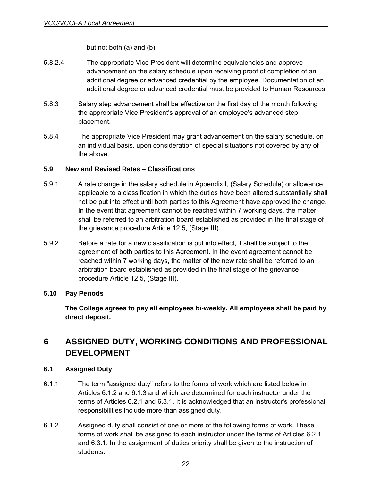but not both (a) and (b).

- 5.8.2.4 The appropriate Vice President will determine equivalencies and approve advancement on the salary schedule upon receiving proof of completion of an additional degree or advanced credential by the employee. Documentation of an additional degree or advanced credential must be provided to Human Resources.
- 5.8.3 Salary step advancement shall be effective on the first day of the month following the appropriate Vice President's approval of an employee's advanced step placement.
- 5.8.4 The appropriate Vice President may grant advancement on the salary schedule, on an individual basis, upon consideration of special situations not covered by any of the above.

#### **5.9 New and Revised Rates – Classifications**

- 5.9.1 A rate change in the salary schedule in Appendix I, (Salary Schedule) or allowance applicable to a classification in which the duties have been altered substantially shall not be put into effect until both parties to this Agreement have approved the change. In the event that agreement cannot be reached within 7 working days, the matter shall be referred to an arbitration board established as provided in the final stage of the grievance procedure Article 12.5, (Stage III).
- 5.9.2 Before a rate for a new classification is put into effect, it shall be subject to the agreement of both parties to this Agreement. In the event agreement cannot be reached within 7 working days, the matter of the new rate shall be referred to an arbitration board established as provided in the final stage of the grievance procedure Article 12.5, (Stage III).

#### **5.10 Pay Periods**

**The College agrees to pay all employees bi-weekly. All employees shall be paid by direct deposit.** 

# **6 ASSIGNED DUTY, WORKING CONDITIONS AND PROFESSIONAL DEVELOPMENT**

#### **6.1 Assigned Duty**

- 6.1.1 The term "assigned duty" refers to the forms of work which are listed below in Articles 6.1.2 and 6.1.3 and which are determined for each instructor under the terms of Articles 6.2.1 and 6.3.1. It is acknowledged that an instructor's professional responsibilities include more than assigned duty.
- 6.1.2 Assigned duty shall consist of one or more of the following forms of work. These forms of work shall be assigned to each instructor under the terms of Articles 6.2.1 and 6.3.1. In the assignment of duties priority shall be given to the instruction of students.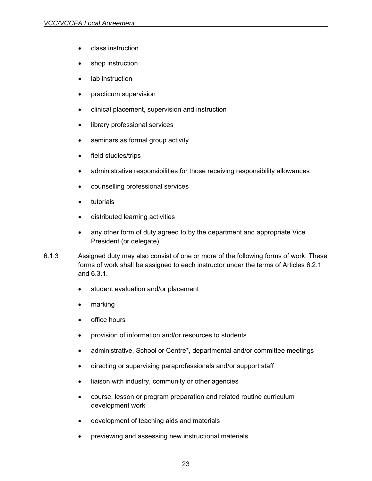- class instruction
- shop instruction
- lab instruction
- practicum supervision
- clinical placement, supervision and instruction
- library professional services
- seminars as formal group activity
- field studies/trips
- administrative responsibilities for those receiving responsibility allowances
- counselling professional services
- tutorials
- distributed learning activities
- any other form of duty agreed to by the department and appropriate Vice President (or delegate).
- 6.1.3 Assigned duty may also consist of one or more of the following forms of work. These forms of work shall be assigned to each instructor under the terms of Articles 6.2.1 and 6.3.1.
	- student evaluation and/or placement
	- marking
	- office hours
	- provision of information and/or resources to students
	- administrative, School or Centre\*, departmental and/or committee meetings
	- directing or supervising paraprofessionals and/or support staff
	- liaison with industry, community or other agencies
	- course, lesson or program preparation and related routine curriculum development work
	- development of teaching aids and materials
	- previewing and assessing new instructional materials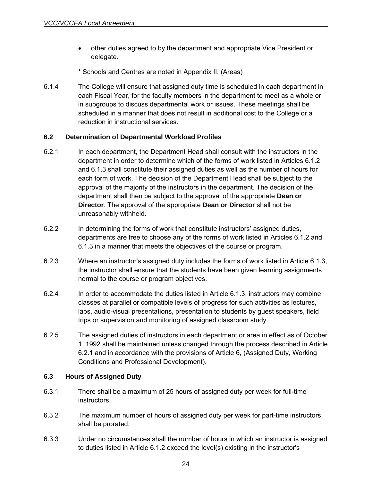- other duties agreed to by the department and appropriate Vice President or delegate.
- \* Schools and Centres are noted in Appendix II, (Areas)
- 6.1.4 The College will ensure that assigned duty time is scheduled in each department in each Fiscal Year, for the faculty members in the department to meet as a whole or in subgroups to discuss departmental work or issues. These meetings shall be scheduled in a manner that does not result in additional cost to the College or a reduction in instructional services.

#### **6.2 Determination of Departmental Workload Profiles**

- 6.2.1 In each department, the Department Head shall consult with the instructors in the department in order to determine which of the forms of work listed in Articles 6.1.2 and 6.1.3 shall constitute their assigned duties as well as the number of hours for each form of work. The decision of the Department Head shall be subject to the approval of the majority of the instructors in the department. The decision of the department shall then be subject to the approval of the appropriate **Dean or Director**. The approval of the appropriate **Dean or Director** shall not be unreasonably withheld.
- 6.2.2 In determining the forms of work that constitute instructors' assigned duties, departments are free to choose any of the forms of work listed in Articles 6.1.2 and 6.1.3 in a manner that meets the objectives of the course or program.
- 6.2.3 Where an instructor's assigned duty includes the forms of work listed in Article 6.1.3, the instructor shall ensure that the students have been given learning assignments normal to the course or program objectives.
- 6.2.4 In order to accommodate the duties listed in Article 6.1.3, instructors may combine classes at parallel or compatible levels of progress for such activities as lectures, labs, audio-visual presentations, presentation to students by guest speakers, field trips or supervision and monitoring of assigned classroom study.
- 6.2.5 The assigned duties of instructors in each department or area in effect as of October 1, 1992 shall be maintained unless changed through the process described in Article 6.2.1 and in accordance with the provisions of Article 6, (Assigned Duty, Working Conditions and Professional Development).

#### **6.3 Hours of Assigned Duty**

- 6.3.1 There shall be a maximum of 25 hours of assigned duty per week for full-time instructors.
- 6.3.2 The maximum number of hours of assigned duty per week for part-time instructors shall be prorated.
- 6.3.3 Under no circumstances shall the number of hours in which an instructor is assigned to duties listed in Article 6.1.2 exceed the level(s) existing in the instructor's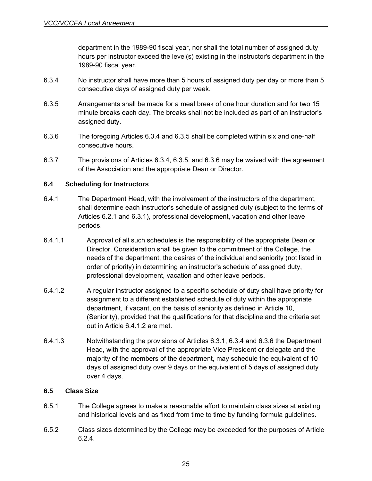department in the 1989-90 fiscal year, nor shall the total number of assigned duty hours per instructor exceed the level(s) existing in the instructor's department in the 1989-90 fiscal year.

- 6.3.4 No instructor shall have more than 5 hours of assigned duty per day or more than 5 consecutive days of assigned duty per week.
- 6.3.5 Arrangements shall be made for a meal break of one hour duration and for two 15 minute breaks each day. The breaks shall not be included as part of an instructor's assigned duty.
- 6.3.6 The foregoing Articles 6.3.4 and 6.3.5 shall be completed within six and one-half consecutive hours.
- 6.3.7 The provisions of Articles 6.3.4, 6.3.5, and 6.3.6 may be waived with the agreement of the Association and the appropriate Dean or Director.

#### **6.4 Scheduling for Instructors**

- 6.4.1 The Department Head, with the involvement of the instructors of the department, shall determine each instructor's schedule of assigned duty (subject to the terms of Articles 6.2.1 and 6.3.1), professional development, vacation and other leave periods.
- 6.4.1.1 Approval of all such schedules is the responsibility of the appropriate Dean or Director. Consideration shall be given to the commitment of the College, the needs of the department, the desires of the individual and seniority (not listed in order of priority) in determining an instructor's schedule of assigned duty, professional development, vacation and other leave periods.
- 6.4.1.2 A regular instructor assigned to a specific schedule of duty shall have priority for assignment to a different established schedule of duty within the appropriate department, if vacant, on the basis of seniority as defined in Article 10, (Seniority), provided that the qualifications for that discipline and the criteria set out in Article 6.4.1.2 are met.
- 6.4.1.3 Notwithstanding the provisions of Articles 6.3.1, 6.3.4 and 6.3.6 the Department Head, with the approval of the appropriate Vice President or delegate and the majority of the members of the department, may schedule the equivalent of 10 days of assigned duty over 9 days or the equivalent of 5 days of assigned duty over 4 days.

#### **6.5 Class Size**

- 6.5.1 The College agrees to make a reasonable effort to maintain class sizes at existing and historical levels and as fixed from time to time by funding formula guidelines.
- 6.5.2 Class sizes determined by the College may be exceeded for the purposes of Article 6.2.4.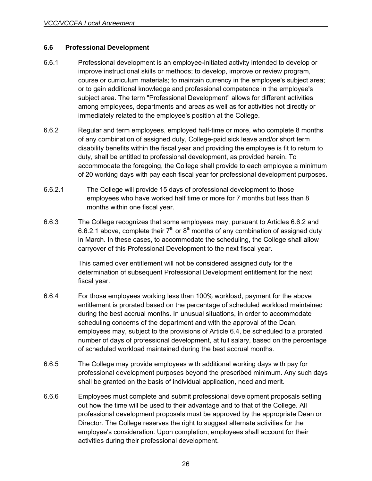#### **6.6 Professional Development**

- 6.6.1 Professional development is an employee-initiated activity intended to develop or improve instructional skills or methods; to develop, improve or review program, course or curriculum materials; to maintain currency in the employee's subject area; or to gain additional knowledge and professional competence in the employee's subject area. The term "Professional Development" allows for different activities among employees, departments and areas as well as for activities not directly or immediately related to the employee's position at the College.
- 6.6.2 Regular and term employees, employed half-time or more, who complete 8 months of any combination of assigned duty, College-paid sick leave and/or short term disability benefits within the fiscal year and providing the employee is fit to return to duty, shall be entitled to professional development, as provided herein. To accommodate the foregoing, the College shall provide to each employee a minimum of 20 working days with pay each fiscal year for professional development purposes.
- 6.6.2.1 The College will provide 15 days of professional development to those employees who have worked half time or more for 7 months but less than 8 months within one fiscal year.
- 6.6.3 The College recognizes that some employees may, pursuant to Articles 6.6.2 and 6.6.2.1 above, complete their  $7<sup>th</sup>$  or  $8<sup>th</sup>$  months of any combination of assigned duty in March. In these cases, to accommodate the scheduling, the College shall allow carryover of this Professional Development to the next fiscal year.

This carried over entitlement will not be considered assigned duty for the determination of subsequent Professional Development entitlement for the next fiscal year.

- 6.6.4 For those employees working less than 100% workload, payment for the above entitlement is prorated based on the percentage of scheduled workload maintained during the best accrual months. In unusual situations, in order to accommodate scheduling concerns of the department and with the approval of the Dean, employees may, subject to the provisions of Article 6.4, be scheduled to a prorated number of days of professional development, at full salary, based on the percentage of scheduled workload maintained during the best accrual months.
- 6.6.5 The College may provide employees with additional working days with pay for professional development purposes beyond the prescribed minimum. Any such days shall be granted on the basis of individual application, need and merit.
- 6.6.6 Employees must complete and submit professional development proposals setting out how the time will be used to their advantage and to that of the College. All professional development proposals must be approved by the appropriate Dean or Director. The College reserves the right to suggest alternate activities for the employee's consideration. Upon completion, employees shall account for their activities during their professional development.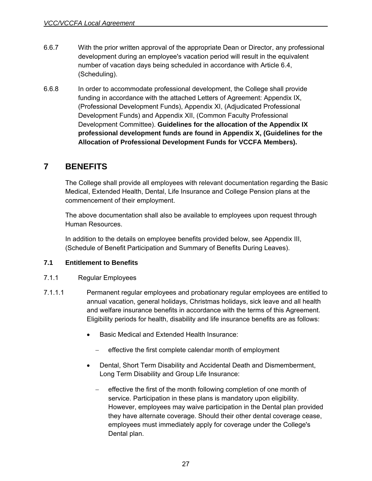- 6.6.7 With the prior written approval of the appropriate Dean or Director, any professional development during an employee's vacation period will result in the equivalent number of vacation days being scheduled in accordance with Article 6.4, (Scheduling).
- 6.6.8 In order to accommodate professional development, the College shall provide funding in accordance with the attached Letters of Agreement: Appendix IX, (Professional Development Funds), Appendix XI, (Adjudicated Professional Development Funds) and Appendix XII, (Common Faculty Professional Development Committee). **Guidelines for the allocation of the Appendix IX professional development funds are found in Appendix X, (Guidelines for the Allocation of Professional Development Funds for VCCFA Members).**

# **7 BENEFITS**

The College shall provide all employees with relevant documentation regarding the Basic Medical, Extended Health, Dental, Life Insurance and College Pension plans at the commencement of their employment.

The above documentation shall also be available to employees upon request through Human Resources.

In addition to the details on employee benefits provided below, see Appendix III, (Schedule of Benefit Participation and Summary of Benefits During Leaves).

# **7.1 Entitlement to Benefits**

- 7.1.1 Regular Employees
- 7.1.1.1 Permanent regular employees and probationary regular employees are entitled to annual vacation, general holidays, Christmas holidays, sick leave and all health and welfare insurance benefits in accordance with the terms of this Agreement. Eligibility periods for health, disability and life insurance benefits are as follows:
	- Basic Medical and Extended Health Insurance:
		- effective the first complete calendar month of employment
	- Dental, Short Term Disability and Accidental Death and Dismemberment, Long Term Disability and Group Life Insurance:
		- $\epsilon$  effective the first of the month following completion of one month of service. Participation in these plans is mandatory upon eligibility. However, employees may waive participation in the Dental plan provided they have alternate coverage. Should their other dental coverage cease, employees must immediately apply for coverage under the College's Dental plan.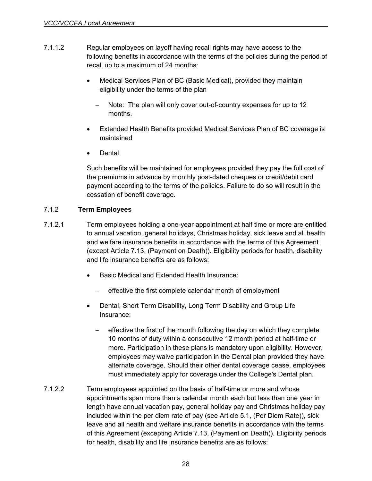- 7.1.1.2 Regular employees on layoff having recall rights may have access to the following benefits in accordance with the terms of the policies during the period of recall up to a maximum of 24 months:
	- Medical Services Plan of BC (Basic Medical), provided they maintain eligibility under the terms of the plan
		- Note: The plan will only cover out-of-country expenses for up to 12 months.
	- Extended Health Benefits provided Medical Services Plan of BC coverage is maintained
	- Dental

Such benefits will be maintained for employees provided they pay the full cost of the premiums in advance by monthly post-dated cheques or credit/debit card payment according to the terms of the policies. Failure to do so will result in the cessation of benefit coverage.

# 7.1.2 **Term Employees**

- 7.1.2.1 Term employees holding a one-year appointment at half time or more are entitled to annual vacation, general holidays, Christmas holiday, sick leave and all health and welfare insurance benefits in accordance with the terms of this Agreement (except Article 7.13, (Payment on Death)). Eligibility periods for health, disability and life insurance benefits are as follows:
	- Basic Medical and Extended Health Insurance:
		- effective the first complete calendar month of employment
	- Dental, Short Term Disability, Long Term Disability and Group Life Insurance:
		- $-$  effective the first of the month following the day on which they complete 10 months of duty within a consecutive 12 month period at half-time or more. Participation in these plans is mandatory upon eligibility. However, employees may waive participation in the Dental plan provided they have alternate coverage. Should their other dental coverage cease, employees must immediately apply for coverage under the College's Dental plan.
- 7.1.2.2 Term employees appointed on the basis of half-time or more and whose appointments span more than a calendar month each but less than one year in length have annual vacation pay, general holiday pay and Christmas holiday pay included within the per diem rate of pay (see Article 5.1, (Per Diem Rate)), sick leave and all health and welfare insurance benefits in accordance with the terms of this Agreement (excepting Article 7.13, (Payment on Death)). Eligibility periods for health, disability and life insurance benefits are as follows: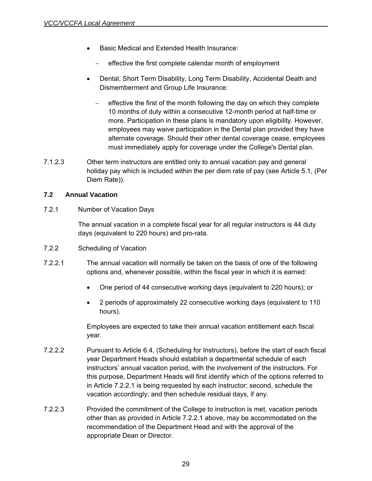- Basic Medical and Extended Health Insurance:
	- effective the first complete calendar month of employment
- Dental, Short Term Disability, Long Term Disability, Accidental Death and Dismemberment and Group Life Insurance:
	- effective the first of the month following the day on which they complete 10 months of duty within a consecutive 12-month period at half-time or more. Participation in these plans is mandatory upon eligibility. However, employees may waive participation in the Dental plan provided they have alternate coverage. Should their other dental coverage cease, employees must immediately apply for coverage under the College's Dental plan.
- 7.1.2.3 Other term instructors are entitled only to annual vacation pay and general holiday pay which is included within the per diem rate of pay (see Article 5.1, (Per Diem Rate)).

# **7.2 Annual Vacation**

7.2.1 Number of Vacation Days

The annual vacation in a complete fiscal year for all regular instructors is 44 duty days (equivalent to 220 hours) and pro-rata.

- 7.2.2 Scheduling of Vacation
- 7.2.2.1 The annual vacation will normally be taken on the basis of one of the following options and, whenever possible, within the fiscal year in which it is earned:
	- One period of 44 consecutive working days (equivalent to 220 hours); or
	- 2 periods of approximately 22 consecutive working days (equivalent to 110 hours).

Employees are expected to take their annual vacation entitlement each fiscal year.

- 7.2.2.2 Pursuant to Article 6.4, (Scheduling for Instructors), before the start of each fiscal year Department Heads should establish a departmental schedule of each instructors' annual vacation period, with the involvement of the instructors. For this purpose, Department Heads will first identify which of the options referred to in Article 7.2.2.1 is being requested by each instructor; second, schedule the vacation accordingly; and then schedule residual days, if any.
- 7.2.2.3 Provided the commitment of the College to instruction is met, vacation periods other than as provided in Article 7.2.2.1 above, may be accommodated on the recommendation of the Department Head and with the approval of the appropriate Dean or Director.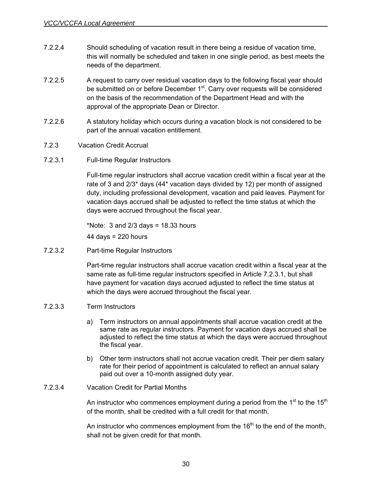- 7.2.2.4 Should scheduling of vacation result in there being a residue of vacation time, this will normally be scheduled and taken in one single period, as best meets the needs of the department.
- 7.2.2.5 A request to carry over residual vacation days to the following fiscal year should be submitted on or before December  $1<sup>st</sup>$ . Carry over requests will be considered on the basis of the recommendation of the Department Head and with the approval of the appropriate Dean or Director.
- 7.2.2.6 A statutory holiday which occurs during a vacation block is not considered to be part of the annual vacation entitlement.
- 7.2.3 Vacation Credit Accrual
- 7.2.3.1 Full-time Regular Instructors

Full-time regular instructors shall accrue vacation credit within a fiscal year at the rate of 3 and 2/3\* days (44\* vacation days divided by 12) per month of assigned duty, including professional development, vacation and paid leaves. Payment for vacation days accrued shall be adjusted to reflect the time status at which the days were accrued throughout the fiscal year.

\*Note:  $3$  and  $2/3$  days = 18.33 hours

44 days = 220 hours

7.2.3.2 Part-time Regular Instructors

Part-time regular instructors shall accrue vacation credit within a fiscal year at the same rate as full-time regular instructors specified in Article 7.2.3.1, but shall have payment for vacation days accrued adjusted to reflect the time status at which the days were accrued throughout the fiscal year.

- 7.2.3.3 Term Instructors
	- a) Term instructors on annual appointments shall accrue vacation credit at the same rate as regular instructors. Payment for vacation days accrued shall be adjusted to reflect the time status at which the days were accrued throughout the fiscal year.
	- b) Other term instructors shall not accrue vacation credit. Their per diem salary rate for their period of appointment is calculated to reflect an annual salary paid out over a 10-month assigned duty year.

## 7.2.3.4 Vacation Credit for Partial Months

An instructor who commences employment during a period from the  $1<sup>st</sup>$  to the  $15<sup>th</sup>$ of the month, shall be credited with a full credit for that month.

An instructor who commences employment from the  $16<sup>th</sup>$  to the end of the month, shall not be given credit for that month.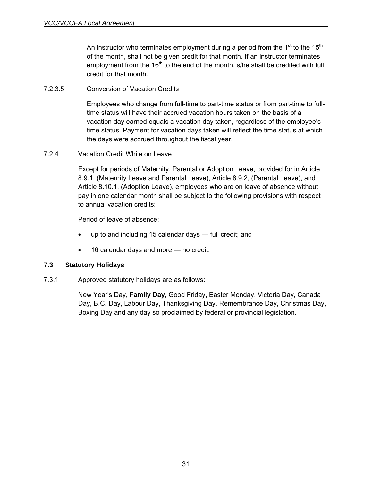An instructor who terminates employment during a period from the  $1<sup>st</sup>$  to the  $15<sup>th</sup>$ of the month, shall not be given credit for that month. If an instructor terminates employment from the  $16<sup>th</sup>$  to the end of the month, s/he shall be credited with full credit for that month.

# 7.2.3.5 Conversion of Vacation Credits

Employees who change from full-time to part-time status or from part-time to fulltime status will have their accrued vacation hours taken on the basis of a vacation day earned equals a vacation day taken, regardless of the employee's time status. Payment for vacation days taken will reflect the time status at which the days were accrued throughout the fiscal year.

## 7.2.4 Vacation Credit While on Leave

Except for periods of Maternity, Parental or Adoption Leave, provided for in Article 8.9.1, (Maternity Leave and Parental Leave), Article 8.9.2, (Parental Leave), and Article 8.10.1, (Adoption Leave), employees who are on leave of absence without pay in one calendar month shall be subject to the following provisions with respect to annual vacation credits:

Period of leave of absence:

- up to and including 15 calendar days full credit; and
- 16 calendar days and more no credit.

# **7.3 Statutory Holidays**

7.3.1 Approved statutory holidays are as follows:

New Year's Day, **Family Day,** Good Friday, Easter Monday, Victoria Day, Canada Day, B.C. Day, Labour Day, Thanksgiving Day, Remembrance Day, Christmas Day, Boxing Day and any day so proclaimed by federal or provincial legislation.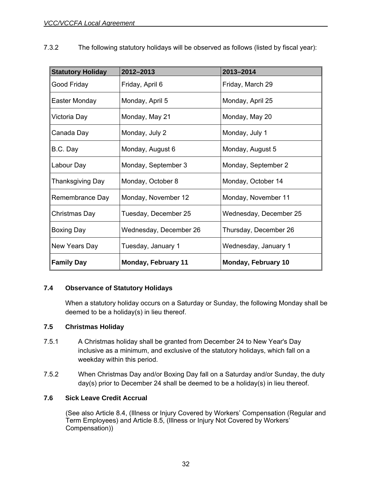| <b>Statutory Holiday</b> | 2012-2013                  | 2013-2014                  |
|--------------------------|----------------------------|----------------------------|
| Good Friday              | Friday, April 6            | Friday, March 29           |
| Easter Monday            | Monday, April 5            | Monday, April 25           |
| Victoria Day             | Monday, May 21             | Monday, May 20             |
| Canada Day               | Monday, July 2             | Monday, July 1             |
| B.C. Day                 | Monday, August 6           | Monday, August 5           |
| Labour Day               | Monday, September 3        | Monday, September 2        |
| Thanksgiving Day         | Monday, October 8          | Monday, October 14         |
| Remembrance Day          | Monday, November 12        | Monday, November 11        |
| Christmas Day            | Tuesday, December 25       | Wednesday, December 25     |
| <b>Boxing Day</b>        | Wednesday, December 26     | Thursday, December 26      |
| New Years Day            | Tuesday, January 1         | Wednesday, January 1       |
| <b>Family Day</b>        | <b>Monday, February 11</b> | <b>Monday, February 10</b> |

7.3.2 The following statutory holidays will be observed as follows (listed by fiscal year):

# **7.4 Observance of Statutory Holidays**

When a statutory holiday occurs on a Saturday or Sunday, the following Monday shall be deemed to be a holiday(s) in lieu thereof.

# **7.5 Christmas Holiday**

- 7.5.1 A Christmas holiday shall be granted from December 24 to New Year's Day inclusive as a minimum, and exclusive of the statutory holidays, which fall on a weekday within this period.
- 7.5.2 When Christmas Day and/or Boxing Day fall on a Saturday and/or Sunday, the duty day(s) prior to December 24 shall be deemed to be a holiday(s) in lieu thereof.

## **7.6 Sick Leave Credit Accrual**

(See also Article 8.4, (Illness or Injury Covered by Workers' Compensation (Regular and Term Employees) and Article 8.5, (Illness or Injury Not Covered by Workers' Compensation))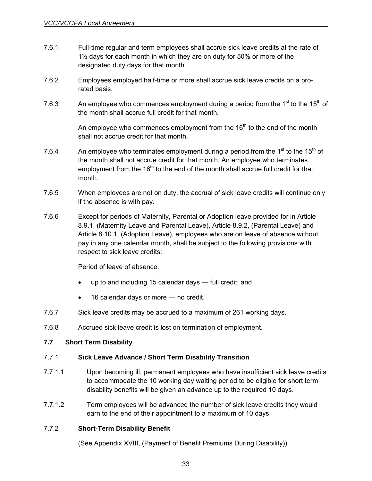- 7.6.1 Full-time regular and term employees shall accrue sick leave credits at the rate of 1½ days for each month in which they are on duty for 50% or more of the designated duty days for that month.
- 7.6.2 Employees employed half-time or more shall accrue sick leave credits on a prorated basis.
- 7.6.3 An employee who commences employment during a period from the 1<sup>st</sup> to the 15<sup>th</sup> of the month shall accrue full credit for that month.

An employee who commences employment from the  $16<sup>th</sup>$  to the end of the month shall not accrue credit for that month.

- 7.6.4 An employee who terminates employment during a period from the 1<sup>st</sup> to the 15<sup>th</sup> of the month shall not accrue credit for that month. An employee who terminates employment from the  $16<sup>th</sup>$  to the end of the month shall accrue full credit for that month.
- 7.6.5 When employees are not on duty, the accrual of sick leave credits will continue only if the absence is with pay.
- 7.6.6 Except for periods of Maternity, Parental or Adoption leave provided for in Article 8.9.1, (Maternity Leave and Parental Leave), Article 8.9.2, (Parental Leave) and Article 8.10.1, (Adoption Leave), employees who are on leave of absence without pay in any one calendar month, shall be subject to the following provisions with respect to sick leave credits:

Period of leave of absence:

- up to and including 15 calendar days full credit; and
- 16 calendar days or more no credit.
- 7.6.7 Sick leave credits may be accrued to a maximum of 261 working days.
- 7.6.8 Accrued sick leave credit is lost on termination of employment.

## **7.7 Short Term Disability**

## 7.7.1 **Sick Leave Advance / Short Term Disability Transition**

- 7.7.1.1 Upon becoming ill, permanent employees who have insufficient sick leave credits to accommodate the 10 working day waiting period to be eligible for short term disability benefits will be given an advance up to the required 10 days.
- 7.7.1.2 Term employees will be advanced the number of sick leave credits they would earn to the end of their appointment to a maximum of 10 days.

# 7.7.2 **Short-Term Disability Benefit**

(See Appendix XVIII, (Payment of Benefit Premiums During Disability))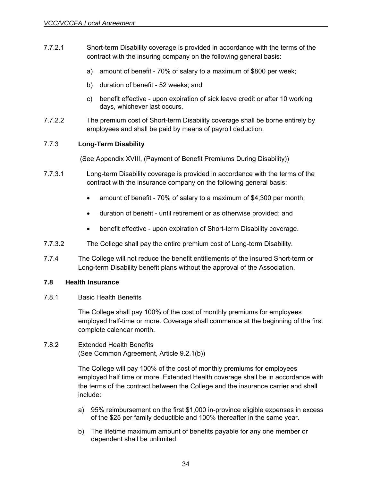- 7.7.2.1 Short-term Disability coverage is provided in accordance with the terms of the contract with the insuring company on the following general basis:
	- a) amount of benefit 70% of salary to a maximum of \$800 per week;
	- b) duration of benefit 52 weeks; and
	- c) benefit effective upon expiration of sick leave credit or after 10 working days, whichever last occurs.
- 7.7.2.2 The premium cost of Short-term Disability coverage shall be borne entirely by employees and shall be paid by means of payroll deduction.

## 7.7.3 **Long-Term Disability**

(See Appendix XVIII, (Payment of Benefit Premiums During Disability))

- 7.7.3.1 Long-term Disability coverage is provided in accordance with the terms of the contract with the insurance company on the following general basis:
	- amount of benefit 70% of salary to a maximum of \$4,300 per month;
	- duration of benefit until retirement or as otherwise provided; and
	- benefit effective upon expiration of Short-term Disability coverage.
- 7.7.3.2 The College shall pay the entire premium cost of Long-term Disability.
- 7.7.4 The College will not reduce the benefit entitlements of the insured Short-term or Long-term Disability benefit plans without the approval of the Association.

#### **7.8 Health Insurance**

7.8.1 Basic Health Benefits

The College shall pay 100% of the cost of monthly premiums for employees employed half-time or more. Coverage shall commence at the beginning of the first complete calendar month.

7.8.2 Extended Health Benefits (See Common Agreement, Article 9.2.1(b))

> The College will pay 100% of the cost of monthly premiums for employees employed half time or more. Extended Health coverage shall be in accordance with the terms of the contract between the College and the insurance carrier and shall include:

- a) 95% reimbursement on the first \$1,000 in-province eligible expenses in excess of the \$25 per family deductible and 100% thereafter in the same year.
- b) The lifetime maximum amount of benefits payable for any one member or dependent shall be unlimited.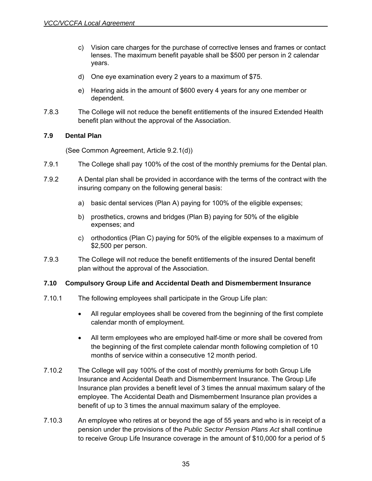- c) Vision care charges for the purchase of corrective lenses and frames or contact lenses. The maximum benefit payable shall be \$500 per person in 2 calendar years.
- d) One eye examination every 2 years to a maximum of \$75.
- e) Hearing aids in the amount of \$600 every 4 years for any one member or dependent.
- 7.8.3 The College will not reduce the benefit entitlements of the insured Extended Health benefit plan without the approval of the Association.

## **7.9 Dental Plan**

(See Common Agreement, Article 9.2.1(d))

- 7.9.1 The College shall pay 100% of the cost of the monthly premiums for the Dental plan.
- 7.9.2 A Dental plan shall be provided in accordance with the terms of the contract with the insuring company on the following general basis:
	- a) basic dental services (Plan A) paying for 100% of the eligible expenses;
	- b) prosthetics, crowns and bridges (Plan B) paying for 50% of the eligible expenses; and
	- c) orthodontics (Plan C) paying for 50% of the eligible expenses to a maximum of \$2,500 per person.
- 7.9.3 The College will not reduce the benefit entitlements of the insured Dental benefit plan without the approval of the Association.

## **7.10 Compulsory Group Life and Accidental Death and Dismemberment Insurance**

- 7.10.1 The following employees shall participate in the Group Life plan:
	- All regular employees shall be covered from the beginning of the first complete calendar month of employment.
	- All term employees who are employed half-time or more shall be covered from the beginning of the first complete calendar month following completion of 10 months of service within a consecutive 12 month period.
- 7.10.2 The College will pay 100% of the cost of monthly premiums for both Group Life Insurance and Accidental Death and Dismemberment Insurance. The Group Life Insurance plan provides a benefit level of 3 times the annual maximum salary of the employee. The Accidental Death and Dismemberment Insurance plan provides a benefit of up to 3 times the annual maximum salary of the employee.
- 7.10.3 An employee who retires at or beyond the age of 55 years and who is in receipt of a pension under the provisions of the *Public Sector Pension Plans Act* shall continue to receive Group Life Insurance coverage in the amount of \$10,000 for a period of 5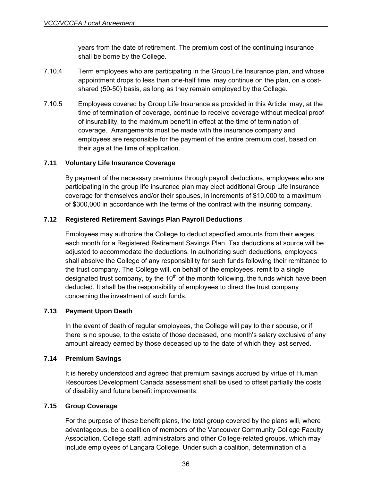years from the date of retirement. The premium cost of the continuing insurance shall be borne by the College.

- 7.10.4 Term employees who are participating in the Group Life Insurance plan, and whose appointment drops to less than one-half time, may continue on the plan, on a costshared (50-50) basis, as long as they remain employed by the College.
- 7.10.5 Employees covered by Group Life Insurance as provided in this Article, may, at the time of termination of coverage, continue to receive coverage without medical proof of insurability, to the maximum benefit in effect at the time of termination of coverage. Arrangements must be made with the insurance company and employees are responsible for the payment of the entire premium cost, based on their age at the time of application.

## **7.11 Voluntary Life Insurance Coverage**

By payment of the necessary premiums through payroll deductions, employees who are participating in the group life insurance plan may elect additional Group Life Insurance coverage for themselves and/or their spouses, in increments of \$10,000 to a maximum of \$300,000 in accordance with the terms of the contract with the insuring company.

## **7.12 Registered Retirement Savings Plan Payroll Deductions**

Employees may authorize the College to deduct specified amounts from their wages each month for a Registered Retirement Savings Plan. Tax deductions at source will be adjusted to accommodate the deductions. In authorizing such deductions, employees shall absolve the College of any responsibility for such funds following their remittance to the trust company. The College will, on behalf of the employees, remit to a single designated trust company, by the  $10<sup>th</sup>$  of the month following, the funds which have been deducted. It shall be the responsibility of employees to direct the trust company concerning the investment of such funds.

## **7.13 Payment Upon Death**

In the event of death of regular employees, the College will pay to their spouse, or if there is no spouse, to the estate of those deceased, one month's salary exclusive of any amount already earned by those deceased up to the date of which they last served.

## **7.14 Premium Savings**

It is hereby understood and agreed that premium savings accrued by virtue of Human Resources Development Canada assessment shall be used to offset partially the costs of disability and future benefit improvements.

# **7.15 Group Coverage**

For the purpose of these benefit plans, the total group covered by the plans will, where advantageous, be a coalition of members of the Vancouver Community College Faculty Association, College staff, administrators and other College-related groups, which may include employees of Langara College. Under such a coalition, determination of a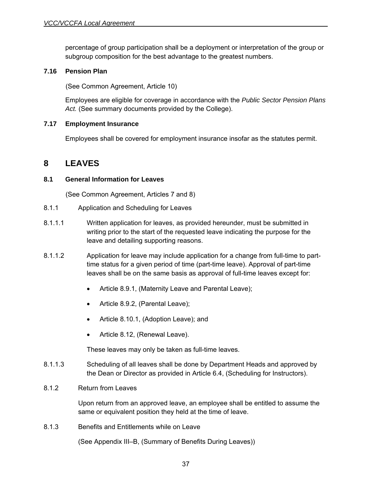percentage of group participation shall be a deployment or interpretation of the group or subgroup composition for the best advantage to the greatest numbers.

## **7.16 Pension Plan**

(See Common Agreement, Article 10)

Employees are eligible for coverage in accordance with the *Public Sector Pension Plans Act.* (See summary documents provided by the College).

## **7.17 Employment Insurance**

Employees shall be covered for employment insurance insofar as the statutes permit.

# **8 LEAVES**

## **8.1 General Information for Leaves**

(See Common Agreement, Articles 7 and 8)

- 8.1.1 Application and Scheduling for Leaves
- 8.1.1.1 Written application for leaves, as provided hereunder, must be submitted in writing prior to the start of the requested leave indicating the purpose for the leave and detailing supporting reasons.
- 8.1.1.2 Application for leave may include application for a change from full-time to parttime status for a given period of time (part-time leave). Approval of part-time leaves shall be on the same basis as approval of full-time leaves except for:
	- Article 8.9.1, (Maternity Leave and Parental Leave);
	- Article 8.9.2, (Parental Leave);
	- Article 8.10.1, (Adoption Leave); and
	- Article 8.12, (Renewal Leave).

These leaves may only be taken as full-time leaves.

- 8.1.1.3 Scheduling of all leaves shall be done by Department Heads and approved by the Dean or Director as provided in Article 6.4, (Scheduling for Instructors).
- 8.1.2 Return from Leaves

Upon return from an approved leave, an employee shall be entitled to assume the same or equivalent position they held at the time of leave.

8.1.3 Benefits and Entitlements while on Leave

(See Appendix III–B, (Summary of Benefits During Leaves))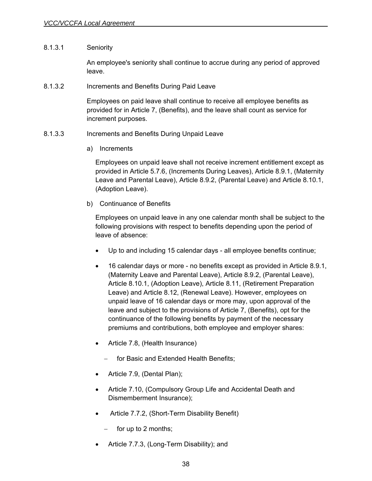## 8.1.3.1 Seniority

An employee's seniority shall continue to accrue during any period of approved leave.

#### 8.1.3.2 Increments and Benefits During Paid Leave

Employees on paid leave shall continue to receive all employee benefits as provided for in Article 7, (Benefits), and the leave shall count as service for increment purposes.

#### 8.1.3.3 Increments and Benefits During Unpaid Leave

a) Increments

Employees on unpaid leave shall not receive increment entitlement except as provided in Article 5.7.6, (Increments During Leaves), Article 8.9.1, (Maternity Leave and Parental Leave), Article 8.9.2, (Parental Leave) and Article 8.10.1, (Adoption Leave).

b) Continuance of Benefits

Employees on unpaid leave in any one calendar month shall be subject to the following provisions with respect to benefits depending upon the period of leave of absence:

- Up to and including 15 calendar days all employee benefits continue;
- 16 calendar days or more no benefits except as provided in Article 8.9.1, (Maternity Leave and Parental Leave), Article 8.9.2, (Parental Leave), Article 8.10.1, (Adoption Leave), Article 8.11, (Retirement Preparation Leave) and Article 8.12, (Renewal Leave). However, employees on unpaid leave of 16 calendar days or more may, upon approval of the leave and subject to the provisions of Article 7, (Benefits), opt for the continuance of the following benefits by payment of the necessary premiums and contributions, both employee and employer shares:
- Article 7.8, (Health Insurance)
	- for Basic and Extended Health Benefits;
- Article 7.9, (Dental Plan);
- Article 7.10, (Compulsory Group Life and Accidental Death and Dismemberment Insurance);
- Article 7.7.2, (Short-Term Disability Benefit)
	- for up to 2 months;
- Article 7.7.3, (Long-Term Disability); and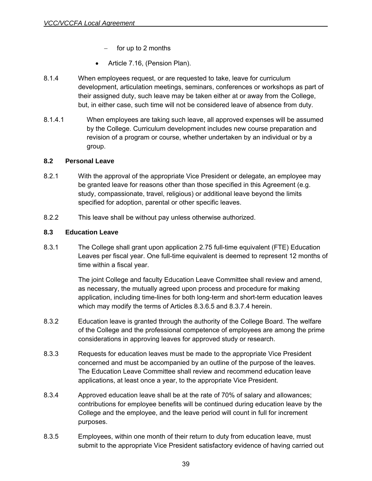- for up to 2 months
- Article 7.16, (Pension Plan).
- 8.1.4 When employees request, or are requested to take, leave for curriculum development, articulation meetings, seminars, conferences or workshops as part of their assigned duty, such leave may be taken either at or away from the College, but, in either case, such time will not be considered leave of absence from duty.
- 8.1.4.1 When employees are taking such leave, all approved expenses will be assumed by the College. Curriculum development includes new course preparation and revision of a program or course, whether undertaken by an individual or by a group.

## **8.2 Personal Leave**

- 8.2.1 With the approval of the appropriate Vice President or delegate, an employee may be granted leave for reasons other than those specified in this Agreement (e.g. study, compassionate, travel, religious) or additional leave beyond the limits specified for adoption, parental or other specific leaves.
- 8.2.2 This leave shall be without pay unless otherwise authorized.

## **8.3 Education Leave**

8.3.1 The College shall grant upon application 2.75 full-time equivalent (FTE) Education Leaves per fiscal year. One full-time equivalent is deemed to represent 12 months of time within a fiscal year.

> The joint College and faculty Education Leave Committee shall review and amend, as necessary, the mutually agreed upon process and procedure for making application, including time-lines for both long-term and short-term education leaves which may modify the terms of Articles 8.3.6.5 and 8.3.7.4 herein.

- 8.3.2 Education leave is granted through the authority of the College Board. The welfare of the College and the professional competence of employees are among the prime considerations in approving leaves for approved study or research.
- 8.3.3 Requests for education leaves must be made to the appropriate Vice President concerned and must be accompanied by an outline of the purpose of the leaves. The Education Leave Committee shall review and recommend education leave applications, at least once a year, to the appropriate Vice President.
- 8.3.4 Approved education leave shall be at the rate of 70% of salary and allowances; contributions for employee benefits will be continued during education leave by the College and the employee, and the leave period will count in full for increment purposes.
- 8.3.5 Employees, within one month of their return to duty from education leave, must submit to the appropriate Vice President satisfactory evidence of having carried out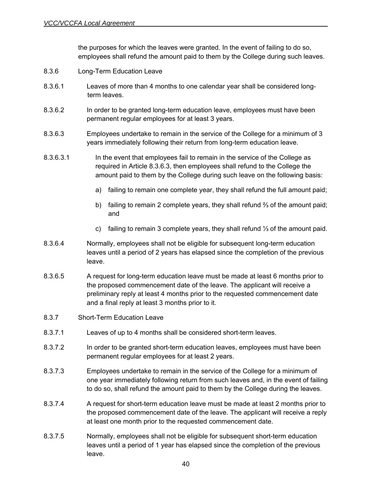the purposes for which the leaves were granted. In the event of failing to do so, employees shall refund the amount paid to them by the College during such leaves.

- 8.3.6 Long-Term Education Leave
- 8.3.6.1 Leaves of more than 4 months to one calendar year shall be considered long term leaves.
- 8.3.6.2 In order to be granted long-term education leave, employees must have been permanent regular employees for at least 3 years.
- 8.3.6.3 Employees undertake to remain in the service of the College for a minimum of 3 years immediately following their return from long-term education leave.
- 8.3.6.3.1 In the event that employees fail to remain in the service of the College as required in Article 8.3.6.3, then employees shall refund to the College the amount paid to them by the College during such leave on the following basis:
	- a) failing to remain one complete year, they shall refund the full amount paid;
	- b) failing to remain 2 complete years, they shall refund ⅔ of the amount paid; and
	- c) failing to remain 3 complete years, they shall refund ⅓ of the amount paid.
- 8.3.6.4 Normally, employees shall not be eligible for subsequent long-term education leaves until a period of 2 years has elapsed since the completion of the previous leave.
- 8.3.6.5 A request for long-term education leave must be made at least 6 months prior to the proposed commencement date of the leave. The applicant will receive a preliminary reply at least 4 months prior to the requested commencement date and a final reply at least 3 months prior to it.
- 8.3.7 Short-Term Education Leave
- 8.3.7.1 Leaves of up to 4 months shall be considered short-term leaves.
- 8.3.7.2 In order to be granted short-term education leaves, employees must have been permanent regular employees for at least 2 years.
- 8.3.7.3 Employees undertake to remain in the service of the College for a minimum of one year immediately following return from such leaves and, in the event of failing to do so, shall refund the amount paid to them by the College during the leaves.
- 8.3.7.4 A request for short-term education leave must be made at least 2 months prior to the proposed commencement date of the leave. The applicant will receive a reply at least one month prior to the requested commencement date.
- 8.3.7.5 Normally, employees shall not be eligible for subsequent short-term education leaves until a period of 1 year has elapsed since the completion of the previous leave.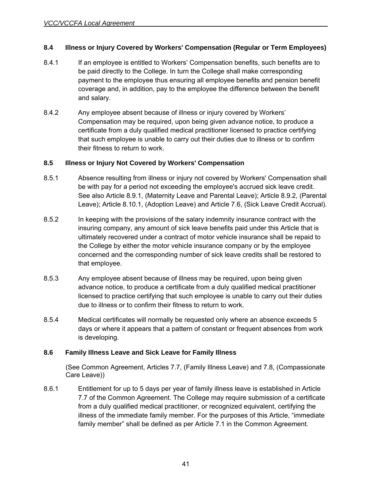# **8.4 Illness or Injury Covered by Workers' Compensation (Regular or Term Employees)**

- 8.4.1 If an employee is entitled to Workers' Compensation benefits, such benefits are to be paid directly to the College. In turn the College shall make corresponding payment to the employee thus ensuring all employee benefits and pension benefit coverage and, in addition, pay to the employee the difference between the benefit and salary.
- 8.4.2 Any employee absent because of illness or injury covered by Workers' Compensation may be required, upon being given advance notice, to produce a certificate from a duly qualified medical practitioner licensed to practice certifying that such employee is unable to carry out their duties due to illness or to confirm their fitness to return to work.

## **8.5 Illness or Injury Not Covered by Workers' Compensation**

- 8.5.1 Absence resulting from illness or injury not covered by Workers' Compensation shall be with pay for a period not exceeding the employee's accrued sick leave credit. See also Article 8.9.1, (Maternity Leave and Parental Leave); Article 8.9.2, (Parental Leave); Article 8.10.1, (Adoption Leave) and Article 7.6, (Sick Leave Credit Accrual).
- 8.5.2 In keeping with the provisions of the salary indemnity insurance contract with the insuring company, any amount of sick leave benefits paid under this Article that is ultimately recovered under a contract of motor vehicle insurance shall be repaid to the College by either the motor vehicle insurance company or by the employee concerned and the corresponding number of sick leave credits shall be restored to that employee.
- 8.5.3 Any employee absent because of illness may be required, upon being given advance notice, to produce a certificate from a duly qualified medical practitioner licensed to practice certifying that such employee is unable to carry out their duties due to illness or to confirm their fitness to return to work.
- 8.5.4 Medical certificates will normally be requested only where an absence exceeds 5 days or where it appears that a pattern of constant or frequent absences from work is developing.

# **8.6 Family Illness Leave and Sick Leave for Family Illness**

(See Common Agreement, Articles 7.7, (Family Illness Leave) and 7.8, (Compassionate Care Leave))

8.6.1 Entitlement for up to 5 days per year of family illness leave is established in Article 7.7 of the Common Agreement. The College may require submission of a certificate from a duly qualified medical practitioner, or recognized equivalent, certifying the illness of the immediate family member. For the purposes of this Article, "immediate family member" shall be defined as per Article 7.1 in the Common Agreement.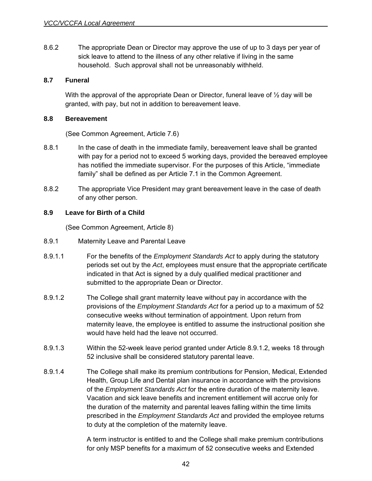8.6.2 The appropriate Dean or Director may approve the use of up to 3 days per year of sick leave to attend to the illness of any other relative if living in the same household. Such approval shall not be unreasonably withheld.

## **8.7 Funeral**

With the approval of the appropriate Dean or Director, funeral leave of  $\frac{1}{2}$  day will be granted, with pay, but not in addition to bereavement leave.

### **8.8 Bereavement**

(See Common Agreement, Article 7.6)

- 8.8.1 In the case of death in the immediate family, bereavement leave shall be granted with pay for a period not to exceed 5 working days, provided the bereaved employee has notified the immediate supervisor. For the purposes of this Article, "immediate family" shall be defined as per Article 7.1 in the Common Agreement.
- 8.8.2 The appropriate Vice President may grant bereavement leave in the case of death of any other person.

## **8.9 Leave for Birth of a Child**

(See Common Agreement, Article 8)

- 8.9.1 Maternity Leave and Parental Leave
- 8.9.1.1 For the benefits of the *Employment Standards Act* to apply during the statutory periods set out by the *Act*, employees must ensure that the appropriate certificate indicated in that Act is signed by a duly qualified medical practitioner and submitted to the appropriate Dean or Director.
- 8.9.1.2 The College shall grant maternity leave without pay in accordance with the provisions of the *Employment Standards Act* for a period up to a maximum of 52 consecutive weeks without termination of appointment. Upon return from maternity leave, the employee is entitled to assume the instructional position she would have held had the leave not occurred.
- 8.9.1.3 Within the 52-week leave period granted under Article 8.9.1.2, weeks 18 through 52 inclusive shall be considered statutory parental leave.
- 8.9.1.4 The College shall make its premium contributions for Pension, Medical, Extended Health, Group Life and Dental plan insurance in accordance with the provisions of the *Employment Standards Act* for the entire duration of the maternity leave. Vacation and sick leave benefits and increment entitlement will accrue only for the duration of the maternity and parental leaves falling within the time limits prescribed in the *Employment Standards Act* and provided the employee returns to duty at the completion of the maternity leave.

A term instructor is entitled to and the College shall make premium contributions for only MSP benefits for a maximum of 52 consecutive weeks and Extended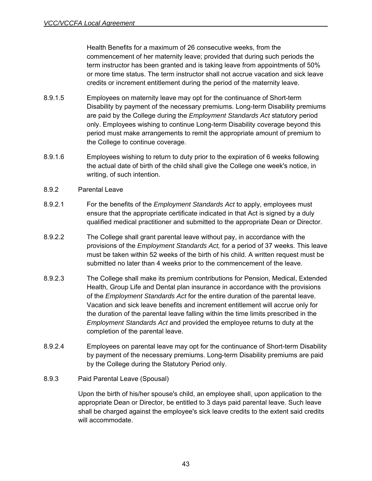Health Benefits for a maximum of 26 consecutive weeks, from the commencement of her maternity leave; provided that during such periods the term instructor has been granted and is taking leave from appointments of 50% or more time status. The term instructor shall not accrue vacation and sick leave credits or increment entitlement during the period of the maternity leave.

- 8.9.1.5 Employees on maternity leave may opt for the continuance of Short-term Disability by payment of the necessary premiums. Long-term Disability premiums are paid by the College during the *Employment Standards Act* statutory period only. Employees wishing to continue Long-term Disability coverage beyond this period must make arrangements to remit the appropriate amount of premium to the College to continue coverage.
- 8.9.1.6 Employees wishing to return to duty prior to the expiration of 6 weeks following the actual date of birth of the child shall give the College one week's notice, in writing, of such intention.
- 8.9.2 Parental Leave
- 8.9.2.1 For the benefits of the *Employment Standards Act* to apply, employees must ensure that the appropriate certificate indicated in that Act is signed by a duly qualified medical practitioner and submitted to the appropriate Dean or Director.
- 8.9.2.2 The College shall grant parental leave without pay, in accordance with the provisions of the *Employment Standards Act,* for a period of 37 weeks. This leave must be taken within 52 weeks of the birth of his child. A written request must be submitted no later than 4 weeks prior to the commencement of the leave.
- 8.9.2.3 The College shall make its premium contributions for Pension, Medical, Extended Health, Group Life and Dental plan insurance in accordance with the provisions of the *Employment Standards Act* for the entire duration of the parental leave. Vacation and sick leave benefits and increment entitlement will accrue only for the duration of the parental leave falling within the time limits prescribed in the *Employment Standards Act* and provided the employee returns to duty at the completion of the parental leave.
- 8.9.2.4 Employees on parental leave may opt for the continuance of Short-term Disability by payment of the necessary premiums. Long-term Disability premiums are paid by the College during the Statutory Period only.
- 8.9.3 Paid Parental Leave (Spousal)

Upon the birth of his/her spouse's child, an employee shall, upon application to the appropriate Dean or Director, be entitled to 3 days paid parental leave. Such leave shall be charged against the employee's sick leave credits to the extent said credits will accommodate.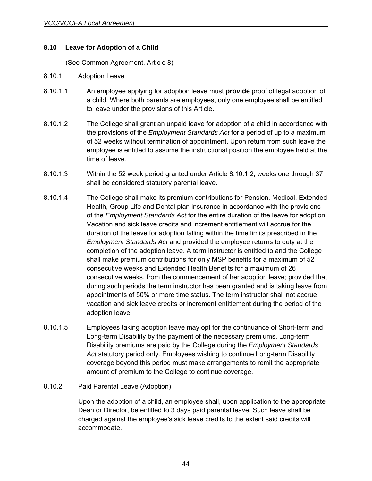## **8.10 Leave for Adoption of a Child**

(See Common Agreement, Article 8)

- 8.10.1 Adoption Leave
- 8.10.1.1 An employee applying for adoption leave must **provide** proof of legal adoption of a child. Where both parents are employees, only one employee shall be entitled to leave under the provisions of this Article.
- 8.10.1.2 The College shall grant an unpaid leave for adoption of a child in accordance with the provisions of the *Employment Standards Act* for a period of up to a maximum of 52 weeks without termination of appointment. Upon return from such leave the employee is entitled to assume the instructional position the employee held at the time of leave.
- 8.10.1.3 Within the 52 week period granted under Article 8.10.1.2, weeks one through 37 shall be considered statutory parental leave.
- 8.10.1.4 The College shall make its premium contributions for Pension, Medical, Extended Health, Group Life and Dental plan insurance in accordance with the provisions of the *Employment Standards Act* for the entire duration of the leave for adoption. Vacation and sick leave credits and increment entitlement will accrue for the duration of the leave for adoption falling within the time limits prescribed in the *Employment Standards Act* and provided the employee returns to duty at the completion of the adoption leave. A term instructor is entitled to and the College shall make premium contributions for only MSP benefits for a maximum of 52 consecutive weeks and Extended Health Benefits for a maximum of 26 consecutive weeks, from the commencement of her adoption leave; provided that during such periods the term instructor has been granted and is taking leave from appointments of 50% or more time status. The term instructor shall not accrue vacation and sick leave credits or increment entitlement during the period of the adoption leave.
- 8.10.1.5 Employees taking adoption leave may opt for the continuance of Short-term and Long-term Disability by the payment of the necessary premiums. Long-term Disability premiums are paid by the College during the *Employment Standards Act* statutory period only. Employees wishing to continue Long-term Disability coverage beyond this period must make arrangements to remit the appropriate amount of premium to the College to continue coverage.
- 8.10.2 Paid Parental Leave (Adoption)

Upon the adoption of a child, an employee shall, upon application to the appropriate Dean or Director, be entitled to 3 days paid parental leave. Such leave shall be charged against the employee's sick leave credits to the extent said credits will accommodate.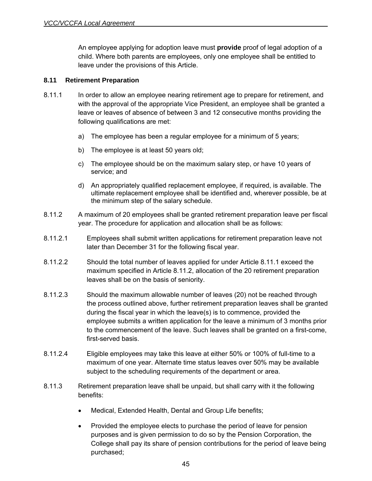An employee applying for adoption leave must **provide** proof of legal adoption of a child. Where both parents are employees, only one employee shall be entitled to leave under the provisions of this Article.

## **8.11 Retirement Preparation**

- 8.11.1 In order to allow an employee nearing retirement age to prepare for retirement, and with the approval of the appropriate Vice President, an employee shall be granted a leave or leaves of absence of between 3 and 12 consecutive months providing the following qualifications are met:
	- a) The employee has been a regular employee for a minimum of 5 years;
	- b) The employee is at least 50 years old;
	- c) The employee should be on the maximum salary step, or have 10 years of service; and
	- d) An appropriately qualified replacement employee, if required, is available. The ultimate replacement employee shall be identified and, wherever possible, be at the minimum step of the salary schedule.
- 8.11.2 A maximum of 20 employees shall be granted retirement preparation leave per fiscal year. The procedure for application and allocation shall be as follows:
- 8.11.2.1 Employees shall submit written applications for retirement preparation leave not later than December 31 for the following fiscal year.
- 8.11.2.2 Should the total number of leaves applied for under Article 8.11.1 exceed the maximum specified in Article 8.11.2, allocation of the 20 retirement preparation leaves shall be on the basis of seniority.
- 8.11.2.3 Should the maximum allowable number of leaves (20) not be reached through the process outlined above, further retirement preparation leaves shall be granted during the fiscal year in which the leave(s) is to commence, provided the employee submits a written application for the leave a minimum of 3 months prior to the commencement of the leave. Such leaves shall be granted on a first-come, first-served basis.
- 8.11.2.4 Eligible employees may take this leave at either 50% or 100% of full-time to a maximum of one year. Alternate time status leaves over 50% may be available subject to the scheduling requirements of the department or area.
- 8.11.3 Retirement preparation leave shall be unpaid, but shall carry with it the following benefits:
	- Medical, Extended Health, Dental and Group Life benefits;
	- Provided the employee elects to purchase the period of leave for pension purposes and is given permission to do so by the Pension Corporation, the College shall pay its share of pension contributions for the period of leave being purchased;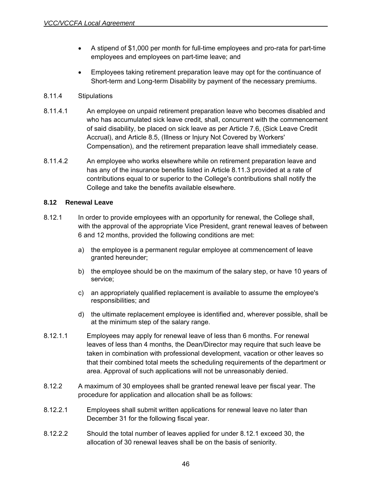- A stipend of \$1,000 per month for full-time employees and pro-rata for part-time employees and employees on part-time leave; and
- Employees taking retirement preparation leave may opt for the continuance of Short-term and Long-term Disability by payment of the necessary premiums.

# 8.11.4 Stipulations

- 8.11.4.1 An employee on unpaid retirement preparation leave who becomes disabled and who has accumulated sick leave credit, shall, concurrent with the commencement of said disability, be placed on sick leave as per Article 7.6, (Sick Leave Credit Accrual), and Article 8.5, (Illness or Injury Not Covered by Workers' Compensation), and the retirement preparation leave shall immediately cease.
- 8.11.4.2 An employee who works elsewhere while on retirement preparation leave and has any of the insurance benefits listed in Article 8.11.3 provided at a rate of contributions equal to or superior to the College's contributions shall notify the College and take the benefits available elsewhere.

# **8.12 Renewal Leave**

- 8.12.1 In order to provide employees with an opportunity for renewal, the College shall, with the approval of the appropriate Vice President, grant renewal leaves of between 6 and 12 months, provided the following conditions are met:
	- a) the employee is a permanent regular employee at commencement of leave granted hereunder;
	- b) the employee should be on the maximum of the salary step, or have 10 years of service;
	- c) an appropriately qualified replacement is available to assume the employee's responsibilities; and
	- d) the ultimate replacement employee is identified and, wherever possible, shall be at the minimum step of the salary range.
- 8.12.1.1 Employees may apply for renewal leave of less than 6 months. For renewal leaves of less than 4 months, the Dean/Director may require that such leave be taken in combination with professional development, vacation or other leaves so that their combined total meets the scheduling requirements of the department or area. Approval of such applications will not be unreasonably denied.
- 8.12.2 A maximum of 30 employees shall be granted renewal leave per fiscal year. The procedure for application and allocation shall be as follows:
- 8.12.2.1 Employees shall submit written applications for renewal leave no later than December 31 for the following fiscal year.
- 8.12.2.2 Should the total number of leaves applied for under 8.12.1 exceed 30, the allocation of 30 renewal leaves shall be on the basis of seniority.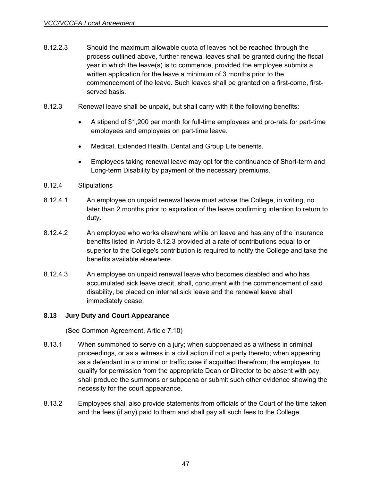- 8.12.2.3 Should the maximum allowable quota of leaves not be reached through the process outlined above, further renewal leaves shall be granted during the fiscal year in which the leave(s) is to commence, provided the employee submits a written application for the leave a minimum of 3 months prior to the commencement of the leave. Such leaves shall be granted on a first-come, firstserved basis.
- 8.12.3 Renewal leave shall be unpaid, but shall carry with it the following benefits:
	- A stipend of \$1,200 per month for full-time employees and pro-rata for part-time employees and employees on part-time leave.
	- Medical, Extended Health, Dental and Group Life benefits.
	- Employees taking renewal leave may opt for the continuance of Short-term and Long-term Disability by payment of the necessary premiums.

## 8.12.4 Stipulations

- 8.12.4.1 An employee on unpaid renewal leave must advise the College, in writing, no later than 2 months prior to expiration of the leave confirming intention to return to duty.
- 8.12.4.2 An employee who works elsewhere while on leave and has any of the insurance benefits listed in Article 8.12.3 provided at a rate of contributions equal to or superior to the College's contribution is required to notify the College and take the benefits available elsewhere.
- 8.12.4.3 An employee on unpaid renewal leave who becomes disabled and who has accumulated sick leave credit, shall, concurrent with the commencement of said disability, be placed on internal sick leave and the renewal leave shall immediately cease.

# **8.13 Jury Duty and Court Appearance**

(See Common Agreement, Article 7.10)

- 8.13.1 When summoned to serve on a jury; when subpoenaed as a witness in criminal proceedings, or as a witness in a civil action if not a party thereto; when appearing as a defendant in a criminal or traffic case if acquitted therefrom; the employee, to qualify for permission from the appropriate Dean or Director to be absent with pay, shall produce the summons or subpoena or submit such other evidence showing the necessity for the court appearance.
- 8.13.2 Employees shall also provide statements from officials of the Court of the time taken and the fees (if any) paid to them and shall pay all such fees to the College.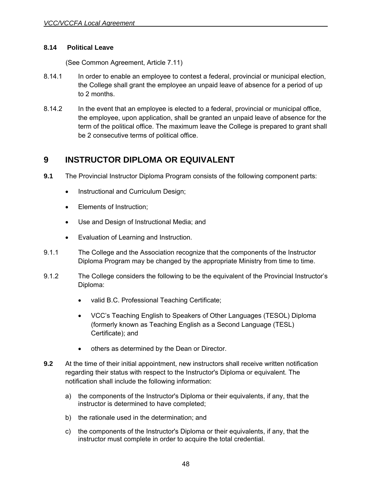## **8.14 Political Leave**

(See Common Agreement, Article 7.11)

- 8.14.1 In order to enable an employee to contest a federal, provincial or municipal election, the College shall grant the employee an unpaid leave of absence for a period of up to 2 months.
- 8.14.2 In the event that an employee is elected to a federal, provincial or municipal office, the employee, upon application, shall be granted an unpaid leave of absence for the term of the political office. The maximum leave the College is prepared to grant shall be 2 consecutive terms of political office.

# **9 INSTRUCTOR DIPLOMA OR EQUIVALENT**

- **9.1** The Provincial Instructor Diploma Program consists of the following component parts:
	- Instructional and Curriculum Design;
	- Elements of Instruction;
	- Use and Design of Instructional Media; and
	- Evaluation of Learning and Instruction.
- 9.1.1 The College and the Association recognize that the components of the Instructor Diploma Program may be changed by the appropriate Ministry from time to time.
- 9.1.2 The College considers the following to be the equivalent of the Provincial Instructor's Diploma:
	- valid B.C. Professional Teaching Certificate;
	- VCC's Teaching English to Speakers of Other Languages (TESOL) Diploma (formerly known as Teaching English as a Second Language (TESL) Certificate); and
	- others as determined by the Dean or Director.
- **9.2** At the time of their initial appointment, new instructors shall receive written notification regarding their status with respect to the Instructor's Diploma or equivalent. The notification shall include the following information:
	- a) the components of the Instructor's Diploma or their equivalents, if any, that the instructor is determined to have completed;
	- b) the rationale used in the determination; and
	- c) the components of the Instructor's Diploma or their equivalents, if any, that the instructor must complete in order to acquire the total credential.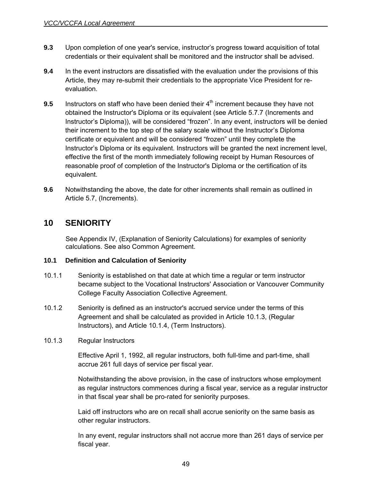- **9.3** Upon completion of one year's service, instructor's progress toward acquisition of total credentials or their equivalent shall be monitored and the instructor shall be advised.
- **9.4** In the event instructors are dissatisfied with the evaluation under the provisions of this Article, they may re-submit their credentials to the appropriate Vice President for reevaluation.
- **9.5** Instructors on staff who have been denied their 4<sup>th</sup> increment because they have not obtained the Instructor's Diploma or its equivalent (see Article 5.7.7 (Increments and Instructor's Diploma)), will be considered "frozen". In any event, instructors will be denied their increment to the top step of the salary scale without the Instructor's Diploma certificate or equivalent and will be considered "frozen" until they complete the Instructor's Diploma or its equivalent. Instructors will be granted the next increment level, effective the first of the month immediately following receipt by Human Resources of reasonable proof of completion of the Instructor's Diploma or the certification of its equivalent.
- **9.6** Notwithstanding the above, the date for other increments shall remain as outlined in Article 5.7, (Increments).

# **10 SENIORITY**

See Appendix IV, (Explanation of Seniority Calculations) for examples of seniority calculations. See also Common Agreement.

# **10.1 Definition and Calculation of Seniority**

- 10.1.1 Seniority is established on that date at which time a regular or term instructor became subject to the Vocational Instructors' Association or Vancouver Community College Faculty Association Collective Agreement.
- 10.1.2 Seniority is defined as an instructor's accrued service under the terms of this Agreement and shall be calculated as provided in Article 10.1.3, (Regular Instructors), and Article 10.1.4, (Term Instructors).
- 10.1.3 Regular Instructors

Effective April 1, 1992, all regular instructors, both full-time and part-time, shall accrue 261 full days of service per fiscal year.

Notwithstanding the above provision, in the case of instructors whose employment as regular instructors commences during a fiscal year, service as a regular instructor in that fiscal year shall be pro-rated for seniority purposes.

Laid off instructors who are on recall shall accrue seniority on the same basis as other regular instructors.

In any event, regular instructors shall not accrue more than 261 days of service per fiscal year.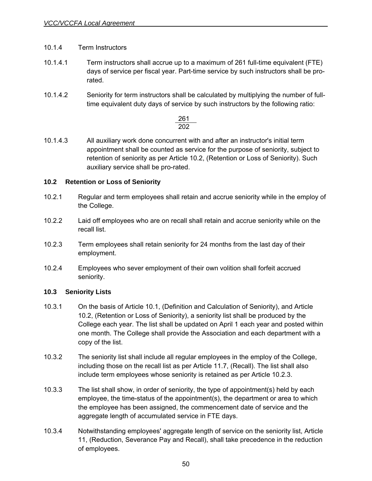## 10.1.4 Term Instructors

- 10.1.4.1 Term instructors shall accrue up to a maximum of 261 full-time equivalent (FTE) days of service per fiscal year. Part-time service by such instructors shall be prorated.
- 10.1.4.2 Seniority for term instructors shall be calculated by multiplying the number of fulltime equivalent duty days of service by such instructors by the following ratio:

261 202

10.1.4.3 All auxiliary work done concurrent with and after an instructor's initial term appointment shall be counted as service for the purpose of seniority, subject to retention of seniority as per Article 10.2, (Retention or Loss of Seniority). Such auxiliary service shall be pro-rated.

## **10.2 Retention or Loss of Seniority**

- 10.2.1 Regular and term employees shall retain and accrue seniority while in the employ of the College.
- 10.2.2 Laid off employees who are on recall shall retain and accrue seniority while on the recall list.
- 10.2.3 Term employees shall retain seniority for 24 months from the last day of their employment.
- 10.2.4 Employees who sever employment of their own volition shall forfeit accrued seniority.

## **10.3 Seniority Lists**

- 10.3.1 On the basis of Article 10.1, (Definition and Calculation of Seniority), and Article 10.2, (Retention or Loss of Seniority), a seniority list shall be produced by the College each year. The list shall be updated on April 1 each year and posted within one month. The College shall provide the Association and each department with a copy of the list.
- 10.3.2 The seniority list shall include all regular employees in the employ of the College, including those on the recall list as per Article 11.7, (Recall). The list shall also include term employees whose seniority is retained as per Article 10.2.3.
- 10.3.3 The list shall show, in order of seniority, the type of appointment(s) held by each employee, the time-status of the appointment(s), the department or area to which the employee has been assigned, the commencement date of service and the aggregate length of accumulated service in FTE days.
- 10.3.4 Notwithstanding employees' aggregate length of service on the seniority list, Article 11, (Reduction, Severance Pay and Recall), shall take precedence in the reduction of employees.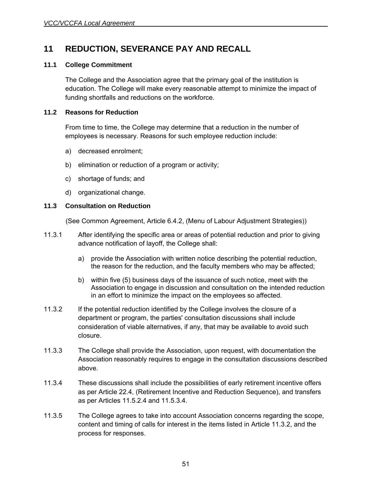# **11 REDUCTION, SEVERANCE PAY AND RECALL**

## **11.1 College Commitment**

The College and the Association agree that the primary goal of the institution is education. The College will make every reasonable attempt to minimize the impact of funding shortfalls and reductions on the workforce.

## **11.2 Reasons for Reduction**

From time to time, the College may determine that a reduction in the number of employees is necessary. Reasons for such employee reduction include:

- a) decreased enrolment;
- b) elimination or reduction of a program or activity;
- c) shortage of funds; and
- d) organizational change.

## **11.3 Consultation on Reduction**

(See Common Agreement, Article 6.4.2, (Menu of Labour Adjustment Strategies))

- 11.3.1 After identifying the specific area or areas of potential reduction and prior to giving advance notification of layoff, the College shall:
	- a) provide the Association with written notice describing the potential reduction, the reason for the reduction, and the faculty members who may be affected;
	- b) within five (5) business days of the issuance of such notice, meet with the Association to engage in discussion and consultation on the intended reduction in an effort to minimize the impact on the employees so affected.
- 11.3.2 If the potential reduction identified by the College involves the closure of a department or program, the parties' consultation discussions shall include consideration of viable alternatives, if any, that may be available to avoid such closure.
- 11.3.3 The College shall provide the Association, upon request, with documentation the Association reasonably requires to engage in the consultation discussions described above.
- 11.3.4 These discussions shall include the possibilities of early retirement incentive offers as per Article 22.4, (Retirement Incentive and Reduction Sequence), and transfers as per Articles 11.5.2.4 and 11.5.3.4.
- 11.3.5 The College agrees to take into account Association concerns regarding the scope, content and timing of calls for interest in the items listed in Article 11.3.2, and the process for responses.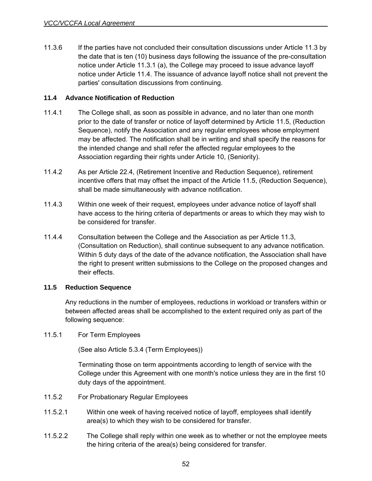11.3.6 If the parties have not concluded their consultation discussions under Article 11.3 by the date that is ten (10) business days following the issuance of the pre-consultation notice under Article 11.3.1 (a), the College may proceed to issue advance layoff notice under Article 11.4. The issuance of advance layoff notice shall not prevent the parties' consultation discussions from continuing.

# **11.4 Advance Notification of Reduction**

- 11.4.1 The College shall, as soon as possible in advance, and no later than one month prior to the date of transfer or notice of layoff determined by Article 11.5, (Reduction Sequence), notify the Association and any regular employees whose employment may be affected. The notification shall be in writing and shall specify the reasons for the intended change and shall refer the affected regular employees to the Association regarding their rights under Article 10, (Seniority).
- 11.4.2 As per Article 22.4, (Retirement Incentive and Reduction Sequence), retirement incentive offers that may offset the impact of the Article 11.5, (Reduction Sequence), shall be made simultaneously with advance notification.
- 11.4.3 Within one week of their request, employees under advance notice of layoff shall have access to the hiring criteria of departments or areas to which they may wish to be considered for transfer.
- 11.4.4 Consultation between the College and the Association as per Article 11.3, (Consultation on Reduction), shall continue subsequent to any advance notification. Within 5 duty days of the date of the advance notification, the Association shall have the right to present written submissions to the College on the proposed changes and their effects.

# **11.5 Reduction Sequence**

Any reductions in the number of employees, reductions in workload or transfers within or between affected areas shall be accomplished to the extent required only as part of the following sequence:

11.5.1 For Term Employees

(See also Article 5.3.4 (Term Employees))

Terminating those on term appointments according to length of service with the College under this Agreement with one month's notice unless they are in the first 10 duty days of the appointment.

- 11.5.2 For Probationary Regular Employees
- 11.5.2.1 Within one week of having received notice of layoff, employees shall identify area(s) to which they wish to be considered for transfer.
- 11.5.2.2 The College shall reply within one week as to whether or not the employee meets the hiring criteria of the area(s) being considered for transfer.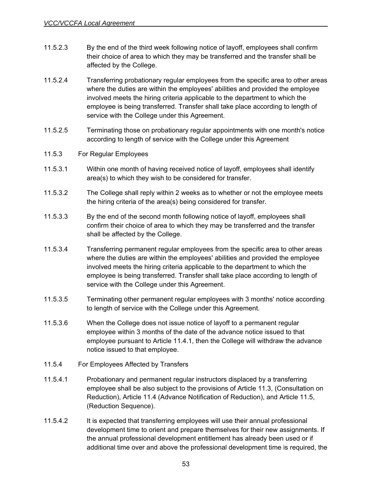- 11.5.2.3 By the end of the third week following notice of layoff, employees shall confirm their choice of area to which they may be transferred and the transfer shall be affected by the College.
- 11.5.2.4 Transferring probationary regular employees from the specific area to other areas where the duties are within the employees' abilities and provided the employee involved meets the hiring criteria applicable to the department to which the employee is being transferred. Transfer shall take place according to length of service with the College under this Agreement.
- 11.5.2.5 Terminating those on probationary regular appointments with one month's notice according to length of service with the College under this Agreement
- 11.5.3 For Regular Employees
- 11.5.3.1 Within one month of having received notice of layoff, employees shall identify area(s) to which they wish to be considered for transfer.
- 11.5.3.2 The College shall reply within 2 weeks as to whether or not the employee meets the hiring criteria of the area(s) being considered for transfer.
- 11.5.3.3 By the end of the second month following notice of layoff, employees shall confirm their choice of area to which they may be transferred and the transfer shall be affected by the College.
- 11.5.3.4 Transferring permanent regular employees from the specific area to other areas where the duties are within the employees' abilities and provided the employee involved meets the hiring criteria applicable to the department to which the employee is being transferred. Transfer shall take place according to length of service with the College under this Agreement.
- 11.5.3.5 Terminating other permanent regular employees with 3 months' notice according to length of service with the College under this Agreement.
- 11.5.3.6 When the College does not issue notice of layoff to a permanent regular employee within 3 months of the date of the advance notice issued to that employee pursuant to Article 11.4.1, then the College will withdraw the advance notice issued to that employee.
- 11.5.4 For Employees Affected by Transfers
- 11.5.4.1 Probationary and permanent regular instructors displaced by a transferring employee shall be also subject to the provisions of Article 11.3, (Consultation on Reduction), Article 11.4 (Advance Notification of Reduction), and Article 11.5, (Reduction Sequence).
- 11.5.4.2 It is expected that transferring employees will use their annual professional development time to orient and prepare themselves for their new assignments. If the annual professional development entitlement has already been used or if additional time over and above the professional development time is required, the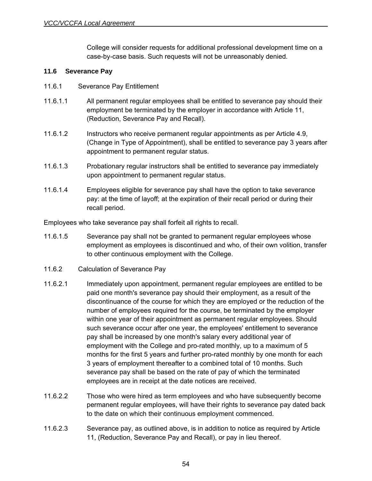College will consider requests for additional professional development time on a case-by-case basis. Such requests will not be unreasonably denied.

## **11.6 Severance Pay**

- 11.6.1 Severance Pay Entitlement
- 11.6.1.1 All permanent regular employees shall be entitled to severance pay should their employment be terminated by the employer in accordance with Article 11, (Reduction, Severance Pay and Recall).
- 11.6.1.2 Instructors who receive permanent regular appointments as per Article 4.9, (Change in Type of Appointment), shall be entitled to severance pay 3 years after appointment to permanent regular status.
- 11.6.1.3 Probationary regular instructors shall be entitled to severance pay immediately upon appointment to permanent regular status.
- 11.6.1.4 Employees eligible for severance pay shall have the option to take severance pay: at the time of layoff; at the expiration of their recall period or during their recall period.

Employees who take severance pay shall forfeit all rights to recall.

- 11.6.1.5 Severance pay shall not be granted to permanent regular employees whose employment as employees is discontinued and who, of their own volition, transfer to other continuous employment with the College.
- 11.6.2 Calculation of Severance Pay
- 11.6.2.1 Immediately upon appointment, permanent regular employees are entitled to be paid one month's severance pay should their employment, as a result of the discontinuance of the course for which they are employed or the reduction of the number of employees required for the course, be terminated by the employer within one year of their appointment as permanent regular employees. Should such severance occur after one year, the employees' entitlement to severance pay shall be increased by one month's salary every additional year of employment with the College and pro-rated monthly, up to a maximum of 5 months for the first 5 years and further pro-rated monthly by one month for each 3 years of employment thereafter to a combined total of 10 months. Such severance pay shall be based on the rate of pay of which the terminated employees are in receipt at the date notices are received.
- 11.6.2.2 Those who were hired as term employees and who have subsequently become permanent regular employees, will have their rights to severance pay dated back to the date on which their continuous employment commenced.
- 11.6.2.3 Severance pay, as outlined above, is in addition to notice as required by Article 11, (Reduction, Severance Pay and Recall), or pay in lieu thereof.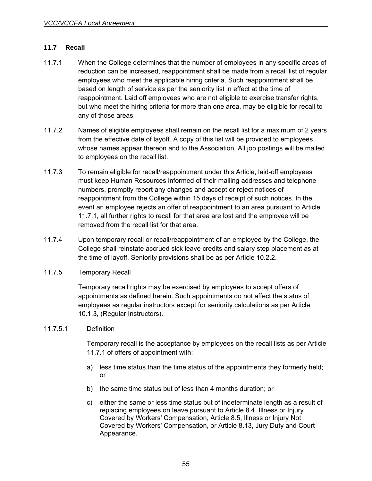# **11.7 Recall**

- 11.7.1 When the College determines that the number of employees in any specific areas of reduction can be increased, reappointment shall be made from a recall list of regular employees who meet the applicable hiring criteria. Such reappointment shall be based on length of service as per the seniority list in effect at the time of reappointment. Laid off employees who are not eligible to exercise transfer rights, but who meet the hiring criteria for more than one area, may be eligible for recall to any of those areas.
- 11.7.2 Names of eligible employees shall remain on the recall list for a maximum of 2 years from the effective date of layoff. A copy of this list will be provided to employees whose names appear thereon and to the Association. All job postings will be mailed to employees on the recall list.
- 11.7.3 To remain eligible for recall/reappointment under this Article, laid-off employees must keep Human Resources informed of their mailing addresses and telephone numbers, promptly report any changes and accept or reject notices of reappointment from the College within 15 days of receipt of such notices. In the event an employee rejects an offer of reappointment to an area pursuant to Article 11.7.1, all further rights to recall for that area are lost and the employee will be removed from the recall list for that area.
- 11.7.4 Upon temporary recall or recall/reappointment of an employee by the College, the College shall reinstate accrued sick leave credits and salary step placement as at the time of layoff. Seniority provisions shall be as per Article 10.2.2.
- 11.7.5 Temporary Recall

Temporary recall rights may be exercised by employees to accept offers of appointments as defined herein. Such appointments do not affect the status of employees as regular instructors except for seniority calculations as per Article 10.1.3, (Regular Instructors).

## 11.7.5.1 Definition

Temporary recall is the acceptance by employees on the recall lists as per Article 11.7.1 of offers of appointment with:

- a) less time status than the time status of the appointments they formerly held; or
- b) the same time status but of less than 4 months duration; or
- c) either the same or less time status but of indeterminate length as a result of replacing employees on leave pursuant to Article 8.4, Illness or Injury Covered by Workers' Compensation, Article 8.5, Illness or Injury Not Covered by Workers' Compensation, or Article 8.13, Jury Duty and Court Appearance.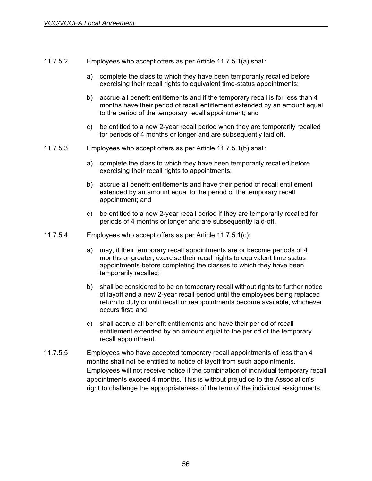- 11.7.5.2 Employees who accept offers as per Article 11.7.5.1(a) shall:
	- a) complete the class to which they have been temporarily recalled before exercising their recall rights to equivalent time-status appointments;
	- b) accrue all benefit entitlements and if the temporary recall is for less than 4 months have their period of recall entitlement extended by an amount equal to the period of the temporary recall appointment; and
	- c) be entitled to a new 2-year recall period when they are temporarily recalled for periods of 4 months or longer and are subsequently laid off.
- 11.7.5.3 Employees who accept offers as per Article 11.7.5.1(b) shall:
	- a) complete the class to which they have been temporarily recalled before exercising their recall rights to appointments;
	- b) accrue all benefit entitlements and have their period of recall entitlement extended by an amount equal to the period of the temporary recall appointment; and
	- c) be entitled to a new 2-year recall period if they are temporarily recalled for periods of 4 months or longer and are subsequently laid-off.
- 11.7.5.4 Employees who accept offers as per Article 11.7.5.1(c):
	- a) may, if their temporary recall appointments are or become periods of 4 months or greater, exercise their recall rights to equivalent time status appointments before completing the classes to which they have been temporarily recalled;
	- b) shall be considered to be on temporary recall without rights to further notice of layoff and a new 2-year recall period until the employees being replaced return to duty or until recall or reappointments become available, whichever occurs first; and
	- c) shall accrue all benefit entitlements and have their period of recall entitlement extended by an amount equal to the period of the temporary recall appointment.
- 11.7.5.5 Employees who have accepted temporary recall appointments of less than 4 months shall not be entitled to notice of layoff from such appointments. Employees will not receive notice if the combination of individual temporary recall appointments exceed 4 months. This is without prejudice to the Association's right to challenge the appropriateness of the term of the individual assignments.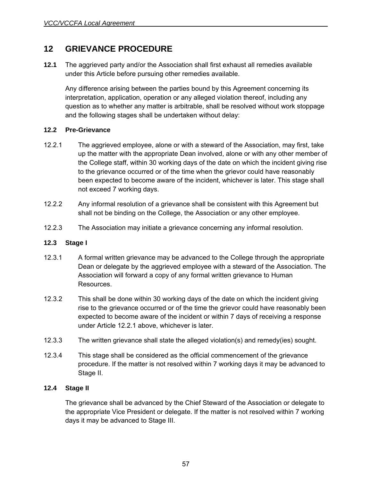# **12 GRIEVANCE PROCEDURE**

**12.1** The aggrieved party and/or the Association shall first exhaust all remedies available under this Article before pursuing other remedies available.

Any difference arising between the parties bound by this Agreement concerning its interpretation, application, operation or any alleged violation thereof, including any question as to whether any matter is arbitrable, shall be resolved without work stoppage and the following stages shall be undertaken without delay:

## **12.2 Pre-Grievance**

- 12.2.1 The aggrieved employee, alone or with a steward of the Association, may first, take up the matter with the appropriate Dean involved, alone or with any other member of the College staff, within 30 working days of the date on which the incident giving rise to the grievance occurred or of the time when the grievor could have reasonably been expected to become aware of the incident, whichever is later. This stage shall not exceed 7 working days.
- 12.2.2 Any informal resolution of a grievance shall be consistent with this Agreement but shall not be binding on the College, the Association or any other employee.
- 12.2.3 The Association may initiate a grievance concerning any informal resolution.

### **12.3 Stage I**

- 12.3.1 A formal written grievance may be advanced to the College through the appropriate Dean or delegate by the aggrieved employee with a steward of the Association. The Association will forward a copy of any formal written grievance to Human Resources.
- 12.3.2 This shall be done within 30 working days of the date on which the incident giving rise to the grievance occurred or of the time the grievor could have reasonably been expected to become aware of the incident or within 7 days of receiving a response under Article 12.2.1 above, whichever is later.
- 12.3.3 The written grievance shall state the alleged violation(s) and remedy(ies) sought.
- 12.3.4 This stage shall be considered as the official commencement of the grievance procedure. If the matter is not resolved within 7 working days it may be advanced to Stage II.

## **12.4 Stage II**

The grievance shall be advanced by the Chief Steward of the Association or delegate to the appropriate Vice President or delegate. If the matter is not resolved within 7 working days it may be advanced to Stage III.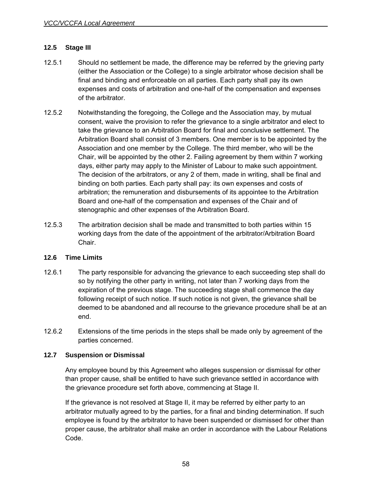# **12.5 Stage III**

- 12.5.1 Should no settlement be made, the difference may be referred by the grieving party (either the Association or the College) to a single arbitrator whose decision shall be final and binding and enforceable on all parties. Each party shall pay its own expenses and costs of arbitration and one-half of the compensation and expenses of the arbitrator.
- 12.5.2 Notwithstanding the foregoing, the College and the Association may, by mutual consent, waive the provision to refer the grievance to a single arbitrator and elect to take the grievance to an Arbitration Board for final and conclusive settlement. The Arbitration Board shall consist of 3 members. One member is to be appointed by the Association and one member by the College. The third member, who will be the Chair, will be appointed by the other 2. Failing agreement by them within 7 working days, either party may apply to the Minister of Labour to make such appointment. The decision of the arbitrators, or any 2 of them, made in writing, shall be final and binding on both parties. Each party shall pay: its own expenses and costs of arbitration; the remuneration and disbursements of its appointee to the Arbitration Board and one-half of the compensation and expenses of the Chair and of stenographic and other expenses of the Arbitration Board.
- 12.5.3 The arbitration decision shall be made and transmitted to both parties within 15 working days from the date of the appointment of the arbitrator/Arbitration Board Chair.

## **12.6 Time Limits**

- 12.6.1 The party responsible for advancing the grievance to each succeeding step shall do so by notifying the other party in writing, not later than 7 working days from the expiration of the previous stage. The succeeding stage shall commence the day following receipt of such notice. If such notice is not given, the grievance shall be deemed to be abandoned and all recourse to the grievance procedure shall be at an end.
- 12.6.2 Extensions of the time periods in the steps shall be made only by agreement of the parties concerned.

## **12.7 Suspension or Dismissal**

Any employee bound by this Agreement who alleges suspension or dismissal for other than proper cause, shall be entitled to have such grievance settled in accordance with the grievance procedure set forth above, commencing at Stage II.

If the grievance is not resolved at Stage II, it may be referred by either party to an arbitrator mutually agreed to by the parties, for a final and binding determination. If such employee is found by the arbitrator to have been suspended or dismissed for other than proper cause, the arbitrator shall make an order in accordance with the Labour Relations Code.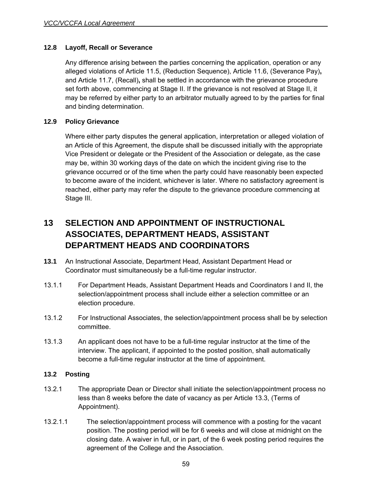# **12.8 Layoff, Recall or Severance**

Any difference arising between the parties concerning the application, operation or any alleged violations of Article 11.5, (Reduction Sequence), Article 11.6, (Severance Pay)**,** and Article 11.7, (Recall)**,** shall be settled in accordance with the grievance procedure set forth above, commencing at Stage II. If the grievance is not resolved at Stage II, it may be referred by either party to an arbitrator mutually agreed to by the parties for final and binding determination.

## **12.9 Policy Grievance**

Where either party disputes the general application, interpretation or alleged violation of an Article of this Agreement, the dispute shall be discussed initially with the appropriate Vice President or delegate or the President of the Association or delegate, as the case may be, within 30 working days of the date on which the incident giving rise to the grievance occurred or of the time when the party could have reasonably been expected to become aware of the incident, whichever is later. Where no satisfactory agreement is reached, either party may refer the dispute to the grievance procedure commencing at Stage III.

# **13 SELECTION AND APPOINTMENT OF INSTRUCTIONAL ASSOCIATES, DEPARTMENT HEADS, ASSISTANT DEPARTMENT HEADS AND COORDINATORS**

- **13.1** An Instructional Associate, Department Head, Assistant Department Head or Coordinator must simultaneously be a full-time regular instructor.
- 13.1.1 For Department Heads, Assistant Department Heads and Coordinators I and II, the selection/appointment process shall include either a selection committee or an election procedure.
- 13.1.2 For Instructional Associates, the selection/appointment process shall be by selection committee.
- 13.1.3 An applicant does not have to be a full-time regular instructor at the time of the interview. The applicant, if appointed to the posted position, shall automatically become a full-time regular instructor at the time of appointment.

## **13.2 Posting**

- 13.2.1 The appropriate Dean or Director shall initiate the selection/appointment process no less than 8 weeks before the date of vacancy as per Article 13.3, (Terms of Appointment).
- 13.2.1.1 The selection/appointment process will commence with a posting for the vacant position. The posting period will be for 6 weeks and will close at midnight on the closing date. A waiver in full, or in part, of the 6 week posting period requires the agreement of the College and the Association.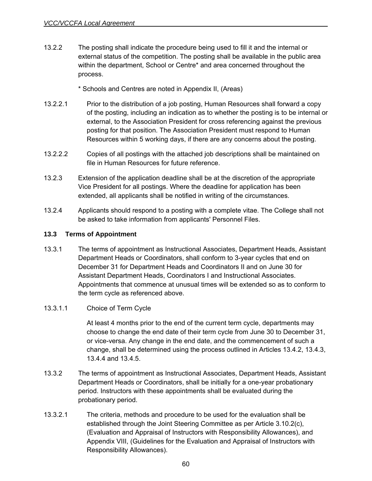- 13.2.2 The posting shall indicate the procedure being used to fill it and the internal or external status of the competition. The posting shall be available in the public area within the department, School or Centre\* and area concerned throughout the process.
	- \* Schools and Centres are noted in Appendix II, (Areas)
- 13.2.2.1 Prior to the distribution of a job posting, Human Resources shall forward a copy of the posting, including an indication as to whether the posting is to be internal or external, to the Association President for cross referencing against the previous posting for that position. The Association President must respond to Human Resources within 5 working days, if there are any concerns about the posting.
- 13.2.2.2 Copies of all postings with the attached job descriptions shall be maintained on file in Human Resources for future reference.
- 13.2.3 Extension of the application deadline shall be at the discretion of the appropriate Vice President for all postings. Where the deadline for application has been extended, all applicants shall be notified in writing of the circumstances.
- 13.2.4 Applicants should respond to a posting with a complete vitae. The College shall not be asked to take information from applicants' Personnel Files.

## **13.3 Terms of Appointment**

13.3.1 The terms of appointment as Instructional Associates, Department Heads, Assistant Department Heads or Coordinators, shall conform to 3-year cycles that end on December 31 for Department Heads and Coordinators II and on June 30 for Assistant Department Heads, Coordinators I and Instructional Associates. Appointments that commence at unusual times will be extended so as to conform to the term cycle as referenced above.

## 13.3.1.1 Choice of Term Cycle

At least 4 months prior to the end of the current term cycle, departments may choose to change the end date of their term cycle from June 30 to December 31, or vice-versa. Any change in the end date, and the commencement of such a change, shall be determined using the process outlined in Articles 13.4.2, 13.4.3, 13.4.4 and 13.4.5.

- 13.3.2 The terms of appointment as Instructional Associates, Department Heads, Assistant Department Heads or Coordinators, shall be initially for a one-year probationary period. Instructors with these appointments shall be evaluated during the probationary period.
- 13.3.2.1 The criteria, methods and procedure to be used for the evaluation shall be established through the Joint Steering Committee as per Article 3.10.2(c), (Evaluation and Appraisal of Instructors with Responsibility Allowances), and Appendix VIII, (Guidelines for the Evaluation and Appraisal of Instructors with Responsibility Allowances).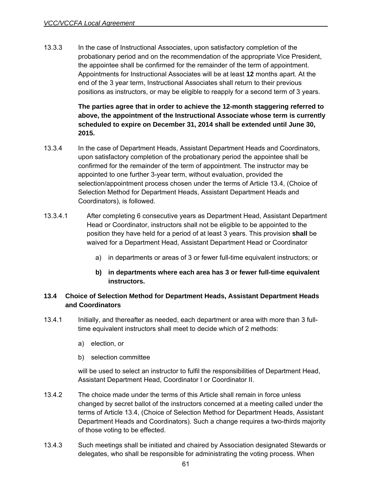13.3.3 In the case of Instructional Associates, upon satisfactory completion of the probationary period and on the recommendation of the appropriate Vice President, the appointee shall be confirmed for the remainder of the term of appointment. Appointments for Instructional Associates will be at least **12** months apart. At the end of the 3 year term, Instructional Associates shall return to their previous positions as instructors, or may be eligible to reapply for a second term of 3 years.

> **The parties agree that in order to achieve the 12-month staggering referred to above, the appointment of the Instructional Associate whose term is currently scheduled to expire on December 31, 2014 shall be extended until June 30, 2015.**

- 13.3.4 In the case of Department Heads, Assistant Department Heads and Coordinators, upon satisfactory completion of the probationary period the appointee shall be confirmed for the remainder of the term of appointment. The instructor may be appointed to one further 3-year term, without evaluation, provided the selection/appointment process chosen under the terms of Article 13.4, (Choice of Selection Method for Department Heads, Assistant Department Heads and Coordinators), is followed.
- 13.3.4.1 After completing 6 consecutive years as Department Head, Assistant Department Head or Coordinator, instructors shall not be eligible to be appointed to the position they have held for a period of at least 3 years. This provision **shall** be waived for a Department Head, Assistant Department Head or Coordinator
	- a) in departments or areas of 3 or fewer full-time equivalent instructors; or
	- **b) in departments where each area has 3 or fewer full-time equivalent instructors.**

# **13.4 Choice of Selection Method for Department Heads, Assistant Department Heads and Coordinators**

- 13.4.1 Initially, and thereafter as needed, each department or area with more than 3 fulltime equivalent instructors shall meet to decide which of 2 methods:
	- a) election, or
	- b) selection committee

will be used to select an instructor to fulfil the responsibilities of Department Head, Assistant Department Head, Coordinator I or Coordinator II.

- 13.4.2 The choice made under the terms of this Article shall remain in force unless changed by secret ballot of the instructors concerned at a meeting called under the terms of Article 13.4, (Choice of Selection Method for Department Heads, Assistant Department Heads and Coordinators). Such a change requires a two-thirds majority of those voting to be effected.
- 13.4.3 Such meetings shall be initiated and chaired by Association designated Stewards or delegates, who shall be responsible for administrating the voting process. When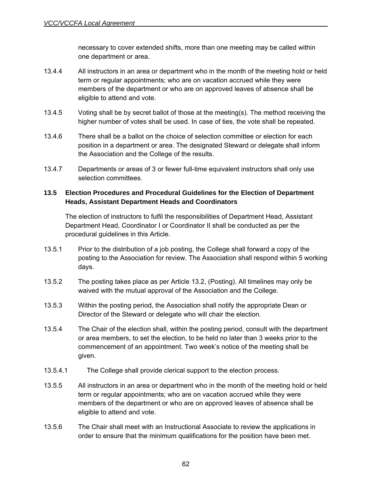necessary to cover extended shifts, more than one meeting may be called within one department or area.

- 13.4.4 All instructors in an area or department who in the month of the meeting hold or held term or regular appointments; who are on vacation accrued while they were members of the department or who are on approved leaves of absence shall be eligible to attend and vote.
- 13.4.5 Voting shall be by secret ballot of those at the meeting(s). The method receiving the higher number of votes shall be used. In case of ties, the vote shall be repeated.
- 13.4.6 There shall be a ballot on the choice of selection committee or election for each position in a department or area. The designated Steward or delegate shall inform the Association and the College of the results.
- 13.4.7 Departments or areas of 3 or fewer full-time equivalent instructors shall only use selection committees.

# **13.5 Election Procedures and Procedural Guidelines for the Election of Department Heads, Assistant Department Heads and Coordinators**

The election of instructors to fulfil the responsibilities of Department Head, Assistant Department Head, Coordinator I or Coordinator II shall be conducted as per the procedural guidelines in this Article.

- 13.5.1 Prior to the distribution of a job posting, the College shall forward a copy of the posting to the Association for review. The Association shall respond within 5 working days.
- 13.5.2 The posting takes place as per Article 13.2, (Posting). All timelines may only be waived with the mutual approval of the Association and the College.
- 13.5.3 Within the posting period, the Association shall notify the appropriate Dean or Director of the Steward or delegate who will chair the election.
- 13.5.4 The Chair of the election shall, within the posting period, consult with the department or area members, to set the election, to be held no later than 3 weeks prior to the commencement of an appointment. Two week's notice of the meeting shall be given.
- 13.5.4.1 The College shall provide clerical support to the election process.
- 13.5.5 All instructors in an area or department who in the month of the meeting hold or held term or regular appointments; who are on vacation accrued while they were members of the department or who are on approved leaves of absence shall be eligible to attend and vote.
- 13.5.6 The Chair shall meet with an Instructional Associate to review the applications in order to ensure that the minimum qualifications for the position have been met.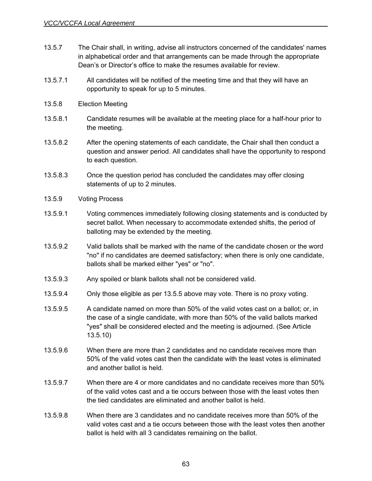- 13.5.7 The Chair shall, in writing, advise all instructors concerned of the candidates' names in alphabetical order and that arrangements can be made through the appropriate Dean's or Director's office to make the resumes available for review.
- 13.5.7.1 All candidates will be notified of the meeting time and that they will have an opportunity to speak for up to 5 minutes.
- 13.5.8 Election Meeting
- 13.5.8.1 Candidate resumes will be available at the meeting place for a half-hour prior to the meeting.
- 13.5.8.2 After the opening statements of each candidate, the Chair shall then conduct a question and answer period. All candidates shall have the opportunity to respond to each question.
- 13.5.8.3 Once the question period has concluded the candidates may offer closing statements of up to 2 minutes.
- 13.5.9 Voting Process
- 13.5.9.1 Voting commences immediately following closing statements and is conducted by secret ballot. When necessary to accommodate extended shifts, the period of balloting may be extended by the meeting.
- 13.5.9.2 Valid ballots shall be marked with the name of the candidate chosen or the word "no" if no candidates are deemed satisfactory; when there is only one candidate, ballots shall be marked either "yes" or "no".
- 13.5.9.3 Any spoiled or blank ballots shall not be considered valid.
- 13.5.9.4 Only those eligible as per 13.5.5 above may vote. There is no proxy voting.
- 13.5.9.5 A candidate named on more than 50% of the valid votes cast on a ballot; or, in the case of a single candidate, with more than 50% of the valid ballots marked "yes" shall be considered elected and the meeting is adjourned. (See Article 13.5.10)
- 13.5.9.6 When there are more than 2 candidates and no candidate receives more than 50% of the valid votes cast then the candidate with the least votes is eliminated and another ballot is held.
- 13.5.9.7 When there are 4 or more candidates and no candidate receives more than 50% of the valid votes cast and a tie occurs between those with the least votes then the tied candidates are eliminated and another ballot is held.
- 13.5.9.8 When there are 3 candidates and no candidate receives more than 50% of the valid votes cast and a tie occurs between those with the least votes then another ballot is held with all 3 candidates remaining on the ballot.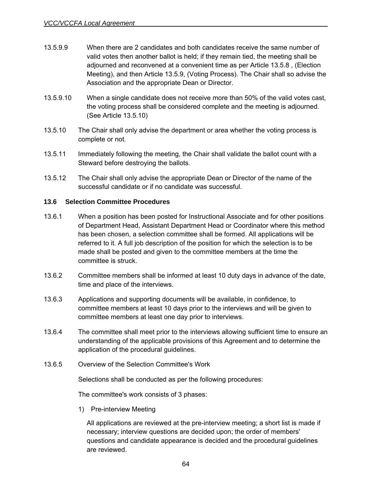- 13.5.9.9 When there are 2 candidates and both candidates receive the same number of valid votes then another ballot is held; if they remain tied, the meeting shall be adjourned and reconvened at a convenient time as per Article 13.5.8 , (Election Meeting), and then Article 13.5.9, (Voting Process). The Chair shall so advise the Association and the appropriate Dean or Director.
- 13.5.9.10 When a single candidate does not receive more than 50% of the valid votes cast, the voting process shall be considered complete and the meeting is adjourned. (See Article 13.5.10)
- 13.5.10 The Chair shall only advise the department or area whether the voting process is complete or not.
- 13.5.11 Immediately following the meeting, the Chair shall validate the ballot count with a Steward before destroying the ballots.
- 13.5.12 The Chair shall only advise the appropriate Dean or Director of the name of the successful candidate or if no candidate was successful.

#### **13.6 Selection Committee Procedures**

- 13.6.1 When a position has been posted for Instructional Associate and for other positions of Department Head, Assistant Department Head or Coordinator where this method has been chosen, a selection committee shall be formed. All applications will be referred to it. A full job description of the position for which the selection is to be made shall be posted and given to the committee members at the time the committee is struck.
- 13.6.2 Committee members shall be informed at least 10 duty days in advance of the date, time and place of the interviews.
- 13.6.3 Applications and supporting documents will be available, in confidence, to committee members at least 10 days prior to the interviews and will be given to committee members at least one day prior to interviews.
- 13.6.4 The committee shall meet prior to the interviews allowing sufficient time to ensure an understanding of the applicable provisions of this Agreement and to determine the application of the procedural guidelines.
- 13.6.5 Overview of the Selection Committee's Work

Selections shall be conducted as per the following procedures:

The committee's work consists of 3 phases:

1) Pre-interview Meeting

All applications are reviewed at the pre-interview meeting; a short list is made if necessary; interview questions are decided upon; the order of members' questions and candidate appearance is decided and the procedural guidelines are reviewed.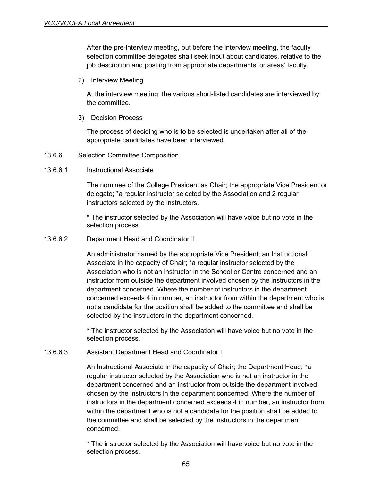After the pre-interview meeting, but before the interview meeting, the faculty selection committee delegates shall seek input about candidates, relative to the job description and posting from appropriate departments' or areas' faculty.

2) Interview Meeting

At the interview meeting, the various short-listed candidates are interviewed by the committee.

3) Decision Process

The process of deciding who is to be selected is undertaken after all of the appropriate candidates have been interviewed.

- 13.6.6 Selection Committee Composition
- 13.6.6.1 Instructional Associate

The nominee of the College President as Chair; the appropriate Vice President or delegate; \*a regular instructor selected by the Association and 2 regular instructors selected by the instructors.

\* The instructor selected by the Association will have voice but no vote in the selection process.

13.6.6.2 Department Head and Coordinator II

An administrator named by the appropriate Vice President; an Instructional Associate in the capacity of Chair; \*a regular instructor selected by the Association who is not an instructor in the School or Centre concerned and an instructor from outside the department involved chosen by the instructors in the department concerned. Where the number of instructors in the department concerned exceeds 4 in number, an instructor from within the department who is not a candidate for the position shall be added to the committee and shall be selected by the instructors in the department concerned.

\* The instructor selected by the Association will have voice but no vote in the selection process.

13.6.6.3 Assistant Department Head and Coordinator I

An Instructional Associate in the capacity of Chair; the Department Head; \*a regular instructor selected by the Association who is not an instructor in the department concerned and an instructor from outside the department involved chosen by the instructors in the department concerned. Where the number of instructors in the department concerned exceeds 4 in number, an instructor from within the department who is not a candidate for the position shall be added to the committee and shall be selected by the instructors in the department concerned.

\* The instructor selected by the Association will have voice but no vote in the selection process.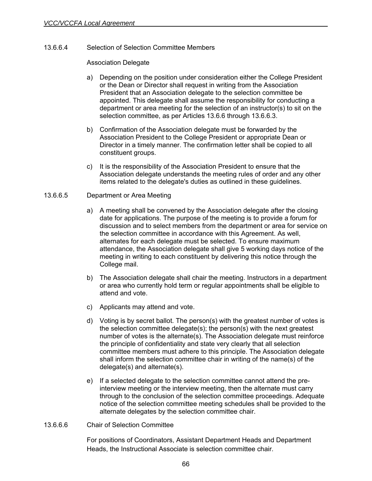13.6.6.4 Selection of Selection Committee Members

#### Association Delegate

- a) Depending on the position under consideration either the College President or the Dean or Director shall request in writing from the Association President that an Association delegate to the selection committee be appointed. This delegate shall assume the responsibility for conducting a department or area meeting for the selection of an instructor(s) to sit on the selection committee, as per Articles 13.6.6 through 13.6.6.3.
- b) Confirmation of the Association delegate must be forwarded by the Association President to the College President or appropriate Dean or Director in a timely manner. The confirmation letter shall be copied to all constituent groups.
- c) It is the responsibility of the Association President to ensure that the Association delegate understands the meeting rules of order and any other items related to the delegate's duties as outlined in these guidelines.
- 13.6.6.5 Department or Area Meeting
	- a) A meeting shall be convened by the Association delegate after the closing date for applications. The purpose of the meeting is to provide a forum for discussion and to select members from the department or area for service on the selection committee in accordance with this Agreement. As well, alternates for each delegate must be selected. To ensure maximum attendance, the Association delegate shall give 5 working days notice of the meeting in writing to each constituent by delivering this notice through the College mail.
	- b) The Association delegate shall chair the meeting. Instructors in a department or area who currently hold term or regular appointments shall be eligible to attend and vote.
	- c) Applicants may attend and vote.
	- d) Voting is by secret ballot. The person(s) with the greatest number of votes is the selection committee delegate(s); the person(s) with the next greatest number of votes is the alternate(s). The Association delegate must reinforce the principle of confidentiality and state very clearly that all selection committee members must adhere to this principle. The Association delegate shall inform the selection committee chair in writing of the name(s) of the delegate(s) and alternate(s).
	- e) If a selected delegate to the selection committee cannot attend the preinterview meeting or the interview meeting, then the alternate must carry through to the conclusion of the selection committee proceedings. Adequate notice of the selection committee meeting schedules shall be provided to the alternate delegates by the selection committee chair.
- 13.6.6.6 Chair of Selection Committee

For positions of Coordinators, Assistant Department Heads and Department Heads, the Instructional Associate is selection committee chair.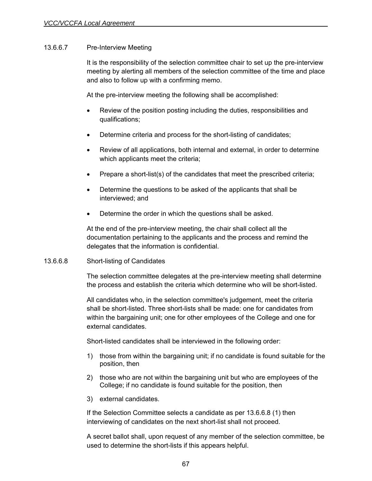#### 13.6.6.7 Pre-Interview Meeting

It is the responsibility of the selection committee chair to set up the pre-interview meeting by alerting all members of the selection committee of the time and place and also to follow up with a confirming memo.

At the pre-interview meeting the following shall be accomplished:

- Review of the position posting including the duties, responsibilities and qualifications;
- Determine criteria and process for the short-listing of candidates;
- Review of all applications, both internal and external, in order to determine which applicants meet the criteria;
- Prepare a short-list(s) of the candidates that meet the prescribed criteria;
- Determine the questions to be asked of the applicants that shall be interviewed; and
- Determine the order in which the questions shall be asked.

At the end of the pre-interview meeting, the chair shall collect all the documentation pertaining to the applicants and the process and remind the delegates that the information is confidential.

#### 13.6.6.8 Short-listing of Candidates

The selection committee delegates at the pre-interview meeting shall determine the process and establish the criteria which determine who will be short-listed.

All candidates who, in the selection committee's judgement, meet the criteria shall be short-listed. Three short-lists shall be made: one for candidates from within the bargaining unit; one for other employees of the College and one for external candidates.

Short-listed candidates shall be interviewed in the following order:

- 1) those from within the bargaining unit; if no candidate is found suitable for the position, then
- 2) those who are not within the bargaining unit but who are employees of the College; if no candidate is found suitable for the position, then
- 3) external candidates.

If the Selection Committee selects a candidate as per 13.6.6.8 (1) then interviewing of candidates on the next short-list shall not proceed.

A secret ballot shall, upon request of any member of the selection committee, be used to determine the short-lists if this appears helpful.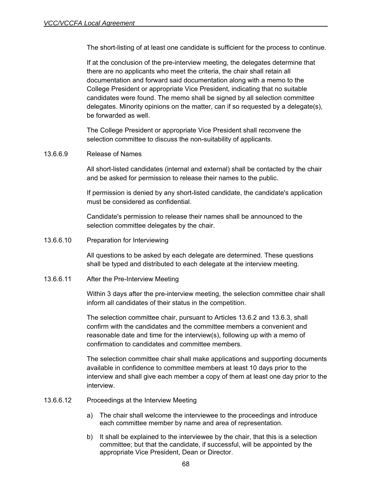The short-listing of at least one candidate is sufficient for the process to continue.

If at the conclusion of the pre-interview meeting, the delegates determine that there are no applicants who meet the criteria, the chair shall retain all documentation and forward said documentation along with a memo to the College President or appropriate Vice President, indicating that no suitable candidates were found. The memo shall be signed by all selection committee delegates. Minority opinions on the matter, can if so requested by a delegate(s), be forwarded as well.

The College President or appropriate Vice President shall reconvene the selection committee to discuss the non-suitability of applicants.

#### 13.6.6.9 Release of Names

All short-listed candidates (internal and external) shall be contacted by the chair and be asked for permission to release their names to the public.

If permission is denied by any short-listed candidate, the candidate's application must be considered as confidential.

Candidate's permission to release their names shall be announced to the selection committee delegates by the chair.

13.6.6.10 Preparation for Interviewing

All questions to be asked by each delegate are determined. These questions shall be typed and distributed to each delegate at the interview meeting.

13.6.6.11 After the Pre-Interview Meeting

Within 3 days after the pre-interview meeting, the selection committee chair shall inform all candidates of their status in the competition.

The selection committee chair, pursuant to Articles 13.6.2 and 13.6.3, shall confirm with the candidates and the committee members a convenient and reasonable date and time for the interview(s), following up with a memo of confirmation to candidates and committee members.

The selection committee chair shall make applications and supporting documents available in confidence to committee members at least 10 days prior to the interview and shall give each member a copy of them at least one day prior to the interview.

- 13.6.6.12 Proceedings at the Interview Meeting
	- a) The chair shall welcome the interviewee to the proceedings and introduce each committee member by name and area of representation.
	- b) It shall be explained to the interviewee by the chair, that this is a selection committee; but that the candidate, if successful, will be appointed by the appropriate Vice President, Dean or Director.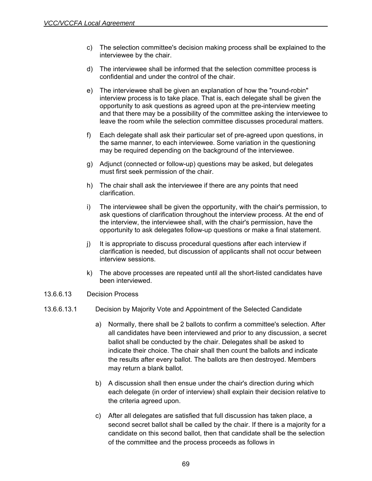- c) The selection committee's decision making process shall be explained to the interviewee by the chair.
- d) The interviewee shall be informed that the selection committee process is confidential and under the control of the chair.
- e) The interviewee shall be given an explanation of how the "round-robin" interview process is to take place. That is, each delegate shall be given the opportunity to ask questions as agreed upon at the pre-interview meeting and that there may be a possibility of the committee asking the interviewee to leave the room while the selection committee discusses procedural matters.
- f) Each delegate shall ask their particular set of pre-agreed upon questions, in the same manner, to each interviewee. Some variation in the questioning may be required depending on the background of the interviewee.
- g) Adjunct (connected or follow-up) questions may be asked, but delegates must first seek permission of the chair.
- h) The chair shall ask the interviewee if there are any points that need clarification.
- i) The interviewee shall be given the opportunity, with the chair's permission, to ask questions of clarification throughout the interview process. At the end of the interview, the interviewee shall, with the chair's permission, have the opportunity to ask delegates follow-up questions or make a final statement.
- j) It is appropriate to discuss procedural questions after each interview if clarification is needed, but discussion of applicants shall not occur between interview sessions.
- k) The above processes are repeated until all the short-listed candidates have been interviewed.
- 13.6.6.13 Decision Process
- 13.6.6.13.1 Decision by Majority Vote and Appointment of the Selected Candidate
	- a) Normally, there shall be 2 ballots to confirm a committee's selection. After all candidates have been interviewed and prior to any discussion, a secret ballot shall be conducted by the chair. Delegates shall be asked to indicate their choice. The chair shall then count the ballots and indicate the results after every ballot. The ballots are then destroyed. Members may return a blank ballot.
	- b) A discussion shall then ensue under the chair's direction during which each delegate (in order of interview) shall explain their decision relative to the criteria agreed upon.
	- c) After all delegates are satisfied that full discussion has taken place, a second secret ballot shall be called by the chair. If there is a majority for a candidate on this second ballot, then that candidate shall be the selection of the committee and the process proceeds as follows in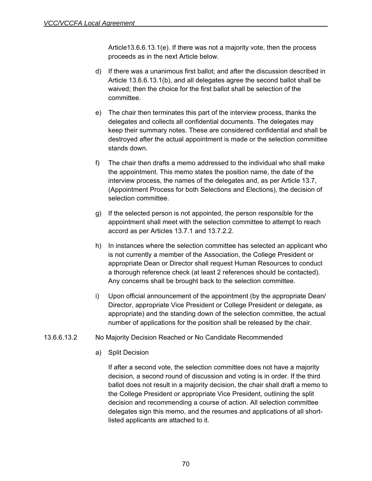Article13.6.6.13.1(e). If there was not a majority vote, then the process proceeds as in the next Article below.

- d) If there was a unanimous first ballot; and after the discussion described in Article 13.6.6.13.1(b), and all delegates agree the second ballot shall be waived; then the choice for the first ballot shall be selection of the committee.
- e) The chair then terminates this part of the interview process, thanks the delegates and collects all confidential documents. The delegates may keep their summary notes. These are considered confidential and shall be destroyed after the actual appointment is made or the selection committee stands down.
- f) The chair then drafts a memo addressed to the individual who shall make the appointment. This memo states the position name, the date of the interview process, the names of the delegates and, as per Article 13.7, (Appointment Process for both Selections and Elections), the decision of selection committee.
- g) If the selected person is not appointed, the person responsible for the appointment shall meet with the selection committee to attempt to reach accord as per Articles 13.7.1 and 13.7.2.2.
- h) In instances where the selection committee has selected an applicant who is not currently a member of the Association, the College President or appropriate Dean or Director shall request Human Resources to conduct a thorough reference check (at least 2 references should be contacted). Any concerns shall be brought back to the selection committee.
- i) Upon official announcement of the appointment (by the appropriate Dean/ Director, appropriate Vice President or College President or delegate, as appropriate) and the standing down of the selection committee, the actual number of applications for the position shall be released by the chair.
- 13.6.6.13.2 No Majority Decision Reached or No Candidate Recommended
	- a) Split Decision

If after a second vote, the selection committee does not have a majority decision, a second round of discussion and voting is in order. If the third ballot does not result in a majority decision, the chair shall draft a memo to the College President or appropriate Vice President, outlining the split decision and recommending a course of action. All selection committee delegates sign this memo, and the resumes and applications of all shortlisted applicants are attached to it.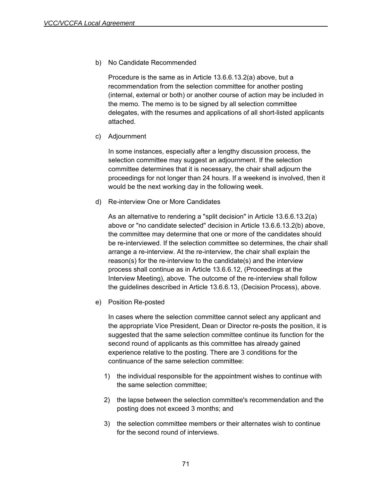b) No Candidate Recommended

Procedure is the same as in Article 13.6.6.13.2(a) above, but a recommendation from the selection committee for another posting (internal, external or both) or another course of action may be included in the memo. The memo is to be signed by all selection committee delegates, with the resumes and applications of all short-listed applicants attached.

c) Adjournment

In some instances, especially after a lengthy discussion process, the selection committee may suggest an adjournment. If the selection committee determines that it is necessary, the chair shall adjourn the proceedings for not longer than 24 hours. If a weekend is involved, then it would be the next working day in the following week.

d) Re-interview One or More Candidates

As an alternative to rendering a "split decision" in Article 13.6.6.13.2(a) above or "no candidate selected" decision in Article 13.6.6.13.2(b) above, the committee may determine that one or more of the candidates should be re-interviewed. If the selection committee so determines, the chair shall arrange a re-interview. At the re-interview, the chair shall explain the reason(s) for the re-interview to the candidate(s) and the interview process shall continue as in Article 13.6.6.12, (Proceedings at the Interview Meeting), above. The outcome of the re-interview shall follow the guidelines described in Article 13.6.6.13, (Decision Process), above.

e) Position Re-posted

In cases where the selection committee cannot select any applicant and the appropriate Vice President, Dean or Director re-posts the position, it is suggested that the same selection committee continue its function for the second round of applicants as this committee has already gained experience relative to the posting. There are 3 conditions for the continuance of the same selection committee:

- 1) the individual responsible for the appointment wishes to continue with the same selection committee;
- 2) the lapse between the selection committee's recommendation and the posting does not exceed 3 months; and
- 3) the selection committee members or their alternates wish to continue for the second round of interviews.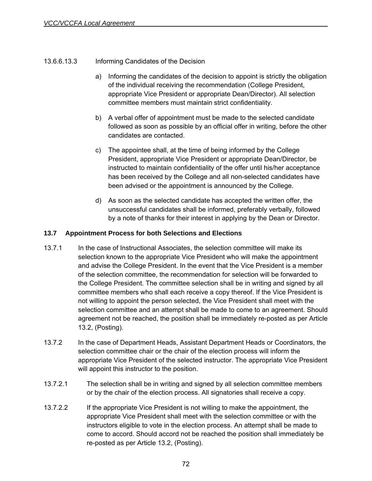- 13.6.6.13.3 Informing Candidates of the Decision
	- a) Informing the candidates of the decision to appoint is strictly the obligation of the individual receiving the recommendation (College President, appropriate Vice President or appropriate Dean/Director). All selection committee members must maintain strict confidentiality.
	- b) A verbal offer of appointment must be made to the selected candidate followed as soon as possible by an official offer in writing, before the other candidates are contacted.
	- c) The appointee shall, at the time of being informed by the College President, appropriate Vice President or appropriate Dean/Director, be instructed to maintain confidentiality of the offer until his/her acceptance has been received by the College and all non-selected candidates have been advised or the appointment is announced by the College.
	- d) As soon as the selected candidate has accepted the written offer, the unsuccessful candidates shall be informed, preferably verbally, followed by a note of thanks for their interest in applying by the Dean or Director.

### **13.7 Appointment Process for both Selections and Elections**

- 13.7.1 In the case of Instructional Associates, the selection committee will make its selection known to the appropriate Vice President who will make the appointment and advise the College President. In the event that the Vice President is a member of the selection committee, the recommendation for selection will be forwarded to the College President. The committee selection shall be in writing and signed by all committee members who shall each receive a copy thereof. If the Vice President is not willing to appoint the person selected, the Vice President shall meet with the selection committee and an attempt shall be made to come to an agreement. Should agreement not be reached, the position shall be immediately re-posted as per Article 13.2, (Posting).
- 13.7.2 In the case of Department Heads, Assistant Department Heads or Coordinators, the selection committee chair or the chair of the election process will inform the appropriate Vice President of the selected instructor. The appropriate Vice President will appoint this instructor to the position.
- 13.7.2.1 The selection shall be in writing and signed by all selection committee members or by the chair of the election process. All signatories shall receive a copy.
- 13.7.2.2 If the appropriate Vice President is not willing to make the appointment, the appropriate Vice President shall meet with the selection committee or with the instructors eligible to vote in the election process. An attempt shall be made to come to accord. Should accord not be reached the position shall immediately be re-posted as per Article 13.2, (Posting).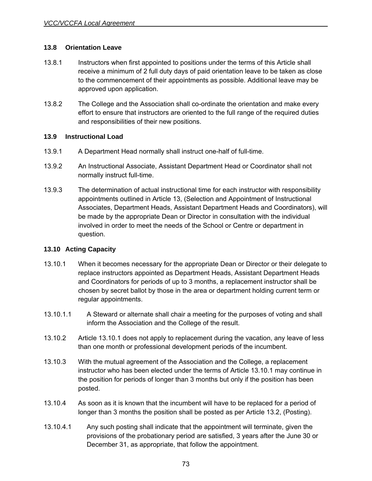#### **13.8 Orientation Leave**

- 13.8.1 Instructors when first appointed to positions under the terms of this Article shall receive a minimum of 2 full duty days of paid orientation leave to be taken as close to the commencement of their appointments as possible. Additional leave may be approved upon application.
- 13.8.2 The College and the Association shall co-ordinate the orientation and make every effort to ensure that instructors are oriented to the full range of the required duties and responsibilities of their new positions.

#### **13.9 Instructional Load**

- 13.9.1 A Department Head normally shall instruct one-half of full-time.
- 13.9.2 An Instructional Associate, Assistant Department Head or Coordinator shall not normally instruct full-time.
- 13.9.3 The determination of actual instructional time for each instructor with responsibility appointments outlined in Article 13, (Selection and Appointment of Instructional Associates, Department Heads, Assistant Department Heads and Coordinators), will be made by the appropriate Dean or Director in consultation with the individual involved in order to meet the needs of the School or Centre or department in question.

## **13.10 Acting Capacity**

- 13.10.1 When it becomes necessary for the appropriate Dean or Director or their delegate to replace instructors appointed as Department Heads, Assistant Department Heads and Coordinators for periods of up to 3 months, a replacement instructor shall be chosen by secret ballot by those in the area or department holding current term or regular appointments.
- 13.10.1.1 A Steward or alternate shall chair a meeting for the purposes of voting and shall inform the Association and the College of the result.
- 13.10.2 Article 13.10.1 does not apply to replacement during the vacation, any leave of less than one month or professional development periods of the incumbent.
- 13.10.3 With the mutual agreement of the Association and the College, a replacement instructor who has been elected under the terms of Article 13.10.1 may continue in the position for periods of longer than 3 months but only if the position has been posted.
- 13.10.4 As soon as it is known that the incumbent will have to be replaced for a period of longer than 3 months the position shall be posted as per Article 13.2, (Posting).
- 13.10.4.1 Any such posting shall indicate that the appointment will terminate, given the provisions of the probationary period are satisfied, 3 years after the June 30 or December 31, as appropriate, that follow the appointment.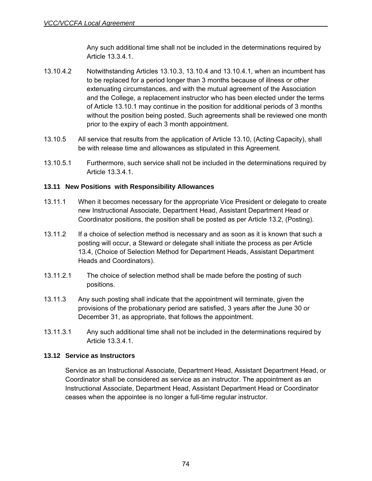Any such additional time shall not be included in the determinations required by Article 13.3.4.1.

- 13.10.4.2 Notwithstanding Articles 13.10.3, 13.10.4 and 13.10.4.1, when an incumbent has to be replaced for a period longer than 3 months because of illness or other extenuating circumstances, and with the mutual agreement of the Association and the College, a replacement instructor who has been elected under the terms of Article 13.10.1 may continue in the position for additional periods of 3 months without the position being posted. Such agreements shall be reviewed one month prior to the expiry of each 3 month appointment.
- 13.10.5 All service that results from the application of Article 13.10, (Acting Capacity), shall be with release time and allowances as stipulated in this Agreement.
- 13.10.5.1 Furthermore, such service shall not be included in the determinations required by Article 13.3.4.1.

## **13.11 New Positions with Responsibility Allowances**

- 13.11.1 When it becomes necessary for the appropriate Vice President or delegate to create new Instructional Associate, Department Head, Assistant Department Head or Coordinator positions, the position shall be posted as per Article 13.2, (Posting).
- 13.11.2 If a choice of selection method is necessary and as soon as it is known that such a posting will occur, a Steward or delegate shall initiate the process as per Article 13.4, (Choice of Selection Method for Department Heads, Assistant Department Heads and Coordinators).
- 13.11.2.1 The choice of selection method shall be made before the posting of such positions.
- 13.11.3 Any such posting shall indicate that the appointment will terminate, given the provisions of the probationary period are satisfied, 3 years after the June 30 or December 31, as appropriate, that follows the appointment.
- 13.11.3.1 Any such additional time shall not be included in the determinations required by Article 13.3.4.1.

## **13.12 Service as Instructors**

Service as an Instructional Associate, Department Head, Assistant Department Head, or Coordinator shall be considered as service as an instructor. The appointment as an Instructional Associate, Department Head, Assistant Department Head or Coordinator ceases when the appointee is no longer a full-time regular instructor.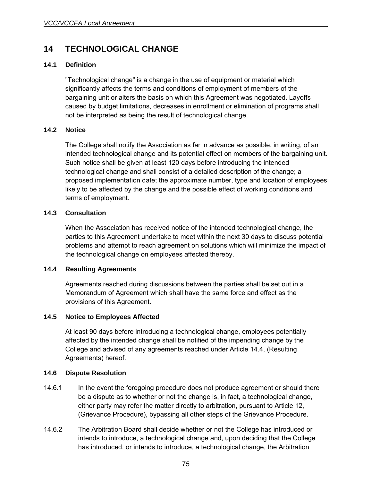# **14 TECHNOLOGICAL CHANGE**

## **14.1 Definition**

"Technological change" is a change in the use of equipment or material which significantly affects the terms and conditions of employment of members of the bargaining unit or alters the basis on which this Agreement was negotiated. Layoffs caused by budget limitations, decreases in enrollment or elimination of programs shall not be interpreted as being the result of technological change.

## **14.2 Notice**

The College shall notify the Association as far in advance as possible, in writing, of an intended technological change and its potential effect on members of the bargaining unit. Such notice shall be given at least 120 days before introducing the intended technological change and shall consist of a detailed description of the change; a proposed implementation date; the approximate number, type and location of employees likely to be affected by the change and the possible effect of working conditions and terms of employment.

## **14.3 Consultation**

When the Association has received notice of the intended technological change, the parties to this Agreement undertake to meet within the next 30 days to discuss potential problems and attempt to reach agreement on solutions which will minimize the impact of the technological change on employees affected thereby.

## **14.4 Resulting Agreements**

Agreements reached during discussions between the parties shall be set out in a Memorandum of Agreement which shall have the same force and effect as the provisions of this Agreement.

## **14.5 Notice to Employees Affected**

At least 90 days before introducing a technological change, employees potentially affected by the intended change shall be notified of the impending change by the College and advised of any agreements reached under Article 14.4, (Resulting Agreements) hereof.

## **14.6 Dispute Resolution**

- 14.6.1 In the event the foregoing procedure does not produce agreement or should there be a dispute as to whether or not the change is, in fact, a technological change, either party may refer the matter directly to arbitration, pursuant to Article 12, (Grievance Procedure), bypassing all other steps of the Grievance Procedure.
- 14.6.2 The Arbitration Board shall decide whether or not the College has introduced or intends to introduce, a technological change and, upon deciding that the College has introduced, or intends to introduce, a technological change, the Arbitration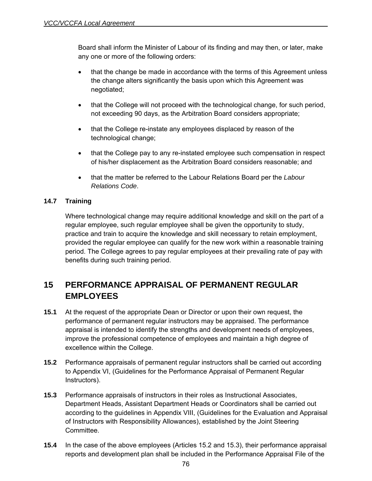Board shall inform the Minister of Labour of its finding and may then, or later, make any one or more of the following orders:

- that the change be made in accordance with the terms of this Agreement unless the change alters significantly the basis upon which this Agreement was negotiated;
- that the College will not proceed with the technological change, for such period, not exceeding 90 days, as the Arbitration Board considers appropriate;
- that the College re-instate any employees displaced by reason of the technological change;
- that the College pay to any re-instated employee such compensation in respect of his/her displacement as the Arbitration Board considers reasonable; and
- that the matter be referred to the Labour Relations Board per the *Labour Relations Code*.

## **14.7 Training**

Where technological change may require additional knowledge and skill on the part of a regular employee, such regular employee shall be given the opportunity to study, practice and train to acquire the knowledge and skill necessary to retain employment, provided the regular employee can qualify for the new work within a reasonable training period. The College agrees to pay regular employees at their prevailing rate of pay with benefits during such training period.

# **15 PERFORMANCE APPRAISAL OF PERMANENT REGULAR EMPLOYEES**

- **15.1** At the request of the appropriate Dean or Director or upon their own request, the performance of permanent regular instructors may be appraised. The performance appraisal is intended to identify the strengths and development needs of employees, improve the professional competence of employees and maintain a high degree of excellence within the College.
- **15.2** Performance appraisals of permanent regular instructors shall be carried out according to Appendix VI, (Guidelines for the Performance Appraisal of Permanent Regular Instructors).
- **15.3** Performance appraisals of instructors in their roles as Instructional Associates, Department Heads, Assistant Department Heads or Coordinators shall be carried out according to the guidelines in Appendix VIII, (Guidelines for the Evaluation and Appraisal of Instructors with Responsibility Allowances), established by the Joint Steering Committee.
- **15.4** In the case of the above employees (Articles 15.2 and 15.3), their performance appraisal reports and development plan shall be included in the Performance Appraisal File of the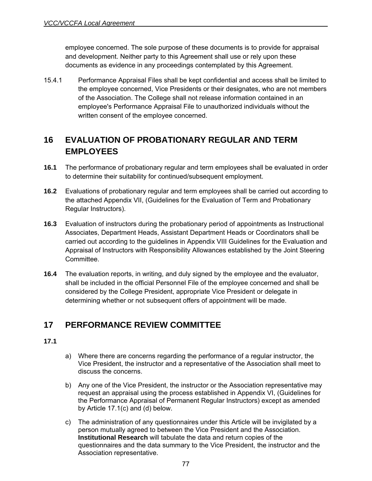employee concerned. The sole purpose of these documents is to provide for appraisal and development. Neither party to this Agreement shall use or rely upon these documents as evidence in any proceedings contemplated by this Agreement.

15.4.1 Performance Appraisal Files shall be kept confidential and access shall be limited to the employee concerned, Vice Presidents or their designates, who are not members of the Association. The College shall not release information contained in an employee's Performance Appraisal File to unauthorized individuals without the written consent of the employee concerned.

# **16 EVALUATION OF PROBATIONARY REGULAR AND TERM EMPLOYEES**

- **16.1** The performance of probationary regular and term employees shall be evaluated in order to determine their suitability for continued/subsequent employment.
- **16.2** Evaluations of probationary regular and term employees shall be carried out according to the attached Appendix VII, (Guidelines for the Evaluation of Term and Probationary Regular Instructors).
- **16.3** Evaluation of instructors during the probationary period of appointments as Instructional Associates, Department Heads, Assistant Department Heads or Coordinators shall be carried out according to the guidelines in Appendix VIII Guidelines for the Evaluation and Appraisal of Instructors with Responsibility Allowances established by the Joint Steering Committee.
- **16.4** The evaluation reports, in writing, and duly signed by the employee and the evaluator, shall be included in the official Personnel File of the employee concerned and shall be considered by the College President, appropriate Vice President or delegate in determining whether or not subsequent offers of appointment will be made.

# **17 PERFORMANCE REVIEW COMMITTEE**

## **17.1**

- a) Where there are concerns regarding the performance of a regular instructor, the Vice President, the instructor and a representative of the Association shall meet to discuss the concerns.
- b) Any one of the Vice President, the instructor or the Association representative may request an appraisal using the process established in Appendix VI, (Guidelines for the Performance Appraisal of Permanent Regular Instructors) except as amended by Article 17.1(c) and (d) below.
- c) The administration of any questionnaires under this Article will be invigilated by a person mutually agreed to between the Vice President and the Association. **Institutional Research** will tabulate the data and return copies of the questionnaires and the data summary to the Vice President, the instructor and the Association representative.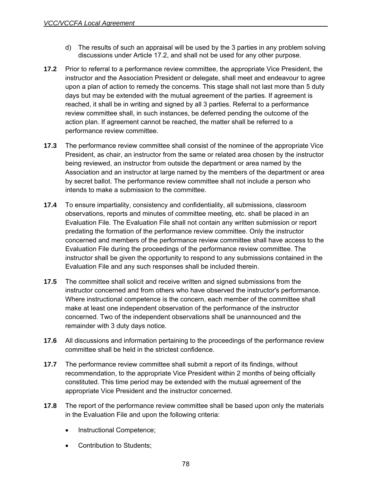- d) The results of such an appraisal will be used by the 3 parties in any problem solving discussions under Article 17.2, and shall not be used for any other purpose.
- **17.2** Prior to referral to a performance review committee, the appropriate Vice President, the instructor and the Association President or delegate, shall meet and endeavour to agree upon a plan of action to remedy the concerns. This stage shall not last more than 5 duty days but may be extended with the mutual agreement of the parties. If agreement is reached, it shall be in writing and signed by all 3 parties. Referral to a performance review committee shall, in such instances, be deferred pending the outcome of the action plan. If agreement cannot be reached, the matter shall be referred to a performance review committee.
- **17.3** The performance review committee shall consist of the nominee of the appropriate Vice President, as chair, an instructor from the same or related area chosen by the instructor being reviewed, an instructor from outside the department or area named by the Association and an instructor at large named by the members of the department or area by secret ballot. The performance review committee shall not include a person who intends to make a submission to the committee.
- **17.4** To ensure impartiality, consistency and confidentiality, all submissions, classroom observations, reports and minutes of committee meeting, etc. shall be placed in an Evaluation File. The Evaluation File shall not contain any written submission or report predating the formation of the performance review committee. Only the instructor concerned and members of the performance review committee shall have access to the Evaluation File during the proceedings of the performance review committee. The instructor shall be given the opportunity to respond to any submissions contained in the Evaluation File and any such responses shall be included therein.
- **17.5** The committee shall solicit and receive written and signed submissions from the instructor concerned and from others who have observed the instructor's performance. Where instructional competence is the concern, each member of the committee shall make at least one independent observation of the performance of the instructor concerned. Two of the independent observations shall be unannounced and the remainder with 3 duty days notice.
- **17.6** All discussions and information pertaining to the proceedings of the performance review committee shall be held in the strictest confidence.
- **17.7** The performance review committee shall submit a report of its findings, without recommendation, to the appropriate Vice President within 2 months of being officially constituted. This time period may be extended with the mutual agreement of the appropriate Vice President and the instructor concerned.
- **17.8** The report of the performance review committee shall be based upon only the materials in the Evaluation File and upon the following criteria:
	- Instructional Competence;
	- Contribution to Students;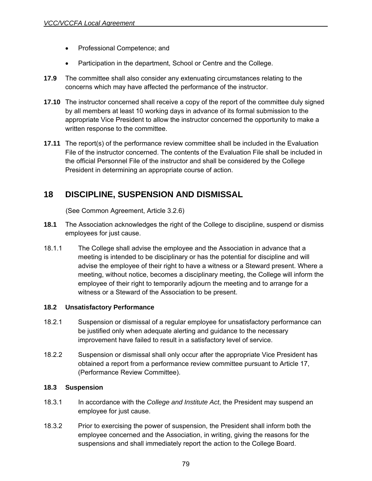- Professional Competence; and
- Participation in the department, School or Centre and the College.
- **17.9** The committee shall also consider any extenuating circumstances relating to the concerns which may have affected the performance of the instructor.
- **17.10** The instructor concerned shall receive a copy of the report of the committee duly signed by all members at least 10 working days in advance of its formal submission to the appropriate Vice President to allow the instructor concerned the opportunity to make a written response to the committee.
- **17.11** The report(s) of the performance review committee shall be included in the Evaluation File of the instructor concerned. The contents of the Evaluation File shall be included in the official Personnel File of the instructor and shall be considered by the College President in determining an appropriate course of action.

# **18 DISCIPLINE, SUSPENSION AND DISMISSAL**

(See Common Agreement, Article 3.2.6)

- **18.1** The Association acknowledges the right of the College to discipline, suspend or dismiss employees for just cause.
- 18.1.1 The College shall advise the employee and the Association in advance that a meeting is intended to be disciplinary or has the potential for discipline and will advise the employee of their right to have a witness or a Steward present. Where a meeting, without notice, becomes a disciplinary meeting, the College will inform the employee of their right to temporarily adjourn the meeting and to arrange for a witness or a Steward of the Association to be present.

## **18.2 Unsatisfactory Performance**

- 18.2.1 Suspension or dismissal of a regular employee for unsatisfactory performance can be justified only when adequate alerting and guidance to the necessary improvement have failed to result in a satisfactory level of service.
- 18.2.2 Suspension or dismissal shall only occur after the appropriate Vice President has obtained a report from a performance review committee pursuant to Article 17, (Performance Review Committee).

## **18.3 Suspension**

- 18.3.1 In accordance with the *College and Institute Act*, the President may suspend an employee for just cause.
- 18.3.2 Prior to exercising the power of suspension, the President shall inform both the employee concerned and the Association, in writing, giving the reasons for the suspensions and shall immediately report the action to the College Board.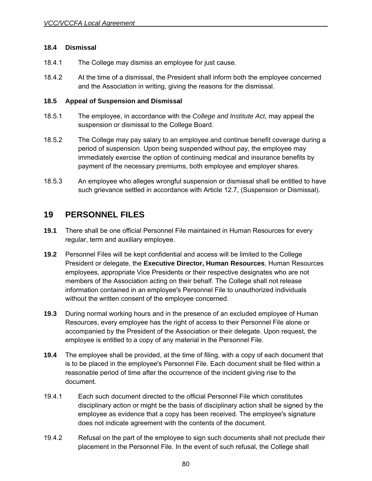#### **18.4 Dismissal**

- 18.4.1 The College may dismiss an employee for just cause.
- 18.4.2 At the time of a dismissal, the President shall inform both the employee concerned and the Association in writing, giving the reasons for the dismissal.

#### **18.5 Appeal of Suspension and Dismissal**

- 18.5.1 The employee, in accordance with the *College and Institute Act*, may appeal the suspension or dismissal to the College Board.
- 18.5.2 The College may pay salary to an employee and continue benefit coverage during a period of suspension. Upon being suspended without pay, the employee may immediately exercise the option of continuing medical and insurance benefits by payment of the necessary premiums, both employee and employer shares.
- 18.5.3 An employee who alleges wrongful suspension or dismissal shall be entitled to have such grievance settled in accordance with Article 12.7, (Suspension or Dismissal).

## **19 PERSONNEL FILES**

- **19.1** There shall be one official Personnel File maintained in Human Resources for every regular, term and auxiliary employee.
- **19.2** Personnel Files will be kept confidential and access will be limited to the College President or delegate, the **Executive Director, Human Resources**, Human Resources employees, appropriate Vice Presidents or their respective designates who are not members of the Association acting on their behalf. The College shall not release information contained in an employee's Personnel File to unauthorized individuals without the written consent of the employee concerned.
- **19.3** During normal working hours and in the presence of an excluded employee of Human Resources, every employee has the right of access to their Personnel File alone or accompanied by the President of the Association or their delegate. Upon request, the employee is entitled to a copy of any material in the Personnel File.
- **19.4** The employee shall be provided, at the time of filing, with a copy of each document that is to be placed in the employee's Personnel File. Each document shall be filed within a reasonable period of time after the occurrence of the incident giving rise to the document.
- 19.4.1 Each such document directed to the official Personnel File which constitutes disciplinary action or might be the basis of disciplinary action shall be signed by the employee as evidence that a copy has been received. The employee's signature does not indicate agreement with the contents of the document.
- 19.4.2 Refusal on the part of the employee to sign such documents shall not preclude their placement in the Personnel File. In the event of such refusal, the College shall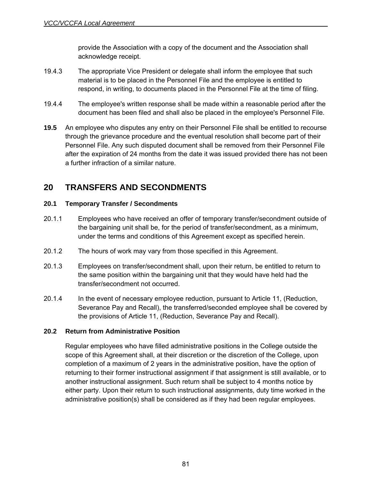provide the Association with a copy of the document and the Association shall acknowledge receipt.

- 19.4.3 The appropriate Vice President or delegate shall inform the employee that such material is to be placed in the Personnel File and the employee is entitled to respond, in writing, to documents placed in the Personnel File at the time of filing.
- 19.4.4 The employee's written response shall be made within a reasonable period after the document has been filed and shall also be placed in the employee's Personnel File.
- **19.5** An employee who disputes any entry on their Personnel File shall be entitled to recourse through the grievance procedure and the eventual resolution shall become part of their Personnel File. Any such disputed document shall be removed from their Personnel File after the expiration of 24 months from the date it was issued provided there has not been a further infraction of a similar nature.

## **20 TRANSFERS AND SECONDMENTS**

## **20.1 Temporary Transfer / Secondments**

- 20.1.1 Employees who have received an offer of temporary transfer/secondment outside of the bargaining unit shall be, for the period of transfer/secondment, as a minimum, under the terms and conditions of this Agreement except as specified herein.
- 20.1.2 The hours of work may vary from those specified in this Agreement.
- 20.1.3 Employees on transfer/secondment shall, upon their return, be entitled to return to the same position within the bargaining unit that they would have held had the transfer/secondment not occurred.
- 20.1.4 In the event of necessary employee reduction, pursuant to Article 11, (Reduction, Severance Pay and Recall), the transferred/seconded employee shall be covered by the provisions of Article 11, (Reduction, Severance Pay and Recall).

#### **20.2 Return from Administrative Position**

Regular employees who have filled administrative positions in the College outside the scope of this Agreement shall, at their discretion or the discretion of the College, upon completion of a maximum of 2 years in the administrative position, have the option of returning to their former instructional assignment if that assignment is still available, or to another instructional assignment. Such return shall be subject to 4 months notice by either party. Upon their return to such instructional assignments, duty time worked in the administrative position(s) shall be considered as if they had been regular employees.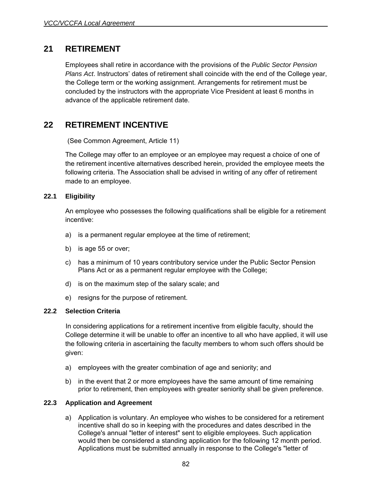## **21 RETIREMENT**

Employees shall retire in accordance with the provisions of the *Public Sector Pension Plans Act*. Instructors' dates of retirement shall coincide with the end of the College year, the College term or the working assignment. Arrangements for retirement must be concluded by the instructors with the appropriate Vice President at least 6 months in advance of the applicable retirement date.

## **22 RETIREMENT INCENTIVE**

(See Common Agreement, Article 11)

The College may offer to an employee or an employee may request a choice of one of the retirement incentive alternatives described herein, provided the employee meets the following criteria. The Association shall be advised in writing of any offer of retirement made to an employee.

### **22.1 Eligibility**

An employee who possesses the following qualifications shall be eligible for a retirement incentive:

- a) is a permanent regular employee at the time of retirement;
- b) is age 55 or over;
- c) has a minimum of 10 years contributory service under the Public Sector Pension Plans Act or as a permanent regular employee with the College;
- d) is on the maximum step of the salary scale; and
- e) resigns for the purpose of retirement.

#### **22.2 Selection Criteria**

 In considering applications for a retirement incentive from eligible faculty, should the College determine it will be unable to offer an incentive to all who have applied, it will use the following criteria in ascertaining the faculty members to whom such offers should be given:

- a) employees with the greater combination of age and seniority; and
- b) in the event that 2 or more employees have the same amount of time remaining prior to retirement, then employees with greater seniority shall be given preference.

#### **22.3 Application and Agreement**

a) Application is voluntary. An employee who wishes to be considered for a retirement incentive shall do so in keeping with the procedures and dates described in the College's annual "letter of interest" sent to eligible employees. Such application would then be considered a standing application for the following 12 month period. Applications must be submitted annually in response to the College's "letter of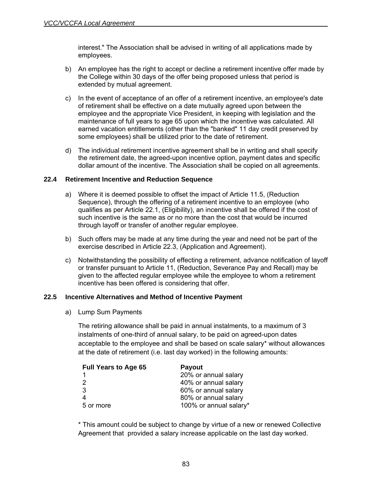interest." The Association shall be advised in writing of all applications made by employees.

- b) An employee has the right to accept or decline a retirement incentive offer made by the College within 30 days of the offer being proposed unless that period is extended by mutual agreement.
- c) In the event of acceptance of an offer of a retirement incentive, an employee's date of retirement shall be effective on a date mutually agreed upon between the employee and the appropriate Vice President, in keeping with legislation and the maintenance of full years to age 65 upon which the incentive was calculated. All earned vacation entitlements (other than the "banked" 11 day credit preserved by some employees) shall be utilized prior to the date of retirement.
- d) The individual retirement incentive agreement shall be in writing and shall specify the retirement date, the agreed-upon incentive option, payment dates and specific dollar amount of the incentive. The Association shall be copied on all agreements.

#### **22.4 Retirement Incentive and Reduction Sequence**

- a) Where it is deemed possible to offset the impact of Article 11.5, (Reduction Sequence), through the offering of a retirement incentive to an employee (who qualifies as per Article 22.1, (Eligibility), an incentive shall be offered if the cost of such incentive is the same as or no more than the cost that would be incurred through layoff or transfer of another regular employee.
- b) Such offers may be made at any time during the year and need not be part of the exercise described in Article 22.3, (Application and Agreement).
- c) Notwithstanding the possibility of effecting a retirement, advance notification of layoff or transfer pursuant to Article 11, (Reduction, Severance Pay and Recall) may be given to the affected regular employee while the employee to whom a retirement incentive has been offered is considering that offer.

#### **22.5 Incentive Alternatives and Method of Incentive Payment**

a) Lump Sum Payments

The retiring allowance shall be paid in annual instalments, to a maximum of 3 instalments of one-third of annual salary, to be paid on agreed-upon dates acceptable to the employee and shall be based on scale salary\* without allowances at the date of retirement (i.e. last day worked) in the following amounts:

| <b>Full Years to Age 65</b> | <b>Payout</b>          |
|-----------------------------|------------------------|
|                             | 20% or annual salary   |
| 2                           | 40% or annual salary   |
| 3                           | 60% or annual salary   |
| 4                           | 80% or annual salary   |
| 5 or more                   | 100% or annual salary* |

\* This amount could be subject to change by virtue of a new or renewed Collective Agreement that provided a salary increase applicable on the last day worked.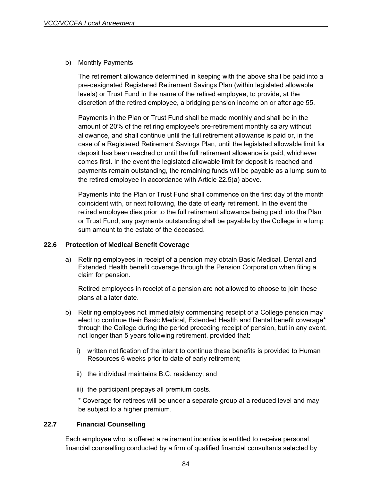b) Monthly Payments

The retirement allowance determined in keeping with the above shall be paid into a pre-designated Registered Retirement Savings Plan (within legislated allowable levels) or Trust Fund in the name of the retired employee, to provide, at the discretion of the retired employee, a bridging pension income on or after age 55.

Payments in the Plan or Trust Fund shall be made monthly and shall be in the amount of 20% of the retiring employee's pre-retirement monthly salary without allowance, and shall continue until the full retirement allowance is paid or, in the case of a Registered Retirement Savings Plan, until the legislated allowable limit for deposit has been reached or until the full retirement allowance is paid, whichever comes first. In the event the legislated allowable limit for deposit is reached and payments remain outstanding, the remaining funds will be payable as a lump sum to the retired employee in accordance with Article 22.5(a) above.

Payments into the Plan or Trust Fund shall commence on the first day of the month coincident with, or next following, the date of early retirement. In the event the retired employee dies prior to the full retirement allowance being paid into the Plan or Trust Fund, any payments outstanding shall be payable by the College in a lump sum amount to the estate of the deceased.

#### **22.6 Protection of Medical Benefit Coverage**

a) Retiring employees in receipt of a pension may obtain Basic Medical, Dental and Extended Health benefit coverage through the Pension Corporation when filing a claim for pension.

Retired employees in receipt of a pension are not allowed to choose to join these plans at a later date.

- b) Retiring employees not immediately commencing receipt of a College pension may elect to continue their Basic Medical, Extended Health and Dental benefit coverage\* through the College during the period preceding receipt of pension, but in any event, not longer than 5 years following retirement, provided that:
	- i) written notification of the intent to continue these benefits is provided to Human Resources 6 weeks prior to date of early retirement;
	- ii) the individual maintains B.C. residency; and
	- iii) the participant prepays all premium costs.

\* Coverage for retirees will be under a separate group at a reduced level and may be subject to a higher premium.

### **22.7 Financial Counselling**

Each employee who is offered a retirement incentive is entitled to receive personal financial counselling conducted by a firm of qualified financial consultants selected by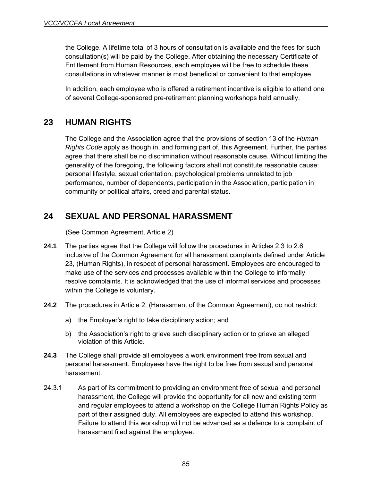the College. A lifetime total of 3 hours of consultation is available and the fees for such consultation(s) will be paid by the College. After obtaining the necessary Certificate of Entitlement from Human Resources, each employee will be free to schedule these consultations in whatever manner is most beneficial or convenient to that employee.

In addition, each employee who is offered a retirement incentive is eligible to attend one of several College-sponsored pre-retirement planning workshops held annually.

# **23 HUMAN RIGHTS**

The College and the Association agree that the provisions of section 13 of the *Human Rights Code* apply as though in, and forming part of, this Agreement. Further, the parties agree that there shall be no discrimination without reasonable cause. Without limiting the generality of the foregoing, the following factors shall not constitute reasonable cause: personal lifestyle, sexual orientation, psychological problems unrelated to job performance, number of dependents, participation in the Association, participation in community or political affairs, creed and parental status.

# **24 SEXUAL AND PERSONAL HARASSMENT**

(See Common Agreement, Article 2)

- **24.1** The parties agree that the College will follow the procedures in Articles 2.3 to 2.6 inclusive of the Common Agreement for all harassment complaints defined under Article 23, (Human Rights), in respect of personal harassment. Employees are encouraged to make use of the services and processes available within the College to informally resolve complaints. It is acknowledged that the use of informal services and processes within the College is voluntary.
- **24.2** The procedures in Article 2, (Harassment of the Common Agreement), do not restrict:
	- a) the Employer's right to take disciplinary action; and
	- b) the Association's right to grieve such disciplinary action or to grieve an alleged violation of this Article.
- **24.3** The College shall provide all employees a work environment free from sexual and personal harassment. Employees have the right to be free from sexual and personal harassment.
- 24.3.1 As part of its commitment to providing an environment free of sexual and personal harassment, the College will provide the opportunity for all new and existing term and regular employees to attend a workshop on the College Human Rights Policy as part of their assigned duty. All employees are expected to attend this workshop. Failure to attend this workshop will not be advanced as a defence to a complaint of harassment filed against the employee.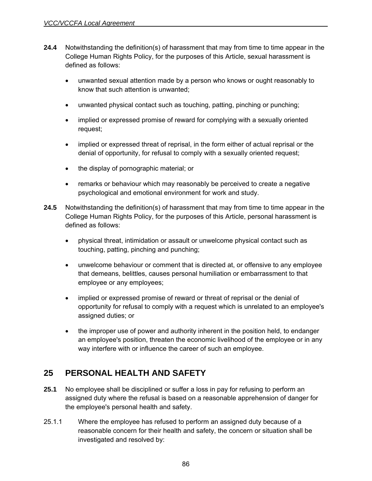- **24.4** Notwithstanding the definition(s) of harassment that may from time to time appear in the College Human Rights Policy, for the purposes of this Article, sexual harassment is defined as follows:
	- unwanted sexual attention made by a person who knows or ought reasonably to know that such attention is unwanted;
	- unwanted physical contact such as touching, patting, pinching or punching;
	- implied or expressed promise of reward for complying with a sexually oriented request;
	- implied or expressed threat of reprisal, in the form either of actual reprisal or the denial of opportunity, for refusal to comply with a sexually oriented request;
	- the display of pornographic material; or
	- remarks or behaviour which may reasonably be perceived to create a negative psychological and emotional environment for work and study.
- **24.5** Notwithstanding the definition(s) of harassment that may from time to time appear in the College Human Rights Policy, for the purposes of this Article, personal harassment is defined as follows:
	- physical threat, intimidation or assault or unwelcome physical contact such as touching, patting, pinching and punching;
	- unwelcome behaviour or comment that is directed at, or offensive to any employee that demeans, belittles, causes personal humiliation or embarrassment to that employee or any employees;
	- implied or expressed promise of reward or threat of reprisal or the denial of opportunity for refusal to comply with a request which is unrelated to an employee's assigned duties; or
	- the improper use of power and authority inherent in the position held, to endanger an employee's position, threaten the economic livelihood of the employee or in any way interfere with or influence the career of such an employee.

# **25 PERSONAL HEALTH AND SAFETY**

- **25.1** No employee shall be disciplined or suffer a loss in pay for refusing to perform an assigned duty where the refusal is based on a reasonable apprehension of danger for the employee's personal health and safety.
- 25.1.1 Where the employee has refused to perform an assigned duty because of a reasonable concern for their health and safety, the concern or situation shall be investigated and resolved by: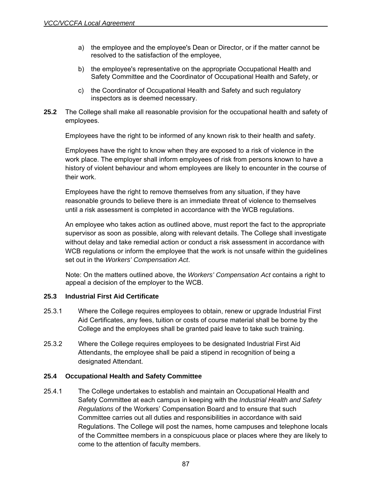- a) the employee and the employee's Dean or Director, or if the matter cannot be resolved to the satisfaction of the employee,
- b) the employee's representative on the appropriate Occupational Health and Safety Committee and the Coordinator of Occupational Health and Safety, or
- c) the Coordinator of Occupational Health and Safety and such regulatory inspectors as is deemed necessary.
- **25.2** The College shall make all reasonable provision for the occupational health and safety of employees.

Employees have the right to be informed of any known risk to their health and safety.

Employees have the right to know when they are exposed to a risk of violence in the work place. The employer shall inform employees of risk from persons known to have a history of violent behaviour and whom employees are likely to encounter in the course of their work.

Employees have the right to remove themselves from any situation, if they have reasonable grounds to believe there is an immediate threat of violence to themselves until a risk assessment is completed in accordance with the WCB regulations.

An employee who takes action as outlined above, must report the fact to the appropriate supervisor as soon as possible, along with relevant details. The College shall investigate without delay and take remedial action or conduct a risk assessment in accordance with WCB regulations or inform the employee that the work is not unsafe within the guidelines set out in the *Workers' Compensation Act*.

Note: On the matters outlined above, the *Workers' Compensation Act* contains a right to appeal a decision of the employer to the WCB.

## **25.3 Industrial First Aid Certificate**

- 25.3.1 Where the College requires employees to obtain, renew or upgrade Industrial First Aid Certificates, any fees, tuition or costs of course material shall be borne by the College and the employees shall be granted paid leave to take such training.
- 25.3.2 Where the College requires employees to be designated Industrial First Aid Attendants, the employee shall be paid a stipend in recognition of being a designated Attendant.

#### **25.4 Occupational Health and Safety Committee**

25.4.1 The College undertakes to establish and maintain an Occupational Health and Safety Committee at each campus in keeping with the *Industrial Health and Safety Regulations* of the Workers' Compensation Board and to ensure that such Committee carries out all duties and responsibilities in accordance with said Regulations. The College will post the names, home campuses and telephone locals of the Committee members in a conspicuous place or places where they are likely to come to the attention of faculty members.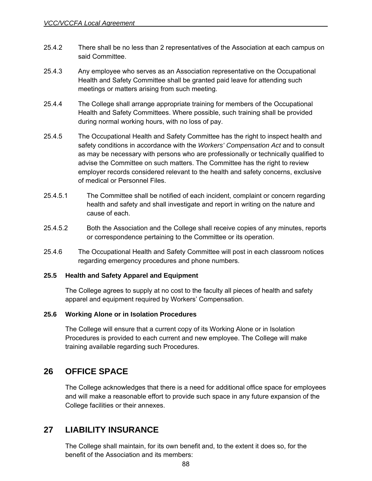- 25.4.2 There shall be no less than 2 representatives of the Association at each campus on said Committee.
- 25.4.3 Any employee who serves as an Association representative on the Occupational Health and Safety Committee shall be granted paid leave for attending such meetings or matters arising from such meeting.
- 25.4.4 The College shall arrange appropriate training for members of the Occupational Health and Safety Committees. Where possible, such training shall be provided during normal working hours, with no loss of pay.
- 25.4.5 The Occupational Health and Safety Committee has the right to inspect health and safety conditions in accordance with the *Workers' Compensation Act* and to consult as may be necessary with persons who are professionally or technically qualified to advise the Committee on such matters. The Committee has the right to review employer records considered relevant to the health and safety concerns, exclusive of medical or Personnel Files.
- 25.4.5.1 The Committee shall be notified of each incident, complaint or concern regarding health and safety and shall investigate and report in writing on the nature and cause of each.
- 25.4.5.2 Both the Association and the College shall receive copies of any minutes, reports or correspondence pertaining to the Committee or its operation.
- 25.4.6 The Occupational Health and Safety Committee will post in each classroom notices regarding emergency procedures and phone numbers.

#### **25.5 Health and Safety Apparel and Equipment**

The College agrees to supply at no cost to the faculty all pieces of health and safety apparel and equipment required by Workers' Compensation.

#### **25.6 Working Alone or in Isolation Procedures**

The College will ensure that a current copy of its Working Alone or in Isolation Procedures is provided to each current and new employee. The College will make training available regarding such Procedures.

## **26 OFFICE SPACE**

The College acknowledges that there is a need for additional office space for employees and will make a reasonable effort to provide such space in any future expansion of the College facilities or their annexes.

## **27 LIABILITY INSURANCE**

The College shall maintain, for its own benefit and, to the extent it does so, for the benefit of the Association and its members: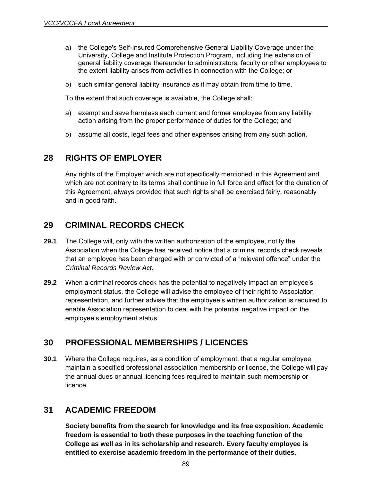- a) the College's Self-Insured Comprehensive General Liability Coverage under the University, College and Institute Protection Program, including the extension of general liability coverage thereunder to administrators, faculty or other employees to the extent liability arises from activities in connection with the College; or
- b) such similar general liability insurance as it may obtain from time to time.

To the extent that such coverage is available, the College shall:

- a) exempt and save harmless each current and former employee from any liability action arising from the proper performance of duties for the College; and
- b) assume all costs, legal fees and other expenses arising from any such action.

## **28 RIGHTS OF EMPLOYER**

Any rights of the Employer which are not specifically mentioned in this Agreement and which are not contrary to its terms shall continue in full force and effect for the duration of this Agreement, always provided that such rights shall be exercised fairly, reasonably and in good faith.

## **29 CRIMINAL RECORDS CHECK**

- **29.1** The College will, only with the written authorization of the employee, notify the Association when the College has received notice that a criminal records check reveals that an employee has been charged with or convicted of a "relevant offence" under the *Criminal Records Review Act.*
- **29.2** When a criminal records check has the potential to negatively impact an employee's employment status, the College will advise the employee of their right to Association representation, and further advise that the employee's written authorization is required to enable Association representation to deal with the potential negative impact on the employee's employment status.

## **30 PROFESSIONAL MEMBERSHIPS / LICENCES**

**30.1** Where the College requires, as a condition of employment, that a regular employee maintain a specified professional association membership or licence, the College will pay the annual dues or annual licencing fees required to maintain such membership or licence.

## **31 ACADEMIC FREEDOM**

**Society benefits from the search for knowledge and its free exposition. Academic freedom is essential to both these purposes in the teaching function of the College as well as in its scholarship and research. Every faculty employee is entitled to exercise academic freedom in the performance of their duties.**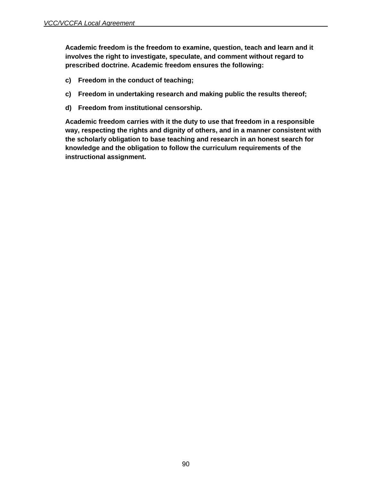**Academic freedom is the freedom to examine, question, teach and learn and it involves the right to investigate, speculate, and comment without regard to prescribed doctrine. Academic freedom ensures the following:** 

- **c) Freedom in the conduct of teaching;**
- **c) Freedom in undertaking research and making public the results thereof;**
- **d) Freedom from institutional censorship.**

**Academic freedom carries with it the duty to use that freedom in a responsible way, respecting the rights and dignity of others, and in a manner consistent with the scholarly obligation to base teaching and research in an honest search for knowledge and the obligation to follow the curriculum requirements of the instructional assignment.**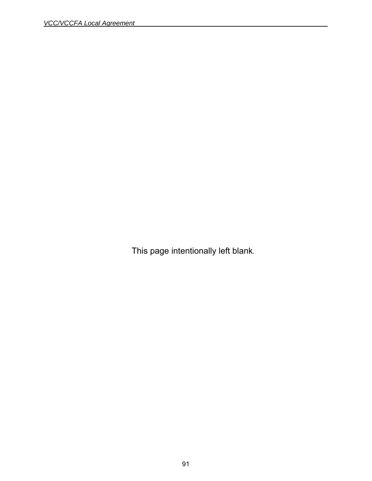This page intentionally left blank.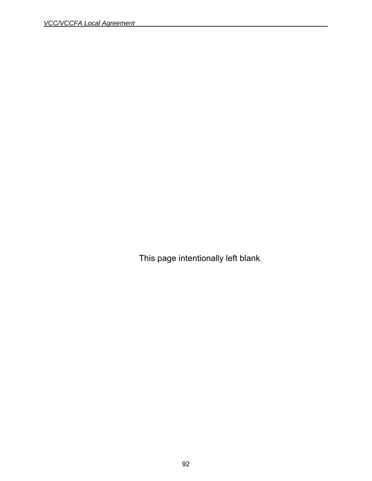This page intentionally left blank.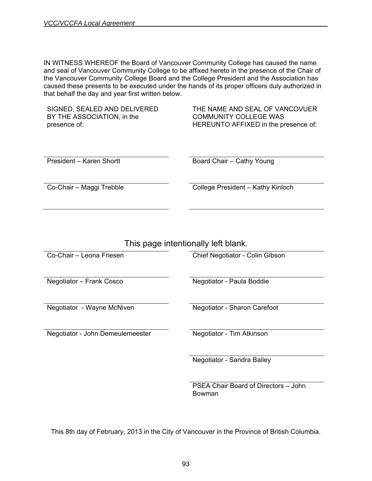IN WITNESS WHEREOF the Board of Vancouver Community College has caused the name and seal of Vancouver Community College to be affixed hereto in the presence of the Chair of the Vancouver Community College Board and the College President and the Association has caused these presents to be executed under the hands of its proper officers duly authorized in that behalf the day and year first written below.

| SIGNED, SEALED AND DELIVERED<br>BY THE ASSOCIATION, in the<br>presence of: | THE NAME AND SEAL OF VANCOVUER<br><b>COMMUNITY COLLEGE WAS</b><br>HEREUNTO AFFIXED in the presence of: |
|----------------------------------------------------------------------------|--------------------------------------------------------------------------------------------------------|
| President - Karen Shortt                                                   | Board Chair - Cathy Young                                                                              |
| Co-Chair - Maggi Trebble                                                   | College President - Kathy Kinloch                                                                      |
|                                                                            |                                                                                                        |

This page intentionally left blank.

| Co-Chair - Leona Friesen         | Chief Negotiator - Colin Gibson |  |  |
|----------------------------------|---------------------------------|--|--|
| Negotiator - Frank Cosco         | Negotiator - Paula Boddie       |  |  |
| Negotiator - Wayne McNiven       | Negotiator - Sharon Carefoot    |  |  |
| Negotiator - John Demeulemeester | Negotiator - Tim Atkinson       |  |  |
|                                  | Negotiator - Sandra Bailey      |  |  |
|                                  |                                 |  |  |

This 8th day of February, 2013 in the City of Vancouver in the Province of British Columbia.

Bowman

PSEA Chair Board of Directors – John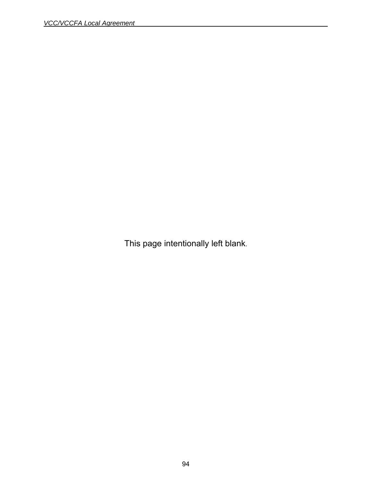This page intentionally left blank.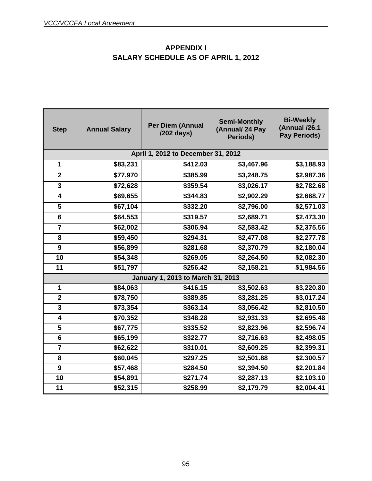## **APPENDIX I SALARY SCHEDULE AS OF APRIL 1, 2012**

| <b>Step</b>             | <b>Annual Salary</b> | <b>Per Diem (Annual</b><br>/202 days) | <b>Semi-Monthly</b><br>(Annual/ 24 Pay<br>Periods) | <b>Bi-Weekly</b><br><b>(Annual /26.1</b><br><b>Pay Periods)</b> |
|-------------------------|----------------------|---------------------------------------|----------------------------------------------------|-----------------------------------------------------------------|
|                         |                      | April 1, 2012 to December 31, 2012    |                                                    |                                                                 |
| 1                       | \$83,231             | \$412.03                              | \$3,467.96                                         | \$3,188.93                                                      |
| $\overline{2}$          | \$77,970             | \$385.99                              | \$3,248.75                                         | \$2,987.36                                                      |
| 3                       | \$72,628             | \$359.54                              | \$3,026.17                                         | \$2,782.68                                                      |
| 4                       | \$69,655             | \$344.83                              | \$2,902.29                                         | \$2,668.77                                                      |
| 5                       | \$67,104             | \$332.20                              | \$2,796.00                                         | \$2,571.03                                                      |
| 6                       | \$64,553             | \$319.57                              | \$2,689.71                                         | \$2,473.30                                                      |
| $\overline{\mathbf{7}}$ | \$62,002             | \$306.94                              | \$2,583.42                                         | \$2,375.56                                                      |
| 8                       | \$59,450             | \$294.31                              | \$2,477.08                                         | \$2,277.78                                                      |
| 9                       | \$56,899             | \$281.68                              | \$2,370.79                                         | \$2,180.04                                                      |
| 10                      | \$54,348             | \$269.05                              | \$2,264.50                                         | \$2,082.30                                                      |
| 11                      | \$51,797             | \$256.42                              | \$2,158.21                                         | \$1,984.56                                                      |
|                         |                      | January 1, 2013 to March 31, 2013     |                                                    |                                                                 |
| 1                       | \$84,063             | \$416.15                              | \$3,502.63                                         | \$3,220.80                                                      |
| $\overline{2}$          | \$78,750             | \$389.85                              | \$3,281.25                                         | \$3,017.24                                                      |
| 3                       | \$73,354             | \$363.14                              | \$3,056.42                                         | \$2,810.50                                                      |
| 4                       | \$70,352             | \$348.28                              | \$2,931.33                                         | \$2,695.48                                                      |
| 5                       | \$67,775             | \$335.52                              | \$2,823.96                                         | \$2,596.74                                                      |
| 6                       | \$65,199             | \$322.77                              | \$2,716.63                                         | \$2,498.05                                                      |
| $\overline{7}$          | \$62,622             | \$310.01                              | \$2,609.25                                         | \$2,399.31                                                      |
| 8                       | \$60,045             | \$297.25                              | \$2,501.88                                         | \$2,300.57                                                      |
| 9                       | \$57,468             | \$284.50                              | \$2,394.50                                         | \$2,201.84                                                      |
| 10                      | \$54,891             | \$271.74                              | \$2,287.13                                         | \$2,103.10                                                      |
| 11                      | \$52,315             | \$258.99                              | \$2,179.79                                         | \$2,004.41                                                      |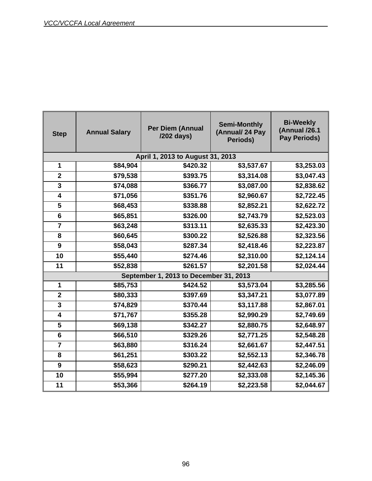| <b>Step</b>             | <b>Annual Salary</b> | Per Diem (Annual<br>/202 days)         | <b>Semi-Monthly</b><br>(Annual/ 24 Pay<br>Periods) | <b>Bi-Weekly</b><br><b>(Annual /26.1</b><br><b>Pay Periods)</b> |  |
|-------------------------|----------------------|----------------------------------------|----------------------------------------------------|-----------------------------------------------------------------|--|
|                         |                      | April 1, 2013 to August 31, 2013       |                                                    |                                                                 |  |
| 1                       | \$84,904             | \$420.32                               | \$3,537.67                                         | \$3,253.03                                                      |  |
| $\overline{\mathbf{2}}$ | \$79,538             | \$393.75                               | \$3,314.08                                         | \$3,047.43                                                      |  |
| 3                       | \$74,088             | \$366.77                               | \$3,087.00                                         | \$2,838.62                                                      |  |
| 4                       | \$71,056             | \$351.76                               | \$2,960.67                                         | \$2,722.45                                                      |  |
| 5                       | \$68,453             | \$338.88                               | \$2,852.21                                         | \$2,622.72                                                      |  |
| 6                       | \$65,851             | \$326.00                               | \$2,743.79                                         | \$2,523.03                                                      |  |
| $\overline{7}$          | \$63,248             | \$313.11                               | \$2,635.33                                         | \$2,423.30                                                      |  |
| 8                       | \$60,645             | \$300.22                               | \$2,526.88                                         | \$2,323.56                                                      |  |
| 9                       | \$58,043             | \$287.34                               | \$2,418.46                                         | \$2,223.87                                                      |  |
| 10                      | \$55,440             | \$274.46                               | \$2,310.00                                         | \$2,124.14                                                      |  |
| 11                      | \$52,838             | \$261.57                               | \$2,201.58                                         | \$2,024.44                                                      |  |
|                         |                      | September 1, 2013 to December 31, 2013 |                                                    |                                                                 |  |
| 1                       | \$85,753             | \$424.52                               | \$3,573.04                                         | \$3,285.56                                                      |  |
| $\overline{\mathbf{2}}$ | \$80,333             | \$397.69                               | \$3,347.21                                         | \$3,077.89                                                      |  |
| 3                       | \$74,829             | \$370.44                               | \$3,117.88                                         | \$2,867.01                                                      |  |
| 4                       | \$71,767             | \$355.28                               | \$2,990.29                                         | \$2,749.69                                                      |  |
| 5                       | \$69,138             | \$342.27                               | \$2,880.75                                         | \$2,648.97                                                      |  |
| $6\phantom{1}$          | \$66,510             | \$329.26                               | \$2,771.25                                         | \$2,548.28                                                      |  |
| $\overline{7}$          | \$63,880             | \$316.24                               | \$2,661.67                                         | \$2,447.51                                                      |  |
| 8                       | \$61,251             | \$303.22                               | \$2,552.13                                         | \$2,346.78                                                      |  |
| 9                       | \$58,623             | \$290.21                               | \$2,442.63                                         | \$2,246.09                                                      |  |
| 10                      | \$55,994             | \$277.20                               | \$2,333.08                                         | \$2,145.36                                                      |  |
| 11                      | \$53,366             | \$264.19                               | \$2,223.58                                         | \$2,044.67                                                      |  |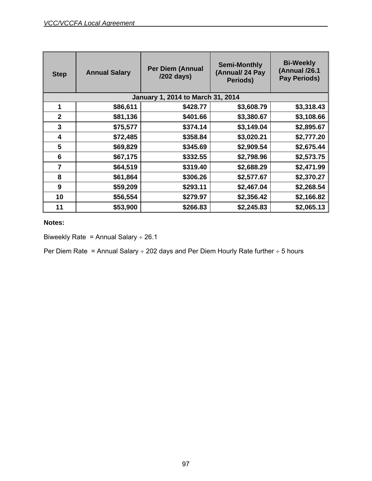| <b>Step</b>    | <b>Annual Salary</b> | <b>Per Diem (Annual</b><br>/202 days)    | <b>Semi-Monthly</b><br>(Annual/ 24 Pay<br>Periods) | <b>Bi-Weekly</b><br><b>(Annual /26.1)</b><br><b>Pay Periods)</b> |
|----------------|----------------------|------------------------------------------|----------------------------------------------------|------------------------------------------------------------------|
|                |                      | <b>January 1, 2014 to March 31, 2014</b> |                                                    |                                                                  |
| 1              | \$86,611             | \$428.77                                 | \$3,608.79                                         | \$3,318.43                                                       |
| $\mathbf{2}$   | \$81,136             | \$401.66                                 | \$3,380.67                                         | \$3,108.66                                                       |
| 3              | \$75,577             | \$374.14                                 | \$3,149.04                                         | \$2,895.67                                                       |
| 4              | \$72,485             | \$358.84                                 | \$3,020.21                                         | \$2,777.20                                                       |
| 5              | \$69,829             | \$345.69                                 | \$2,909.54                                         | \$2,675.44                                                       |
| $6\phantom{1}$ | \$67,175             | \$332.55                                 | \$2,798.96                                         | \$2,573.75                                                       |
| $\overline{7}$ | \$64,519             | \$319.40                                 | \$2,688.29                                         | \$2,471.99                                                       |
| 8              | \$61,864             | \$306.26                                 | \$2,577.67                                         | \$2,370.27                                                       |
| 9              | \$59,209             | \$293.11                                 | \$2,467.04                                         | \$2,268.54                                                       |
| 10             | \$56,554             | \$279.97                                 | \$2,356.42                                         | \$2,166.82                                                       |
| 11             | \$53,900             | \$266.83                                 | \$2,245.83                                         | \$2,065.13                                                       |

## **Notes:**

Biweekly Rate = Annual Salary  $\div 26.1$ 

Per Diem Rate = Annual Salary  $\div$  202 days and Per Diem Hourly Rate further  $\div$  5 hours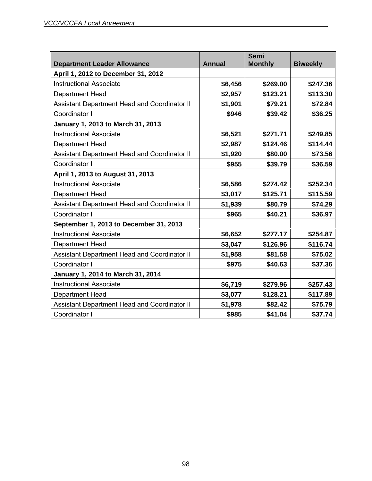| <b>Department Leader Allowance</b>           | <b>Annual</b> | <b>Semi</b><br><b>Monthly</b> | <b>Biweekly</b> |
|----------------------------------------------|---------------|-------------------------------|-----------------|
| April 1, 2012 to December 31, 2012           |               |                               |                 |
| <b>Instructional Associate</b>               | \$6,456       | \$269.00                      | \$247.36        |
| <b>Department Head</b>                       | \$2,957       | \$123.21                      | \$113.30        |
| Assistant Department Head and Coordinator II | \$1,901       | \$79.21                       | \$72.84         |
| Coordinator I                                | \$946         | \$39.42                       | \$36.25         |
| January 1, 2013 to March 31, 2013            |               |                               |                 |
| <b>Instructional Associate</b>               | \$6,521       | \$271.71                      | \$249.85        |
| <b>Department Head</b>                       | \$2,987       | \$124.46                      | \$114.44        |
| Assistant Department Head and Coordinator II | \$1,920       | \$80.00                       | \$73.56         |
| Coordinator I                                | \$955         | \$39.79                       | \$36.59         |
| April 1, 2013 to August 31, 2013             |               |                               |                 |
| <b>Instructional Associate</b>               | \$6,586       | \$274.42                      | \$252.34        |
| <b>Department Head</b>                       | \$3,017       | \$125.71                      | \$115.59        |
| Assistant Department Head and Coordinator II | \$1,939       | \$80.79                       | \$74.29         |
| Coordinator I                                | \$965         | \$40.21                       | \$36.97         |
| September 1, 2013 to December 31, 2013       |               |                               |                 |
| <b>Instructional Associate</b>               | \$6,652       | \$277.17                      | \$254.87        |
| <b>Department Head</b>                       | \$3,047       | \$126.96                      | \$116.74        |
| Assistant Department Head and Coordinator II | \$1,958       | \$81.58                       | \$75.02         |
| Coordinator I                                | \$975         | \$40.63                       | \$37.36         |
| January 1, 2014 to March 31, 2014            |               |                               |                 |
| <b>Instructional Associate</b>               | \$6,719       | \$279.96                      | \$257.43        |
| <b>Department Head</b>                       | \$3,077       | \$128.21                      | \$117.89        |
| Assistant Department Head and Coordinator II | \$1,978       | \$82.42                       | \$75.79         |
| Coordinator I                                | \$985         | \$41.04                       | \$37.74         |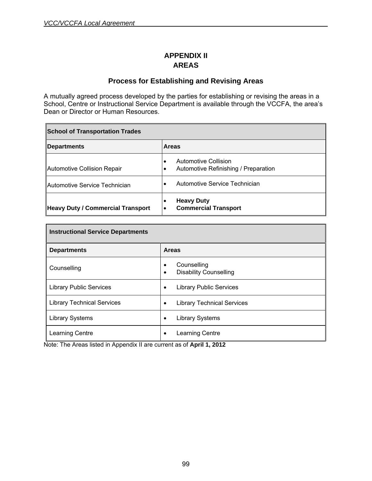# **APPENDIX II AREAS**

## **Process for Establishing and Revising Areas**

A mutually agreed process developed by the parties for establishing or revising the areas in a School, Centre or Instructional Service Department is available through the VCCFA, the area's Dean or Director or Human Resources.

| School of Transportation Trades   |              |                                                                     |  |
|-----------------------------------|--------------|---------------------------------------------------------------------|--|
| Departments                       | <b>Areas</b> |                                                                     |  |
| Automotive Collision Repair       |              | <b>Automotive Collision</b><br>Automotive Refinishing / Preparation |  |
| Automotive Service Technician     |              | Automotive Service Technician                                       |  |
| Heavy Duty / Commercial Transport |              | <b>Heavy Duty</b><br><b>Commercial Transport</b>                    |  |

| <b>Instructional Service Departments</b> |                                                                |  |  |  |
|------------------------------------------|----------------------------------------------------------------|--|--|--|
| <b>Departments</b>                       | <b>Areas</b>                                                   |  |  |  |
| Counselling                              | Counselling<br>$\bullet$<br><b>Disability Counselling</b><br>٠ |  |  |  |
| <b>Library Public Services</b>           | <b>Library Public Services</b><br>$\bullet$                    |  |  |  |
| <b>Library Technical Services</b>        | <b>Library Technical Services</b><br>$\bullet$                 |  |  |  |
| <b>Library Systems</b>                   | <b>Library Systems</b><br>$\bullet$                            |  |  |  |
| Learning Centre                          | Learning Centre<br>٠                                           |  |  |  |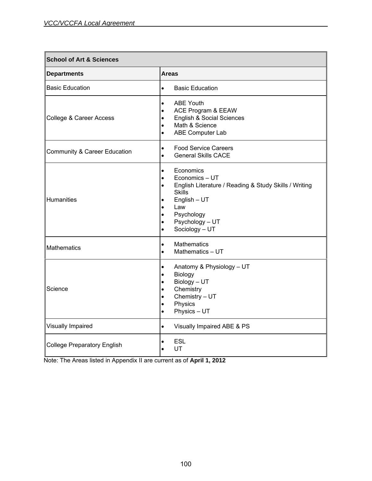| <b>School of Art &amp; Sciences</b> |                                                                                                                                                                                                                                                                                         |  |  |  |
|-------------------------------------|-----------------------------------------------------------------------------------------------------------------------------------------------------------------------------------------------------------------------------------------------------------------------------------------|--|--|--|
| <b>Departments</b>                  | <b>Areas</b>                                                                                                                                                                                                                                                                            |  |  |  |
| <b>Basic Education</b>              | <b>Basic Education</b><br>$\bullet$                                                                                                                                                                                                                                                     |  |  |  |
| College & Career Access             | <b>ABE Youth</b><br>ACE Program & EEAW<br>$\bullet$<br>English & Social Sciences<br>$\bullet$<br>Math & Science<br>$\bullet$<br>ABE Computer Lab<br>$\bullet$                                                                                                                           |  |  |  |
| Community & Career Education        | <b>Food Service Careers</b><br>$\bullet$<br><b>General Skills CACE</b><br>$\bullet$                                                                                                                                                                                                     |  |  |  |
| Humanities                          | Economics<br>$\bullet$<br>Economics - UT<br>$\bullet$<br>English Literature / Reading & Study Skills / Writing<br>$\bullet$<br><b>Skills</b><br>English - UT<br>$\bullet$<br>Law<br>$\bullet$<br>Psychology<br>$\bullet$<br>Psychology - UT<br>$\bullet$<br>Sociology - UT<br>$\bullet$ |  |  |  |
| <b>Mathematics</b>                  | <b>Mathematics</b><br>$\bullet$<br>Mathematics - UT<br>$\bullet$                                                                                                                                                                                                                        |  |  |  |
| Science                             | Anatomy & Physiology - UT<br>$\bullet$<br>Biology<br>$\bullet$<br>Biology - UT<br>Chemistry<br>Chemistry - UT<br>$\bullet$<br>Physics<br>$\bullet$<br>Physics - UT<br>$\bullet$                                                                                                         |  |  |  |
| Visually Impaired                   | Visually Impaired ABE & PS<br>$\bullet$                                                                                                                                                                                                                                                 |  |  |  |
| <b>College Preparatory English</b>  | <b>ESL</b><br>٠<br>UT<br>$\bullet$                                                                                                                                                                                                                                                      |  |  |  |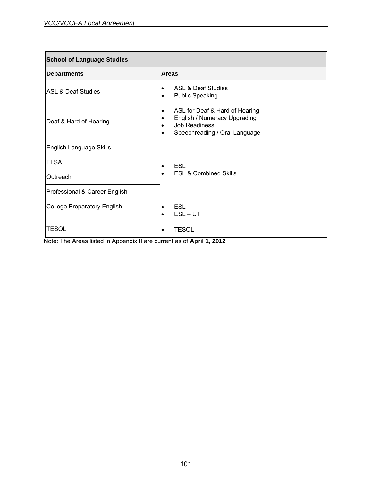| <b>School of Language Studies</b>  |                                                                                                                         |  |  |  |
|------------------------------------|-------------------------------------------------------------------------------------------------------------------------|--|--|--|
| <b>Departments</b>                 | <b>Areas</b>                                                                                                            |  |  |  |
| <b>ASL &amp; Deaf Studies</b>      | <b>ASL &amp; Deaf Studies</b><br><b>Public Speaking</b>                                                                 |  |  |  |
| Deaf & Hard of Hearing             | ASL for Deaf & Hard of Hearing<br>English / Numeracy Upgrading<br><b>Job Readiness</b><br>Speechreading / Oral Language |  |  |  |
| English Language Skills            |                                                                                                                         |  |  |  |
| <b>ELSA</b>                        | <b>ESL</b>                                                                                                              |  |  |  |
| Outreach                           | <b>ESL &amp; Combined Skills</b>                                                                                        |  |  |  |
| Professional & Career English      |                                                                                                                         |  |  |  |
| <b>College Preparatory English</b> | <b>ESL</b><br>$ESL - UT$                                                                                                |  |  |  |
| <b>TESOL</b>                       | <b>TESOL</b>                                                                                                            |  |  |  |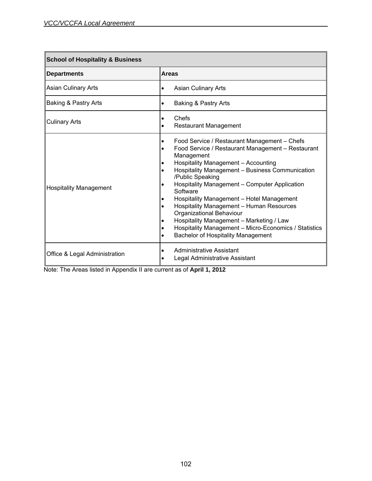| <b>School of Hospitality &amp; Business</b> |                                                                                                                                                                                                                                                                                                                                                                                                                                                                                                                                                                                |  |  |
|---------------------------------------------|--------------------------------------------------------------------------------------------------------------------------------------------------------------------------------------------------------------------------------------------------------------------------------------------------------------------------------------------------------------------------------------------------------------------------------------------------------------------------------------------------------------------------------------------------------------------------------|--|--|
| <b>Departments</b>                          | Areas                                                                                                                                                                                                                                                                                                                                                                                                                                                                                                                                                                          |  |  |
| <b>Asian Culinary Arts</b>                  | <b>Asian Culinary Arts</b>                                                                                                                                                                                                                                                                                                                                                                                                                                                                                                                                                     |  |  |
| Baking & Pastry Arts                        | Baking & Pastry Arts                                                                                                                                                                                                                                                                                                                                                                                                                                                                                                                                                           |  |  |
| <b>Culinary Arts</b>                        | Chefs<br><b>Restaurant Management</b>                                                                                                                                                                                                                                                                                                                                                                                                                                                                                                                                          |  |  |
| <b>Hospitality Management</b>               | Food Service / Restaurant Management - Chefs<br>Food Service / Restaurant Management - Restaurant<br>Management<br>Hospitality Management - Accounting<br>Hospitality Management - Business Communication<br>/Public Speaking<br>Hospitality Management - Computer Application<br>$\bullet$<br>Software<br>Hospitality Management - Hotel Management<br>Hospitality Management - Human Resources<br>Organizational Behaviour<br>Hospitality Management - Marketing / Law<br>Hospitality Management - Micro-Economics / Statistics<br><b>Bachelor of Hospitality Management</b> |  |  |
| Office & Legal Administration               | Administrative Assistant<br>Legal Administrative Assistant                                                                                                                                                                                                                                                                                                                                                                                                                                                                                                                     |  |  |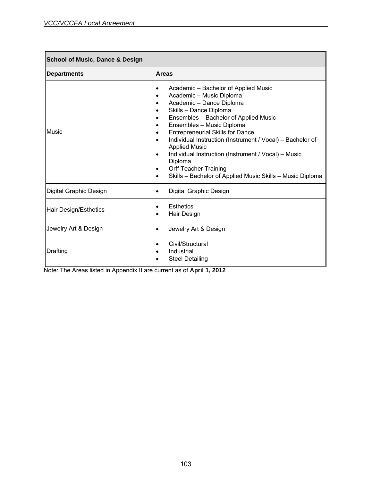| <b>School of Music, Dance &amp; Design</b> |                                                                                                                                                                                                                                                                                                                                                                                                                                                                                                                                                                                              |  |  |  |
|--------------------------------------------|----------------------------------------------------------------------------------------------------------------------------------------------------------------------------------------------------------------------------------------------------------------------------------------------------------------------------------------------------------------------------------------------------------------------------------------------------------------------------------------------------------------------------------------------------------------------------------------------|--|--|--|
| Departments                                | <b>Areas</b>                                                                                                                                                                                                                                                                                                                                                                                                                                                                                                                                                                                 |  |  |  |
| Music                                      | Academic – Bachelor of Applied Music<br>$\bullet$<br>Academic - Music Diploma<br>$\bullet$<br>Academic - Dance Diploma<br>$\bullet$<br>Skills - Dance Diploma<br>$\bullet$<br>Ensembles - Bachelor of Applied Music<br>$\bullet$<br>Ensembles - Music Diploma<br><b>Entrepreneurial Skills for Dance</b><br>Individual Instruction (Instrument / Vocal) - Bachelor of<br><b>Applied Music</b><br>Individual Instruction (Instrument / Vocal) - Music<br>$\bullet$<br>Diploma<br>Orff Teacher Training<br>$\bullet$<br>Skills - Bachelor of Applied Music Skills - Music Diploma<br>$\bullet$ |  |  |  |
| Digital Graphic Design                     | Digital Graphic Design<br>$\bullet$                                                                                                                                                                                                                                                                                                                                                                                                                                                                                                                                                          |  |  |  |
| Hair Design/Esthetics                      | <b>Esthetics</b><br>$\bullet$<br>Hair Design                                                                                                                                                                                                                                                                                                                                                                                                                                                                                                                                                 |  |  |  |
| Jewelry Art & Design                       | Jewelry Art & Design<br>$\bullet$                                                                                                                                                                                                                                                                                                                                                                                                                                                                                                                                                            |  |  |  |
| Drafting                                   | Civil/Structural<br>٠<br>Industrial<br>٠<br><b>Steel Detailing</b><br>$\bullet$                                                                                                                                                                                                                                                                                                                                                                                                                                                                                                              |  |  |  |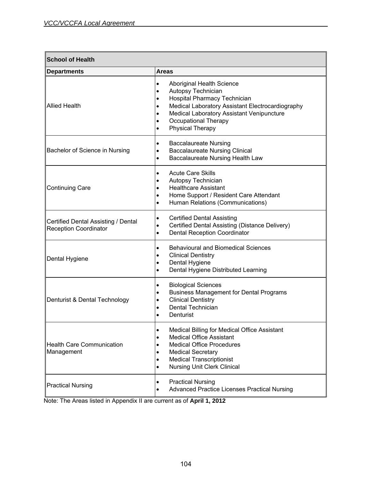| <b>School of Health</b>                                             |                                                                                                                                                                                                                                                                                                                                |  |  |  |
|---------------------------------------------------------------------|--------------------------------------------------------------------------------------------------------------------------------------------------------------------------------------------------------------------------------------------------------------------------------------------------------------------------------|--|--|--|
| <b>Departments</b>                                                  | <b>Areas</b>                                                                                                                                                                                                                                                                                                                   |  |  |  |
| <b>Allied Health</b>                                                | Aboriginal Health Science<br>$\bullet$<br>Autopsy Technician<br>$\bullet$<br>Hospital Pharmacy Technician<br>$\bullet$<br>Medical Laboratory Assistant Electrocardiography<br>$\bullet$<br>Medical Laboratory Assistant Venipuncture<br>$\bullet$<br>Occupational Therapy<br>$\bullet$<br><b>Physical Therapy</b><br>$\bullet$ |  |  |  |
| Bachelor of Science in Nursing                                      | <b>Baccalaureate Nursing</b><br>$\bullet$<br><b>Baccalaureate Nursing Clinical</b><br>$\bullet$<br>Baccalaureate Nursing Health Law<br>$\bullet$                                                                                                                                                                               |  |  |  |
| <b>Continuing Care</b>                                              | <b>Acute Care Skills</b><br>$\bullet$<br>Autopsy Technician<br>$\bullet$<br><b>Healthcare Assistant</b><br>$\bullet$<br>Home Support / Resident Care Attendant<br>$\bullet$<br>Human Relations (Communications)<br>$\bullet$                                                                                                   |  |  |  |
| Certified Dental Assisting / Dental<br><b>Reception Coordinator</b> | <b>Certified Dental Assisting</b><br>$\bullet$<br>Certified Dental Assisting (Distance Delivery)<br>$\bullet$<br><b>Dental Reception Coordinator</b><br>$\bullet$                                                                                                                                                              |  |  |  |
| Dental Hygiene                                                      | <b>Behavioural and Biomedical Sciences</b><br><b>Clinical Dentistry</b><br>$\bullet$<br>Dental Hygiene<br>$\bullet$<br>Dental Hygiene Distributed Learning<br>$\bullet$                                                                                                                                                        |  |  |  |
| Denturist & Dental Technology                                       | <b>Biological Sciences</b><br>$\bullet$<br><b>Business Management for Dental Programs</b><br>$\bullet$<br><b>Clinical Dentistry</b><br>$\bullet$<br>Dental Technician<br>$\bullet$<br>Denturist                                                                                                                                |  |  |  |
| <b>Health Care Communication</b><br>Management                      | Medical Billing for Medical Office Assistant<br>$\bullet$<br><b>Medical Office Assistant</b><br>$\bullet$<br><b>Medical Office Procedures</b><br>$\bullet$<br><b>Medical Secretary</b><br>$\bullet$<br><b>Medical Transcriptionist</b><br>$\bullet$<br><b>Nursing Unit Clerk Clinical</b><br>$\bullet$                         |  |  |  |
| <b>Practical Nursing</b>                                            | <b>Practical Nursing</b><br>$\bullet$<br><b>Advanced Practice Licenses Practical Nursing</b><br>$\bullet$<br>Arone lieted in Annondiv II are ourrent as of April 1, 2013                                                                                                                                                       |  |  |  |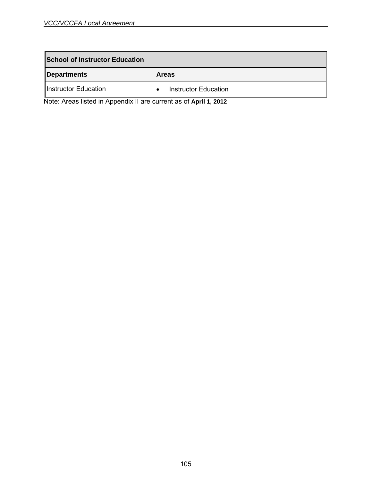| <b>School of Instructor Education</b> |                             |  |  |
|---------------------------------------|-----------------------------|--|--|
| Departments                           | <b>Areas</b>                |  |  |
| Instructor Education                  | <b>Instructor Education</b> |  |  |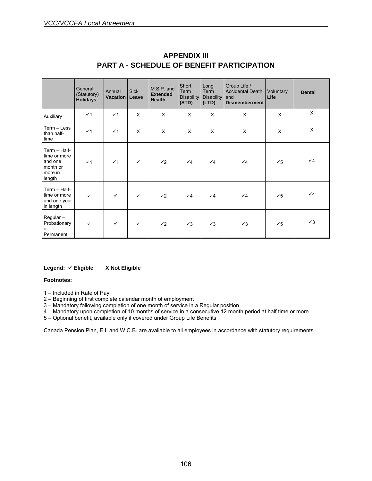|                                                                          | General<br>(Statutory)<br><b>Holidays</b> | Annual<br>Vacation | <b>Sick</b><br>Leave | M.S.P. and<br><b>Extended</b><br><b>Health</b> | Short<br>Term<br><b>Disability</b><br>(STD) | Long<br>Term<br><b>Disability</b><br>(LTD) | Group Life /<br><b>Accidental Death</b><br>and<br><b>Dismemberment</b> | Voluntary<br>Life | <b>Dental</b>  |
|--------------------------------------------------------------------------|-------------------------------------------|--------------------|----------------------|------------------------------------------------|---------------------------------------------|--------------------------------------------|------------------------------------------------------------------------|-------------------|----------------|
| Auxiliary                                                                | $\checkmark$ 1                            | $\checkmark$ 1     | X                    | $\times$                                       | X                                           | X                                          | X                                                                      | X                 | X              |
| Term - Less<br>than half-<br>time                                        | $\checkmark$ 1                            | $\checkmark$ 1     | X                    | $\mathsf{x}$                                   | X                                           | X                                          | $\times$                                                               | X                 | $\pmb{\times}$ |
| Term - Half-<br>time or more<br>and one<br>month or<br>more in<br>length | $\checkmark$ 1                            | $\checkmark$ 1     | $\checkmark$         | $\checkmark$                                   | $\sqrt{4}$                                  | $\sqrt{4}$                                 | $\sqrt{4}$                                                             | $\checkmark 5$    | $\sqrt{4}$     |
| $Term - Half-$<br>time or more<br>and one year<br>in length              | $\checkmark$                              | $\checkmark$       | $\checkmark$         | $\checkmark2$                                  | $\sqrt{4}$                                  | $\sqrt{4}$                                 | $\sqrt{4}$                                                             | $\sqrt{5}$        | $\sqrt{4}$     |
| Regular-<br>Probationary<br>or<br>Permanent                              | $\checkmark$                              | $\checkmark$       | $\checkmark$         | $\sqrt{2}$                                     | $\sqrt{3}$                                  | $\checkmark$ 3                             | $\sqrt{3}$                                                             | $\sqrt{5}$        | $\checkmark$ 3 |

# **APPENDIX III PART A - SCHEDULE OF BENEFIT PARTICIPATION**

#### **Legend: Eligible X Not Eligible**

#### **Footnotes:**

- 1 Included in Rate of Pay
- 2 Beginning of first complete calendar month of employment
- 3 Mandatory following completion of one month of service in a Regular position
- 4 Mandatory upon completion of 10 months of service in a consecutive 12 month period at half time or more
- 5 Optional benefit, available only if covered under Group Life Benefits

Canada Pension Plan, E.I. and W.C.B. are available to all employees in accordance with statutory requirements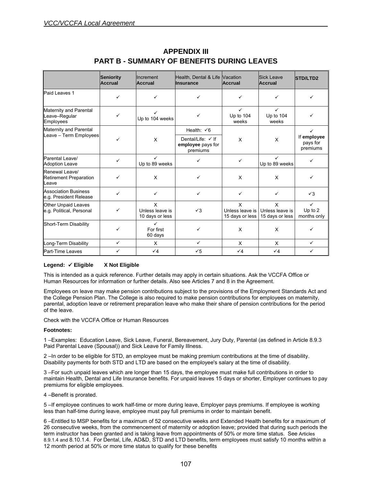|                                                          | Seniority<br><b>Accrual</b> | Increment<br><b>Accrual</b>             | Health, Dental & Life Vacation<br><b>Insurance</b>            | <b>Accrual</b>                          | Sick Leave<br><b>Accrual</b>            | <b>STD/LTD2</b>                        |  |
|----------------------------------------------------------|-----------------------------|-----------------------------------------|---------------------------------------------------------------|-----------------------------------------|-----------------------------------------|----------------------------------------|--|
| Paid Leaves 1                                            | $\checkmark$                | $\checkmark$                            | ✓                                                             | $\checkmark$                            | ✓                                       | ✓                                      |  |
| Maternity and Parental<br>Leave-Regular<br>Employees     | $\checkmark$                | Up to 104 weeks                         | $\checkmark$                                                  | ✓<br>Up to 104<br>weeks                 | ✓<br>Up to 104<br>weeks                 |                                        |  |
| Maternity and Parental                                   |                             |                                         | Health: $\sqrt{6}$                                            |                                         |                                         | $\checkmark$                           |  |
| Leave - Term Employees                                   | ✓                           | X                                       | Dental/Life: $\checkmark$ If<br>employee pays for<br>premiums | X                                       | X                                       | If employee<br>pays for<br>premiums    |  |
| Parental Leave/<br><b>Adoption Leave</b>                 | $\checkmark$                | $\checkmark$<br>Up to 89 weeks          |                                                               | $\checkmark$                            | $\checkmark$<br>Up to 89 weeks          | $\checkmark$                           |  |
| Renewal Leave/<br><b>Retirement Preparation</b><br>Leave | ✓                           | $\times$                                | ✓                                                             | X                                       | X                                       | ✓                                      |  |
| <b>Association Business</b><br>e.g. President Release    | $\checkmark$                | $\checkmark$                            | $\checkmark$                                                  | $\checkmark$                            | $\checkmark$                            | $\sqrt{3}$                             |  |
| Other Unpaid Leaves<br>e.g. Political, Personal          | $\checkmark$                | X<br>Unless leave is<br>10 days or less | $\checkmark$ 3                                                | X<br>Unless leave is<br>15 days or less | X<br>Unless leave is<br>15 days or less | $\checkmark$<br>Up to 2<br>months only |  |
| Short-Term Disability                                    | ✓                           | $\checkmark$<br>For first<br>60 days    | ✓                                                             | X                                       | X                                       | ✓                                      |  |
| Long-Term Disability                                     | $\checkmark$                | X                                       | $\checkmark$                                                  | X                                       | X                                       | $\checkmark$                           |  |
| Part-Time Leaves                                         | ✓                           | $\sqrt{4}$                              | $\checkmark$                                                  | $\sqrt{4}$                              | $\sqrt{4}$                              | $\checkmark$                           |  |

## **APPENDIX III PART B - SUMMARY OF BENEFITS DURING LEAVES**

#### **Legend: Eligible X Not Eligible**

This is intended as a quick reference. Further details may apply in certain situations. Ask the VCCFA Office or Human Resources for information or further details. Also see Articles 7 and 8 in the Agreement.

Employees on leave may make pension contributions subject to the provisions of the Employment Standards Act and the College Pension Plan. The College is also required to make pension contributions for employees on maternity, parental, adoption leave or retirement preparation leave who make their share of pension contributions for the period of the leave.

Check with the VCCFA Office or Human Resources

#### **Footnotes:**

1 –Examples: Education Leave, Sick Leave, Funeral, Bereavement, Jury Duty, Parental (as defined in Article 8.9.3 Paid Parental Leave (Spousal)) and Sick Leave for Family Illness.

2 –In order to be eligible for STD, an employee must be making premium contributions at the time of disability. Disability payments for both STD and LTD are based on the employee's salary at the time of disability.

3 –For such unpaid leaves which are longer than 15 days, the employee must make full contributions in order to maintain Health, Dental and Life Insurance benefits. For unpaid leaves 15 days or shorter, Employer continues to pay premiums for eligible employees.

4 –Benefit is prorated.

5 –If employee continues to work half-time or more during leave, Employer pays premiums. If employee is working less than half-time during leave, employee must pay full premiums in order to maintain benefit.

6 –Entitled to MSP benefits for a maximum of 52 consecutive weeks and Extended Health benefits for a maximum of 26 consecutive weeks, from the commencement of maternity or adoption leave; provided that during such periods the term instructor has been granted and is taking leave from appointments of 50% or more time status. See Articles 8.9.1.4 and 8.10.1.4. For Dental, Life, AD&D, STD and LTD benefits, term employees must satisfy 10 months within a 12 month period at 50% or more time status to qualify for these benefits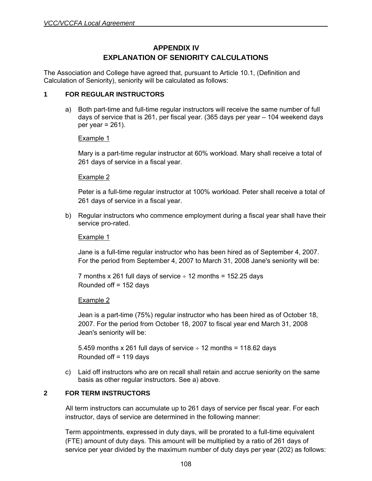## **APPENDIX IV EXPLANATION OF SENIORITY CALCULATIONS**

The Association and College have agreed that, pursuant to Article 10.1, (Definition and Calculation of Seniority), seniority will be calculated as follows:

### **1 FOR REGULAR INSTRUCTORS**

a) Both part-time and full-time regular instructors will receive the same number of full days of service that is 261, per fiscal year. (365 days per year – 104 weekend days per year  $= 261$ ).

#### Example 1

Mary is a part-time regular instructor at 60% workload. Mary shall receive a total of 261 days of service in a fiscal year.

#### Example 2

Peter is a full-time regular instructor at 100% workload. Peter shall receive a total of 261 days of service in a fiscal year.

b) Regular instructors who commence employment during a fiscal year shall have their service pro-rated.

#### Example 1

Jane is a full-time regular instructor who has been hired as of September 4, 2007. For the period from September 4, 2007 to March 31, 2008 Jane's seniority will be:

7 months x 261 full days of service  $\div$  12 months = 152.25 days Rounded off = 152 days

#### Example 2

Jean is a part-time (75%) regular instructor who has been hired as of October 18, 2007. For the period from October 18, 2007 to fiscal year end March 31, 2008 Jean's seniority will be:

5.459 months x 261 full days of service  $\div$  12 months = 118.62 days Rounded off = 119 days

c) Laid off instructors who are on recall shall retain and accrue seniority on the same basis as other regular instructors. See a) above.

#### **2 FOR TERM INSTRUCTORS**

 All term instructors can accumulate up to 261 days of service per fiscal year. For each instructor, days of service are determined in the following manner:

Term appointments, expressed in duty days, will be prorated to a full-time equivalent (FTE) amount of duty days. This amount will be multiplied by a ratio of 261 days of service per year divided by the maximum number of duty days per year (202) as follows: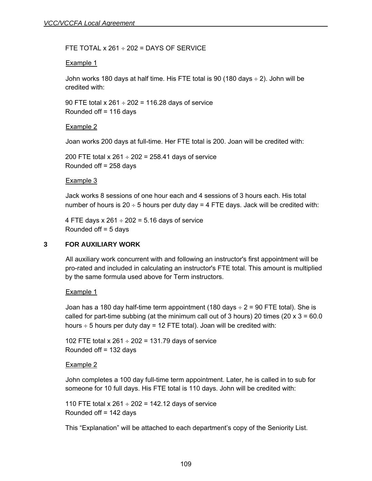#### FTE TOTAL  $x 261 \div 202 =$  DAYS OF SERVICE

#### Example 1

John works 180 days at half time. His FTE total is 90 (180 days  $\div$  2). John will be credited with:

90 FTE total x  $261 \div 202 = 116.28$  days of service Rounded off = 116 days

#### Example 2

Joan works 200 days at full-time. Her FTE total is 200. Joan will be credited with:

200 FTE total x  $261 \div 202 = 258.41$  days of service Rounded off = 258 days

#### Example 3

 Jack works 8 sessions of one hour each and 4 sessions of 3 hours each. His total number of hours is  $20 \div 5$  hours per duty day = 4 FTE days. Jack will be credited with:

4 FTE days x  $261 \div 202 = 5.16$  days of service Rounded off = 5 days

#### **3 FOR AUXILIARY WORK**

 All auxiliary work concurrent with and following an instructor's first appointment will be pro-rated and included in calculating an instructor's FTE total. This amount is multiplied by the same formula used above for Term instructors.

#### Example 1

Joan has a 180 day half-time term appointment (180 days  $\div$  2 = 90 FTE total). She is called for part-time subbing (at the minimum call out of 3 hours) 20 times (20  $\times$  3 = 60.0 hours  $\div$  5 hours per duty day = 12 FTE total). Joan will be credited with:

102 FTE total x  $261 \div 202 = 131.79$  days of service Rounded off = 132 days

#### Example 2

 John completes a 100 day full-time term appointment. Later, he is called in to sub for someone for 10 full days. His FTE total is 110 days. John will be credited with:

110 FTE total x  $261 \div 202 = 142.12$  days of service Rounded off = 142 days

This "Explanation" will be attached to each department's copy of the Seniority List.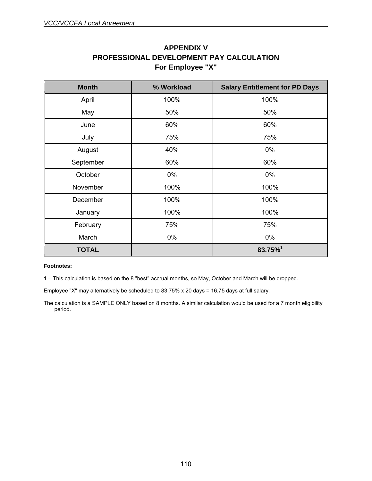# **APPENDIX V PROFESSIONAL DEVELOPMENT PAY CALCULATION For Employee "X"**

| <b>Month</b> | % Workload | <b>Salary Entitlement for PD Days</b> |
|--------------|------------|---------------------------------------|
| April        | 100%       | 100%                                  |
| May          | 50%        | 50%                                   |
| June         | 60%        | 60%                                   |
| July         | 75%        | 75%                                   |
| August       | 40%        | 0%                                    |
| September    | 60%        | 60%                                   |
| October      | 0%         | 0%                                    |
| November     | 100%       | 100%                                  |
| December     | 100%       | 100%                                  |
| January      | 100%       | 100%                                  |
| February     | 75%        | 75%                                   |
| March        | 0%         | $0\%$                                 |
| <b>TOTAL</b> |            | 83.75%                                |

#### **Footnotes:**

1 – This calculation is based on the 8 "best" accrual months, so May, October and March will be dropped.

Employee "X" may alternatively be scheduled to 83.75% x 20 days = 16.75 days at full salary.

The calculation is a SAMPLE ONLY based on 8 months. A similar calculation would be used for a 7 month eligibility period.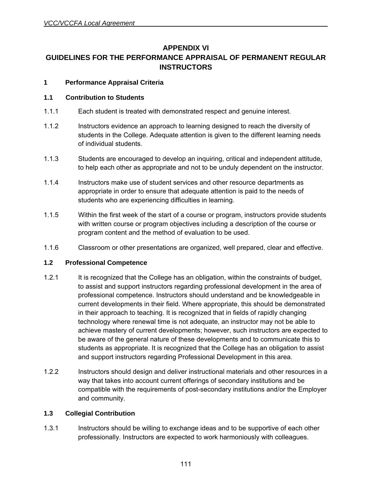# **APPENDIX VI GUIDELINES FOR THE PERFORMANCE APPRAISAL OF PERMANENT REGULAR INSTRUCTORS**

### **1 Performance Appraisal Criteria**

#### **1.1 Contribution to Students**

- 1.1.1 Each student is treated with demonstrated respect and genuine interest.
- 1.1.2 Instructors evidence an approach to learning designed to reach the diversity of students in the College. Adequate attention is given to the different learning needs of individual students.
- 1.1.3 Students are encouraged to develop an inquiring, critical and independent attitude, to help each other as appropriate and not to be unduly dependent on the instructor.
- 1.1.4 Instructors make use of student services and other resource departments as appropriate in order to ensure that adequate attention is paid to the needs of students who are experiencing difficulties in learning.
- 1.1.5 Within the first week of the start of a course or program, instructors provide students with written course or program objectives including a description of the course or program content and the method of evaluation to be used.
- 1.1.6 Classroom or other presentations are organized, well prepared, clear and effective.

#### **1.2 Professional Competence**

- 1.2.1 It is recognized that the College has an obligation, within the constraints of budget, to assist and support instructors regarding professional development in the area of professional competence. Instructors should understand and be knowledgeable in current developments in their field. Where appropriate, this should be demonstrated in their approach to teaching. It is recognized that in fields of rapidly changing technology where renewal time is not adequate, an instructor may not be able to achieve mastery of current developments; however, such instructors are expected to be aware of the general nature of these developments and to communicate this to students as appropriate. It is recognized that the College has an obligation to assist and support instructors regarding Professional Development in this area.
- 1.2.2 Instructors should design and deliver instructional materials and other resources in a way that takes into account current offerings of secondary institutions and be compatible with the requirements of post-secondary institutions and/or the Employer and community.

#### **1.3 Collegial Contribution**

1.3.1 Instructors should be willing to exchange ideas and to be supportive of each other professionally. Instructors are expected to work harmoniously with colleagues.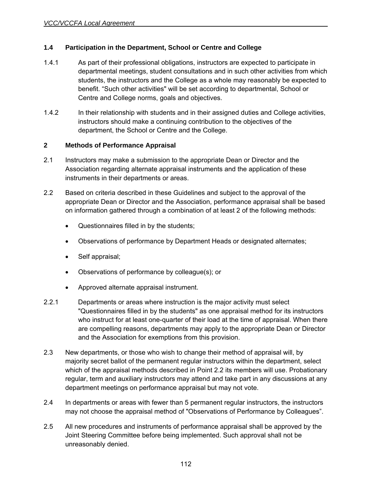### **1.4 Participation in the Department, School or Centre and College**

- 1.4.1 As part of their professional obligations, instructors are expected to participate in departmental meetings, student consultations and in such other activities from which students, the instructors and the College as a whole may reasonably be expected to benefit. "Such other activities" will be set according to departmental, School or Centre and College norms, goals and objectives.
- 1.4.2 In their relationship with students and in their assigned duties and College activities, instructors should make a continuing contribution to the objectives of the department, the School or Centre and the College.

### **2 Methods of Performance Appraisal**

- 2.1 Instructors may make a submission to the appropriate Dean or Director and the Association regarding alternate appraisal instruments and the application of these instruments in their departments or areas.
- 2.2 Based on criteria described in these Guidelines and subject to the approval of the appropriate Dean or Director and the Association, performance appraisal shall be based on information gathered through a combination of at least 2 of the following methods:
	- Questionnaires filled in by the students;
	- Observations of performance by Department Heads or designated alternates;
	- Self appraisal;
	- Observations of performance by colleague(s); or
	- Approved alternate appraisal instrument.
- 2.2.1 Departments or areas where instruction is the major activity must select "Questionnaires filled in by the students" as one appraisal method for its instructors who instruct for at least one-quarter of their load at the time of appraisal. When there are compelling reasons, departments may apply to the appropriate Dean or Director and the Association for exemptions from this provision.
- 2.3 New departments, or those who wish to change their method of appraisal will, by majority secret ballot of the permanent regular instructors within the department, select which of the appraisal methods described in Point 2.2 its members will use. Probationary regular, term and auxiliary instructors may attend and take part in any discussions at any department meetings on performance appraisal but may not vote.
- 2.4 In departments or areas with fewer than 5 permanent regular instructors, the instructors may not choose the appraisal method of "Observations of Performance by Colleagues".
- 2.5 All new procedures and instruments of performance appraisal shall be approved by the Joint Steering Committee before being implemented. Such approval shall not be unreasonably denied.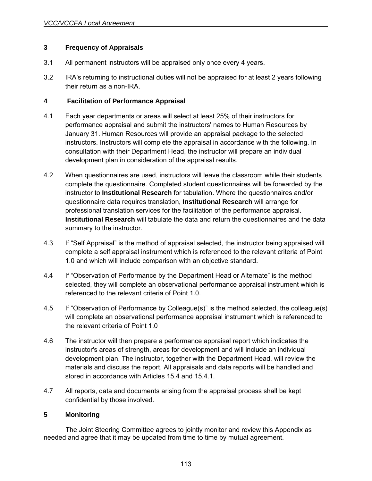### **3 Frequency of Appraisals**

- 3.1 All permanent instructors will be appraised only once every 4 years.
- 3.2 IRA's returning to instructional duties will not be appraised for at least 2 years following their return as a non-IRA.

#### **4 Facilitation of Performance Appraisal**

- 4.1 Each year departments or areas will select at least 25% of their instructors for performance appraisal and submit the instructors' names to Human Resources by January 31. Human Resources will provide an appraisal package to the selected instructors. Instructors will complete the appraisal in accordance with the following. In consultation with their Department Head, the instructor will prepare an individual development plan in consideration of the appraisal results.
- 4.2 When questionnaires are used, instructors will leave the classroom while their students complete the questionnaire. Completed student questionnaires will be forwarded by the instructor to **Institutional Research** for tabulation. Where the questionnaires and/or questionnaire data requires translation, **Institutional Research** will arrange for professional translation services for the facilitation of the performance appraisal. **Institutional Research** will tabulate the data and return the questionnaires and the data summary to the instructor.
- 4.3 If "Self Appraisal" is the method of appraisal selected, the instructor being appraised will complete a self appraisal instrument which is referenced to the relevant criteria of Point 1.0 and which will include comparison with an objective standard.
- 4.4 If "Observation of Performance by the Department Head or Alternate" is the method selected, they will complete an observational performance appraisal instrument which is referenced to the relevant criteria of Point 1.0.
- 4.5 If "Observation of Performance by Colleague(s)" is the method selected, the colleague(s) will complete an observational performance appraisal instrument which is referenced to the relevant criteria of Point 1.0
- 4.6 The instructor will then prepare a performance appraisal report which indicates the instructor's areas of strength, areas for development and will include an individual development plan. The instructor, together with the Department Head, will review the materials and discuss the report. All appraisals and data reports will be handled and stored in accordance with Articles 15.4 and 15.4.1.
- 4.7 All reports, data and documents arising from the appraisal process shall be kept confidential by those involved.

### **5 Monitoring**

 The Joint Steering Committee agrees to jointly monitor and review this Appendix as needed and agree that it may be updated from time to time by mutual agreement.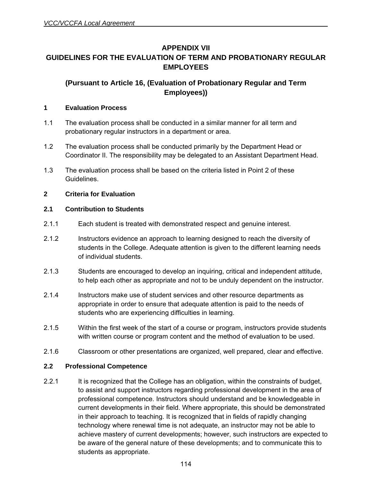# **APPENDIX VII GUIDELINES FOR THE EVALUATION OF TERM AND PROBATIONARY REGULAR EMPLOYEES**

# **(Pursuant to Article 16, (Evaluation of Probationary Regular and Term Employees))**

#### **1 Evaluation Process**

- 1.1 The evaluation process shall be conducted in a similar manner for all term and probationary regular instructors in a department or area.
- 1.2 The evaluation process shall be conducted primarily by the Department Head or Coordinator II. The responsibility may be delegated to an Assistant Department Head.
- 1.3 The evaluation process shall be based on the criteria listed in Point 2 of these Guidelines.

### **2 Criteria for Evaluation**

### **2.1 Contribution to Students**

- 2.1.1 Each student is treated with demonstrated respect and genuine interest.
- 2.1.2 Instructors evidence an approach to learning designed to reach the diversity of students in the College. Adequate attention is given to the different learning needs of individual students.
- 2.1.3 Students are encouraged to develop an inquiring, critical and independent attitude, to help each other as appropriate and not to be unduly dependent on the instructor.
- 2.1.4 Instructors make use of student services and other resource departments as appropriate in order to ensure that adequate attention is paid to the needs of students who are experiencing difficulties in learning.
- 2.1.5 Within the first week of the start of a course or program, instructors provide students with written course or program content and the method of evaluation to be used.
- 2.1.6 Classroom or other presentations are organized, well prepared, clear and effective.

#### **2.2 Professional Competence**

2.2.1 It is recognized that the College has an obligation, within the constraints of budget, to assist and support instructors regarding professional development in the area of professional competence. Instructors should understand and be knowledgeable in current developments in their field. Where appropriate, this should be demonstrated in their approach to teaching. It is recognized that in fields of rapidly changing technology where renewal time is not adequate, an instructor may not be able to achieve mastery of current developments; however, such instructors are expected to be aware of the general nature of these developments; and to communicate this to students as appropriate.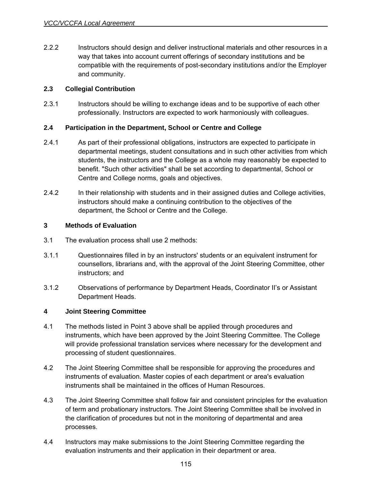2.2.2 Instructors should design and deliver instructional materials and other resources in a way that takes into account current offerings of secondary institutions and be compatible with the requirements of post-secondary institutions and/or the Employer and community.

### **2.3 Collegial Contribution**

2.3.1 Instructors should be willing to exchange ideas and to be supportive of each other professionally. Instructors are expected to work harmoniously with colleagues.

### **2.4 Participation in the Department, School or Centre and College**

- 2.4.1 As part of their professional obligations, instructors are expected to participate in departmental meetings, student consultations and in such other activities from which students, the instructors and the College as a whole may reasonably be expected to benefit. "Such other activities" shall be set according to departmental, School or Centre and College norms, goals and objectives.
- 2.4.2 In their relationship with students and in their assigned duties and College activities, instructors should make a continuing contribution to the objectives of the department, the School or Centre and the College.

### **3 Methods of Evaluation**

- 3.1 The evaluation process shall use 2 methods:
- 3.1.1 Questionnaires filled in by an instructors' students or an equivalent instrument for counsellors, librarians and, with the approval of the Joint Steering Committee, other instructors; and
- 3.1.2 Observations of performance by Department Heads, Coordinator II's or Assistant Department Heads.

#### **4 Joint Steering Committee**

- 4.1 The methods listed in Point 3 above shall be applied through procedures and instruments, which have been approved by the Joint Steering Committee. The College will provide professional translation services where necessary for the development and processing of student questionnaires.
- 4.2 The Joint Steering Committee shall be responsible for approving the procedures and instruments of evaluation. Master copies of each department or area's evaluation instruments shall be maintained in the offices of Human Resources.
- 4.3 The Joint Steering Committee shall follow fair and consistent principles for the evaluation of term and probationary instructors. The Joint Steering Committee shall be involved in the clarification of procedures but not in the monitoring of departmental and area processes.
- 4.4 Instructors may make submissions to the Joint Steering Committee regarding the evaluation instruments and their application in their department or area.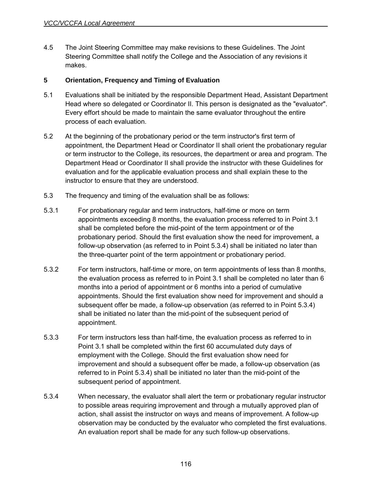4.5 The Joint Steering Committee may make revisions to these Guidelines. The Joint Steering Committee shall notify the College and the Association of any revisions it makes.

### **5 Orientation, Frequency and Timing of Evaluation**

- 5.1 Evaluations shall be initiated by the responsible Department Head, Assistant Department Head where so delegated or Coordinator II. This person is designated as the "evaluator". Every effort should be made to maintain the same evaluator throughout the entire process of each evaluation.
- 5.2 At the beginning of the probationary period or the term instructor's first term of appointment, the Department Head or Coordinator II shall orient the probationary regular or term instructor to the College, its resources, the department or area and program. The Department Head or Coordinator II shall provide the instructor with these Guidelines for evaluation and for the applicable evaluation process and shall explain these to the instructor to ensure that they are understood.
- 5.3 The frequency and timing of the evaluation shall be as follows:
- 5.3.1 For probationary regular and term instructors, half-time or more on term appointments exceeding 8 months, the evaluation process referred to in Point 3.1 shall be completed before the mid-point of the term appointment or of the probationary period. Should the first evaluation show the need for improvement, a follow-up observation (as referred to in Point 5.3.4) shall be initiated no later than the three-quarter point of the term appointment or probationary period.
- 5.3.2 For term instructors, half-time or more, on term appointments of less than 8 months, the evaluation process as referred to in Point 3.1 shall be completed no later than 6 months into a period of appointment or 6 months into a period of cumulative appointments. Should the first evaluation show need for improvement and should a subsequent offer be made, a follow-up observation (as referred to in Point 5.3.4) shall be initiated no later than the mid-point of the subsequent period of appointment.
- 5.3.3 For term instructors less than half-time, the evaluation process as referred to in Point 3.1 shall be completed within the first 60 accumulated duty days of employment with the College. Should the first evaluation show need for improvement and should a subsequent offer be made, a follow-up observation (as referred to in Point 5.3.4) shall be initiated no later than the mid-point of the subsequent period of appointment.
- 5.3.4 When necessary, the evaluator shall alert the term or probationary regular instructor to possible areas requiring improvement and through a mutually approved plan of action, shall assist the instructor on ways and means of improvement. A follow-up observation may be conducted by the evaluator who completed the first evaluations. An evaluation report shall be made for any such follow-up observations.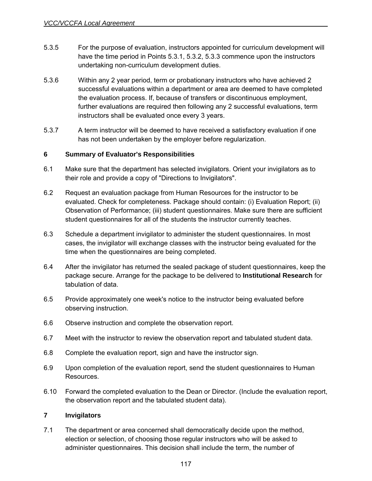- 5.3.5 For the purpose of evaluation, instructors appointed for curriculum development will have the time period in Points 5.3.1, 5.3.2, 5.3.3 commence upon the instructors undertaking non-curriculum development duties.
- 5.3.6 Within any 2 year period, term or probationary instructors who have achieved 2 successful evaluations within a department or area are deemed to have completed the evaluation process. If, because of transfers or discontinuous employment, further evaluations are required then following any 2 successful evaluations, term instructors shall be evaluated once every 3 years.
- 5.3.7 A term instructor will be deemed to have received a satisfactory evaluation if one has not been undertaken by the employer before regularization.

#### **6 Summary of Evaluator's Responsibilities**

- 6.1 Make sure that the department has selected invigilators. Orient your invigilators as to their role and provide a copy of "Directions to Invigilators".
- 6.2 Request an evaluation package from Human Resources for the instructor to be evaluated. Check for completeness. Package should contain: (i) Evaluation Report; (ii) Observation of Performance; (iii) student questionnaires. Make sure there are sufficient student questionnaires for all of the students the instructor currently teaches.
- 6.3 Schedule a department invigilator to administer the student questionnaires. In most cases, the invigilator will exchange classes with the instructor being evaluated for the time when the questionnaires are being completed.
- 6.4 After the invigilator has returned the sealed package of student questionnaires, keep the package secure. Arrange for the package to be delivered to **Institutional Research** for tabulation of data.
- 6.5 Provide approximately one week's notice to the instructor being evaluated before observing instruction.
- 6.6 Observe instruction and complete the observation report.
- 6.7 Meet with the instructor to review the observation report and tabulated student data.
- 6.8 Complete the evaluation report, sign and have the instructor sign.
- 6.9 Upon completion of the evaluation report, send the student questionnaires to Human Resources.
- 6.10 Forward the completed evaluation to the Dean or Director. (Include the evaluation report, the observation report and the tabulated student data).

#### **7 Invigilators**

7.1 The department or area concerned shall democratically decide upon the method, election or selection, of choosing those regular instructors who will be asked to administer questionnaires. This decision shall include the term, the number of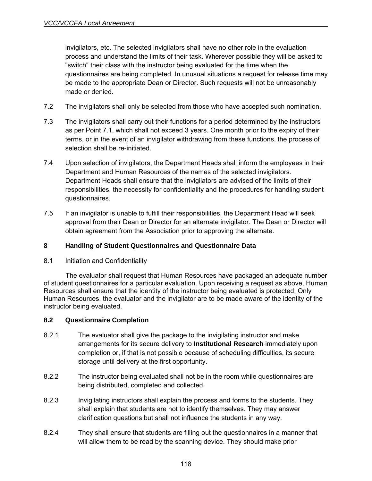invigilators, etc. The selected invigilators shall have no other role in the evaluation process and understand the limits of their task. Wherever possible they will be asked to "switch" their class with the instructor being evaluated for the time when the questionnaires are being completed. In unusual situations a request for release time may be made to the appropriate Dean or Director. Such requests will not be unreasonably made or denied.

- 7.2 The invigilators shall only be selected from those who have accepted such nomination.
- 7.3 The invigilators shall carry out their functions for a period determined by the instructors as per Point 7.1, which shall not exceed 3 years. One month prior to the expiry of their terms, or in the event of an invigilator withdrawing from these functions, the process of selection shall be re-initiated.
- 7.4 Upon selection of invigilators, the Department Heads shall inform the employees in their Department and Human Resources of the names of the selected invigilators. Department Heads shall ensure that the invigilators are advised of the limits of their responsibilities, the necessity for confidentiality and the procedures for handling student questionnaires.
- 7.5 If an invigilator is unable to fulfill their responsibilities, the Department Head will seek approval from their Dean or Director for an alternate invigilator. The Dean or Director will obtain agreement from the Association prior to approving the alternate.

#### **8 Handling of Student Questionnaires and Questionnaire Data**

8.1 Initiation and Confidentiality

 The evaluator shall request that Human Resources have packaged an adequate number of student questionnaires for a particular evaluation. Upon receiving a request as above, Human Resources shall ensure that the identity of the instructor being evaluated is protected. Only Human Resources, the evaluator and the invigilator are to be made aware of the identity of the instructor being evaluated.

#### **8.2 Questionnaire Completion**

- 8.2.1 The evaluator shall give the package to the invigilating instructor and make arrangements for its secure delivery to **Institutional Research** immediately upon completion or, if that is not possible because of scheduling difficulties, its secure storage until delivery at the first opportunity.
- 8.2.2 The instructor being evaluated shall not be in the room while questionnaires are being distributed, completed and collected.
- 8.2.3 Invigilating instructors shall explain the process and forms to the students. They shall explain that students are not to identify themselves. They may answer clarification questions but shall not influence the students in any way.
- 8.2.4 They shall ensure that students are filling out the questionnaires in a manner that will allow them to be read by the scanning device. They should make prior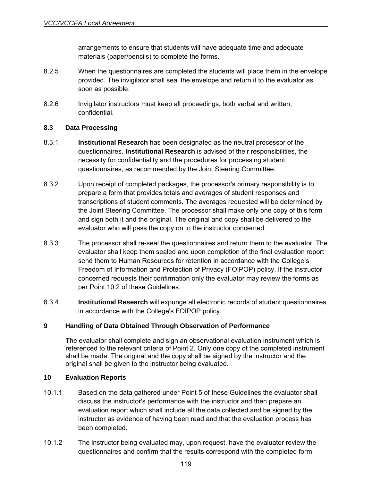arrangements to ensure that students will have adequate time and adequate materials (paper/pencils) to complete the forms.

- 8.2.5 When the questionnaires are completed the students will place them in the envelope provided. The invigilator shall seal the envelope and return it to the evaluator as soon as possible.
- 8.2.6 Invigilator instructors must keep all proceedings, both verbal and written, confidential.

### **8.3 Data Processing**

- 8.3.1 **Institutional Research** has been designated as the neutral processor of the questionnaires. **Institutional Research** is advised of their responsibilities, the necessity for confidentiality and the procedures for processing student questionnaires, as recommended by the Joint Steering Committee.
- 8.3.2 Upon receipt of completed packages, the processor's primary responsibility is to prepare a form that provides totals and averages of student responses and transcriptions of student comments. The averages requested will be determined by the Joint Steering Committee. The processor shall make only one copy of this form and sign both it and the original. The original and copy shall be delivered to the evaluator who will pass the copy on to the instructor concerned.
- 8.3.3 The processor shall re-seal the questionnaires and return them to the evaluator. The evaluator shall keep them sealed and upon completion of the final evaluation report send them to Human Resources for retention in accordance with the College's Freedom of Information and Protection of Privacy (FOIPOP) policy. If the instructor concerned requests their confirmation only the evaluator may review the forms as per Point 10.2 of these Guidelines.
- 8.3.4 **Institutional Research** will expunge all electronic records of student questionnaires in accordance with the College's FOIPOP policy.

### **9 Handling of Data Obtained Through Observation of Performance**

The evaluator shall complete and sign an observational evaluation instrument which is referenced to the relevant criteria of Point 2. Only one copy of the completed instrument shall be made. The original and the copy shall be signed by the instructor and the original shall be given to the instructor being evaluated.

#### **10 Evaluation Reports**

- 10.1.1 Based on the data gathered under Point 5 of these Guidelines the evaluator shall discuss the instructor's performance with the instructor and then prepare an evaluation report which shall include all the data collected and be signed by the instructor as evidence of having been read and that the evaluation process has been completed.
- 10.1.2 The instructor being evaluated may, upon request, have the evaluator review the questionnaires and confirm that the results correspond with the completed form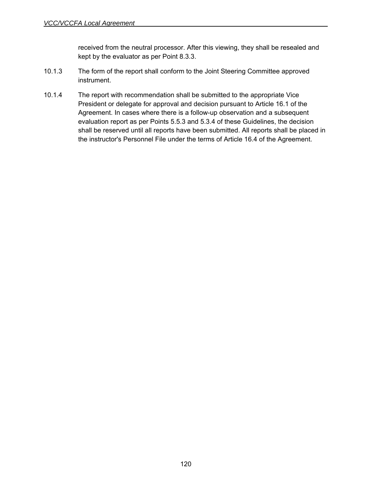received from the neutral processor. After this viewing, they shall be resealed and kept by the evaluator as per Point 8.3.3.

- 10.1.3 The form of the report shall conform to the Joint Steering Committee approved instrument.
- 10.1.4 The report with recommendation shall be submitted to the appropriate Vice President or delegate for approval and decision pursuant to Article 16.1 of the Agreement. In cases where there is a follow-up observation and a subsequent evaluation report as per Points 5.5.3 and 5.3.4 of these Guidelines, the decision shall be reserved until all reports have been submitted. All reports shall be placed in the instructor's Personnel File under the terms of Article 16.4 of the Agreement.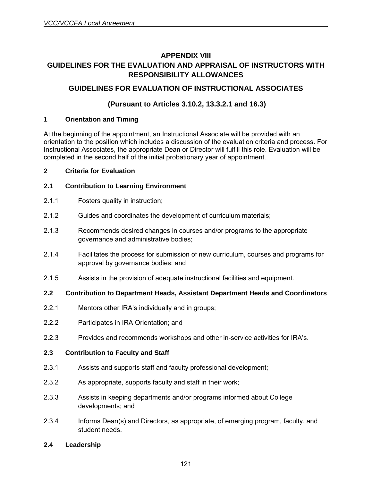## **APPENDIX VIII GUIDELINES FOR THE EVALUATION AND APPRAISAL OF INSTRUCTORS WITH RESPONSIBILITY ALLOWANCES**

### **GUIDELINES FOR EVALUATION OF INSTRUCTIONAL ASSOCIATES**

## **(Pursuant to Articles 3.10.2, 13.3.2.1 and 16.3)**

#### **1 Orientation and Timing**

At the beginning of the appointment, an Instructional Associate will be provided with an orientation to the position which includes a discussion of the evaluation criteria and process. For Instructional Associates, the appropriate Dean or Director will fulfill this role. Evaluation will be completed in the second half of the initial probationary year of appointment.

#### **2 Criteria for Evaluation**

#### **2.1 Contribution to Learning Environment**

- 2.1.1 Fosters quality in instruction;
- 2.1.2 Guides and coordinates the development of curriculum materials;
- 2.1.3 Recommends desired changes in courses and/or programs to the appropriate governance and administrative bodies;
- 2.1.4 Facilitates the process for submission of new curriculum, courses and programs for approval by governance bodies; and
- 2.1.5 Assists in the provision of adequate instructional facilities and equipment.

#### **2.2 Contribution to Department Heads, Assistant Department Heads and Coordinators**

- 2.2.1 Mentors other IRA's individually and in groups;
- 2.2.2 Participates in IRA Orientation; and
- 2.2.3 Provides and recommends workshops and other in-service activities for IRA's.

#### **2.3 Contribution to Faculty and Staff**

- 2.3.1 Assists and supports staff and faculty professional development;
- 2.3.2 As appropriate, supports faculty and staff in their work;
- 2.3.3 Assists in keeping departments and/or programs informed about College developments; and
- 2.3.4 Informs Dean(s) and Directors, as appropriate, of emerging program, faculty, and student needs.

#### **2.4 Leadership**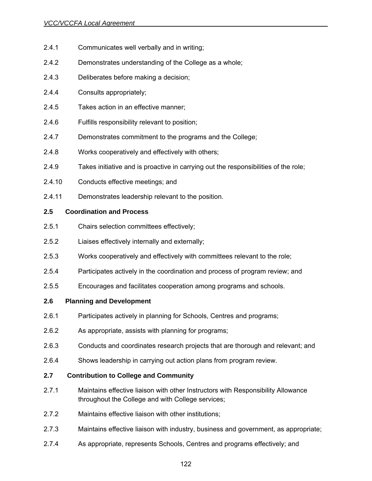- 2.4.1 Communicates well verbally and in writing;
- 2.4.2 Demonstrates understanding of the College as a whole;
- 2.4.3 Deliberates before making a decision;
- 2.4.4 Consults appropriately;
- 2.4.5 Takes action in an effective manner;
- 2.4.6 Fulfills responsibility relevant to position;
- 2.4.7 Demonstrates commitment to the programs and the College;
- 2.4.8 Works cooperatively and effectively with others;
- 2.4.9 Takes initiative and is proactive in carrying out the responsibilities of the role;
- 2.4.10 Conducts effective meetings; and
- 2.4.11 Demonstrates leadership relevant to the position.

#### **2.5 Coordination and Process**

- 2.5.1 Chairs selection committees effectively;
- 2.5.2 Liaises effectively internally and externally;
- 2.5.3 Works cooperatively and effectively with committees relevant to the role;
- 2.5.4 Participates actively in the coordination and process of program review; and
- 2.5.5 Encourages and facilitates cooperation among programs and schools.

#### **2.6 Planning and Development**

- 2.6.1 Participates actively in planning for Schools, Centres and programs;
- 2.6.2 As appropriate, assists with planning for programs;
- 2.6.3 Conducts and coordinates research projects that are thorough and relevant; and
- 2.6.4 Shows leadership in carrying out action plans from program review.

#### **2.7 Contribution to College and Community**

- 2.7.1 Maintains effective liaison with other Instructors with Responsibility Allowance throughout the College and with College services;
- 2.7.2 Maintains effective liaison with other institutions;
- 2.7.3 Maintains effective liaison with industry, business and government, as appropriate;
- 2.7.4 As appropriate, represents Schools, Centres and programs effectively; and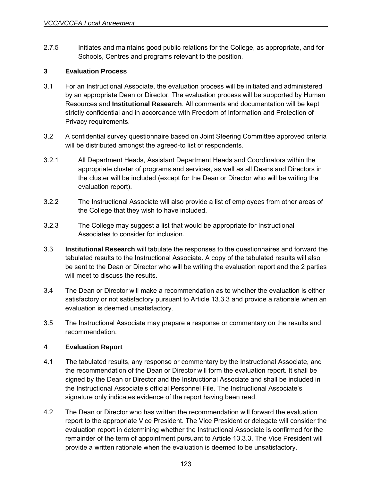2.7.5 Initiates and maintains good public relations for the College, as appropriate, and for Schools, Centres and programs relevant to the position.

### **3 Evaluation Process**

- 3.1 For an Instructional Associate, the evaluation process will be initiated and administered by an appropriate Dean or Director. The evaluation process will be supported by Human Resources and **Institutional Research**. All comments and documentation will be kept strictly confidential and in accordance with Freedom of Information and Protection of Privacy requirements.
- 3.2 A confidential survey questionnaire based on Joint Steering Committee approved criteria will be distributed amongst the agreed-to list of respondents.
- 3.2.1 All Department Heads, Assistant Department Heads and Coordinators within the appropriate cluster of programs and services, as well as all Deans and Directors in the cluster will be included (except for the Dean or Director who will be writing the evaluation report).
- 3.2.2 The Instructional Associate will also provide a list of employees from other areas of the College that they wish to have included.
- 3.2.3 The College may suggest a list that would be appropriate for Instructional Associates to consider for inclusion.
- 3.3 **Institutional Research** will tabulate the responses to the questionnaires and forward the tabulated results to the Instructional Associate. A copy of the tabulated results will also be sent to the Dean or Director who will be writing the evaluation report and the 2 parties will meet to discuss the results.
- 3.4 The Dean or Director will make a recommendation as to whether the evaluation is either satisfactory or not satisfactory pursuant to Article 13.3.3 and provide a rationale when an evaluation is deemed unsatisfactory.
- 3.5 The Instructional Associate may prepare a response or commentary on the results and recommendation.

### **4 Evaluation Report**

- 4.1 The tabulated results, any response or commentary by the Instructional Associate, and the recommendation of the Dean or Director will form the evaluation report. It shall be signed by the Dean or Director and the Instructional Associate and shall be included in the Instructional Associate's official Personnel File. The Instructional Associate's signature only indicates evidence of the report having been read.
- 4.2 The Dean or Director who has written the recommendation will forward the evaluation report to the appropriate Vice President. The Vice President or delegate will consider the evaluation report in determining whether the Instructional Associate is confirmed for the remainder of the term of appointment pursuant to Article 13.3.3. The Vice President will provide a written rationale when the evaluation is deemed to be unsatisfactory.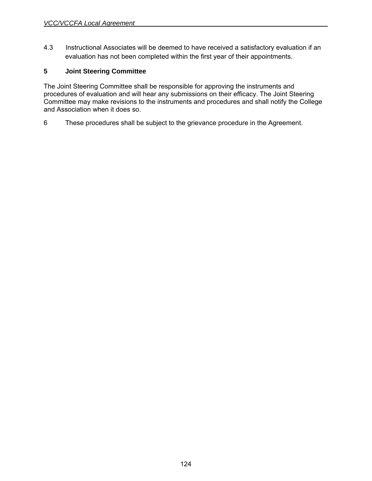4.3 Instructional Associates will be deemed to have received a satisfactory evaluation if an evaluation has not been completed within the first year of their appointments.

### **5 Joint Steering Committee**

The Joint Steering Committee shall be responsible for approving the instruments and procedures of evaluation and will hear any submissions on their efficacy. The Joint Steering Committee may make revisions to the instruments and procedures and shall notify the College and Association when it does so.

6 These procedures shall be subject to the grievance procedure in the Agreement.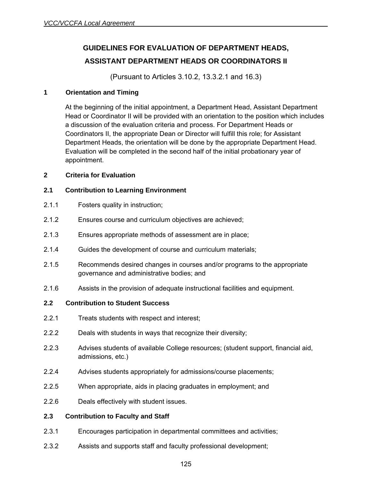# **GUIDELINES FOR EVALUATION OF DEPARTMENT HEADS, ASSISTANT DEPARTMENT HEADS OR COORDINATORS II**

(Pursuant to Articles 3.10.2, 13.3.2.1 and 16.3)

### **1 Orientation and Timing**

At the beginning of the initial appointment, a Department Head, Assistant Department Head or Coordinator II will be provided with an orientation to the position which includes a discussion of the evaluation criteria and process. For Department Heads or Coordinators II, the appropriate Dean or Director will fulfill this role; for Assistant Department Heads, the orientation will be done by the appropriate Department Head. Evaluation will be completed in the second half of the initial probationary year of appointment.

#### **2 Criteria for Evaluation**

### **2.1 Contribution to Learning Environment**

- 2.1.1 Fosters quality in instruction;
- 2.1.2 Ensures course and curriculum objectives are achieved;
- 2.1.3 Ensures appropriate methods of assessment are in place;
- 2.1.4 Guides the development of course and curriculum materials;
- 2.1.5 Recommends desired changes in courses and/or programs to the appropriate governance and administrative bodies; and
- 2.1.6 Assists in the provision of adequate instructional facilities and equipment.

#### **2.2 Contribution to Student Success**

- 2.2.1 Treats students with respect and interest;
- 2.2.2 Deals with students in ways that recognize their diversity;
- 2.2.3 Advises students of available College resources; (student support, financial aid, admissions, etc.)
- 2.2.4 Advises students appropriately for admissions/course placements;
- 2.2.5 When appropriate, aids in placing graduates in employment; and
- 2.2.6 Deals effectively with student issues.

#### **2.3 Contribution to Faculty and Staff**

- 2.3.1 Encourages participation in departmental committees and activities;
- 2.3.2 Assists and supports staff and faculty professional development;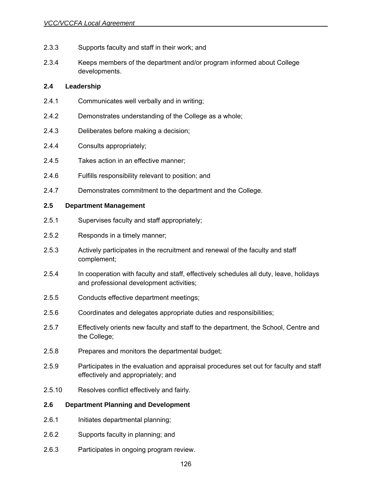- 2.3.3 Supports faculty and staff in their work; and
- 2.3.4 Keeps members of the department and/or program informed about College developments.

#### **2.4 Leadership**

- 2.4.1 Communicates well verbally and in writing;
- 2.4.2 Demonstrates understanding of the College as a whole;
- 2.4.3 Deliberates before making a decision;
- 2.4.4 Consults appropriately;
- 2.4.5 Takes action in an effective manner;
- 2.4.6 Fulfills responsibility relevant to position; and
- 2.4.7 Demonstrates commitment to the department and the College.

#### **2.5 Department Management**

- 2.5.1 Supervises faculty and staff appropriately;
- 2.5.2 Responds in a timely manner;
- 2.5.3 Actively participates in the recruitment and renewal of the faculty and staff complement;
- 2.5.4 In cooperation with faculty and staff, effectively schedules all duty, leave, holidays and professional development activities;
- 2.5.5 Conducts effective department meetings;
- 2.5.6 Coordinates and delegates appropriate duties and responsibilities;
- 2.5.7 Effectively orients new faculty and staff to the department, the School, Centre and the College;
- 2.5.8 Prepares and monitors the departmental budget;
- 2.5.9 Participates in the evaluation and appraisal procedures set out for faculty and staff effectively and appropriately; and
- 2.5.10 Resolves conflict effectively and fairly.

#### **2.6 Department Planning and Development**

- 2.6.1 Initiates departmental planning;
- 2.6.2 Supports faculty in planning; and
- 2.6.3 Participates in ongoing program review.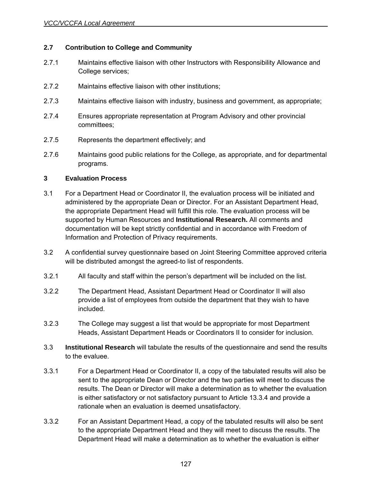#### **2.7 Contribution to College and Community**

- 2.7.1 Maintains effective liaison with other Instructors with Responsibility Allowance and College services;
- 2.7.2 Maintains effective liaison with other institutions;
- 2.7.3 Maintains effective liaison with industry, business and government, as appropriate;
- 2.7.4 Ensures appropriate representation at Program Advisory and other provincial committees;
- 2.7.5 Represents the department effectively; and
- 2.7.6 Maintains good public relations for the College, as appropriate, and for departmental programs.

### **3 Evaluation Process**

- 3.1 For a Department Head or Coordinator II, the evaluation process will be initiated and administered by the appropriate Dean or Director. For an Assistant Department Head, the appropriate Department Head will fulfill this role. The evaluation process will be supported by Human Resources and **Institutional Research.** All comments and documentation will be kept strictly confidential and in accordance with Freedom of Information and Protection of Privacy requirements.
- 3.2 A confidential survey questionnaire based on Joint Steering Committee approved criteria will be distributed amongst the agreed-to list of respondents.
- 3.2.1 All faculty and staff within the person's department will be included on the list.
- 3.2.2 The Department Head, Assistant Department Head or Coordinator II will also provide a list of employees from outside the department that they wish to have included.
- 3.2.3 The College may suggest a list that would be appropriate for most Department Heads, Assistant Department Heads or Coordinators II to consider for inclusion.
- 3.3 **Institutional Research** will tabulate the results of the questionnaire and send the results to the evaluee.
- 3.3.1 For a Department Head or Coordinator II, a copy of the tabulated results will also be sent to the appropriate Dean or Director and the two parties will meet to discuss the results. The Dean or Director will make a determination as to whether the evaluation is either satisfactory or not satisfactory pursuant to Article 13.3.4 and provide a rationale when an evaluation is deemed unsatisfactory.
- 3.3.2 For an Assistant Department Head, a copy of the tabulated results will also be sent to the appropriate Department Head and they will meet to discuss the results. The Department Head will make a determination as to whether the evaluation is either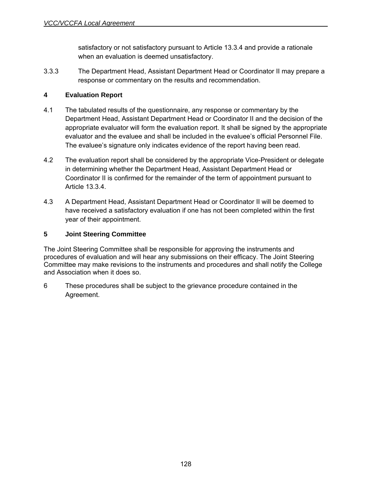satisfactory or not satisfactory pursuant to Article 13.3.4 and provide a rationale when an evaluation is deemed unsatisfactory.

3.3.3 The Department Head, Assistant Department Head or Coordinator II may prepare a response or commentary on the results and recommendation.

### **4 Evaluation Report**

- 4.1 The tabulated results of the questionnaire, any response or commentary by the Department Head, Assistant Department Head or Coordinator II and the decision of the appropriate evaluator will form the evaluation report. It shall be signed by the appropriate evaluator and the evaluee and shall be included in the evaluee's official Personnel File. The evaluee's signature only indicates evidence of the report having been read.
- 4.2 The evaluation report shall be considered by the appropriate Vice-President or delegate in determining whether the Department Head, Assistant Department Head or Coordinator II is confirmed for the remainder of the term of appointment pursuant to Article 13.3.4.
- 4.3 A Department Head, Assistant Department Head or Coordinator II will be deemed to have received a satisfactory evaluation if one has not been completed within the first year of their appointment.

### **5 Joint Steering Committee**

The Joint Steering Committee shall be responsible for approving the instruments and procedures of evaluation and will hear any submissions on their efficacy. The Joint Steering Committee may make revisions to the instruments and procedures and shall notify the College and Association when it does so.

6 These procedures shall be subject to the grievance procedure contained in the Agreement.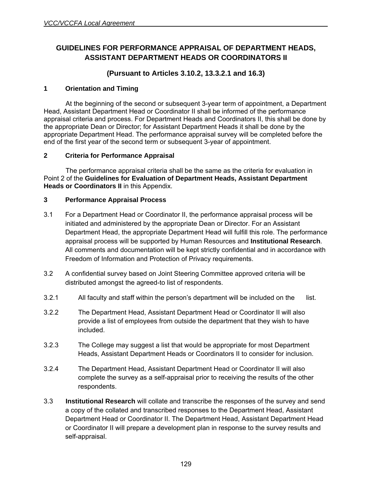# **GUIDELINES FOR PERFORMANCE APPRAISAL OF DEPARTMENT HEADS, ASSISTANT DEPARTMENT HEADS OR COORDINATORS II**

## **(Pursuant to Articles 3.10.2, 13.3.2.1 and 16.3)**

### **1 Orientation and Timing**

 At the beginning of the second or subsequent 3-year term of appointment, a Department Head, Assistant Department Head or Coordinator II shall be informed of the performance appraisal criteria and process. For Department Heads and Coordinators II, this shall be done by the appropriate Dean or Director; for Assistant Department Heads it shall be done by the appropriate Department Head. The performance appraisal survey will be completed before the end of the first year of the second term or subsequent 3-year of appointment.

#### **2 Criteria for Performance Appraisal**

 The performance appraisal criteria shall be the same as the criteria for evaluation in Point 2 of the **Guidelines for Evaluation of Department Heads, Assistant Department Heads or Coordinators II** in this Appendix.

#### **3 Performance Appraisal Process**

- 3.1 For a Department Head or Coordinator II, the performance appraisal process will be initiated and administered by the appropriate Dean or Director. For an Assistant Department Head, the appropriate Department Head will fulfill this role. The performance appraisal process will be supported by Human Resources and **Institutional Research**. All comments and documentation will be kept strictly confidential and in accordance with Freedom of Information and Protection of Privacy requirements.
- 3.2 A confidential survey based on Joint Steering Committee approved criteria will be distributed amongst the agreed-to list of respondents.
- 3.2.1 All faculty and staff within the person's department will be included on the list.
- 3.2.2 The Department Head, Assistant Department Head or Coordinator II will also provide a list of employees from outside the department that they wish to have included.
- 3.2.3 The College may suggest a list that would be appropriate for most Department Heads, Assistant Department Heads or Coordinators II to consider for inclusion.
- 3.2.4 The Department Head, Assistant Department Head or Coordinator II will also complete the survey as a self-appraisal prior to receiving the results of the other respondents.
- 3.3 **Institutional Research** will collate and transcribe the responses of the survey and send a copy of the collated and transcribed responses to the Department Head, Assistant Department Head or Coordinator II. The Department Head, Assistant Department Head or Coordinator II will prepare a development plan in response to the survey results and self-appraisal.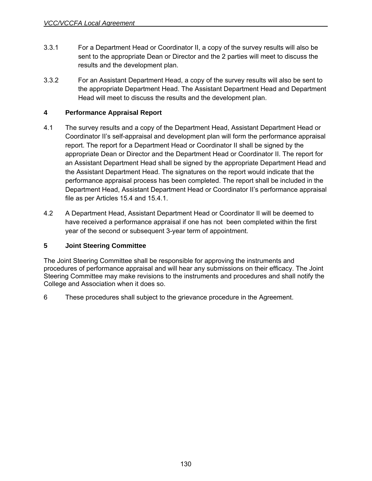- 3.3.1 For a Department Head or Coordinator II, a copy of the survey results will also be sent to the appropriate Dean or Director and the 2 parties will meet to discuss the results and the development plan.
- 3.3.2 For an Assistant Department Head, a copy of the survey results will also be sent to the appropriate Department Head. The Assistant Department Head and Department Head will meet to discuss the results and the development plan.

### **4 Performance Appraisal Report**

- 4.1 The survey results and a copy of the Department Head, Assistant Department Head or Coordinator II's self-appraisal and development plan will form the performance appraisal report. The report for a Department Head or Coordinator II shall be signed by the appropriate Dean or Director and the Department Head or Coordinator II. The report for an Assistant Department Head shall be signed by the appropriate Department Head and the Assistant Department Head. The signatures on the report would indicate that the performance appraisal process has been completed. The report shall be included in the Department Head, Assistant Department Head or Coordinator II's performance appraisal file as per Articles 15.4 and 15.4.1.
- 4.2 A Department Head, Assistant Department Head or Coordinator II will be deemed to have received a performance appraisal if one has not been completed within the first year of the second or subsequent 3-year term of appointment.

### **5 Joint Steering Committee**

The Joint Steering Committee shall be responsible for approving the instruments and procedures of performance appraisal and will hear any submissions on their efficacy. The Joint Steering Committee may make revisions to the instruments and procedures and shall notify the College and Association when it does so.

6 These procedures shall subject to the grievance procedure in the Agreement.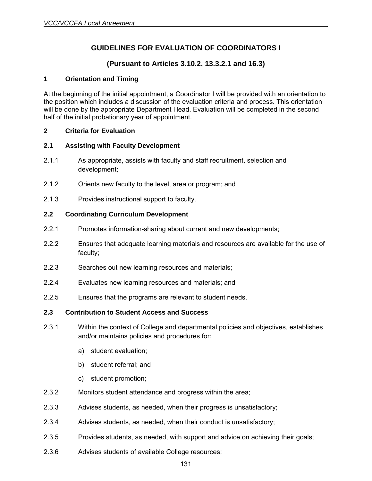# **GUIDELINES FOR EVALUATION OF COORDINATORS I**

## **(Pursuant to Articles 3.10.2, 13.3.2.1 and 16.3)**

#### **1 Orientation and Timing**

At the beginning of the initial appointment, a Coordinator I will be provided with an orientation to the position which includes a discussion of the evaluation criteria and process. This orientation will be done by the appropriate Department Head. Evaluation will be completed in the second half of the initial probationary year of appointment.

#### **2 Criteria for Evaluation**

#### **2.1 Assisting with Faculty Development**

- 2.1.1 As appropriate, assists with faculty and staff recruitment, selection and development;
- 2.1.2 Orients new faculty to the level, area or program; and
- 2.1.3 Provides instructional support to faculty.

#### **2.2 Coordinating Curriculum Development**

- 2.2.1 Promotes information-sharing about current and new developments;
- 2.2.2 Ensures that adequate learning materials and resources are available for the use of faculty;
- 2.2.3 Searches out new learning resources and materials;
- 2.2.4 Evaluates new learning resources and materials; and
- 2.2.5 Ensures that the programs are relevant to student needs.

#### **2.3 Contribution to Student Access and Success**

- 2.3.1 Within the context of College and departmental policies and objectives, establishes and/or maintains policies and procedures for:
	- a) student evaluation;
	- b) student referral; and
	- c) student promotion;
- 2.3.2 Monitors student attendance and progress within the area;
- 2.3.3 Advises students, as needed, when their progress is unsatisfactory;
- 2.3.4 Advises students, as needed, when their conduct is unsatisfactory;
- 2.3.5 Provides students, as needed, with support and advice on achieving their goals;
- 2.3.6 Advises students of available College resources;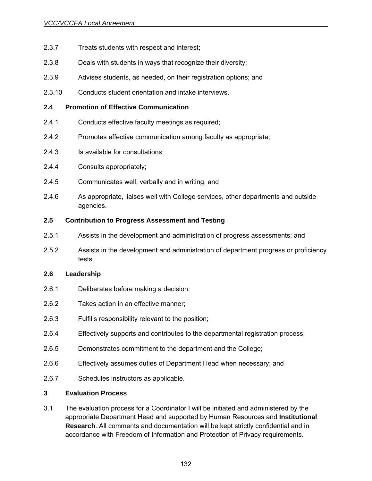- 2.3.7 Treats students with respect and interest;
- 2.3.8 Deals with students in ways that recognize their diversity;
- 2.3.9 Advises students, as needed, on their registration options; and
- 2.3.10 Conducts student orientation and intake interviews.

#### **2.4 Promotion of Effective Communication**

- 2.4.1 Conducts effective faculty meetings as required;
- 2.4.2 Promotes effective communication among faculty as appropriate;
- 2.4.3 Is available for consultations;
- 2.4.4 Consults appropriately;
- 2.4.5 Communicates well, verbally and in writing; and
- 2.4.6 As appropriate, liaises well with College services, other departments and outside agencies.

#### **2.5 Contribution to Progress Assessment and Testing**

- 2.5.1 Assists in the development and administration of progress assessments; and
- 2.5.2 Assists in the development and administration of department progress or proficiency tests.

#### **2.6 Leadership**

- 2.6.1 Deliberates before making a decision;
- 2.6.2 Takes action in an effective manner;
- 2.6.3 Fulfills responsibility relevant to the position;
- 2.6.4 Effectively supports and contributes to the departmental registration process;
- 2.6.5 Demonstrates commitment to the department and the College;
- 2.6.6 Effectively assumes duties of Department Head when necessary; and
- 2.6.7 Schedules instructors as applicable.

#### **3 Evaluation Process**

3.1 The evaluation process for a Coordinator I will be initiated and administered by the appropriate Department Head and supported by Human Resources and **Institutional Research**. All comments and documentation will be kept strictly confidential and in accordance with Freedom of Information and Protection of Privacy requirements.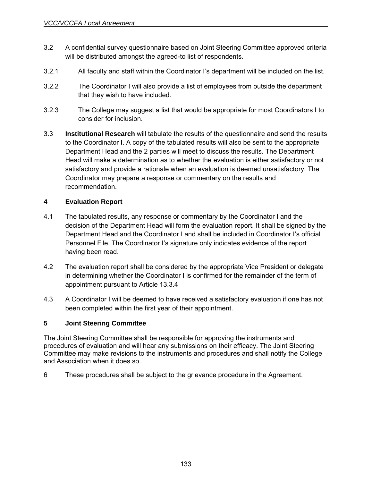- 3.2 A confidential survey questionnaire based on Joint Steering Committee approved criteria will be distributed amongst the agreed-to list of respondents.
- 3.2.1 All faculty and staff within the Coordinator I's department will be included on the list.
- 3.2.2 The Coordinator I will also provide a list of employees from outside the department that they wish to have included.
- 3.2.3 The College may suggest a list that would be appropriate for most Coordinators I to consider for inclusion.
- 3.3 **Institutional Research** will tabulate the results of the questionnaire and send the results to the Coordinator I. A copy of the tabulated results will also be sent to the appropriate Department Head and the 2 parties will meet to discuss the results. The Department Head will make a determination as to whether the evaluation is either satisfactory or not satisfactory and provide a rationale when an evaluation is deemed unsatisfactory. The Coordinator may prepare a response or commentary on the results and recommendation.

### **4 Evaluation Report**

- 4.1 The tabulated results, any response or commentary by the Coordinator I and the decision of the Department Head will form the evaluation report. It shall be signed by the Department Head and the Coordinator I and shall be included in Coordinator I's official Personnel File. The Coordinator I's signature only indicates evidence of the report having been read.
- 4.2 The evaluation report shall be considered by the appropriate Vice President or delegate in determining whether the Coordinator I is confirmed for the remainder of the term of appointment pursuant to Article 13.3.4
- 4.3 A Coordinator I will be deemed to have received a satisfactory evaluation if one has not been completed within the first year of their appointment.

#### **5 Joint Steering Committee**

The Joint Steering Committee shall be responsible for approving the instruments and procedures of evaluation and will hear any submissions on their efficacy. The Joint Steering Committee may make revisions to the instruments and procedures and shall notify the College and Association when it does so.

6 These procedures shall be subject to the grievance procedure in the Agreement.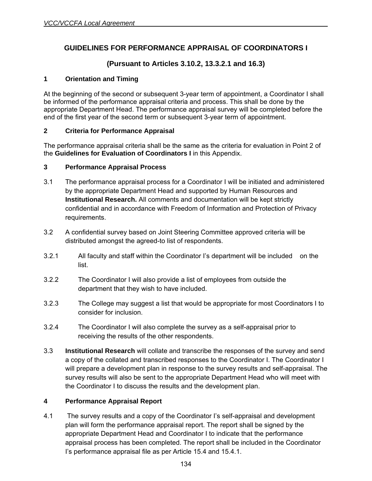# **GUIDELINES FOR PERFORMANCE APPRAISAL OF COORDINATORS I**

# **(Pursuant to Articles 3.10.2, 13.3.2.1 and 16.3)**

### **1 Orientation and Timing**

At the beginning of the second or subsequent 3-year term of appointment, a Coordinator I shall be informed of the performance appraisal criteria and process. This shall be done by the appropriate Department Head. The performance appraisal survey will be completed before the end of the first year of the second term or subsequent 3-year term of appointment.

### **2 Criteria for Performance Appraisal**

The performance appraisal criteria shall be the same as the criteria for evaluation in Point 2 of the **Guidelines for Evaluation of Coordinators I** in this Appendix.

### **3 Performance Appraisal Process**

- 3.1 The performance appraisal process for a Coordinator I will be initiated and administered by the appropriate Department Head and supported by Human Resources and **Institutional Research.** All comments and documentation will be kept strictly confidential and in accordance with Freedom of Information and Protection of Privacy requirements.
- 3.2 A confidential survey based on Joint Steering Committee approved criteria will be distributed amongst the agreed-to list of respondents.
- 3.2.1 All faculty and staff within the Coordinator I's department will be included on the list.
- 3.2.2 The Coordinator I will also provide a list of employees from outside the department that they wish to have included.
- 3.2.3 The College may suggest a list that would be appropriate for most Coordinators I to consider for inclusion.
- 3.2.4 The Coordinator I will also complete the survey as a self-appraisal prior to receiving the results of the other respondents.
- 3.3 **Institutional Research** will collate and transcribe the responses of the survey and send a copy of the collated and transcribed responses to the Coordinator I. The Coordinator I will prepare a development plan in response to the survey results and self-appraisal. The survey results will also be sent to the appropriate Department Head who will meet with the Coordinator I to discuss the results and the development plan.

### **4 Performance Appraisal Report**

4.1 The survey results and a copy of the Coordinator I's self-appraisal and development plan will form the performance appraisal report. The report shall be signed by the appropriate Department Head and Coordinator I to indicate that the performance appraisal process has been completed. The report shall be included in the Coordinator I's performance appraisal file as per Article 15.4 and 15.4.1.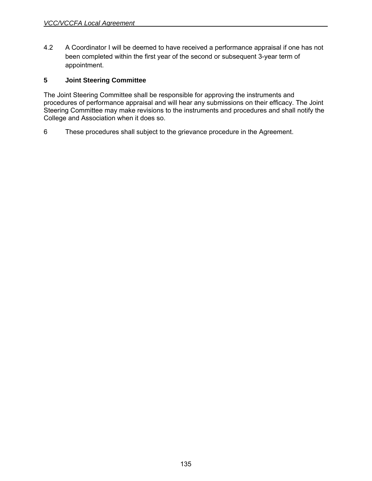4.2 A Coordinator I will be deemed to have received a performance appraisal if one has not been completed within the first year of the second or subsequent 3-year term of appointment.

### **5 Joint Steering Committee**

The Joint Steering Committee shall be responsible for approving the instruments and procedures of performance appraisal and will hear any submissions on their efficacy. The Joint Steering Committee may make revisions to the instruments and procedures and shall notify the College and Association when it does so.

6 These procedures shall subject to the grievance procedure in the Agreement.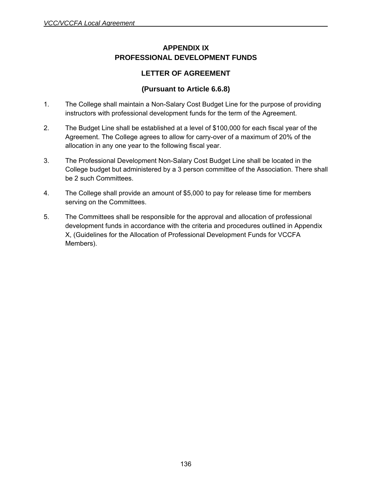# **APPENDIX IX PROFESSIONAL DEVELOPMENT FUNDS**

# **LETTER OF AGREEMENT**

# **(Pursuant to Article 6.6.8)**

- 1. The College shall maintain a Non-Salary Cost Budget Line for the purpose of providing instructors with professional development funds for the term of the Agreement.
- 2. The Budget Line shall be established at a level of \$100,000 for each fiscal year of the Agreement. The College agrees to allow for carry-over of a maximum of 20% of the allocation in any one year to the following fiscal year.
- 3. The Professional Development Non-Salary Cost Budget Line shall be located in the College budget but administered by a 3 person committee of the Association. There shall be 2 such Committees.
- 4. The College shall provide an amount of \$5,000 to pay for release time for members serving on the Committees.
- 5. The Committees shall be responsible for the approval and allocation of professional development funds in accordance with the criteria and procedures outlined in Appendix X, (Guidelines for the Allocation of Professional Development Funds for VCCFA Members).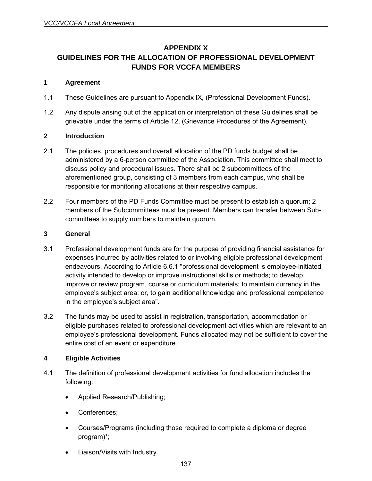# **APPENDIX X GUIDELINES FOR THE ALLOCATION OF PROFESSIONAL DEVELOPMENT FUNDS FOR VCCFA MEMBERS**

#### **1 Agreement**

- 1.1 These Guidelines are pursuant to Appendix IX, (Professional Development Funds).
- 1.2 Any dispute arising out of the application or interpretation of these Guidelines shall be grievable under the terms of Article 12, (Grievance Procedures of the Agreement).

#### **2 Introduction**

- 2.1 The policies, procedures and overall allocation of the PD funds budget shall be administered by a 6-person committee of the Association. This committee shall meet to discuss policy and procedural issues. There shall be 2 subcommittees of the aforementioned group, consisting of 3 members from each campus, who shall be responsible for monitoring allocations at their respective campus.
- 2.2 Four members of the PD Funds Committee must be present to establish a quorum; 2 members of the Subcommittees must be present. Members can transfer between Subcommittees to supply numbers to maintain quorum.

#### **3 General**

- 3.1 Professional development funds are for the purpose of providing financial assistance for expenses incurred by activities related to or involving eligible professional development endeavours. According to Article 6.6.1 "professional development is employee-initiated activity intended to develop or improve instructional skills or methods; to develop, improve or review program, course or curriculum materials; to maintain currency in the employee's subject area; or, to gain additional knowledge and professional competence in the employee's subject area".
- 3.2 The funds may be used to assist in registration, transportation, accommodation or eligible purchases related to professional development activities which are relevant to an employee's professional development. Funds allocated may not be sufficient to cover the entire cost of an event or expenditure.

#### **4 Eligible Activities**

- 4.1 The definition of professional development activities for fund allocation includes the following:
	- Applied Research/Publishing;
	- Conferences:
	- Courses/Programs (including those required to complete a diploma or degree program)\*;
	- Liaison/Visits with Industry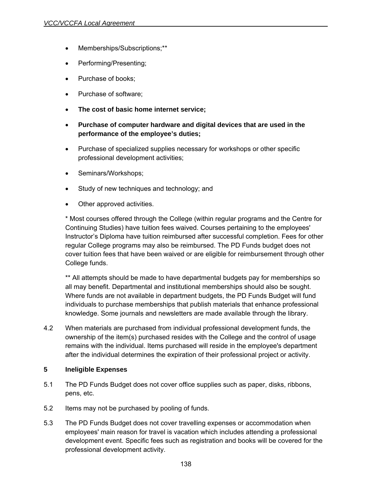- Memberships/Subscriptions;\*\*
- Performing/Presenting;
- Purchase of books:
- Purchase of software;
- **The cost of basic home internet service;**
- **Purchase of computer hardware and digital devices that are used in the performance of the employee's duties;**
- Purchase of specialized supplies necessary for workshops or other specific professional development activities;
- Seminars/Workshops;
- Study of new techniques and technology; and
- Other approved activities.

\* Most courses offered through the College (within regular programs and the Centre for Continuing Studies) have tuition fees waived. Courses pertaining to the employees' Instructor's Diploma have tuition reimbursed after successful completion. Fees for other regular College programs may also be reimbursed. The PD Funds budget does not cover tuition fees that have been waived or are eligible for reimbursement through other College funds.

\*\* All attempts should be made to have departmental budgets pay for memberships so all may benefit. Departmental and institutional memberships should also be sought. Where funds are not available in department budgets, the PD Funds Budget will fund individuals to purchase memberships that publish materials that enhance professional knowledge. Some journals and newsletters are made available through the library.

4.2 When materials are purchased from individual professional development funds, the ownership of the item(s) purchased resides with the College and the control of usage remains with the individual. Items purchased will reside in the employee's department after the individual determines the expiration of their professional project or activity.

#### **5 Ineligible Expenses**

- 5.1 The PD Funds Budget does not cover office supplies such as paper, disks, ribbons, pens, etc.
- 5.2 Items may not be purchased by pooling of funds.
- 5.3 The PD Funds Budget does not cover travelling expenses or accommodation when employees' main reason for travel is vacation which includes attending a professional development event. Specific fees such as registration and books will be covered for the professional development activity.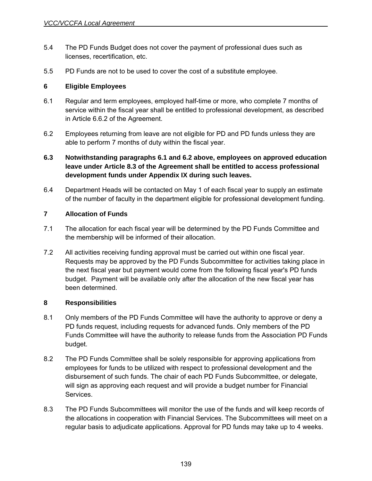- 5.4 The PD Funds Budget does not cover the payment of professional dues such as licenses, recertification, etc.
- 5.5 PD Funds are not to be used to cover the cost of a substitute employee.

### **6 Eligible Employees**

- 6.1 Regular and term employees, employed half-time or more, who complete 7 months of service within the fiscal year shall be entitled to professional development, as described in Article 6.6.2 of the Agreement.
- 6.2 Employees returning from leave are not eligible for PD and PD funds unless they are able to perform 7 months of duty within the fiscal year.

### **6.3 Notwithstanding paragraphs 6.1 and 6.2 above, employees on approved education leave under Article 8.3 of the Agreement shall be entitled to access professional development funds under Appendix IX during such leaves.**

6.4 Department Heads will be contacted on May 1 of each fiscal year to supply an estimate of the number of faculty in the department eligible for professional development funding.

#### **7 Allocation of Funds**

- 7.1 The allocation for each fiscal year will be determined by the PD Funds Committee and the membership will be informed of their allocation.
- 7.2 All activities receiving funding approval must be carried out within one fiscal year. Requests may be approved by the PD Funds Subcommittee for activities taking place in the next fiscal year but payment would come from the following fiscal year's PD funds budget. Payment will be available only after the allocation of the new fiscal year has been determined.

### **8 Responsibilities**

- 8.1 Only members of the PD Funds Committee will have the authority to approve or deny a PD funds request, including requests for advanced funds. Only members of the PD Funds Committee will have the authority to release funds from the Association PD Funds budget.
- 8.2 The PD Funds Committee shall be solely responsible for approving applications from employees for funds to be utilized with respect to professional development and the disbursement of such funds. The chair of each PD Funds Subcommittee, or delegate, will sign as approving each request and will provide a budget number for Financial Services.
- 8.3 The PD Funds Subcommittees will monitor the use of the funds and will keep records of the allocations in cooperation with Financial Services. The Subcommittees will meet on a regular basis to adjudicate applications. Approval for PD funds may take up to 4 weeks.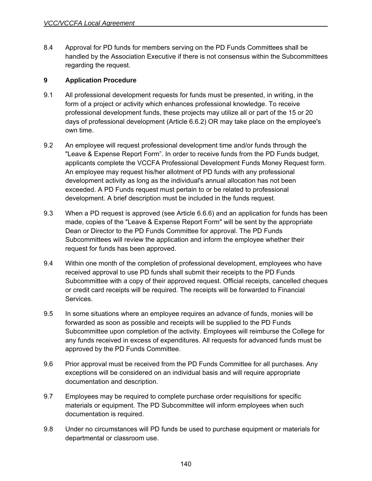8.4 Approval for PD funds for members serving on the PD Funds Committees shall be handled by the Association Executive if there is not consensus within the Subcommittees regarding the request.

### **9 Application Procedure**

- 9.1 All professional development requests for funds must be presented, in writing, in the form of a project or activity which enhances professional knowledge. To receive professional development funds, these projects may utilize all or part of the 15 or 20 days of professional development (Article 6.6.2) OR may take place on the employee's own time.
- 9.2 An employee will request professional development time and/or funds through the "Leave & Expense Report Form". In order to receive funds from the PD Funds budget, applicants complete the VCCFA Professional Development Funds Money Request form. An employee may request his/her allotment of PD funds with any professional development activity as long as the individual's annual allocation has not been exceeded. A PD Funds request must pertain to or be related to professional development. A brief description must be included in the funds request.
- 9.3 When a PD request is approved (see Article 6.6.6) and an application for funds has been made, copies of the "Leave & Expense Report Form" will be sent by the appropriate Dean or Director to the PD Funds Committee for approval. The PD Funds Subcommittees will review the application and inform the employee whether their request for funds has been approved.
- 9.4 Within one month of the completion of professional development, employees who have received approval to use PD funds shall submit their receipts to the PD Funds Subcommittee with a copy of their approved request. Official receipts, cancelled cheques or credit card receipts will be required. The receipts will be forwarded to Financial Services.
- 9.5 In some situations where an employee requires an advance of funds, monies will be forwarded as soon as possible and receipts will be supplied to the PD Funds Subcommittee upon completion of the activity. Employees will reimburse the College for any funds received in excess of expenditures. All requests for advanced funds must be approved by the PD Funds Committee.
- 9.6 Prior approval must be received from the PD Funds Committee for all purchases. Any exceptions will be considered on an individual basis and will require appropriate documentation and description.
- 9.7 Employees may be required to complete purchase order requisitions for specific materials or equipment. The PD Subcommittee will inform employees when such documentation is required.
- 9.8 Under no circumstances will PD funds be used to purchase equipment or materials for departmental or classroom use.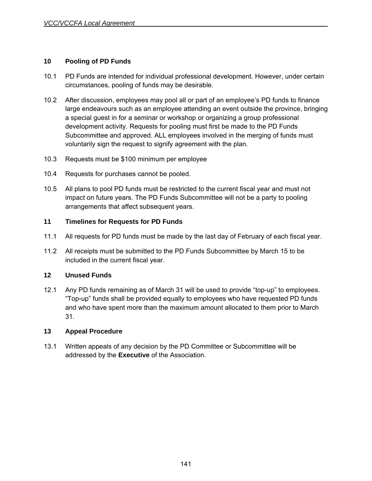#### **10 Pooling of PD Funds**

- 10.1 PD Funds are intended for individual professional development. However, under certain circumstances, pooling of funds may be desirable.
- 10.2 After discussion, employees may pool all or part of an employee's PD funds to finance large endeavours such as an employee attending an event outside the province, bringing a special guest in for a seminar or workshop or organizing a group professional development activity. Requests for pooling must first be made to the PD Funds Subcommittee and approved. ALL employees involved in the merging of funds must voluntarily sign the request to signify agreement with the plan.
- 10.3 Requests must be \$100 minimum per employee
- 10.4 Requests for purchases cannot be pooled.
- 10.5 All plans to pool PD funds must be restricted to the current fiscal year and must not impact on future years. The PD Funds Subcommittee will not be a party to pooling arrangements that affect subsequent years.

#### **11 Timelines for Requests for PD Funds**

- 11.1 All requests for PD funds must be made by the last day of February of each fiscal year.
- 11.2 All receipts must be submitted to the PD Funds Subcommittee by March 15 to be included in the current fiscal year.

#### **12 Unused Funds**

12.1 Any PD funds remaining as of March 31 will be used to provide "top-up" to employees. "Top-up" funds shall be provided equally to employees who have requested PD funds and who have spent more than the maximum amount allocated to them prior to March 31.

#### **13 Appeal Procedure**

13.1 Written appeals of any decision by the PD Committee or Subcommittee will be addressed by the **Executive** of the Association.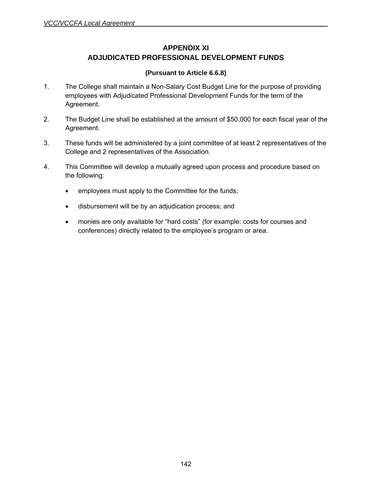# **APPENDIX XI ADJUDICATED PROFESSIONAL DEVELOPMENT FUNDS**

### **(Pursuant to Article 6.6.8)**

- 1. The College shall maintain a Non-Salary Cost Budget Line for the purpose of providing employees with Adjudicated Professional Development Funds for the term of the Agreement.
- 2. The Budget Line shall be established at the amount of \$50,000 for each fiscal year of the Agreement.
- 3. These funds will be administered by a joint committee of at least 2 representatives of the College and 2 representatives of the Association.
- 4. This Committee will develop a mutually agreed upon process and procedure based on the following:
	- employees must apply to the Committee for the funds;
	- disbursement will be by an adjudication process; and
	- monies are only available for "hard costs" (for example: costs for courses and conferences) directly related to the employee's program or area.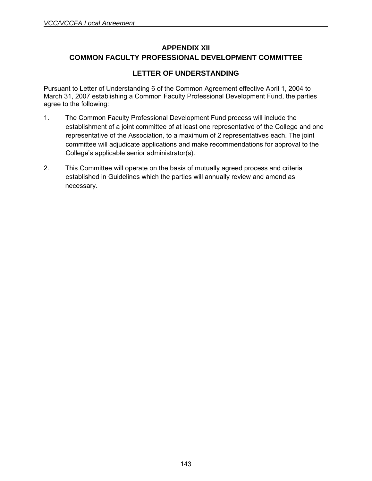# **APPENDIX XII COMMON FACULTY PROFESSIONAL DEVELOPMENT COMMITTEE**

# **LETTER OF UNDERSTANDING**

Pursuant to Letter of Understanding 6 of the Common Agreement effective April 1, 2004 to March 31, 2007 establishing a Common Faculty Professional Development Fund, the parties agree to the following:

- 1. The Common Faculty Professional Development Fund process will include the establishment of a joint committee of at least one representative of the College and one representative of the Association, to a maximum of 2 representatives each. The joint committee will adjudicate applications and make recommendations for approval to the College's applicable senior administrator(s).
- 2. This Committee will operate on the basis of mutually agreed process and criteria established in Guidelines which the parties will annually review and amend as necessary.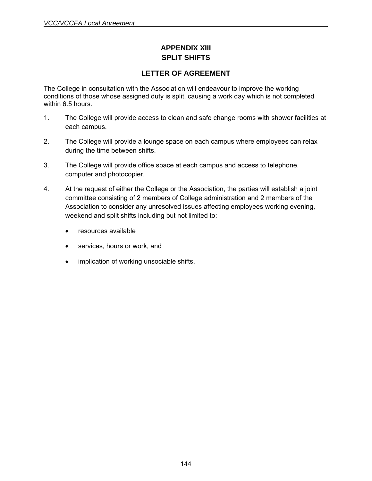# **APPENDIX XIII SPLIT SHIFTS**

# **LETTER OF AGREEMENT**

The College in consultation with the Association will endeavour to improve the working conditions of those whose assigned duty is split, causing a work day which is not completed within 6.5 hours.

- 1. The College will provide access to clean and safe change rooms with shower facilities at each campus.
- 2. The College will provide a lounge space on each campus where employees can relax during the time between shifts.
- 3. The College will provide office space at each campus and access to telephone, computer and photocopier.
- 4. At the request of either the College or the Association, the parties will establish a joint committee consisting of 2 members of College administration and 2 members of the Association to consider any unresolved issues affecting employees working evening, weekend and split shifts including but not limited to:
	- resources available
	- services, hours or work, and
	- implication of working unsociable shifts.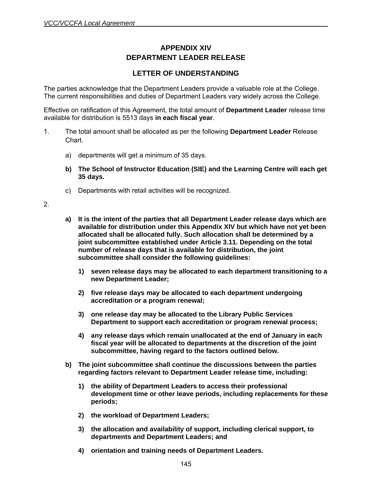# **APPENDIX XIV DEPARTMENT LEADER RELEASE**

### **LETTER OF UNDERSTANDING**

The parties acknowledge that the Department Leaders provide a valuable role at the College. The current responsibilities and duties of Department Leaders vary widely across the College.

Effective on ratification of this Agreement, the total amount of **Department Leader** release time available for distribution is 5513 days **in each fiscal year**.

- 1. The total amount shall be allocated as per the following **Department Leader** Release Chart.
	- a) departments will get a minimum of 35 days.
	- **b) The School of Instructor Education (SIE) and the Learning Centre will each get 35 days.**
	- c) Departments with retail activities will be recognized.

#### 2.

- **a) It is the intent of the parties that all Department Leader release days which are available for distribution under this Appendix XIV but which have not yet been allocated shall be allocated fully. Such allocation shall be determined by a joint subcommittee established under Article 3.11. Depending on the total number of release days that is available for distribution, the joint subcommittee shall consider the following guidelines:** 
	- **1) seven release days may be allocated to each department transitioning to a new Department Leader;**
	- **2) five release days may be allocated to each department undergoing accreditation or a program renewal;**
	- **3) one release day may be allocated to the Library Public Services Department to support each accreditation or program renewal process;**
	- **4) any release days which remain unallocated at the end of January in each fiscal year will be allocated to departments at the discretion of the joint subcommittee, having regard to the factors outlined below.**
- **b) The joint subcommittee shall continue the discussions between the parties regarding factors relevant to Department Leader release time, including:** 
	- **1) the ability of Department Leaders to access their professional development time or other leave periods, including replacements for these periods;**
	- **2) the workload of Department Leaders;**
	- **3) the allocation and availability of support, including clerical support, to departments and Department Leaders; and**
	- **4) orientation and training needs of Department Leaders.**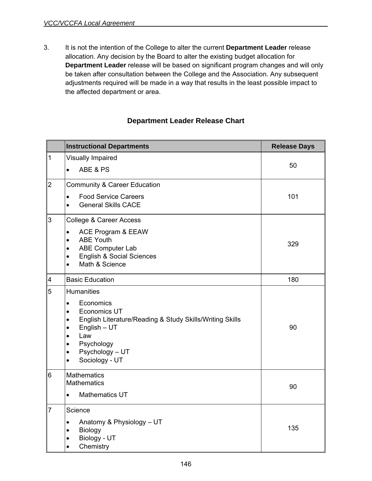3. It is not the intention of the College to alter the current **Department Leader** release allocation. Any decision by the Board to alter the existing budget allocation for **Department Leader** release will be based on significant program changes and will only be taken after consultation between the College and the Association. Any subsequent adjustments required will be made in a way that results in the least possible impact to the affected department or area.

# **Department Leader Release Chart**

|                | <b>Instructional Departments</b>                                                                                                                                                                                                                                                                    | <b>Release Days</b> |  |
|----------------|-----------------------------------------------------------------------------------------------------------------------------------------------------------------------------------------------------------------------------------------------------------------------------------------------------|---------------------|--|
| $\mathbf{1}$   | <b>Visually Impaired</b><br>ABE & PS<br>$\bullet$                                                                                                                                                                                                                                                   | 50                  |  |
| $\overline{c}$ | <b>Community &amp; Career Education</b><br><b>Food Service Careers</b><br>$\bullet$<br><b>General Skills CACE</b><br>$\bullet$                                                                                                                                                                      | 101                 |  |
| 3              | College & Career Access<br><b>ACE Program &amp; EEAW</b><br>$\bullet$<br><b>ABE Youth</b><br>$\bullet$<br>ABE Computer Lab<br>$\bullet$<br><b>English &amp; Social Sciences</b><br>$\bullet$<br>Math & Science<br>$\bullet$                                                                         | 329                 |  |
| 4              | <b>Basic Education</b>                                                                                                                                                                                                                                                                              | 180                 |  |
| 5              | <b>Humanities</b><br>Economics<br>$\bullet$<br><b>Economics UT</b><br>$\bullet$<br>English Literature/Reading & Study Skills/Writing Skills<br>$\bullet$<br>English - UT<br>$\bullet$<br>Law<br>$\bullet$<br>Psychology<br>$\bullet$<br>Psychology - UT<br>$\bullet$<br>Sociology - UT<br>$\bullet$ | 90                  |  |
| 6              | <b>Mathematics</b><br><b>Mathematics</b><br>Mathematics UT<br>$\bullet$                                                                                                                                                                                                                             | 90                  |  |
| $\overline{7}$ | Science<br>Anatomy & Physiology - UT<br>$\bullet$<br>Biology<br>$\bullet$<br>Biology - UT<br>$\bullet$<br>Chemistry<br>$\bullet$                                                                                                                                                                    | 135                 |  |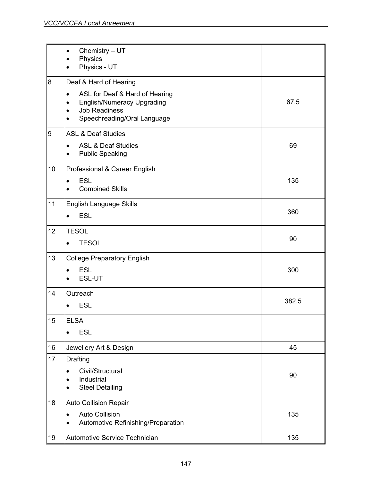|                  | Chemistry - UT<br>$\bullet$<br>Physics<br>$\bullet$<br>Physics - UT<br>$\bullet$                                                                                                            |       |
|------------------|---------------------------------------------------------------------------------------------------------------------------------------------------------------------------------------------|-------|
| $\bf{8}$         | Deaf & Hard of Hearing<br>ASL for Deaf & Hard of Hearing<br>$\bullet$<br><b>English/Numeracy Upgrading</b><br>$\bullet$<br><b>Job Readiness</b><br>$\bullet$<br>Speechreading/Oral Language | 67.5  |
| $\boldsymbol{9}$ | <b>ASL &amp; Deaf Studies</b><br><b>ASL &amp; Deaf Studies</b><br>$\bullet$<br><b>Public Speaking</b><br>$\bullet$                                                                          | 69    |
| 10               | Professional & Career English<br><b>ESL</b><br>$\bullet$<br><b>Combined Skills</b><br>$\bullet$                                                                                             | 135   |
| 11               | <b>English Language Skills</b><br><b>ESL</b><br>$\bullet$                                                                                                                                   | 360   |
| 12               | <b>TESOL</b><br><b>TESOL</b><br>$\bullet$                                                                                                                                                   | 90    |
| 13               | <b>College Preparatory English</b><br><b>ESL</b><br>$\bullet$<br><b>ESL-UT</b><br>$\bullet$                                                                                                 | 300   |
| 14               | Outreach<br><b>ESL</b>                                                                                                                                                                      | 382.5 |
| 15               | <b>ELSA</b><br><b>ESL</b><br>$\bullet$                                                                                                                                                      |       |
| 16               | Jewellery Art & Design                                                                                                                                                                      | 45    |
| 17               | Drafting<br>Civil/Structural<br>$\bullet$<br>Industrial<br>$\bullet$<br><b>Steel Detailing</b><br>$\bullet$                                                                                 | 90    |
| 18               | <b>Auto Collision Repair</b><br><b>Auto Collision</b><br>$\bullet$<br>Automotive Refinishing/Preparation<br>٠                                                                               | 135   |
| 19               | Automotive Service Technician                                                                                                                                                               | 135   |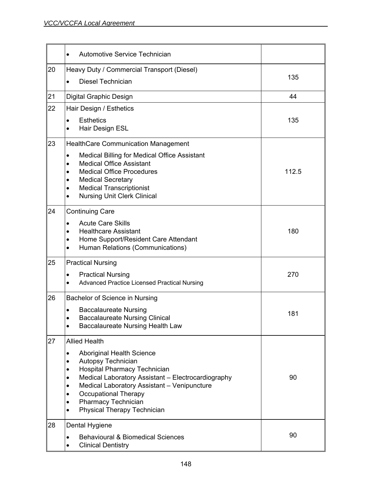|    | Automotive Service Technician                                                                                                                                                                                                                                                                               |       |
|----|-------------------------------------------------------------------------------------------------------------------------------------------------------------------------------------------------------------------------------------------------------------------------------------------------------------|-------|
| 20 | Heavy Duty / Commercial Transport (Diesel)<br><b>Diesel Technician</b><br>$\bullet$                                                                                                                                                                                                                         | 135   |
| 21 | Digital Graphic Design                                                                                                                                                                                                                                                                                      | 44    |
| 22 | Hair Design / Esthetics                                                                                                                                                                                                                                                                                     |       |
|    | <b>Esthetics</b><br>Hair Design ESL                                                                                                                                                                                                                                                                         | 135   |
| 23 | <b>HealthCare Communication Management</b>                                                                                                                                                                                                                                                                  |       |
|    | <b>Medical Billing for Medical Office Assistant</b><br>$\bullet$<br><b>Medical Office Assistant</b><br><b>Medical Office Procedures</b><br><b>Medical Secretary</b><br><b>Medical Transcriptionist</b><br>$\bullet$<br><b>Nursing Unit Clerk Clinical</b>                                                   | 112.5 |
| 24 | <b>Continuing Care</b>                                                                                                                                                                                                                                                                                      |       |
|    | <b>Acute Care Skills</b><br><b>Healthcare Assistant</b><br>Home Support/Resident Care Attendant<br>$\bullet$<br>Human Relations (Communications)<br>$\bullet$                                                                                                                                               | 180   |
| 25 | <b>Practical Nursing</b>                                                                                                                                                                                                                                                                                    |       |
|    | <b>Practical Nursing</b><br>Advanced Practice Licensed Practical Nursing<br>$\bullet$                                                                                                                                                                                                                       | 270   |
| 26 | Bachelor of Science in Nursing                                                                                                                                                                                                                                                                              |       |
|    | <b>Baccalaureate Nursing</b><br><b>Baccalaureate Nursing Clinical</b><br>Baccalaureate Nursing Health Law                                                                                                                                                                                                   | 181   |
| 27 | <b>Allied Health</b>                                                                                                                                                                                                                                                                                        |       |
|    | <b>Aboriginal Health Science</b><br>Autopsy Technician<br><b>Hospital Pharmacy Technician</b><br>Medical Laboratory Assistant - Electrocardiography<br>Medical Laboratory Assistant - Venipuncture<br><b>Occupational Therapy</b><br>Pharmacy Technician<br><b>Physical Therapy Technician</b><br>$\bullet$ | 90    |
| 28 | Dental Hygiene                                                                                                                                                                                                                                                                                              |       |
|    | <b>Behavioural &amp; Biomedical Sciences</b><br><b>Clinical Dentistry</b>                                                                                                                                                                                                                                   | 90    |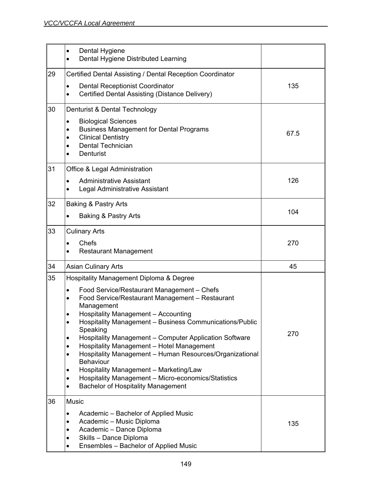|    | Dental Hygiene<br>$\bullet$<br>Dental Hygiene Distributed Learning                                                                                                                                                                                                                                                                                                                                                                                                                                                                                                                                                                      |      |
|----|-----------------------------------------------------------------------------------------------------------------------------------------------------------------------------------------------------------------------------------------------------------------------------------------------------------------------------------------------------------------------------------------------------------------------------------------------------------------------------------------------------------------------------------------------------------------------------------------------------------------------------------------|------|
| 29 | Certified Dental Assisting / Dental Reception Coordinator<br><b>Dental Receptionist Coordinator</b><br>$\bullet$<br>Certified Dental Assisting (Distance Delivery)<br>$\bullet$                                                                                                                                                                                                                                                                                                                                                                                                                                                         | 135  |
| 30 | Denturist & Dental Technology<br><b>Biological Sciences</b><br>$\bullet$<br><b>Business Management for Dental Programs</b><br>٠<br><b>Clinical Dentistry</b><br>٠<br><b>Dental Technician</b><br>$\bullet$<br>Denturist<br>$\bullet$                                                                                                                                                                                                                                                                                                                                                                                                    | 67.5 |
| 31 | Office & Legal Administration<br><b>Administrative Assistant</b><br>$\bullet$<br>Legal Administrative Assistant                                                                                                                                                                                                                                                                                                                                                                                                                                                                                                                         | 126  |
| 32 | Baking & Pastry Arts<br>Baking & Pastry Arts<br>$\bullet$                                                                                                                                                                                                                                                                                                                                                                                                                                                                                                                                                                               | 104  |
| 33 | <b>Culinary Arts</b><br>Chefs<br><b>Restaurant Management</b>                                                                                                                                                                                                                                                                                                                                                                                                                                                                                                                                                                           | 270  |
| 34 | <b>Asian Culinary Arts</b>                                                                                                                                                                                                                                                                                                                                                                                                                                                                                                                                                                                                              | 45   |
| 35 | Hospitality Management Diploma & Degree<br>Food Service/Restaurant Management - Chefs<br>Food Service/Restaurant Management - Restaurant<br>Management<br>Hospitality Management - Accounting<br>Hospitality Management - Business Communications/Public<br>$\bullet$<br>Speaking<br>Hospitality Management - Computer Application Software<br>Hospitality Management - Hotel Management<br>٠<br>Hospitality Management - Human Resources/Organizational<br>$\bullet$<br><b>Behaviour</b><br>Hospitality Management - Marketing/Law<br>Hospitality Management - Micro-economics/Statistics<br><b>Bachelor of Hospitality Management</b> | 270  |
| 36 | <b>Music</b><br>Academic - Bachelor of Applied Music<br>$\bullet$<br>Academic - Music Diploma<br>Academic - Dance Diploma<br>Skills - Dance Diploma<br>Ensembles - Bachelor of Applied Music                                                                                                                                                                                                                                                                                                                                                                                                                                            | 135  |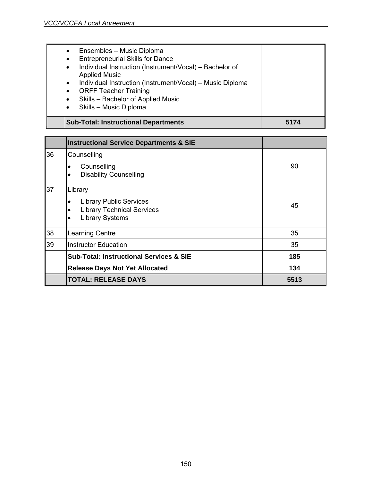| Ensembles - Music Diploma<br>$\bullet$<br><b>Entrepreneurial Skills for Dance</b><br>$\bullet$<br>Individual Instruction (Instrument/Vocal) - Bachelor of<br>$\bullet$<br><b>Applied Music</b><br>Individual Instruction (Instrument/Vocal) - Music Diploma<br>$\bullet$<br><b>ORFF Teacher Training</b><br>$\bullet$<br>Skills - Bachelor of Applied Music<br>$\bullet$<br>Skills - Music Diploma<br>۰ |      |
|---------------------------------------------------------------------------------------------------------------------------------------------------------------------------------------------------------------------------------------------------------------------------------------------------------------------------------------------------------------------------------------------------------|------|
| <b>Sub-Total: Instructional Departments</b>                                                                                                                                                                                                                                                                                                                                                             | 5174 |

|    | <b>Instructional Service Departments &amp; SIE</b>                                                                                              |      |
|----|-------------------------------------------------------------------------------------------------------------------------------------------------|------|
| 36 | Counselling<br>Counselling<br><b>Disability Counselling</b><br>$\bullet$                                                                        | 90   |
| 37 | Library<br><b>Library Public Services</b><br>$\bullet$<br><b>Library Technical Services</b><br>$\bullet$<br><b>Library Systems</b><br>$\bullet$ | 45   |
| 38 | <b>Learning Centre</b>                                                                                                                          | 35   |
| 39 | <b>Instructor Education</b>                                                                                                                     | 35   |
|    | <b>Sub-Total: Instructional Services &amp; SIE</b>                                                                                              | 185  |
|    | <b>Release Days Not Yet Allocated</b>                                                                                                           | 134  |
|    | <b>TOTAL: RELEASE DAYS</b>                                                                                                                      | 5513 |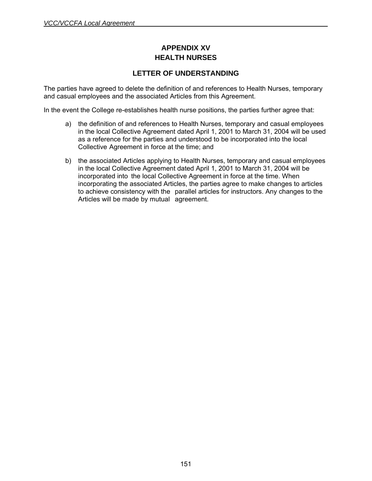# **APPENDIX XV HEALTH NURSES**

# **LETTER OF UNDERSTANDING**

The parties have agreed to delete the definition of and references to Health Nurses, temporary and casual employees and the associated Articles from this Agreement.

In the event the College re-establishes health nurse positions, the parties further agree that:

- a) the definition of and references to Health Nurses, temporary and casual employees in the local Collective Agreement dated April 1, 2001 to March 31, 2004 will be used as a reference for the parties and understood to be incorporated into the local Collective Agreement in force at the time; and
- b) the associated Articles applying to Health Nurses, temporary and casual employees in the local Collective Agreement dated April 1, 2001 to March 31, 2004 will be incorporated into the local Collective Agreement in force at the time. When incorporating the associated Articles, the parties agree to make changes to articles to achieve consistency with the parallel articles for instructors. Any changes to the Articles will be made by mutual agreement.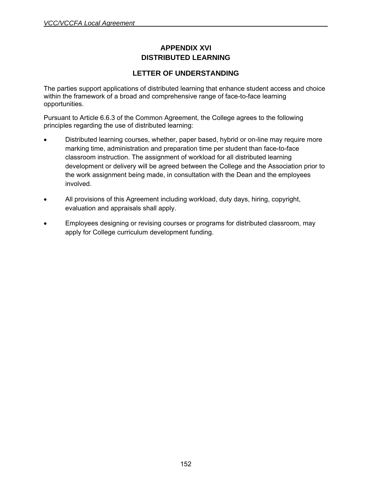# **APPENDIX XVI DISTRIBUTED LEARNING**

# **LETTER OF UNDERSTANDING**

The parties support applications of distributed learning that enhance student access and choice within the framework of a broad and comprehensive range of face-to-face learning opportunities.

Pursuant to Article 6.6.3 of the Common Agreement, the College agrees to the following principles regarding the use of distributed learning:

- Distributed learning courses, whether, paper based, hybrid or on-line may require more marking time, administration and preparation time per student than face-to-face classroom instruction. The assignment of workload for all distributed learning development or delivery will be agreed between the College and the Association prior to the work assignment being made, in consultation with the Dean and the employees involved.
- All provisions of this Agreement including workload, duty days, hiring, copyright, evaluation and appraisals shall apply.
- Employees designing or revising courses or programs for distributed classroom, may apply for College curriculum development funding.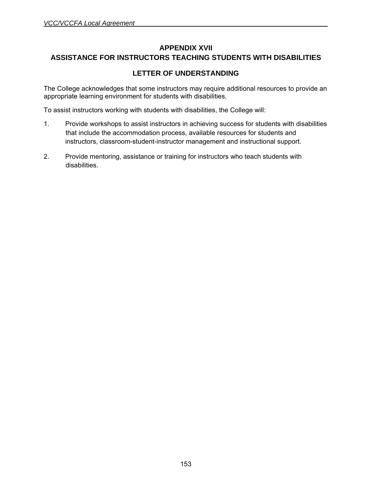## **APPENDIX XVII ASSISTANCE FOR INSTRUCTORS TEACHING STUDENTS WITH DISABILITIES**

# **LETTER OF UNDERSTANDING**

The College acknowledges that some instructors may require additional resources to provide an appropriate learning environment for students with disabilities.

To assist instructors working with students with disabilities, the College will:

- 1. Provide workshops to assist instructors in achieving success for students with disabilities that include the accommodation process, available resources for students and instructors, classroom-student-instructor management and instructional support.
- 2. Provide mentoring, assistance or training for instructors who teach students with disabilities.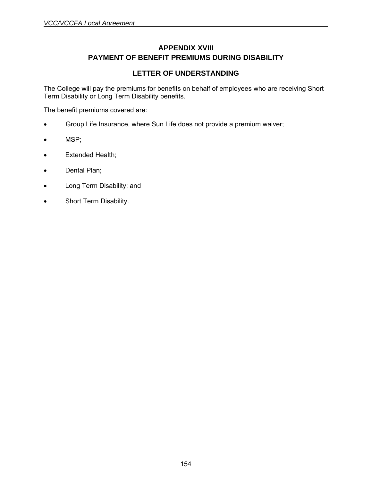# **APPENDIX XVIII PAYMENT OF BENEFIT PREMIUMS DURING DISABILITY**

# **LETTER OF UNDERSTANDING**

The College will pay the premiums for benefits on behalf of employees who are receiving Short Term Disability or Long Term Disability benefits.

The benefit premiums covered are:

- Group Life Insurance, where Sun Life does not provide a premium waiver;
- MSP;
- Extended Health;
- Dental Plan;
- Long Term Disability; and
- Short Term Disability.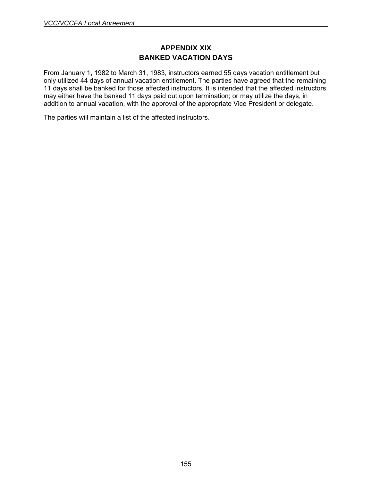# **APPENDIX XIX BANKED VACATION DAYS**

From January 1, 1982 to March 31, 1983, instructors earned 55 days vacation entitlement but only utilized 44 days of annual vacation entitlement. The parties have agreed that the remaining 11 days shall be banked for those affected instructors. It is intended that the affected instructors may either have the banked 11 days paid out upon termination; or may utilize the days, in addition to annual vacation, with the approval of the appropriate Vice President or delegate.

The parties will maintain a list of the affected instructors.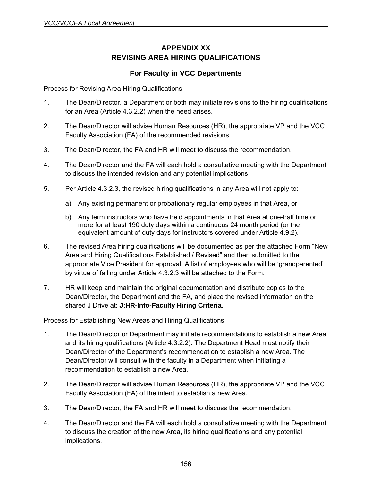# **APPENDIX XX REVISING AREA HIRING QUALIFICATIONS**

# **For Faculty in VCC Departments**

Process for Revising Area Hiring Qualifications

- 1. The Dean/Director, a Department or both may initiate revisions to the hiring qualifications for an Area (Article 4.3.2.2) when the need arises.
- 2. The Dean/Director will advise Human Resources (HR), the appropriate VP and the VCC Faculty Association (FA) of the recommended revisions.
- 3. The Dean/Director, the FA and HR will meet to discuss the recommendation.
- 4. The Dean/Director and the FA will each hold a consultative meeting with the Department to discuss the intended revision and any potential implications.
- 5. Per Article 4.3.2.3, the revised hiring qualifications in any Area will not apply to:
	- a) Any existing permanent or probationary regular employees in that Area, or
	- b) Any term instructors who have held appointments in that Area at one-half time or more for at least 190 duty days within a continuous 24 month period (or the equivalent amount of duty days for instructors covered under Article 4.9.2).
- 6. The revised Area hiring qualifications will be documented as per the attached Form "New Area and Hiring Qualifications Established / Revised" and then submitted to the appropriate Vice President for approval. A list of employees who will be 'grandparented' by virtue of falling under Article 4.3.2.3 will be attached to the Form.
- 7. HR will keep and maintain the original documentation and distribute copies to the Dean/Director, the Department and the FA, and place the revised information on the shared J Drive at: **J:HR-Info-Faculty Hiring Criteria**.

Process for Establishing New Areas and Hiring Qualifications

- 1. The Dean/Director or Department may initiate recommendations to establish a new Area and its hiring qualifications (Article 4.3.2.2). The Department Head must notify their Dean/Director of the Department's recommendation to establish a new Area. The Dean/Director will consult with the faculty in a Department when initiating a recommendation to establish a new Area.
- 2. The Dean/Director will advise Human Resources (HR), the appropriate VP and the VCC Faculty Association (FA) of the intent to establish a new Area.
- 3. The Dean/Director, the FA and HR will meet to discuss the recommendation.
- 4. The Dean/Director and the FA will each hold a consultative meeting with the Department to discuss the creation of the new Area, its hiring qualifications and any potential implications.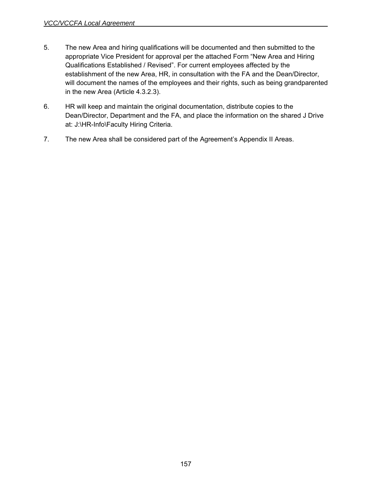- 5. The new Area and hiring qualifications will be documented and then submitted to the appropriate Vice President for approval per the attached Form "New Area and Hiring Qualifications Established / Revised". For current employees affected by the establishment of the new Area, HR, in consultation with the FA and the Dean/Director, will document the names of the employees and their rights, such as being grandparented in the new Area (Article 4.3.2.3).
- 6. HR will keep and maintain the original documentation, distribute copies to the Dean/Director, Department and the FA, and place the information on the shared J Drive at: J:\HR-Info\Faculty Hiring Criteria.
- 7. The new Area shall be considered part of the Agreement's Appendix II Areas.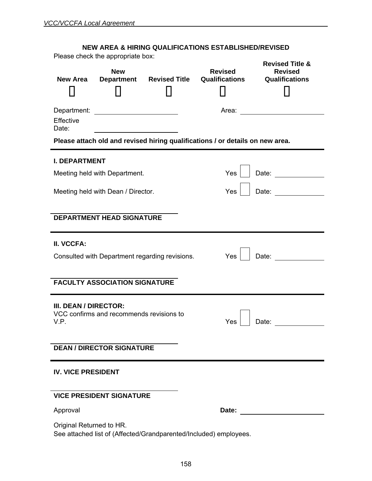| <b>NEW AREA &amp; HIRING QUALIFICATIONS ESTABLISHED/REVISED</b><br>Please check the appropriate box: |                                                    |                                                |                                                                               |                                                                                                                                                                                                                               |
|------------------------------------------------------------------------------------------------------|----------------------------------------------------|------------------------------------------------|-------------------------------------------------------------------------------|-------------------------------------------------------------------------------------------------------------------------------------------------------------------------------------------------------------------------------|
| <b>New Area</b>                                                                                      | <b>New</b>                                         | <b>Department</b> Revised Title                | <b>Revised</b><br><b>Qualifications</b>                                       | <b>Revised Title &amp;</b><br><b>Revised</b><br><b>Qualifications</b>                                                                                                                                                         |
| Department:<br>Effective<br>Date:                                                                    |                                                    |                                                |                                                                               | Area: <u>_____________</u>                                                                                                                                                                                                    |
|                                                                                                      |                                                    |                                                | Please attach old and revised hiring qualifications / or details on new area. |                                                                                                                                                                                                                               |
| <b>I. DEPARTMENT</b>                                                                                 |                                                    |                                                |                                                                               |                                                                                                                                                                                                                               |
|                                                                                                      | Meeting held with Department.                      |                                                | Yes                                                                           | Date:                                                                                                                                                                                                                         |
|                                                                                                      | Meeting held with Dean / Director.<br>Yes<br>Date: |                                                |                                                                               |                                                                                                                                                                                                                               |
|                                                                                                      | <b>DEPARTMENT HEAD SIGNATURE</b>                   |                                                |                                                                               |                                                                                                                                                                                                                               |
| II. VCCFA:                                                                                           |                                                    | Consulted with Department regarding revisions. | Yes                                                                           | Date: and the state of the state of the state of the state of the state of the state of the state of the state of the state of the state of the state of the state of the state of the state of the state of the state of the |
|                                                                                                      | <b>FACULTY ASSOCIATION SIGNATURE</b>               |                                                |                                                                               |                                                                                                                                                                                                                               |
| III. DEAN / DIRECTOR:<br>V.P.                                                                        | VCC confirms and recommends revisions to           |                                                | Yes                                                                           | Date:                                                                                                                                                                                                                         |
| <b>DEAN / DIRECTOR SIGNATURE</b>                                                                     |                                                    |                                                |                                                                               |                                                                                                                                                                                                                               |
| <b>IV. VICE PRESIDENT</b>                                                                            |                                                    |                                                |                                                                               |                                                                                                                                                                                                                               |
| <b>VICE PRESIDENT SIGNATURE</b>                                                                      |                                                    |                                                |                                                                               |                                                                                                                                                                                                                               |
| Approval                                                                                             |                                                    |                                                | Date:                                                                         |                                                                                                                                                                                                                               |
| Original Returned to HR.<br>See attached list of (Affected/Grandparented/Included) employees.        |                                                    |                                                |                                                                               |                                                                                                                                                                                                                               |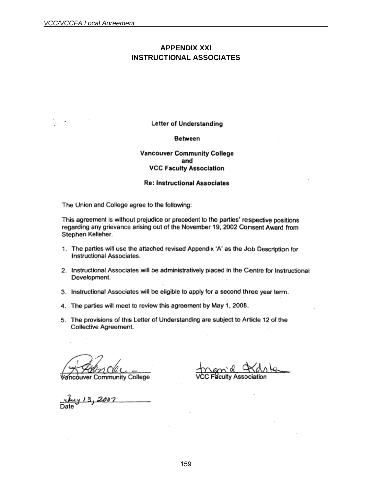# **APPENDIX XXI INSTRUCTIONAL ASSOCIATES**

#### Letter of Understanding

#### Between

#### **Vancouver Community College** and **VCC Faculty Association**

#### **Re: Instructional Associates**

The Union and College agree to the following:

This agreement is without prejudice or precedent to the parties' respective positions regarding any grievance arising out of the November 19, 2002 Consent Award from Stephen Kelleher.

- 1. The parties will use the attached revised Appendix 'A' as the Job Description for Instructional Associates.
- 2. Instructional Associates will be administratively placed in the Centre for Instructional Development.
- 3. Instructional Associates will be eligible to apply for a second three year term.
- 4. The parties will meet to review this agreement by May 1, 2008.
- 5. The provisions of this Letter of Understanding are subject to Article 12 of the Collective Agreement.

couver Community College

3,2007 Date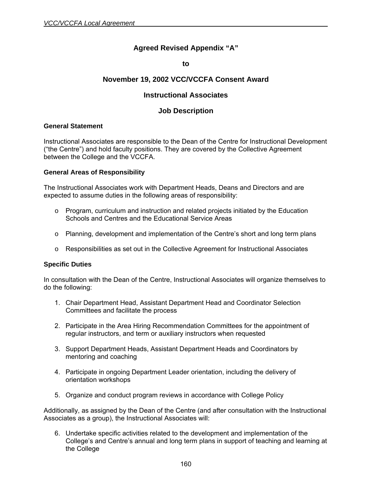# **Agreed Revised Appendix "A"**

#### **to**

### **November 19, 2002 VCC/VCCFA Consent Award**

#### **Instructional Associates**

#### **Job Description**

#### **General Statement**

Instructional Associates are responsible to the Dean of the Centre for Instructional Development ("the Centre") and hold faculty positions. They are covered by the Collective Agreement between the College and the VCCFA.

#### **General Areas of Responsibility**

The Instructional Associates work with Department Heads, Deans and Directors and are expected to assume duties in the following areas of responsibility:

- o Program, curriculum and instruction and related projects initiated by the Education Schools and Centres and the Educational Service Areas
- o Planning, development and implementation of the Centre's short and long term plans
- o Responsibilities as set out in the Collective Agreement for Instructional Associates

#### **Specific Duties**

In consultation with the Dean of the Centre, Instructional Associates will organize themselves to do the following:

- 1. Chair Department Head, Assistant Department Head and Coordinator Selection Committees and facilitate the process
- 2. Participate in the Area Hiring Recommendation Committees for the appointment of regular instructors, and term or auxiliary instructors when requested
- 3. Support Department Heads, Assistant Department Heads and Coordinators by mentoring and coaching
- 4. Participate in ongoing Department Leader orientation, including the delivery of orientation workshops
- 5. Organize and conduct program reviews in accordance with College Policy

Additionally, as assigned by the Dean of the Centre (and after consultation with the Instructional Associates as a group), the Instructional Associates will:

6. Undertake specific activities related to the development and implementation of the College's and Centre's annual and long term plans in support of teaching and learning at the College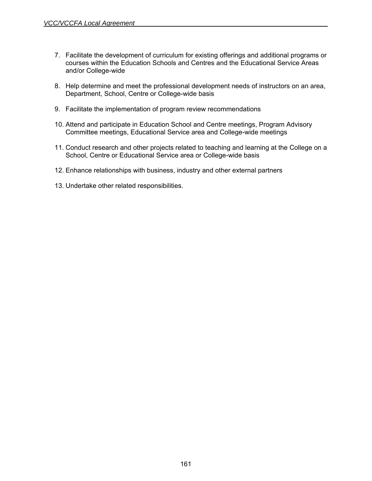- 7. Facilitate the development of curriculum for existing offerings and additional programs or courses within the Education Schools and Centres and the Educational Service Areas and/or College-wide
- 8. Help determine and meet the professional development needs of instructors on an area, Department, School, Centre or College-wide basis
- 9. Facilitate the implementation of program review recommendations
- 10. Attend and participate in Education School and Centre meetings, Program Advisory Committee meetings, Educational Service area and College-wide meetings
- 11. Conduct research and other projects related to teaching and learning at the College on a School, Centre or Educational Service area or College-wide basis
- 12. Enhance relationships with business, industry and other external partners
- 13. Undertake other related responsibilities.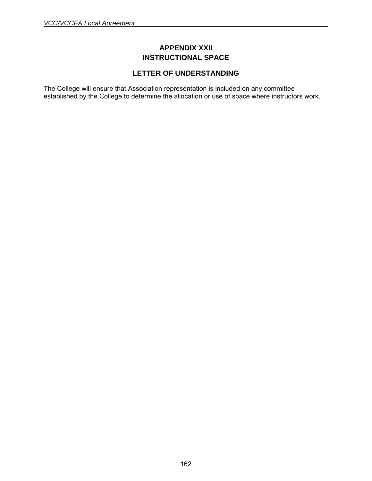# **APPENDIX XXII INSTRUCTIONAL SPACE**

### **LETTER OF UNDERSTANDING**

The College will ensure that Association representation is included on any committee established by the College to determine the allocation or use of space where instructors work.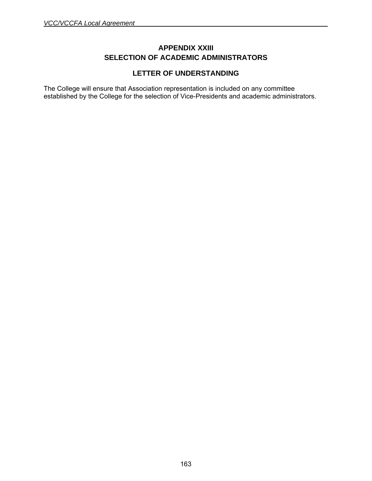# **APPENDIX XXIII SELECTION OF ACADEMIC ADMINISTRATORS**

# **LETTER OF UNDERSTANDING**

The College will ensure that Association representation is included on any committee established by the College for the selection of Vice-Presidents and academic administrators.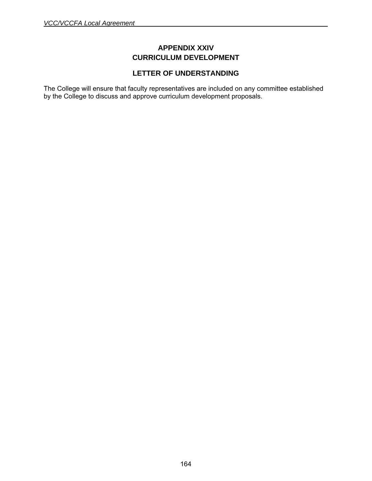# **APPENDIX XXIV CURRICULUM DEVELOPMENT**

# **LETTER OF UNDERSTANDING**

The College will ensure that faculty representatives are included on any committee established by the College to discuss and approve curriculum development proposals.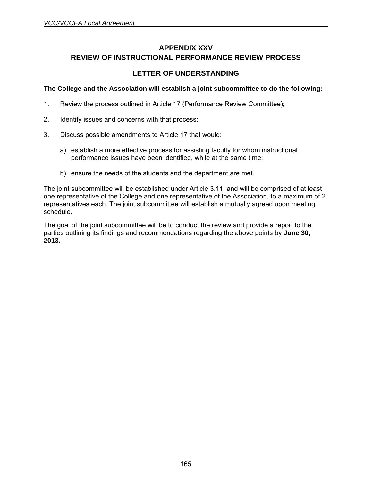# **APPENDIX XXV REVIEW OF INSTRUCTIONAL PERFORMANCE REVIEW PROCESS**

# **LETTER OF UNDERSTANDING**

#### **The College and the Association will establish a joint subcommittee to do the following:**

- 1. Review the process outlined in Article 17 (Performance Review Committee);
- 2. Identify issues and concerns with that process;
- 3. Discuss possible amendments to Article 17 that would:
	- a) establish a more effective process for assisting faculty for whom instructional performance issues have been identified, while at the same time;
	- b) ensure the needs of the students and the department are met.

The joint subcommittee will be established under Article 3.11, and will be comprised of at least one representative of the College and one representative of the Association, to a maximum of 2 representatives each. The joint subcommittee will establish a mutually agreed upon meeting schedule.

The goal of the joint subcommittee will be to conduct the review and provide a report to the parties outlining its findings and recommendations regarding the above points by **June 30, 2013.**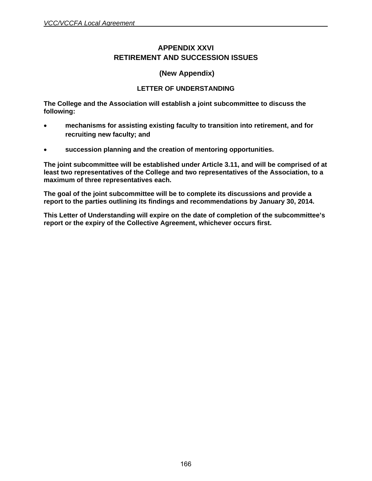# **APPENDIX XXVI RETIREMENT AND SUCCESSION ISSUES**

### **(New Appendix)**

#### **LETTER OF UNDERSTANDING**

**The College and the Association will establish a joint subcommittee to discuss the following:** 

- **mechanisms for assisting existing faculty to transition into retirement, and for recruiting new faculty; and**
- **succession planning and the creation of mentoring opportunities.**

**The joint subcommittee will be established under Article 3.11, and will be comprised of at least two representatives of the College and two representatives of the Association, to a maximum of three representatives each.** 

**The goal of the joint subcommittee will be to complete its discussions and provide a report to the parties outlining its findings and recommendations by January 30, 2014.** 

**This Letter of Understanding will expire on the date of completion of the subcommittee's report or the expiry of the Collective Agreement, whichever occurs first.**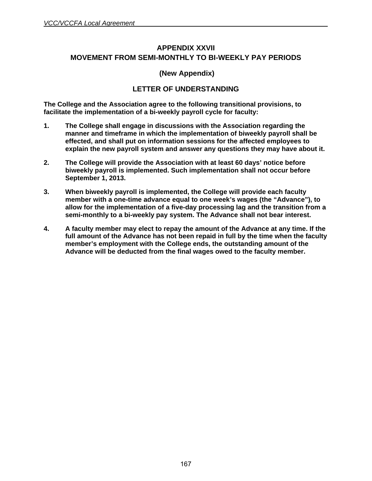# **APPENDIX XXVII MOVEMENT FROM SEMI-MONTHLY TO BI-WEEKLY PAY PERIODS**

### **(New Appendix)**

### **LETTER OF UNDERSTANDING**

**The College and the Association agree to the following transitional provisions, to facilitate the implementation of a bi-weekly payroll cycle for faculty:** 

- **1. The College shall engage in discussions with the Association regarding the manner and timeframe in which the implementation of biweekly payroll shall be effected, and shall put on information sessions for the affected employees to explain the new payroll system and answer any questions they may have about it.**
- **2. The College will provide the Association with at least 60 days' notice before biweekly payroll is implemented. Such implementation shall not occur before September 1, 2013.**
- **3. When biweekly payroll is implemented, the College will provide each faculty member with a one-time advance equal to one week's wages (the "Advance"), to allow for the implementation of a five-day processing lag and the transition from a semi-monthly to a bi-weekly pay system. The Advance shall not bear interest.**
- **4. A faculty member may elect to repay the amount of the Advance at any time. If the full amount of the Advance has not been repaid in full by the time when the faculty member's employment with the College ends, the outstanding amount of the Advance will be deducted from the final wages owed to the faculty member.**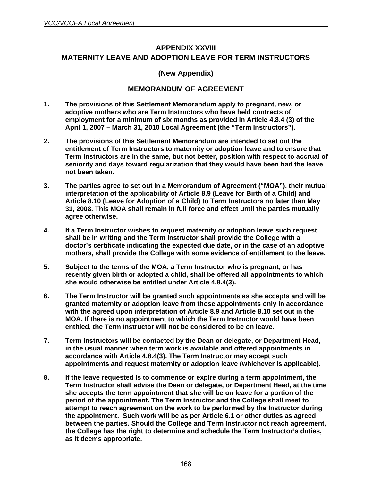# **APPENDIX XXVIII MATERNITY LEAVE AND ADOPTION LEAVE FOR TERM INSTRUCTORS**

### **(New Appendix)**

### **MEMORANDUM OF AGREEMENT**

- **1. The provisions of this Settlement Memorandum apply to pregnant, new, or adoptive mothers who are Term Instructors who have held contracts of employment for a minimum of six months as provided in Article 4.8.4 (3) of the April 1, 2007 – March 31, 2010 Local Agreement (the "Term Instructors").**
- **2. The provisions of this Settlement Memorandum are intended to set out the entitlement of Term Instructors to maternity or adoption leave and to ensure that Term Instructors are in the same, but not better, position with respect to accrual of seniority and days toward regularization that they would have been had the leave not been taken.**
- **3. The parties agree to set out in a Memorandum of Agreement ("MOA"), their mutual interpretation of the applicability of Article 8.9 (Leave for Birth of a Child) and Article 8.10 (Leave for Adoption of a Child) to Term Instructors no later than May 31, 2008. This MOA shall remain in full force and effect until the parties mutually agree otherwise.**
- **4. If a Term Instructor wishes to request maternity or adoption leave such request shall be in writing and the Term Instructor shall provide the College with a doctor's certificate indicating the expected due date, or in the case of an adoptive mothers, shall provide the College with some evidence of entitlement to the leave.**
- **5. Subject to the terms of the MOA, a Term Instructor who is pregnant, or has recently given birth or adopted a child, shall be offered all appointments to which she would otherwise be entitled under Article 4.8.4(3).**
- **6. The Term Instructor will be granted such appointments as she accepts and will be granted maternity or adoption leave from those appointments only in accordance with the agreed upon interpretation of Article 8.9 and Article 8.10 set out in the MOA. If there is no appointment to which the Term Instructor would have been entitled, the Term Instructor will not be considered to be on leave.**
- **7. Term Instructors will be contacted by the Dean or delegate, or Department Head, in the usual manner when term work is available and offered appointments in accordance with Article 4.8.4(3). The Term Instructor may accept such appointments and request maternity or adoption leave (whichever is applicable).**
- **8. If the leave requested is to commence or expire during a term appointment, the Term Instructor shall advise the Dean or delegate, or Department Head, at the time she accepts the term appointment that she will be on leave for a portion of the period of the appointment. The Term Instructor and the College shall meet to attempt to reach agreement on the work to be performed by the Instructor during the appointment. Such work will be as per Article 6.1 or other duties as agreed between the parties. Should the College and Term Instructor not reach agreement, the College has the right to determine and schedule the Term Instructor's duties, as it deems appropriate.**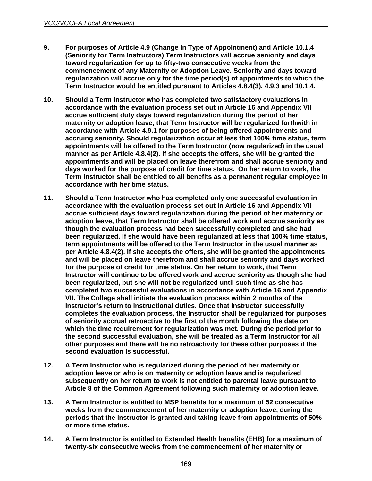- **9. For purposes of Article 4.9 (Change in Type of Appointment) and Article 10.1.4 (Seniority for Term Instructors) Term Instructors will accrue seniority and days toward regularization for up to fifty-two consecutive weeks from the commencement of any Maternity or Adoption Leave. Seniority and days toward regularization will accrue only for the time period(s) of appointments to which the Term Instructor would be entitled pursuant to Articles 4.8.4(3), 4.9.3 and 10.1.4.**
- **10. Should a Term Instructor who has completed two satisfactory evaluations in accordance with the evaluation process set out in Article 16 and Appendix VII accrue sufficient duty days toward regularization during the period of her maternity or adoption leave, that Term Instructor will be regularized forthwith in accordance with Article 4.9.1 for purposes of being offered appointments and accruing seniority. Should regularization occur at less that 100% time status, term appointments will be offered to the Term Instructor (now regularized) in the usual manner as per Article 4.8.4(2). If she accepts the offers, she will be granted the appointments and will be placed on leave therefrom and shall accrue seniority and days worked for the purpose of credit for time status. On her return to work, the Term Instructor shall be entitled to all benefits as a permanent regular employee in accordance with her time status.**
- **11. Should a Term Instructor who has completed only one successful evaluation in accordance with the evaluation process set out in Article 16 and Appendix VII accrue sufficient days toward regularization during the period of her maternity or adoption leave, that Term Instructor shall be offered work and accrue seniority as though the evaluation process had been successfully completed and she had been regularized. If she would have been regularized at less that 100% time status, term appointments will be offered to the Term Instructor in the usual manner as per Article 4.8.4(2). If she accepts the offers, she will be granted the appointments and will be placed on leave therefrom and shall accrue seniority and days worked for the purpose of credit for time status. On her return to work, that Term Instructor will continue to be offered work and accrue seniority as though she had been regularized, but she will not be regularized until such time as she has completed two successful evaluations in accordance with Article 16 and Appendix VII. The College shall initiate the evaluation process within 2 months of the Instructor's return to instructional duties. Once that Instructor successfully completes the evaluation process, the Instructor shall be regularized for purposes of seniority accrual retroactive to the first of the month following the date on which the time requirement for regularization was met. During the period prior to the second successful evaluation, she will be treated as a Term Instructor for all other purposes and there will be no retroactivity for these other purposes if the second evaluation is successful.**
- **12. A Term Instructor who is regularized during the period of her maternity or adoption leave or who is on maternity or adoption leave and is regularized subsequently on her return to work is not entitled to parental leave pursuant to Article 8 of the Common Agreement following such maternity or adoption leave.**
- **13. A Term Instructor is entitled to MSP benefits for a maximum of 52 consecutive weeks from the commencement of her maternity or adoption leave, during the periods that the instructor is granted and taking leave from appointments of 50% or more time status.**
- **14. A Term Instructor is entitled to Extended Health benefits (EHB) for a maximum of twenty-six consecutive weeks from the commencement of her maternity or**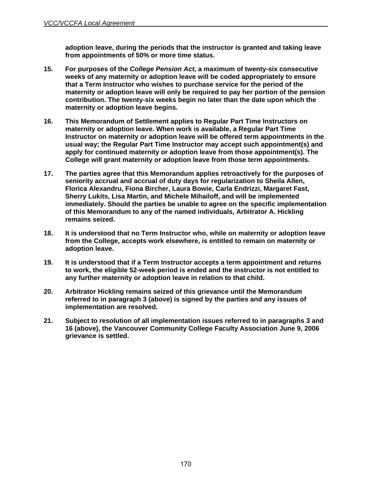**adoption leave, during the periods that the instructor is granted and taking leave from appointments of 50% or more time status.** 

- **15. For purposes of the** *College Pension Act,* **a maximum of twenty-six consecutive weeks of any maternity or adoption leave will be coded appropriately to ensure that a Term Instructor who wishes to purchase service for the period of the maternity or adoption leave will only be required to pay her portion of the pension contribution. The twenty-six weeks begin no later than the date upon which the maternity or adoption leave begins.**
- **16. This Memorandum of Settlement applies to Regular Part Time Instructors on maternity or adoption leave. When work is available, a Regular Part Time Instructor on maternity or adoption leave will be offered term appointments in the usual way; the Regular Part Time Instructor may accept such appointment(s) and apply for continued maternity or adoption leave from those appointment(s). The College will grant maternity or adoption leave from those term appointments.**
- **17. The parties agree that this Memorandum applies retroactively for the purposes of seniority accrual and accrual of duty days for regularization to Sheila Allen, Florica Alexandru, Fiona Bircher, Laura Bowie, Carla Endrizzi, Margaret Fast, Sherry Lukits, Lisa Martin, and Michele Mihailoff, and will be implemented immediately. Should the parties be unable to agree on the specific implementation of this Memorandum to any of the named individuals, Arbitrator A. Hickling remains seized.**
- **18. It is understood that no Term Instructor who, while on maternity or adoption leave from the College, accepts work elsewhere, is entitled to remain on maternity or adoption leave.**
- **19. It is understood that if a Term Instructor accepts a term appointment and returns to work, the eligible 52-week period is ended and the instructor is not entitled to any further maternity or adoption leave in relation to that child.**
- **20. Arbitrator Hickling remains seized of this grievance until the Memorandum referred to in paragraph 3 (above) is signed by the parties and any issues of implementation are resolved.**
- **21. Subject to resolution of all implementation issues referred to in paragraphs 3 and 16 (above), the Vancouver Community College Faculty Association June 9, 2006 grievance is settled.**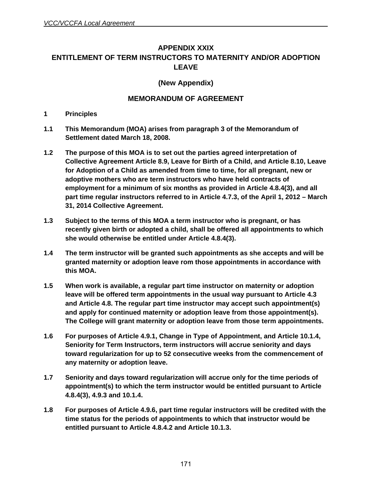# **APPENDIX XXIX ENTITLEMENT OF TERM INSTRUCTORS TO MATERNITY AND/OR ADOPTION LEAVE**

## **(New Appendix)**

## **MEMORANDUM OF AGREEMENT**

### **1 Principles**

- **1.1 This Memorandum (MOA) arises from paragraph 3 of the Memorandum of Settlement dated March 18, 2008.**
- **1.2 The purpose of this MOA is to set out the parties agreed interpretation of Collective Agreement Article 8.9, Leave for Birth of a Child, and Article 8.10, Leave for Adoption of a Child as amended from time to time, for all pregnant, new or adoptive mothers who are term instructors who have held contracts of employment for a minimum of six months as provided in Article 4.8.4(3), and all part time regular instructors referred to in Article 4.7.3, of the April 1, 2012 – March 31, 2014 Collective Agreement.**
- **1.3 Subject to the terms of this MOA a term instructor who is pregnant, or has recently given birth or adopted a child, shall be offered all appointments to which she would otherwise be entitled under Article 4.8.4(3).**
- **1.4 The term instructor will be granted such appointments as she accepts and will be granted maternity or adoption leave rom those appointments in accordance with this MOA.**
- **1.5 When work is available, a regular part time instructor on maternity or adoption leave will be offered term appointments in the usual way pursuant to Article 4.3 and Article 4.8. The regular part time instructor may accept such appointment(s) and apply for continued maternity or adoption leave from those appointment(s). The College will grant maternity or adoption leave from those term appointments.**
- **1.6 For purposes of Article 4.9.1, Change in Type of Appointment, and Article 10.1.4, Seniority for Term Instructors, term instructors will accrue seniority and days toward regularization for up to 52 consecutive weeks from the commencement of any maternity or adoption leave.**
- **1.7 Seniority and days toward regularization will accrue only for the time periods of appointment(s) to which the term instructor would be entitled pursuant to Article 4.8.4(3), 4.9.3 and 10.1.4.**
- **1.8 For purposes of Article 4.9.6, part time regular instructors will be credited with the time status for the periods of appointments to which that instructor would be entitled pursuant to Article 4.8.4.2 and Article 10.1.3.**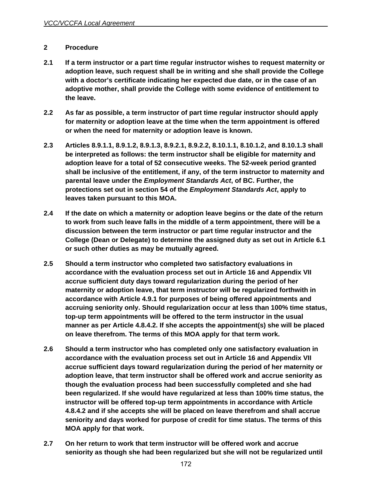### **2 Procedure**

- **2.1 If a term instructor or a part time regular instructor wishes to request maternity or adoption leave, such request shall be in writing and she shall provide the College with a doctor's certificate indicating her expected due date, or in the case of an adoptive mother, shall provide the College with some evidence of entitlement to the leave.**
- **2.2 As far as possible, a term instructor of part time regular instructor should apply for maternity or adoption leave at the time when the term appointment is offered or when the need for maternity or adoption leave is known.**
- **2.3 Articles 8.9.1.1, 8.9.1.2, 8.9.1.3, 8.9.2.1, 8.9.2.2, 8.10.1.1, 8.10.1.2, and 8.10.1.3 shall be interpreted as follows: the term instructor shall be eligible for maternity and adoption leave for a total of 52 consecutive weeks. The 52-week period granted shall be inclusive of the entitlement, if any, of the term instructor to maternity and parental leave under the** *Employment Standards Act***, of BC. Further, the protections set out in section 54 of the** *Employment Standards Act***, apply to leaves taken pursuant to this MOA.**
- **2.4 If the date on which a maternity or adoption leave begins or the date of the return to work from such leave falls in the middle of a term appointment, there will be a discussion between the term instructor or part time regular instructor and the College (Dean or Delegate) to determine the assigned duty as set out in Article 6.1 or such other duties as may be mutually agreed.**
- **2.5 Should a term instructor who completed two satisfactory evaluations in accordance with the evaluation process set out in Article 16 and Appendix VII accrue sufficient duty days toward regularization during the period of her maternity or adoption leave, that term instructor will be regularized forthwith in accordance with Article 4.9.1 for purposes of being offered appointments and accruing seniority only. Should regularization occur at less than 100% time status, top-up term appointments will be offered to the term instructor in the usual manner as per Article 4.8.4.2. If she accepts the appointment(s) she will be placed on leave therefrom. The terms of this MOA apply for that term work.**
- **2.6 Should a term instructor who has completed only one satisfactory evaluation in accordance with the evaluation process set out in Article 16 and Appendix VII accrue sufficient days toward regularization during the period of her maternity or adoption leave, that term instructor shall be offered work and accrue seniority as though the evaluation process had been successfully completed and she had been regularized. If she would have regularized at less than 100% time status, the instructor will be offered top-up term appointments in accordance with Article 4.8.4.2 and if she accepts she will be placed on leave therefrom and shall accrue seniority and days worked for purpose of credit for time status. The terms of this MOA apply for that work.**
- **2.7 On her return to work that term instructor will be offered work and accrue seniority as though she had been regularized but she will not be regularized until**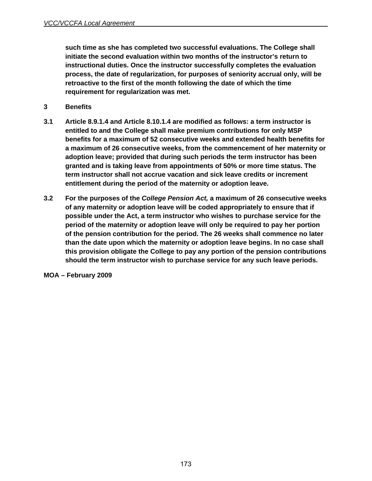**such time as she has completed two successful evaluations. The College shall initiate the second evaluation within two months of the instructor's return to instructional duties. Once the instructor successfully completes the evaluation process, the date of regularization, for purposes of seniority accrual only, will be retroactive to the first of the month following the date of which the time requirement for regularization was met.** 

- **3 Benefits**
- **3.1 Article 8.9.1.4 and Article 8.10.1.4 are modified as follows: a term instructor is entitled to and the College shall make premium contributions for only MSP benefits for a maximum of 52 consecutive weeks and extended health benefits for a maximum of 26 consecutive weeks, from the commencement of her maternity or adoption leave; provided that during such periods the term instructor has been granted and is taking leave from appointments of 50% or more time status. The term instructor shall not accrue vacation and sick leave credits or increment entitlement during the period of the maternity or adoption leave.**
- **3.2 For the purposes of the** *College Pension Act,* **a maximum of 26 consecutive weeks of any maternity or adoption leave will be coded appropriately to ensure that if possible under the Act, a term instructor who wishes to purchase service for the period of the maternity or adoption leave will only be required to pay her portion of the pension contribution for the period. The 26 weeks shall commence no later than the date upon which the maternity or adoption leave begins. In no case shall this provision obligate the College to pay any portion of the pension contributions should the term instructor wish to purchase service for any such leave periods.**

**MOA – February 2009**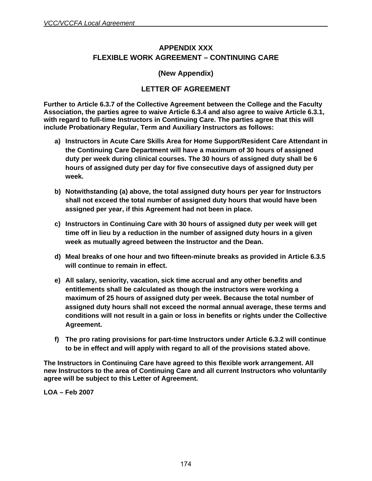# **APPENDIX XXX FLEXIBLE WORK AGREEMENT – CONTINUING CARE**

## **(New Appendix)**

## **LETTER OF AGREEMENT**

**Further to Article 6.3.7 of the Collective Agreement between the College and the Faculty Association, the parties agree to waive Article 6.3.4 and also agree to waive Article 6.3.1, with regard to full-time Instructors in Continuing Care. The parties agree that this will include Probationary Regular, Term and Auxiliary Instructors as follows:** 

- **a) Instructors in Acute Care Skills Area for Home Support/Resident Care Attendant in the Continuing Care Department will have a maximum of 30 hours of assigned duty per week during clinical courses. The 30 hours of assigned duty shall be 6 hours of assigned duty per day for five consecutive days of assigned duty per week.**
- **b) Notwithstanding (a) above, the total assigned duty hours per year for Instructors shall not exceed the total number of assigned duty hours that would have been assigned per year, if this Agreement had not been in place.**
- **c) Instructors in Continuing Care with 30 hours of assigned duty per week will get time off in lieu by a reduction in the number of assigned duty hours in a given week as mutually agreed between the Instructor and the Dean.**
- **d) Meal breaks of one hour and two fifteen-minute breaks as provided in Article 6.3.5 will continue to remain in effect.**
- **e) All salary, seniority, vacation, sick time accrual and any other benefits and entitlements shall be calculated as though the instructors were working a maximum of 25 hours of assigned duty per week. Because the total number of assigned duty hours shall not exceed the normal annual average, these terms and conditions will not result in a gain or loss in benefits or rights under the Collective Agreement.**
- **f) The pro rating provisions for part-time Instructors under Article 6.3.2 will continue to be in effect and will apply with regard to all of the provisions stated above.**

**The Instructors in Continuing Care have agreed to this flexible work arrangement. All new Instructors to the area of Continuing Care and all current Instructors who voluntarily agree will be subject to this Letter of Agreement.** 

**LOA – Feb 2007**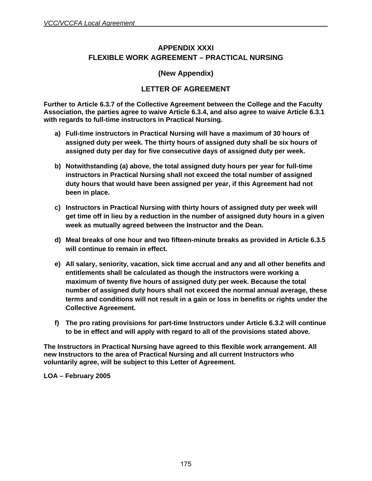# **APPENDIX XXXI FLEXIBLE WORK AGREEMENT – PRACTICAL NURSING**

## **(New Appendix)**

## **LETTER OF AGREEMENT**

**Further to Article 6.3.7 of the Collective Agreement between the College and the Faculty Association, the parties agree to waive Article 6.3.4, and also agree to waive Article 6.3.1 with regards to full-time instructors in Practical Nursing.** 

- **a) Full-time instructors in Practical Nursing will have a maximum of 30 hours of assigned duty per week. The thirty hours of assigned duty shall be six hours of assigned duty per day for five consecutive days of assigned duty per week.**
- **b) Notwithstanding (a) above, the total assigned duty hours per year for full-time instructors in Practical Nursing shall not exceed the total number of assigned duty hours that would have been assigned per year, if this Agreement had not been in place.**
- **c) Instructors in Practical Nursing with thirty hours of assigned duty per week will get time off in lieu by a reduction in the number of assigned duty hours in a given week as mutually agreed between the Instructor and the Dean.**
- **d) Meal breaks of one hour and two fifteen-minute breaks as provided in Article 6.3.5 will continue to remain in effect.**
- **e) All salary, seniority, vacation, sick time accrual and any and all other benefits and entitlements shall be calculated as though the instructors were working a maximum of twenty five hours of assigned duty per week. Because the total number of assigned duty hours shall not exceed the normal annual average, these terms and conditions will not result in a gain or loss in benefits or rights under the Collective Agreement.**
- **f) The pro rating provisions for part-time Instructors under Article 6.3.2 will continue to be in effect and will apply with regard to all of the provisions stated above.**

**The Instructors in Practical Nursing have agreed to this flexible work arrangement. All new Instructors to the area of Practical Nursing and all current Instructors who voluntarily agree, will be subject to this Letter of Agreement.** 

**LOA – February 2005**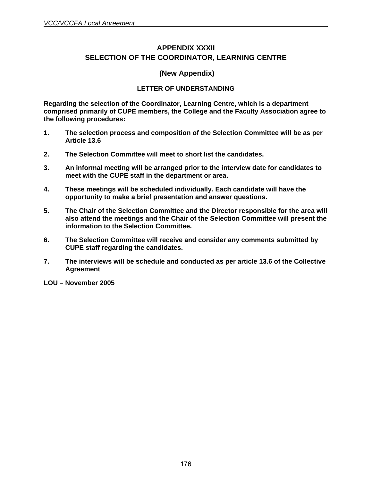## **APPENDIX XXXII SELECTION OF THE COORDINATOR, LEARNING CENTRE**

### **(New Appendix)**

#### **LETTER OF UNDERSTANDING**

**Regarding the selection of the Coordinator, Learning Centre, which is a department comprised primarily of CUPE members, the College and the Faculty Association agree to the following procedures:** 

- **1. The selection process and composition of the Selection Committee will be as per Article 13.6**
- **2. The Selection Committee will meet to short list the candidates.**
- **3. An informal meeting will be arranged prior to the interview date for candidates to meet with the CUPE staff in the department or area.**
- **4. These meetings will be scheduled individually. Each candidate will have the opportunity to make a brief presentation and answer questions.**
- **5. The Chair of the Selection Committee and the Director responsible for the area will also attend the meetings and the Chair of the Selection Committee will present the information to the Selection Committee.**
- **6. The Selection Committee will receive and consider any comments submitted by CUPE staff regarding the candidates.**
- **7. The interviews will be schedule and conducted as per article 13.6 of the Collective Agreement**
- **LOU November 2005**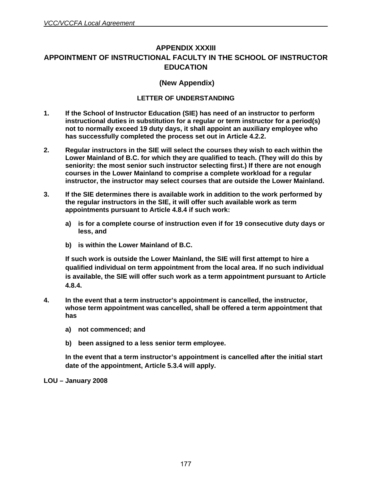# **APPENDIX XXXIII APPOINTMENT OF INSTRUCTIONAL FACULTY IN THE SCHOOL OF INSTRUCTOR EDUCATION**

## **(New Appendix)**

### **LETTER OF UNDERSTANDING**

- **1. If the School of Instructor Education (SIE) has need of an instructor to perform instructional duties in substitution for a regular or term instructor for a period(s) not to normally exceed 19 duty days, it shall appoint an auxiliary employee who has successfully completed the process set out in Article 4.2.2.**
- **2. Regular instructors in the SIE will select the courses they wish to each within the Lower Mainland of B.C. for which they are qualified to teach. (They will do this by seniority: the most senior such instructor selecting first.) If there are not enough courses in the Lower Mainland to comprise a complete workload for a regular instructor, the instructor may select courses that are outside the Lower Mainland.**
- **3. If the SIE determines there is available work in addition to the work performed by the regular instructors in the SIE, it will offer such available work as term appointments pursuant to Article 4.8.4 if such work:** 
	- **a) is for a complete course of instruction even if for 19 consecutive duty days or less, and**
	- **b) is within the Lower Mainland of B.C.**

**If such work is outside the Lower Mainland, the SIE will first attempt to hire a qualified individual on term appointment from the local area. If no such individual is available, the SIE will offer such work as a term appointment pursuant to Article 4.8.4.** 

- **4. In the event that a term instructor's appointment is cancelled, the instructor, whose term appointment was cancelled, shall be offered a term appointment that has** 
	- **a) not commenced; and**
	- **b) been assigned to a less senior term employee.**

**In the event that a term instructor's appointment is cancelled after the initial start date of the appointment, Article 5.3.4 will apply.** 

**LOU – January 2008**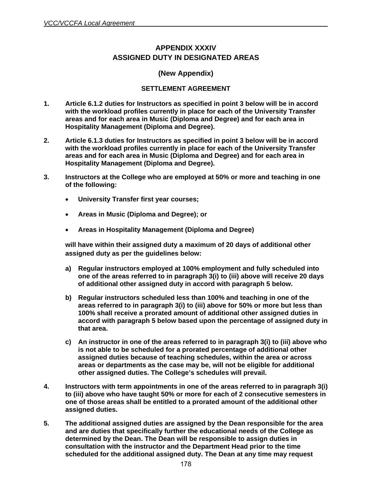# **APPENDIX XXXIV ASSIGNED DUTY IN DESIGNATED AREAS**

### **(New Appendix)**

### **SETTLEMENT AGREEMENT**

- **1. Article 6.1.2 duties for Instructors as specified in point 3 below will be in accord with the workload profiles currently in place for each of the University Transfer areas and for each area in Music (Diploma and Degree) and for each area in Hospitality Management (Diploma and Degree).**
- **2. Article 6.1.3 duties for Instructors as specified in point 3 below will be in accord with the workload profiles currently in place for each of the University Transfer areas and for each area in Music (Diploma and Degree) and for each area in Hospitality Management (Diploma and Degree).**
- **3. Instructors at the College who are employed at 50% or more and teaching in one of the following:** 
	- **University Transfer first year courses;**
	- **Areas in Music (Diploma and Degree); or**
	- **Areas in Hospitality Management (Diploma and Degree)**

**will have within their assigned duty a maximum of 20 days of additional other assigned duty as per the guidelines below:** 

- **a) Regular instructors employed at 100% employment and fully scheduled into one of the areas referred to in paragraph 3(i) to (iii) above will receive 20 days of additional other assigned duty in accord with paragraph 5 below.**
- **b) Regular instructors scheduled less than 100% and teaching in one of the areas referred to in paragraph 3(i) to (iii) above for 50% or more but less than 100% shall receive a prorated amount of additional other assigned duties in accord with paragraph 5 below based upon the percentage of assigned duty in that area.**
- **c) An instructor in one of the areas referred to in paragraph 3(i) to (iii) above who is not able to be scheduled for a prorated percentage of additional other assigned duties because of teaching schedules, within the area or across areas or departments as the case may be, will not be eligible for additional other assigned duties. The College's schedules will prevail.**
- **4. Instructors with term appointments in one of the areas referred to in paragraph 3(i) to (iii) above who have taught 50% or more for each of 2 consecutive semesters in one of those areas shall be entitled to a prorated amount of the additional other assigned duties.**
- **5. The additional assigned duties are assigned by the Dean responsible for the area and are duties that specifically further the educational needs of the College as determined by the Dean. The Dean will be responsible to assign duties in consultation with the instructor and the Department Head prior to the time scheduled for the additional assigned duty. The Dean at any time may request**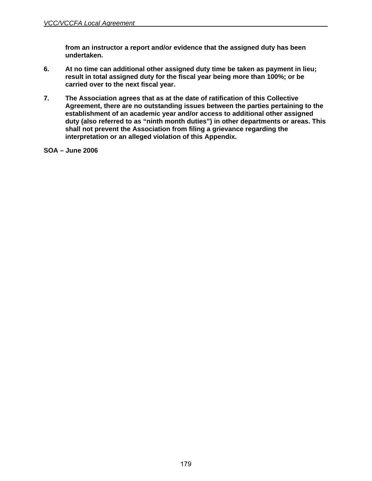**from an instructor a report and/or evidence that the assigned duty has been undertaken.** 

- **6. At no time can additional other assigned duty time be taken as payment in lieu; result in total assigned duty for the fiscal year being more than 100%; or be carried over to the next fiscal year.**
- **7. The Association agrees that as at the date of ratification of this Collective Agreement, there are no outstanding issues between the parties pertaining to the establishment of an academic year and/or access to additional other assigned duty (also referred to as "ninth month duties") in other departments or areas. This shall not prevent the Association from filing a grievance regarding the interpretation or an alleged violation of this Appendix.**

**SOA – June 2006**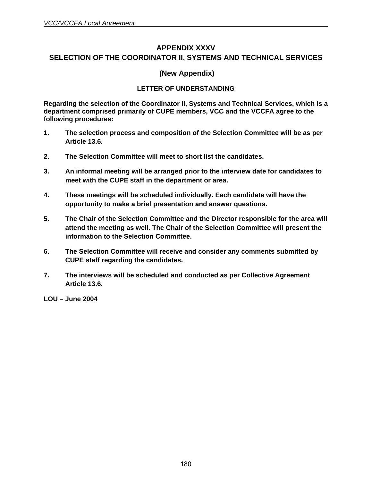# **APPENDIX XXXV SELECTION OF THE COORDINATOR II, SYSTEMS AND TECHNICAL SERVICES**

## **(New Appendix)**

### **LETTER OF UNDERSTANDING**

**Regarding the selection of the Coordinator II, Systems and Technical Services, which is a department comprised primarily of CUPE members, VCC and the VCCFA agree to the following procedures:** 

- **1. The selection process and composition of the Selection Committee will be as per Article 13.6.**
- **2. The Selection Committee will meet to short list the candidates.**
- **3. An informal meeting will be arranged prior to the interview date for candidates to meet with the CUPE staff in the department or area.**
- **4. These meetings will be scheduled individually. Each candidate will have the opportunity to make a brief presentation and answer questions.**
- **5. The Chair of the Selection Committee and the Director responsible for the area will attend the meeting as well. The Chair of the Selection Committee will present the information to the Selection Committee.**
- **6. The Selection Committee will receive and consider any comments submitted by CUPE staff regarding the candidates.**
- **7. The interviews will be scheduled and conducted as per Collective Agreement Article 13.6.**

**LOU – June 2004**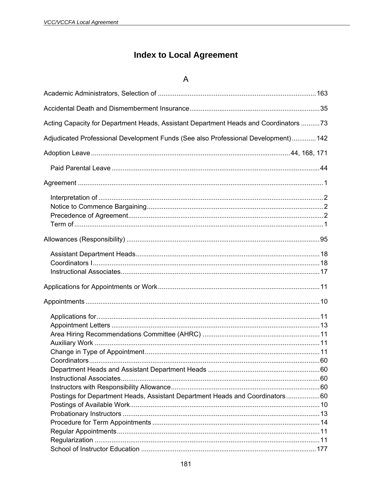# **Index to Local Agreement**

# $\sf A$

| Acting Capacity for Department Heads, Assistant Department Heads and Coordinators 73 |  |
|--------------------------------------------------------------------------------------|--|
| Adjudicated Professional Development Funds (See also Professional Development) 142   |  |
|                                                                                      |  |
|                                                                                      |  |
|                                                                                      |  |
|                                                                                      |  |
|                                                                                      |  |
|                                                                                      |  |
|                                                                                      |  |
|                                                                                      |  |
|                                                                                      |  |
|                                                                                      |  |
|                                                                                      |  |
|                                                                                      |  |
|                                                                                      |  |
|                                                                                      |  |
|                                                                                      |  |
|                                                                                      |  |
|                                                                                      |  |
|                                                                                      |  |
|                                                                                      |  |
|                                                                                      |  |
|                                                                                      |  |
|                                                                                      |  |
|                                                                                      |  |
|                                                                                      |  |
| Postings for Department Heads, Assistant Department Heads and Coordinators60         |  |
|                                                                                      |  |
|                                                                                      |  |
|                                                                                      |  |
|                                                                                      |  |
|                                                                                      |  |
|                                                                                      |  |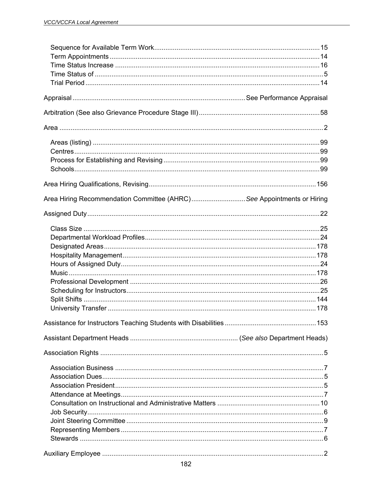| Area Hiring Recommendation Committee (AHRC)See Appointments or Hiring |  |
|-----------------------------------------------------------------------|--|
|                                                                       |  |
|                                                                       |  |
|                                                                       |  |
|                                                                       |  |
|                                                                       |  |
|                                                                       |  |
|                                                                       |  |
|                                                                       |  |
|                                                                       |  |
|                                                                       |  |
|                                                                       |  |
|                                                                       |  |
|                                                                       |  |
|                                                                       |  |
|                                                                       |  |
|                                                                       |  |
|                                                                       |  |
|                                                                       |  |
|                                                                       |  |
|                                                                       |  |
|                                                                       |  |
|                                                                       |  |
|                                                                       |  |
|                                                                       |  |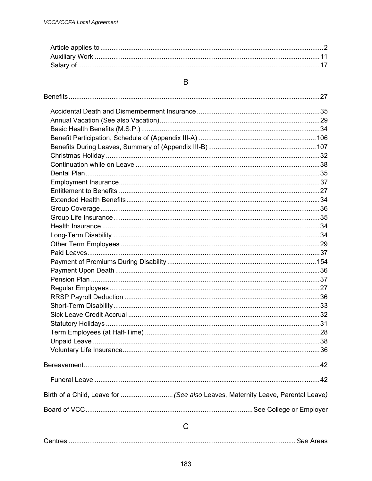# $\sf B$

| C |  |
|---|--|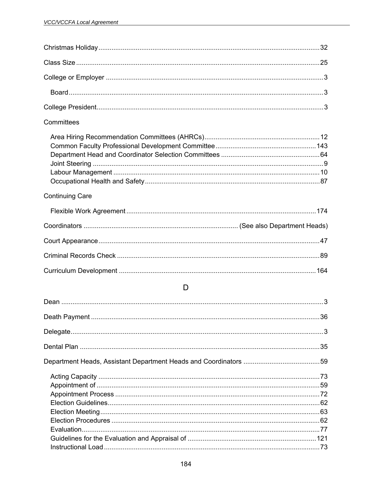| Committees             |
|------------------------|
|                        |
| <b>Continuing Care</b> |
|                        |
|                        |
|                        |
|                        |
|                        |

# $\mathsf D$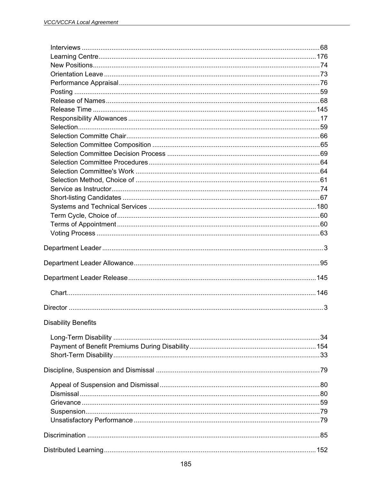| <b>Disability Benefits</b> |  |
|----------------------------|--|
|                            |  |
|                            |  |
|                            |  |
|                            |  |
|                            |  |
|                            |  |
|                            |  |
|                            |  |
|                            |  |
|                            |  |
|                            |  |
|                            |  |
|                            |  |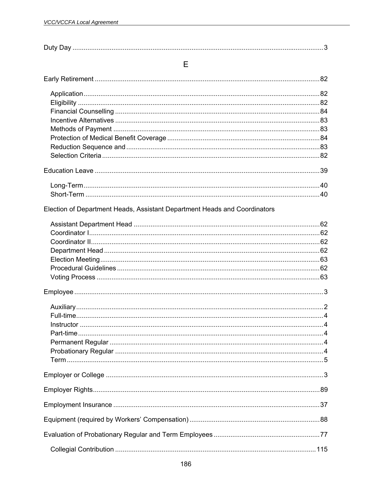| ∽ |  |  |  |  |
|---|--|--|--|--|
|   |  |  |  |  |

# $\mathsf E$

| Election of Department Heads, Assistant Department Heads and Coordinators |  |
|---------------------------------------------------------------------------|--|
|                                                                           |  |
|                                                                           |  |
|                                                                           |  |
|                                                                           |  |
|                                                                           |  |
|                                                                           |  |
|                                                                           |  |
|                                                                           |  |
|                                                                           |  |
|                                                                           |  |
|                                                                           |  |
|                                                                           |  |
|                                                                           |  |
|                                                                           |  |
|                                                                           |  |
|                                                                           |  |
|                                                                           |  |
|                                                                           |  |
|                                                                           |  |
|                                                                           |  |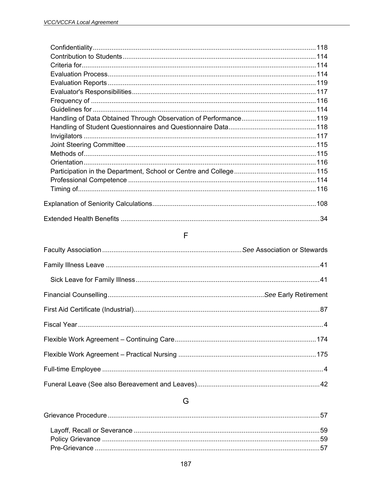# $\overline{\mathsf{F}}$

# $\mathsf G$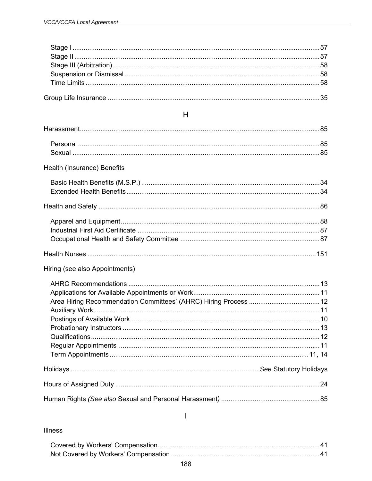| H                              |
|--------------------------------|
|                                |
|                                |
| Health (Insurance) Benefits    |
|                                |
|                                |
|                                |
|                                |
| Hiring (see also Appointments) |
|                                |
|                                |
|                                |
|                                |

#### Illness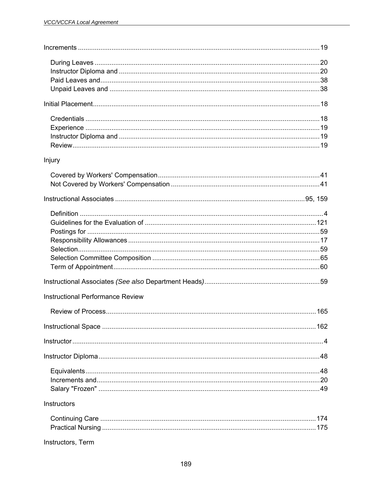# Injury

| <b>Instructional Performance Review</b> |  |
|-----------------------------------------|--|
|                                         |  |
|                                         |  |
|                                         |  |
|                                         |  |
|                                         |  |
| Instructors                             |  |
|                                         |  |
| Instructors, Term                       |  |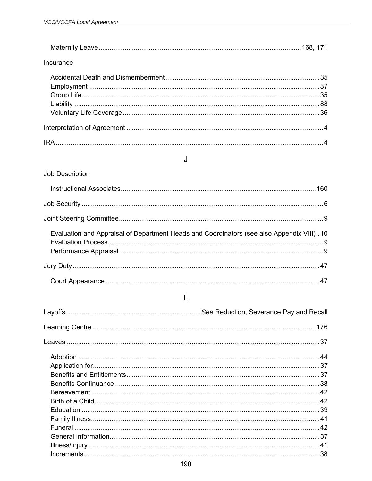## Insurance

# $\overline{\mathsf{J}}$

## Job Description

| Evaluation and Appraisal of Department Heads and Coordinators (see also Appendix VIII)10 |  |
|------------------------------------------------------------------------------------------|--|
|                                                                                          |  |
|                                                                                          |  |

# $\mathsf L$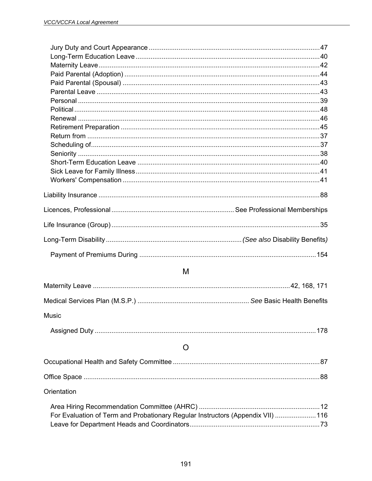| M                                                                              |  |
|--------------------------------------------------------------------------------|--|
|                                                                                |  |
|                                                                                |  |
| Music                                                                          |  |
|                                                                                |  |
| O                                                                              |  |
|                                                                                |  |
|                                                                                |  |
|                                                                                |  |
| Orientation                                                                    |  |
| For Evaluation of Term and Probationary Regular Instructors (Appendix VII) 116 |  |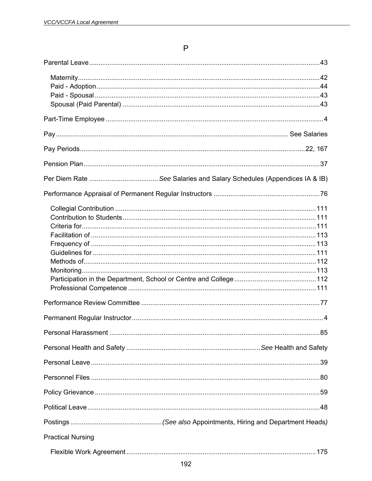| <b>Practical Nursing</b> |  |
|--------------------------|--|

 $\sf P$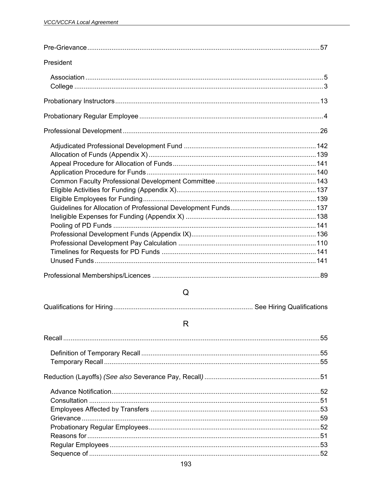| President |  |
|-----------|--|
|           |  |
|           |  |
|           |  |
|           |  |
|           |  |
|           |  |
|           |  |
|           |  |
|           |  |
|           |  |
|           |  |
|           |  |
|           |  |
|           |  |
|           |  |
|           |  |
|           |  |
|           |  |
|           |  |
|           |  |

# $\mathsf Q$

|--|--|

# ${\sf R}$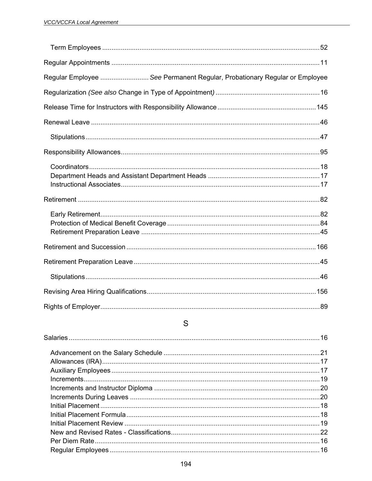| Regular Employee  See Permanent Regular, Probationary Regular or Employee |  |
|---------------------------------------------------------------------------|--|
|                                                                           |  |
|                                                                           |  |
|                                                                           |  |
|                                                                           |  |
|                                                                           |  |
|                                                                           |  |
|                                                                           |  |
|                                                                           |  |
|                                                                           |  |
|                                                                           |  |
|                                                                           |  |
|                                                                           |  |
|                                                                           |  |

# $\mathsf{S}$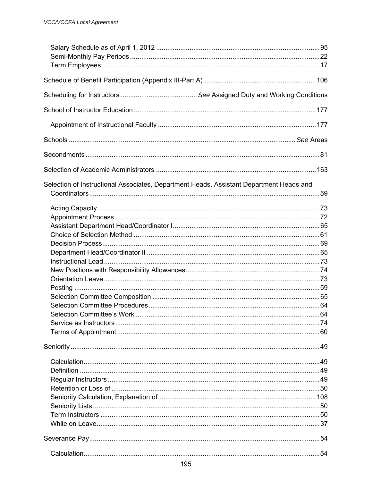| Selection of Instructional Associates, Department Heads, Assistant Department Heads and |  |
|-----------------------------------------------------------------------------------------|--|
|                                                                                         |  |
|                                                                                         |  |
|                                                                                         |  |
|                                                                                         |  |
|                                                                                         |  |
|                                                                                         |  |
|                                                                                         |  |
|                                                                                         |  |
|                                                                                         |  |
|                                                                                         |  |
|                                                                                         |  |
|                                                                                         |  |
|                                                                                         |  |
|                                                                                         |  |
|                                                                                         |  |
|                                                                                         |  |
|                                                                                         |  |
|                                                                                         |  |
|                                                                                         |  |
|                                                                                         |  |
|                                                                                         |  |
|                                                                                         |  |
|                                                                                         |  |
|                                                                                         |  |
|                                                                                         |  |
|                                                                                         |  |
|                                                                                         |  |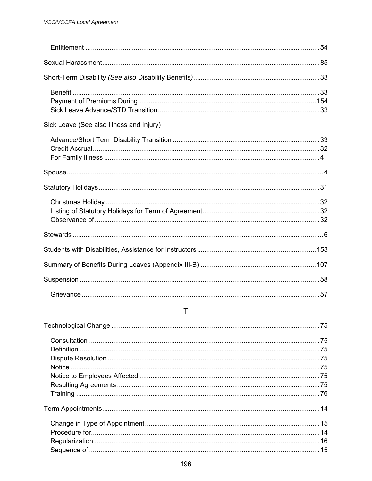| Sick Leave (See also Illness and Injury) |  |
|------------------------------------------|--|
|                                          |  |
|                                          |  |
|                                          |  |
|                                          |  |
|                                          |  |
|                                          |  |
|                                          |  |
|                                          |  |
|                                          |  |

# $\top$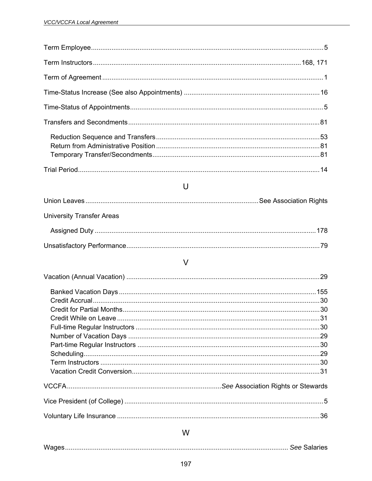| U                                |  |
|----------------------------------|--|
|                                  |  |
| <b>University Transfer Areas</b> |  |
|                                  |  |
|                                  |  |
|                                  |  |
| V                                |  |
|                                  |  |
|                                  |  |
|                                  |  |
|                                  |  |
|                                  |  |
|                                  |  |
|                                  |  |
|                                  |  |
|                                  |  |
|                                  |  |
|                                  |  |
|                                  |  |
|                                  |  |
|                                  |  |

### W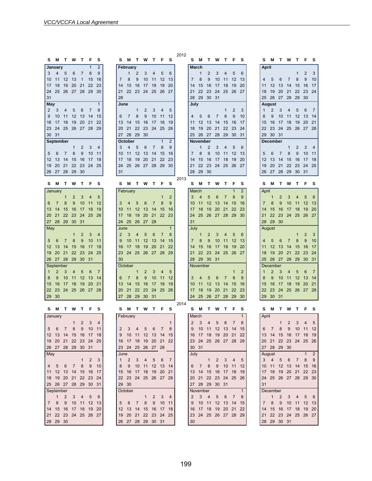|                            |                       |                |                |                |                |                |                |                           |                |                      |                |                   |                | 2012 |                |                          |                |                     |                      |                |                |                   |                          |                      |                |                |                |                |
|----------------------------|-----------------------|----------------|----------------|----------------|----------------|----------------|----------------|---------------------------|----------------|----------------------|----------------|-------------------|----------------|------|----------------|--------------------------|----------------|---------------------|----------------------|----------------|----------------|-------------------|--------------------------|----------------------|----------------|----------------|----------------|----------------|
|                            | S M                   | $\mathbf{T}$   | <b>W</b>       | $\mathbf{T}$   | - F            | s              | s              | М                         | $\mathbf{T}$   | W T                  |                | - F               | ్ క            |      |                | S M T W                  |                |                     | $\mathbf{T}$         | F              | s              |                   |                          | <b>SMTWT</b>         |                |                | F              | s              |
|                            | January               |                |                |                | 1              | $\overline{2}$ |                | February                  |                |                      |                |                   |                |      | March          |                          |                |                     |                      |                |                | April             |                          |                      |                |                |                |                |
| 3                          | $\overline{4}$        | 5              | 6              | 7              | 8              | 9              |                | $\mathbf{1}$              | $\overline{2}$ | 3                    | $\overline{4}$ | 5                 | 6              |      |                | $\mathbf{1}$             | 2              | 3                   | 4                    | 5              | 6              |                   |                          |                      |                | 1              | 2              | 3              |
| 10                         | 11                    | 12             | 13             | 1              | 15             | 16             | 7              | 8                         | 9              | 10                   | 11             | 12                | 13             |      | 7              | 8                        | 9              | 10                  | 11                   | 12             | 13             | 4                 | 5                        | 6                    | $\overline{7}$ | 8              | 9              | 10             |
| 17                         | -18<br>24 25 26 27 28 | 19             | 20             | 21             | 22<br>- 29     | 23             | 14<br>21       | 15                        | 16             | 17                   | 18             | 19                | 20             |      | 14<br>21       | 15                       | 16<br>22 23    | 17<br>24            | 18                   | 19<br>25 26 27 | 20             | 11<br>18          | 12<br>19                 | - 13<br>20 21        | 14             | 15<br>22       | 16<br>23 24    | -17            |
|                            |                       |                |                |                |                | 30             |                |                           |                | 22 23 24 25 26 27    |                |                   |                |      |                | 29 30 31                 |                |                     |                      |                |                |                   |                          |                      |                |                |                |                |
| 31                         |                       |                |                |                |                |                | 28             |                           |                |                      |                |                   |                |      | 28             |                          |                |                     |                      |                |                | 25                |                          | 26 27 28             |                | 29             | - 30           |                |
| May                        |                       |                |                |                |                | $\mathbf{1}$   | June           |                           |                |                      |                |                   |                |      | July           |                          |                |                     |                      |                |                | $\mathbf{1}$      | August<br>$\overline{2}$ |                      |                |                |                | 7              |
| $\mathbf{2}^{\prime}$<br>9 | 3<br>10               | 4<br>11        | 5<br>12        | 6              | 7              | 8              |                | $\overline{7}$            | 1<br>8         | 2<br>9               | 3              | 4                 | 5              |      |                |                          | 6              | $\overline{7}$      | 1                    | 2<br>9         | 3<br>10        | 8                 | 9                        | 3<br>10              | 4<br>11        | 5<br>12        | 6              | 14             |
|                            | 17                    | 18             |                | 13<br>19 20    | 14<br>21       | 15<br>22       | 6              | 14                        | 15             | 16                   | 10<br>17       | -11               | 12             |      | 4<br>11        | 5<br>12                  | 13             | 14                  | 8<br>15              |                |                | 15                | 16                       | 17                   | 18             | 19             | 13<br>20 21    |                |
| 16                         | 23 24                 |                |                | 25 26 27 28    |                | - 29           | 13             | 21                        | 22             |                      |                | -18               | 19             |      |                | 19 20                    |                | 21                  | 22                   | -16<br>23      | -17            | 22                | 23                       | 24                   | 25             | 26 27 28       |                |                |
|                            | 30 31                 |                |                |                |                |                | 20<br>27       |                           | 28 29          | 23 24 25<br>- 30     |                |                   | - 26           |      | 18             |                          | 26 27          |                     |                      |                | 24             | 29                |                          |                      |                |                |                |                |
|                            |                       |                |                |                |                |                |                |                           |                |                      |                |                   |                |      | 25             |                          |                |                     | 28 29 30 31          |                |                |                   | 30                       | - 31                 |                |                |                |                |
|                            | September             |                | $\mathbf{1}$   | 2              | 3              | $\overline{4}$ | 3              | October<br>$\overline{4}$ | 5              | 6                    | $\overline{7}$ | $\mathbf{1}$<br>8 | 2<br>9         |      |                | November<br>$\mathbf{1}$ | $\overline{2}$ | 3                   | 4                    | 5              | 6              |                   | <b>December</b>          |                      | 1              | 2              | 3              | $\overline{4}$ |
| 5                          | 6                     | $\overline{7}$ | 8              | 9              | 10             | -11            | 10             | 11                        | 12             | 13                   | 14             | -15               | 16             |      | $\overline{7}$ | 8                        | 9              | 10                  | 11                   | 12             | - 13           | 5                 | 6                        | $\overline{7}$       | 8              | 9              | 10             | 11             |
|                            | 12 13                 | 14             |                | 15 16          | -17            | 18             | 17             | 18                        | 19             | 20                   | 21             | 22                | 23             |      | 14             | 15                       | 16             | 17                  | 18                   | 19             | 20             | $12 \overline{ }$ | 13                       | 14                   | 15             | 16             | 17             | - 18           |
|                            | 19 20                 | 21             |                | 22 23          | 24             | -25            | 24             |                           |                | 25 26 27 28          |                | 29                | 30             |      | 21             | 22                       | 23             | 24                  | 25 26                |                | - 27           | 19                | 20                       | 21                   | 22             | 23             | 24 25          |                |
|                            | 26 27 28 29 30        |                |                |                |                |                | 31             |                           |                |                      |                |                   |                |      |                | 28 29 30                 |                |                     |                      |                |                | 26                |                          | 27 28 29             |                | 30             | - 31           |                |
|                            |                       |                |                |                |                |                |                |                           |                |                      |                |                   |                |      |                |                          |                |                     |                      |                |                |                   |                          |                      |                |                |                |                |
|                            | S M                   | $\mathbf{T}$   | W              | $\mathbf{T}$   | - F            | s              | s              | М                         | $\mathbf{T}$   | W T F                |                |                   | s              | 2013 | s              | M                        | $\mathbf{T}$   | W                   | Т                    | F              | s              | s                 | М                        | T                    | W              | $\mathbf{T}$   | F              | s              |
|                            | January               |                |                |                |                |                |                | February                  |                |                      |                |                   |                |      | March          |                          |                |                     |                      | 1              | $\overline{2}$ | April             |                          |                      |                |                |                |                |
|                            |                       | 1              | $\overline{2}$ | 3              | 4              | 5              |                |                           |                |                      |                | 1                 | $\overline{2}$ |      | 3              | $\overline{\mathbf{4}}$  | 5              | 6                   | $\overline{7}$       | 8              | 9              |                   | 1                        | $\overline{2}$       | 3              | 4              | 5              | 6              |
| 6                          | $\overline{7}$        | 8              | 9              | 10             | 11             | 12             | 3              | 4                         | 5              | 6                    | $\overline{7}$ | 8                 | 9              |      | 10             | 11                       | 12             | 13                  | 14                   | 15             | 16             | $\overline{7}$    | 8                        | 9                    | 10             | 11             | 12             | 13             |
| 13                         | 14                    | 15             | 16             | -17            | 18             | 19             | 10             | 11                        | 12             | 13                   | 14             | - 15              | 16             |      | 17             | 18                       | 19             | 20                  | 21                   | 22             | 23             | 14                | 15                       | 16                   | 17             | 18             | 19             | -20            |
|                            | 20 21                 | 22             | 23             | 24             | 25             | 26             | 17             | 18                        | 19             | 20                   |                | 21 22 23          |                |      | 24             |                          | 25 26          |                     | 27 28 29             |                | 30             | 21                | 22                       |                      |                | 23 24 25 26 27 |                |                |
|                            | 27 28                 | 29             | 30 31          |                |                |                | 24             |                           |                | 25 26 27 28          |                |                   |                |      | 31             |                          |                |                     |                      |                |                | 28                | 29                       | 30                   |                |                |                |                |
| May                        |                       |                |                |                |                |                | June           |                           |                |                      |                |                   | $\mathbf{1}$   |      | July           |                          |                |                     |                      |                |                | August            |                          |                      |                |                |                |                |
|                            |                       |                | 1              | $\overline{2}$ | 3              | $\overline{4}$ | $\overline{2}$ | 3                         | $\overline{4}$ | 5                    | 6              | $\overline{7}$    | 8              |      |                | 1                        | $\overline{2}$ | 3                   | $\overline{4}$       | 5              | 6              |                   |                          |                      |                | $\mathbf{1}$   | $\overline{2}$ | 3              |
| 5                          | 6                     | $\overline{7}$ | 8              | 9              | 10             | 11             | 9              | 10                        | 11             | 12                   | 13             | -14               | 15             |      | $\overline{7}$ | 8                        | 9              | 10                  | 11                   | 12             | - 13           | 4                 | 5                        | 6                    | $\overline{7}$ | 8              | 9              | 10             |
| $12 \overline{ }$          | 13                    | 14             |                |                |                |                | 16             |                           | 18             |                      |                |                   | 22             |      | 14             |                          | 16             |                     |                      |                |                | 11                | 12                       |                      |                |                |                |                |
|                            | 19 20                 | 21             | 15             | 16<br>22 23    | -17<br>24      | 18<br>25       | 23             | 17<br>24                  | 25             | 19<br>26 27 28       | 20             | 21                | -29            |      | 21             | 15<br>22                 | - 23           | -17<br>24           | 18                   | 19<br>25 26    | 20<br>- 27     | 18                | 19                       | 13<br>20             | 14<br>21       | 15<br>22       | 16<br>23       | - 17<br>-24    |
|                            | 26 27 28              |                |                | 29 30 31       |                |                | 30             |                           |                |                      |                |                   |                |      | 28             |                          | 29 30          | - 31                |                      |                |                | 25                |                          | 26 27 28             |                | 29             | 30 31          |                |
|                            | September             |                |                |                |                |                |                | October                   |                |                      |                |                   |                |      |                | November                 |                |                     |                      |                |                |                   | December                 |                      |                |                |                |                |
| 1                          | $\overline{2}$        | 3              | 4              | 5              | 6              | $\overline{7}$ |                |                           | 1              | $\overline{2}$       | 3              | 4                 | 5              |      |                |                          |                |                     |                      | -1             | 2              | 1                 | $\overline{2}$           | 3                    | $\overline{4}$ | 5              | 6              | $\overline{7}$ |
| 8                          | 9                     | 10             | 11             | 12             | -13            | 14             | 6              | $\overline{7}$            | 8              | 9                    | 10             | 11                | 12             |      | 3              | 4                        | 5              | 6                   | $\overline{7}$       | 8              | 9              | 8                 | 9                        | 10                   | 11             | 12             | 13             | -14            |
| 15                         | - 16                  | 17             | 18             | 19             | 20             | 21             | 13             | 14                        | 15             | -16                  | 17             | -18               | 19             |      | 10             | 11                       | 12             | 13                  | 14                   | 15             | -16            | 15                | 16                       | 17                   | 18             | 19             | 20             | - 21           |
|                            | 22 23                 |                |                | 24 25 26 27    |                | -28            | 20             | 21                        | 22             | 23                   | 24             | 25                | 26             |      | 17             | 18                       | 19             | 20                  | 21                   | 22             | 23             | 22                | 23                       | 24                   |                | 25 26 27 28    |                |                |
|                            | 29 30                 |                |                |                |                |                |                |                           |                | 27  28  29  30  31   |                |                   |                |      | 24             |                          |                |                     | 25 26 27 28 29       |                | 30             |                   | 29 30 31                 |                      |                |                |                |                |
|                            |                       |                |                |                |                |                |                |                           |                |                      |                |                   |                |      |                |                          |                |                     |                      |                |                |                   |                          |                      |                |                |                |                |
|                            | S M                   | Т              | W              | Т              | F              | s              | s              | M                         | Т              | w                    | Т              | F                 | - S            | 2014 | S.             | М                        | т              | w                   | т                    | F              | s              | s                 | M                        | т                    | w              | Т              | F              | s              |
|                            | January               |                |                |                |                |                |                | February                  |                |                      |                |                   |                |      | March          |                          |                |                     |                      |                | $\mathbf{1}$   | April             |                          |                      |                |                |                |                |
|                            |                       |                | $\mathbf{1}$   | $\mathbf 2$    | 3              | $\overline{4}$ |                |                           |                |                      |                |                   | $\mathbf{1}$   |      | $\overline{2}$ | 3                        | $\overline{4}$ | 5                   | 6                    | $\overline{7}$ | 8              |                   |                          | $\mathbf{1}$         | $\overline{2}$ | 3              | $\overline{4}$ | 5              |
|                            | 5 6 7                 |                | 8              |                | 9 10 11        |                | 2              | 3                         | $\overline{4}$ | 5                    | 6              | $\overline{7}$    | 8              |      |                |                          |                |                     | 9 10 11 12 13 14 15  |                |                |                   |                          | 6 7 8 9 10 11 12     |                |                |                |                |
|                            | 12 13 14 15 16 17 18  |                |                |                |                |                | 9              |                           |                | 10 11 12 13 14 15    |                |                   |                |      |                |                          |                |                     | 16 17 18 19 20 21 22 |                |                |                   |                          | 13 14 15 16 17 18 19 |                |                |                |                |
|                            | 19 20 21 22 23 24 25  |                |                |                |                |                |                |                           |                | 16 17 18 19 20 21 22 |                |                   |                |      |                |                          |                |                     | 23 24 25 26 27 28 29 |                |                |                   |                          | 20 21 22 23 24 25 26 |                |                |                |                |
|                            | 26 27 28 29 30 31     |                |                |                |                |                |                |                           |                | 23 24 25 26 27 28    |                |                   |                |      |                | 30 31                    |                |                     |                      |                |                |                   |                          | 27 28 29 30          |                |                |                |                |
| May                        |                       |                |                |                |                |                | June           |                           |                |                      |                |                   |                |      | July           |                          |                |                     |                      |                |                |                   | August                   |                      |                |                | 1              | $\overline{2}$ |
|                            |                       |                |                | 1              | $\overline{2}$ | $\mathbf{3}$   |                | $1\quad2\quad3$           |                | 4                    | 5              | 6                 | $\overline{7}$ |      |                |                          |                | $1\quad 2$          | 3                    |                | $4\quad 5$     | 3                 | $\overline{4}$           |                      | 5 6 7          |                | 8 9            |                |
|                            | 4 5 6 7 8 9 10        |                |                |                |                |                | 8              |                           |                | 9 10 11 12 13 14     |                |                   |                |      |                | 6 7 8                    |                |                     | 9 10 11 12           |                |                |                   |                          | 10 11 12 13 14       |                |                | 15 16          |                |
|                            | 11 12 13 14 15 16 17  |                |                |                |                |                |                |                           |                | 15 16 17 18 19 20 21 |                |                   |                |      |                |                          |                |                     | 13 14 15 16 17 18 19 |                |                |                   |                          | 17 18 19 20 21 22 23 |                |                |                |                |
|                            | 18 19 20 21 22 23 24  |                |                |                |                |                |                |                           |                | 22 23 24 25 26 27 28 |                |                   |                |      |                |                          |                |                     | 20 21 22 23 24 25 26 |                |                |                   |                          | 24 25 26 27 28 29 30 |                |                |                |                |
|                            | 25 26 27 28 29 30 31  |                |                |                |                |                |                | 29 30                     |                |                      |                |                   |                |      |                |                          |                | 27 28 29 30 31      |                      |                |                | 31                |                          |                      |                |                |                |                |
|                            | September             |                |                |                |                |                |                | October                   |                |                      |                |                   |                |      |                | November                 |                |                     |                      |                | $\mathbf{1}$   |                   | December                 |                      |                |                |                |                |
|                            | $1 \quad 2$           |                |                | $3 \quad 4$    |                | $5\quad 6$     |                |                           |                | 1                    | $2^{\circ}$    |                   | $3 \quad 4$    |      | $\overline{2}$ |                          |                | $3 \quad 4 \quad 5$ | 6                    | $\overline{7}$ | 8              |                   |                          | $1\quad 2$           | 3 <sub>4</sub> |                | 5              | - 6            |
|                            | 7 8 9                 |                |                | 10 11 12 13    |                |                |                | 5 6 7 8                   |                |                      |                | 9 10 11           |                |      | 9              |                          |                |                     | 10 11 12 13 14 15    |                |                |                   |                          | 7 8 9 10 11 12 13    |                |                |                |                |
|                            | 14 15 16 17 18 19 20  |                |                |                |                |                |                |                           |                | 12 13 14 15 16 17 18 |                |                   |                |      |                |                          |                |                     | 16 17 18 19 20 21 22 |                |                |                   |                          | 14 15 16 17 18 19 20 |                |                |                |                |
|                            | 21 22 23 24 25 26 27  |                |                |                |                |                |                |                           |                | 19 20 21 22 23 24 25 |                |                   |                |      |                |                          |                |                     | 23 24 25 26 27 28 29 |                |                |                   |                          | 21 22 23 24 25 26 27 |                |                |                |                |
|                            | 28 29 30              |                |                |                |                |                |                | 26 27 28 29 30 31         |                |                      |                |                   |                |      | 30             |                          |                |                     |                      |                |                |                   |                          | 28 29 30 31          |                |                |                |                |
|                            |                       |                |                |                |                |                |                |                           |                |                      |                |                   |                |      |                |                          |                |                     |                      |                |                |                   |                          |                      |                |                |                |                |